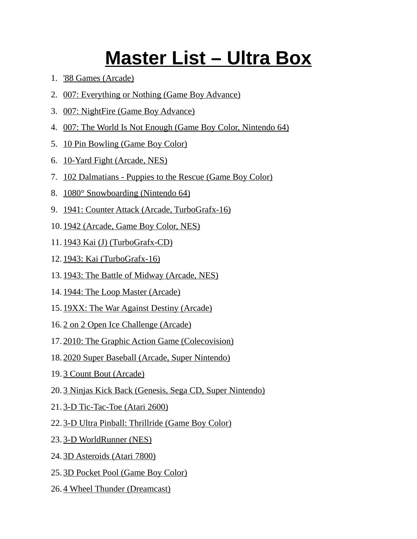## **Master List – Ultra Box**

- 1. '88 Games (Arcade)
- 2. 007: Everything or Nothing (Game Boy Advance)
- 3. 007: NightFire (Game Boy Advance)
- 4. 007: The World Is Not Enough (Game Boy Color, Nintendo 64)
- 5. 10 Pin Bowling (Game Boy Color)
- 6. 10-Yard Fight (Arcade, NES)
- 7. 102 Dalmatians Puppies to the Rescue (Game Boy Color)
- 8. 1080° Snowboarding (Nintendo 64)
- 9. 1941: Counter Attack (Arcade, TurboGrafx-16)
- 10. 1942 (Arcade, Game Boy Color, NES)
- 11. 1943 Kai (J) (TurboGrafx-CD)
- 12. 1943: Kai (TurboGrafx-16)
- 13. 1943: The Battle of Midway (Arcade, NES)
- 14. 1944: The Loop Master (Arcade)
- 15. 19XX: The War Against Destiny (Arcade)
- 16. 2 on 2 Open Ice Challenge (Arcade)
- 17. 2010: The Graphic Action Game (Colecovision)
- 18. 2020 Super Baseball (Arcade, Super Nintendo)
- 19. 3 Count Bout (Arcade)
- 20. 3 Ninjas Kick Back (Genesis, Sega CD, Super Nintendo)
- 21. 3-D Tic-Tac-Toe (Atari 2600)
- 22. 3-D Ultra Pinball: Thrillride (Game Boy Color)
- 23. 3-D WorldRunner (NES)
- 24. 3D Asteroids (Atari 7800)
- 25. 3D Pocket Pool (Game Boy Color)
- 26. 4 Wheel Thunder (Dreamcast)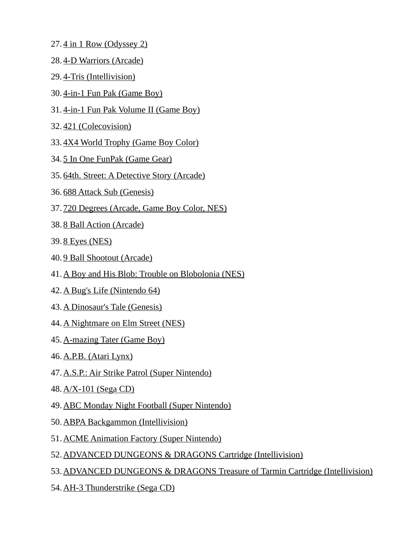- 27. 4 in 1 Row (Odyssey 2)
- 28. 4-D Warriors (Arcade)
- 29. 4-Tris (Intellivision)
- 30. 4-in-1 Fun Pak (Game Boy)
- 31. 4-in-1 Fun Pak Volume II (Game Boy)
- 32. 421 (Colecovision)
- 33. 4X4 World Trophy (Game Boy Color)
- 34. 5 In One FunPak (Game Gear)
- 35. 64th. Street: A Detective Story (Arcade)
- 36. 688 Attack Sub (Genesis)
- 37. 720 Degrees (Arcade, Game Boy Color, NES)
- 38. 8 Ball Action (Arcade)
- 39. 8 Eyes (NES)
- 40. 9 Ball Shootout (Arcade)
- 41.A Boy and His Blob: Trouble on Blobolonia (NES)
- 42. A Bug's Life (Nintendo 64)
- 43. A Dinosaur's Tale (Genesis)
- 44. A Nightmare on Elm Street (NES)
- 45. A-mazing Tater (Game Boy)
- 46. A.P.B. (Atari Lynx)
- 47.A.S.P.: Air Strike Patrol (Super Nintendo)
- 48. A/X-101 (Sega CD)
- 49.ABC Monday Night Football (Super Nintendo)
- 50. ABPA Backgammon (Intellivision)
- 51.ACME Animation Factory (Super Nintendo)
- 52.ADVANCED DUNGEONS & DRAGONS Cartridge (Intellivision)
- 53.ADVANCED DUNGEONS & DRAGONS Treasure of Tarmin Cartridge (Intellivision)
- 54. AH-3 Thunderstrike (Sega CD)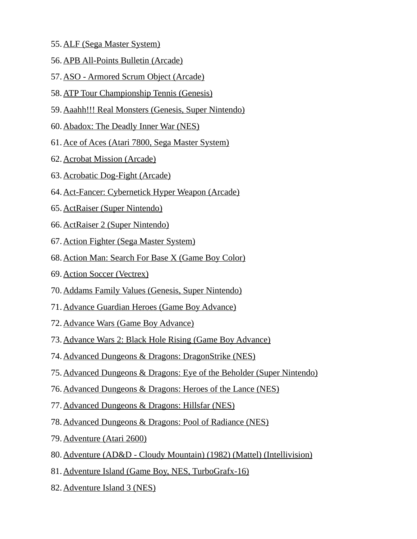- 55. ALF (Sega Master System)
- 56. APB All-Points Bulletin (Arcade)
- 57.ASO Armored Scrum Object (Arcade)
- 58.ATP Tour Championship Tennis (Genesis)
- 59.Aaahh!!! Real Monsters (Genesis, Super Nintendo)
- 60.Abadox: The Deadly Inner War (NES)
- 61.Ace of Aces (Atari 7800, Sega Master System)
- 62. Acrobat Mission (Arcade)
- 63. Acrobatic Dog-Fight (Arcade)
- 64.Act-Fancer: Cybernetick Hyper Weapon (Arcade)
- 65. ActRaiser (Super Nintendo)
- 66. ActRaiser 2 (Super Nintendo)
- 67. Action Fighter (Sega Master System)
- 68.Action Man: Search For Base X (Game Boy Color)
- 69. Action Soccer (Vectrex)
- 70.Addams Family Values (Genesis, Super Nintendo)
- 71.Advance Guardian Heroes (Game Boy Advance)
- 72. Advance Wars (Game Boy Advance)
- 73.Advance Wars 2: Black Hole Rising (Game Boy Advance)
- 74.Advanced Dungeons & Dragons: DragonStrike (NES)
- 75.Advanced Dungeons & Dragons: Eye of the Beholder (Super Nintendo)
- 76.Advanced Dungeons & Dragons: Heroes of the Lance (NES)
- 77.Advanced Dungeons & Dragons: Hillsfar (NES)
- 78.Advanced Dungeons & Dragons: Pool of Radiance (NES)
- 79. Adventure (Atari 2600)
- 80.Adventure (AD&D Cloudy Mountain) (1982) (Mattel) (Intellivision)
- 81.Adventure Island (Game Boy, NES, TurboGrafx-16)
- 82. Adventure Island 3 (NES)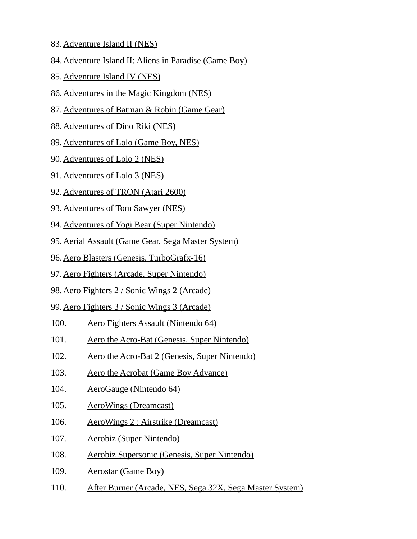- 83. Adventure Island II (NES)
- 84.Adventure Island II: Aliens in Paradise (Game Boy)
- 85. Adventure Island IV (NES)
- 86.Adventures in the Magic Kingdom (NES)
- 87.Adventures of Batman & Robin (Game Gear)
- 88. Adventures of Dino Riki (NES)
- 89.Adventures of Lolo (Game Boy, NES)
- 90. Adventures of Lolo 2 (NES)
- 91. Adventures of Lolo 3 (NES)
- 92. Adventures of TRON (Atari 2600)
- 93. Adventures of Tom Sawyer (NES)
- 94.Adventures of Yogi Bear (Super Nintendo)
- 95.Aerial Assault (Game Gear, Sega Master System)
- 96.Aero Blasters (Genesis, TurboGrafx-16)
- 97.Aero Fighters (Arcade, Super Nintendo)
- 98.Aero Fighters 2 / Sonic Wings 2 (Arcade)
- 99.Aero Fighters 3 / Sonic Wings 3 (Arcade)
- 100. Aero Fighters Assault (Nintendo 64)
- 101. Aero the Acro-Bat (Genesis, Super Nintendo)
- 102. Aero the Acro-Bat 2 (Genesis, Super Nintendo)
- 103. Aero the Acrobat (Game Boy Advance)
- 104. AeroGauge (Nintendo 64)
- 105. AeroWings (Dreamcast)
- 106. AeroWings 2 : Airstrike (Dreamcast)
- 107. Aerobiz (Super Nintendo)
- 108. Aerobiz Supersonic (Genesis, Super Nintendo)
- 109. Aerostar (Game Boy)
- 110. After Burner (Arcade, NES, Sega 32X, Sega Master System)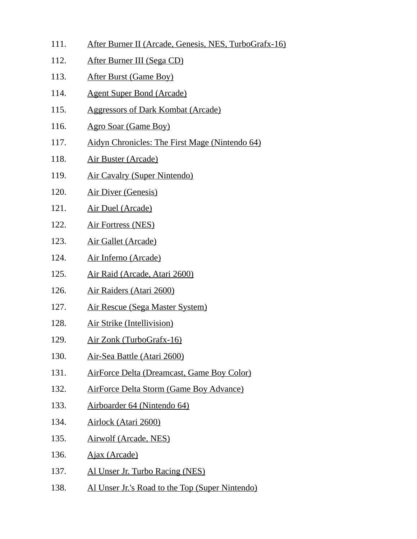- 111. After Burner II (Arcade, Genesis, NES, TurboGrafx-16)
- 112. After Burner III (Sega CD)
- 113. After Burst (Game Boy)
- 114. Agent Super Bond (Arcade)
- 115. Aggressors of Dark Kombat (Arcade)
- 116. Agro Soar (Game Boy)
- 117. Aidyn Chronicles: The First Mage (Nintendo 64)
- 118. Air Buster (Arcade)
- 119. Air Cavalry (Super Nintendo)
- 120. Air Diver (Genesis)
- 121. Air Duel (Arcade)
- 122. Air Fortress (NES)
- 123. Air Gallet (Arcade)
- 124. Air Inferno (Arcade)
- 125. Air Raid (Arcade, Atari 2600)
- 126. Air Raiders (Atari 2600)
- 127. Air Rescue (Sega Master System)
- 128. Air Strike (Intellivision)
- 129. Air Zonk (TurboGrafx-16)
- 130. Air-Sea Battle (Atari 2600)
- 131. AirForce Delta (Dreamcast, Game Boy Color)
- 132. AirForce Delta Storm (Game Boy Advance)
- 133. Airboarder 64 (Nintendo 64)
- 134. Airlock (Atari 2600)
- 135. Airwolf (Arcade, NES)
- 136. Ajax (Arcade)
- 137. Al Unser Jr. Turbo Racing (NES)
- 138. Al Unser Jr.'s Road to the Top (Super Nintendo)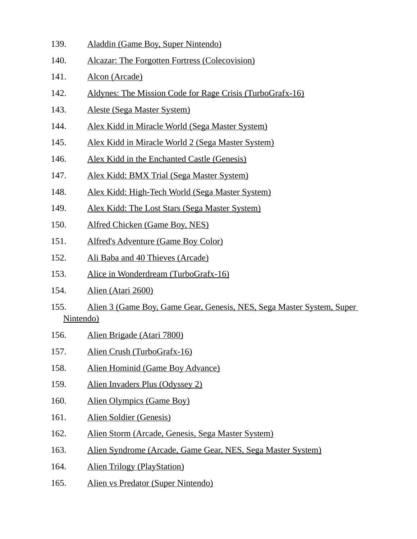- 139. Aladdin (Game Boy, Super Nintendo)
- 140. Alcazar: The Forgotten Fortress (Colecovision)
- 141. Alcon (Arcade)
- 142. Aldynes: The Mission Code for Rage Crisis (TurboGrafx-16)
- 143. Aleste (Sega Master System)
- 144. Alex Kidd in Miracle World (Sega Master System)
- 145. Alex Kidd in Miracle World 2 (Sega Master System)
- 146. Alex Kidd in the Enchanted Castle (Genesis)
- 147. Alex Kidd: BMX Trial (Sega Master System)
- 148. Alex Kidd: High-Tech World (Sega Master System)
- 149. Alex Kidd: The Lost Stars (Sega Master System)
- 150. Alfred Chicken (Game Boy, NES)
- 151. Alfred's Adventure (Game Boy Color)
- 152. Ali Baba and 40 Thieves (Arcade)
- 153. Alice in Wonderdream (TurboGrafx-16)
- 154. Alien (Atari 2600)
- 155. Alien 3 (Game Boy, Game Gear, Genesis, NES, Sega Master System, Super Nintendo)
- 156. Alien Brigade (Atari 7800)
- 157. Alien Crush (TurboGrafx-16)
- 158. Alien Hominid (Game Boy Advance)
- 159. Alien Invaders Plus (Odyssey 2)
- 160. Alien Olympics (Game Boy)
- 161. Alien Soldier (Genesis)
- 162. Alien Storm (Arcade, Genesis, Sega Master System)
- 163. Alien Syndrome (Arcade, Game Gear, NES, Sega Master System)
- 164. Alien Trilogy (PlayStation)
- 165. Alien vs Predator (Super Nintendo)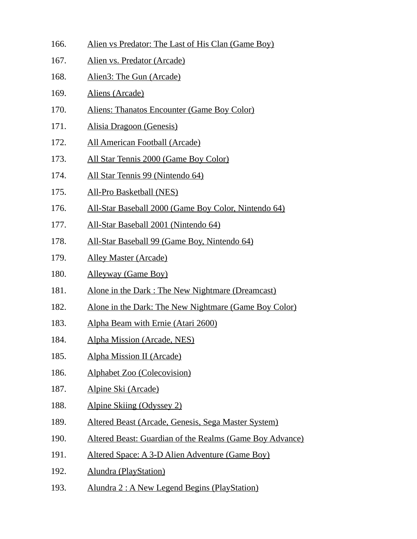- 166. Alien vs Predator: The Last of His Clan (Game Boy)
- 167. Alien vs. Predator (Arcade)
- 168. Alien3: The Gun (Arcade)
- 169. Aliens (Arcade)
- 170. Aliens: Thanatos Encounter (Game Boy Color)
- 171. Alisia Dragoon (Genesis)
- 172. All American Football (Arcade)
- 173. All Star Tennis 2000 (Game Boy Color)
- 174. All Star Tennis 99 (Nintendo 64)
- 175. All-Pro Basketball (NES)
- 176. All-Star Baseball 2000 (Game Boy Color, Nintendo 64)
- 177. All-Star Baseball 2001 (Nintendo 64)
- 178. All-Star Baseball 99 (Game Boy, Nintendo 64)
- 179. Alley Master (Arcade)
- 180. Alleyway (Game Boy)
- 181. Alone in the Dark : The New Nightmare (Dreamcast)
- 182. Alone in the Dark: The New Nightmare (Game Boy Color)
- 183. Alpha Beam with Ernie (Atari 2600)
- 184. Alpha Mission (Arcade, NES)
- 185. Alpha Mission II (Arcade)
- 186. Alphabet Zoo (Colecovision)
- 187. Alpine Ski (Arcade)
- 188. Alpine Skiing (Odyssey 2)
- 189. Altered Beast (Arcade, Genesis, Sega Master System)
- 190. Altered Beast: Guardian of the Realms (Game Boy Advance)
- 191. Altered Space: A 3-D Alien Adventure (Game Boy)
- 192. Alundra (PlayStation)
- 193. Alundra 2 : A New Legend Begins (PlayStation)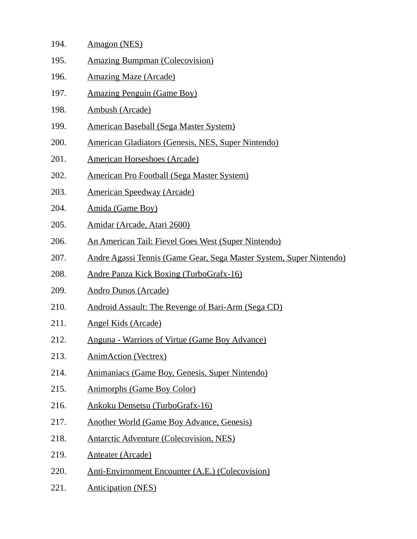| 194. | Amagon (NES)                                                        |
|------|---------------------------------------------------------------------|
| 195. | <b>Amazing Bumpman (Colecovision)</b>                               |
| 196. | <b>Amazing Maze (Arcade)</b>                                        |
| 197. | <b>Amazing Penguin (Game Boy)</b>                                   |
| 198. | <b>Ambush (Arcade)</b>                                              |
| 199. | <b>American Baseball (Sega Master System)</b>                       |
| 200. | <b>American Gladiators (Genesis, NES, Super Nintendo)</b>           |
| 201. | <b>American Horseshoes (Arcade)</b>                                 |
| 202. | American Pro Football (Sega Master System)                          |
| 203. | <b>American Speedway (Arcade)</b>                                   |
| 204. | Amida (Game Boy)                                                    |
| 205. | Amidar (Arcade, Atari 2600)                                         |
| 206. | An American Tail: Fievel Goes West (Super Nintendo)                 |
| 207. | Andre Agassi Tennis (Game Gear, Sega Master System, Super Nintendo) |
| 208. | <b>Andre Panza Kick Boxing (TurboGrafx-16)</b>                      |
| 209. | <b>Andro Dunos (Arcade)</b>                                         |
| 210. | <b>Android Assault: The Revenge of Bari-Arm (Sega CD)</b>           |
| 211. | <b>Angel Kids (Arcade)</b>                                          |
| 212. | <b>Anguna - Warriors of Virtue (Game Boy Advance)</b>               |
| 213. | <b>AnimAction (Vectrex)</b>                                         |
| 214. | Animaniacs (Game Boy, Genesis, Super Nintendo)                      |
| 215. | <b>Animorphs (Game Boy Color)</b>                                   |
| 216. | Ankoku Densetsu (TurboGrafx-16)                                     |
| 217. | <b>Another World (Game Boy Advance, Genesis)</b>                    |
| 218. | <b>Antarctic Adventure (Colecovision, NES)</b>                      |
| 219. | <b>Anteater (Arcade)</b>                                            |
| 220. | <b>Anti-Environment Encounter (A.E.) (Colecovision)</b>             |
| 221. | <b>Anticipation (NES)</b>                                           |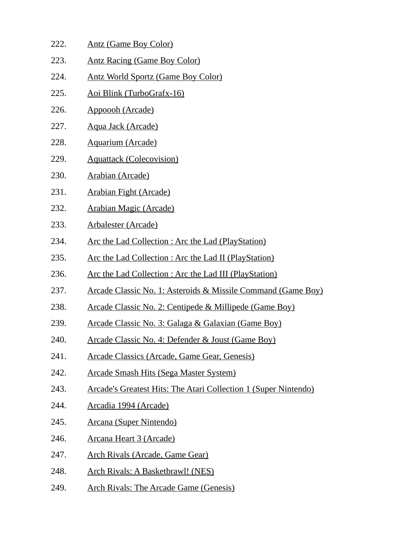| 222. | <b>Antz (Game Boy Color)</b>                                             |
|------|--------------------------------------------------------------------------|
| 223. | <b>Antz Racing (Game Boy Color)</b>                                      |
| 224. | <b>Antz World Sportz (Game Boy Color)</b>                                |
| 225. | <u>Aoi Blink (TurboGrafx-16)</u>                                         |
| 226. | Appoooh (Arcade)                                                         |
| 227. | <u>Aqua Jack (Arcade)</u>                                                |
| 228. | <b>Aquarium (Arcade)</b>                                                 |
| 229. | <b>Aquattack (Colecovision)</b>                                          |
| 230. | <b>Arabian (Arcade)</b>                                                  |
| 231. | <b>Arabian Fight (Arcade)</b>                                            |
| 232. | <b>Arabian Magic (Arcade)</b>                                            |
| 233. | <b>Arbalester (Arcade)</b>                                               |
| 234. | <u>Arc the Lad Collection: Arc the Lad (PlayStation)</u>                 |
| 235. | <u>Arc the Lad Collection : Arc the Lad II (PlayStation)</u>             |
| 236. | <u>Arc the Lad Collection : Arc the Lad III (PlayStation)</u>            |
| 237. | <u> Arcade Classic No. 1: Asteroids &amp; Missile Command (Game Boy)</u> |
| 238. | Arcade Classic No. 2: Centipede & Millipede (Game Boy)                   |
| 239. | <u> Arcade Classic No. 3: Galaga &amp; Galaxian (Game Boy)</u>           |
| 240. | <u> Arcade Classic No. 4: Defender &amp; Joust (Game Boy)</u>            |
| 241. | <b>Arcade Classics (Arcade, Game Gear, Genesis)</b>                      |
| 242. | <u>Arcade Smash Hits (Sega Master System)</u>                            |
| 243. | <b>Arcade's Greatest Hits: The Atari Collection 1 (Super Nintendo)</b>   |
| 244. | Arcadia 1994 (Arcade)                                                    |
| 245. | <b>Arcana (Super Nintendo)</b>                                           |
| 246. | <u> Arcana Heart 3 (Arcade)</u>                                          |
| 247. | <b>Arch Rivals (Arcade, Game Gear)</b>                                   |
| 248. | <b>Arch Rivals: A Basketbrawl! (NES)</b>                                 |
| 249. | <b>Arch Rivals: The Arcade Game (Genesis)</b>                            |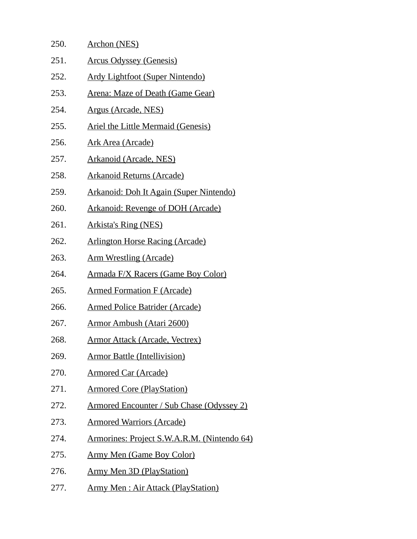| 250. | <b>Archon (NES)</b>                              |
|------|--------------------------------------------------|
| 251. | <b>Arcus Odyssey (Genesis)</b>                   |
| 252. | <b>Ardy Lightfoot (Super Nintendo)</b>           |
| 253. | Arena: Maze of Death (Game Gear)                 |
| 254. | Argus (Arcade, NES)                              |
| 255. | Ariel the Little Mermaid (Genesis)               |
| 256. | <u> Ark Area (Arcade)</u>                        |
| 257. | <b>Arkanoid (Arcade, NES)</b>                    |
| 258. | <b>Arkanoid Returns (Arcade)</b>                 |
| 259. | <b>Arkanoid: Doh It Again (Super Nintendo)</b>   |
| 260. | <b>Arkanoid: Revenge of DOH (Arcade)</b>         |
| 261. | <b>Arkista's Ring (NES)</b>                      |
| 262. | <b>Arlington Horse Racing (Arcade)</b>           |
| 263. | <u>Arm Wrestling (Arcade)</u>                    |
| 264. | Armada F/X Racers (Game Boy Color)               |
| 265. | <b>Armed Formation F (Arcade)</b>                |
| 266. | <b>Armed Police Batrider (Arcade)</b>            |
| 267. | <b>Armor Ambush (Atari 2600)</b>                 |
| 268. | <u>Armor Attack (Arcade, Vectrex)</u>            |
| 269. | <b>Armor Battle (Intellivision)</b>              |
| 270. | <b>Armored Car (Arcade)</b>                      |
| 271. | <b>Armored Core (PlayStation)</b>                |
| 272. | <b>Armored Encounter / Sub Chase (Odyssey 2)</b> |
| 273. | <b>Armored Warriors (Arcade)</b>                 |
| 274. | Armorines: Project S.W.A.R.M. (Nintendo 64)      |
| 275. | <u>Army Men (Game Boy Color)</u>                 |
| 276. | <b>Army Men 3D (PlayStation)</b>                 |
| 277. | <b>Army Men: Air Attack (PlayStation)</b>        |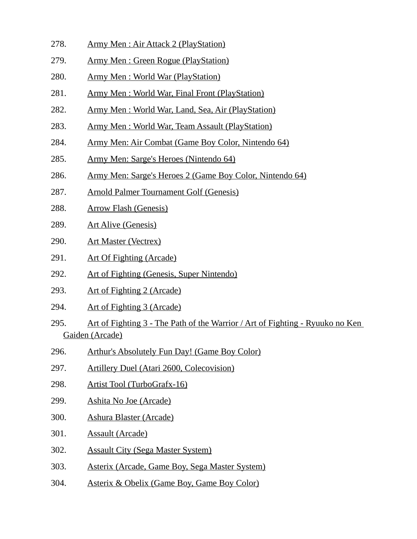- 278. Army Men : Air Attack 2 (PlayStation)
- 279. Army Men : Green Rogue (PlayStation)
- 280. Army Men : World War (PlayStation)
- 281. Army Men : World War, Final Front (PlayStation)
- 282. Army Men : World War, Land, Sea, Air (PlayStation)
- 283. Army Men : World War, Team Assault (PlayStation)
- 284. Army Men: Air Combat (Game Boy Color, Nintendo 64)
- 285. Army Men: Sarge's Heroes (Nintendo 64)
- 286. Army Men: Sarge's Heroes 2 (Game Boy Color, Nintendo 64)
- 287. Arnold Palmer Tournament Golf (Genesis)
- 288. Arrow Flash (Genesis)
- 289. Art Alive (Genesis)
- 290. Art Master (Vectrex)
- 291. Art Of Fighting (Arcade)
- 292. Art of Fighting (Genesis, Super Nintendo)
- 293. Art of Fighting 2 (Arcade)
- 294. Art of Fighting 3 (Arcade)
- 295. Art of Fighting 3 The Path of the Warrior / Art of Fighting Ryuuko no Ken Gaiden (Arcade)
- 296. Arthur's Absolutely Fun Day! (Game Boy Color)
- 297. Artillery Duel (Atari 2600, Colecovision)
- 298. Artist Tool (TurboGrafx-16)
- 299. Ashita No Joe (Arcade)
- 300. Ashura Blaster (Arcade)
- 301. Assault (Arcade)
- 302. Assault City (Sega Master System)
- 303. Asterix (Arcade, Game Boy, Sega Master System)
- 304. Asterix & Obelix (Game Boy, Game Boy Color)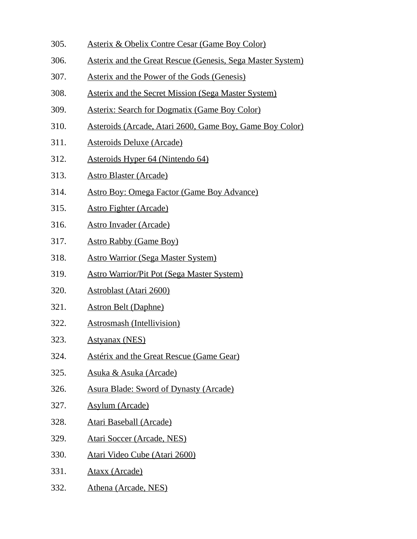- 305. Asterix & Obelix Contre Cesar (Game Boy Color)
- 306. Asterix and the Great Rescue (Genesis, Sega Master System)
- 307. Asterix and the Power of the Gods (Genesis)
- 308. Asterix and the Secret Mission (Sega Master System)
- 309. Asterix: Search for Dogmatix (Game Boy Color)
- 310. Asteroids (Arcade, Atari 2600, Game Boy, Game Boy Color)
- 311. Asteroids Deluxe (Arcade)
- 312. Asteroids Hyper 64 (Nintendo 64)
- 313. Astro Blaster (Arcade)
- 314. Astro Boy: Omega Factor (Game Boy Advance)
- 315. Astro Fighter (Arcade)
- 316. Astro Invader (Arcade)
- 317. Astro Rabby (Game Boy)
- 318. Astro Warrior (Sega Master System)
- 319. Astro Warrior/Pit Pot (Sega Master System)
- 320. Astroblast (Atari 2600)
- 321. Astron Belt (Daphne)
- 322. Astrosmash (Intellivision)
- 323. Astyanax (NES)
- 324. Astérix and the Great Rescue (Game Gear)
- 325. Asuka & Asuka (Arcade)
- 326. Asura Blade: Sword of Dynasty (Arcade)
- 327. Asylum (Arcade)
- 328. Atari Baseball (Arcade)
- 329. Atari Soccer (Arcade, NES)
- 330. Atari Video Cube (Atari 2600)
- 331. Ataxx (Arcade)
- 332. Athena (Arcade, NES)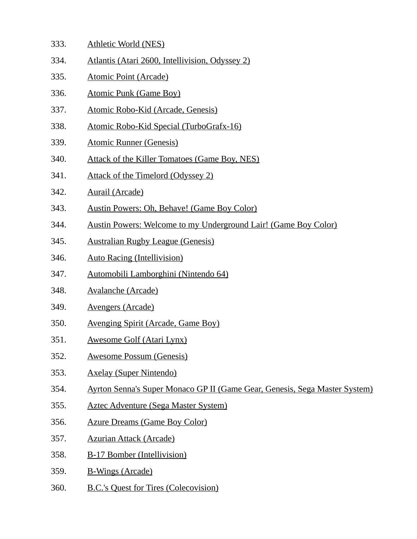- 333. Athletic World (NES)
- 334. Atlantis (Atari 2600, Intellivision, Odyssey 2)
- 335. Atomic Point (Arcade)
- 336. Atomic Punk (Game Boy)
- 337. Atomic Robo-Kid (Arcade, Genesis)
- 338. Atomic Robo-Kid Special (TurboGrafx-16)
- 339. Atomic Runner (Genesis)
- 340. Attack of the Killer Tomatoes (Game Boy, NES)
- 341. Attack of the Timelord (Odyssey 2)
- 342. Aurail (Arcade)
- 343. Austin Powers: Oh, Behave! (Game Boy Color)
- 344. Austin Powers: Welcome to my Underground Lair! (Game Boy Color)
- 345. Australian Rugby League (Genesis)
- 346. Auto Racing (Intellivision)
- 347. Automobili Lamborghini (Nintendo 64)
- 348. Avalanche (Arcade)
- 349. Avengers (Arcade)
- 350. Avenging Spirit (Arcade, Game Boy)
- 351. Awesome Golf (Atari Lynx)
- 352. Awesome Possum (Genesis)
- 353. Axelay (Super Nintendo)
- 354. Ayrton Senna's Super Monaco GP II (Game Gear, Genesis, Sega Master System)
- 355. Aztec Adventure (Sega Master System)
- 356. Azure Dreams (Game Boy Color)
- 357. Azurian Attack (Arcade)
- 358. B-17 Bomber (Intellivision)
- 359. B-Wings (Arcade)
- 360. B.C.'s Quest for Tires (Colecovision)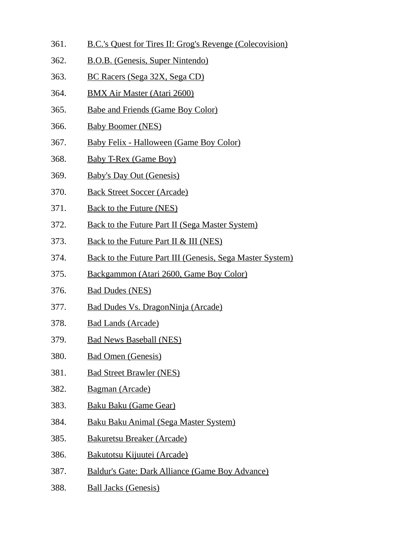- 361. B.C.'s Quest for Tires II: Grog's Revenge (Colecovision)
- 362. B.O.B. (Genesis, Super Nintendo)
- 363. BC Racers (Sega 32X, Sega CD)
- 364. BMX Air Master (Atari 2600)
- 365. Babe and Friends (Game Boy Color)
- 366. Baby Boomer (NES)
- 367. Baby Felix Halloween (Game Boy Color)
- 368. Baby T-Rex (Game Boy)
- 369. Baby's Day Out (Genesis)
- 370. Back Street Soccer (Arcade)
- 371. Back to the Future (NES)
- 372. Back to the Future Part II (Sega Master System)
- 373. Back to the Future Part II & III (NES)
- 374. Back to the Future Part III (Genesis, Sega Master System)
- 375. Backgammon (Atari 2600, Game Boy Color)
- 376. Bad Dudes (NES)
- 377. Bad Dudes Vs. DragonNinja (Arcade)
- 378. Bad Lands (Arcade)
- 379. Bad News Baseball (NES)
- 380. Bad Omen (Genesis)
- 381. Bad Street Brawler (NES)
- 382. Bagman (Arcade)
- 383. Baku Baku (Game Gear)
- 384. Baku Baku Animal (Sega Master System)
- 385. Bakuretsu Breaker (Arcade)
- 386. Bakutotsu Kijuutei (Arcade)
- 387. Baldur's Gate: Dark Alliance (Game Boy Advance)
- 388. Ball Jacks (Genesis)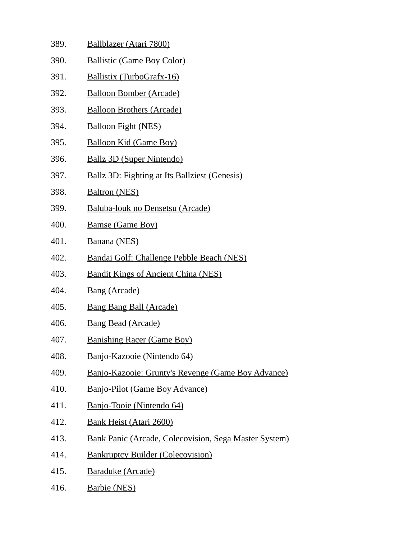389. Ballblazer (Atari 7800) 390. Ballistic (Game Boy Color) 391. Ballistix (TurboGrafx-16) 392. Balloon Bomber (Arcade) 393. Balloon Brothers (Arcade) 394. Balloon Fight (NES) 395. Balloon Kid (Game Boy) 396. Ballz 3D (Super Nintendo) 397. Ballz 3D: Fighting at Its Ballziest (Genesis) 398. Baltron (NES) 399. Baluba-louk no Densetsu (Arcade) 400. Bamse (Game Boy) 401. Banana (NES) 402. Bandai Golf: Challenge Pebble Beach (NES) 403. Bandit Kings of Ancient China (NES) 404. Bang (Arcade) 405. Bang Bang Ball (Arcade) 406. Bang Bead (Arcade) 407. Banishing Racer (Game Boy) 408. Banjo-Kazooie (Nintendo 64) 409. Banjo-Kazooie: Grunty's Revenge (Game Boy Advance) 410. Banjo-Pilot (Game Boy Advance) 411. Banjo-Tooie (Nintendo 64) 412. Bank Heist (Atari 2600) 413. Bank Panic (Arcade, Colecovision, Sega Master System) 414. Bankruptcy Builder (Colecovision) 415. Baraduke (Arcade) 416. Barbie (NES)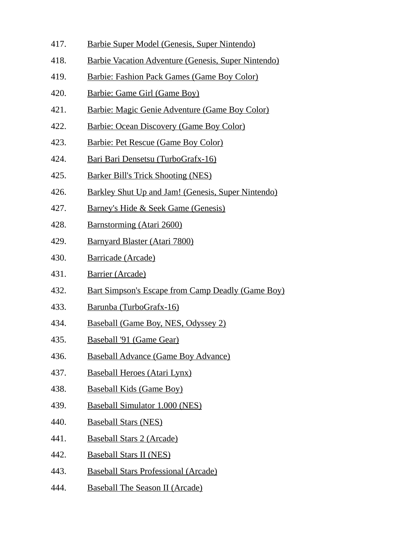- 417. Barbie Super Model (Genesis, Super Nintendo)
- 418. Barbie Vacation Adventure (Genesis, Super Nintendo)
- 419. Barbie: Fashion Pack Games (Game Boy Color)
- 420. Barbie: Game Girl (Game Boy)
- 421. Barbie: Magic Genie Adventure (Game Boy Color)
- 422. Barbie: Ocean Discovery (Game Boy Color)
- 423. Barbie: Pet Rescue (Game Boy Color)
- 424. Bari Bari Densetsu (TurboGrafx-16)
- 425. Barker Bill's Trick Shooting (NES)
- 426. Barkley Shut Up and Jam! (Genesis, Super Nintendo)
- 427. Barney's Hide & Seek Game (Genesis)
- 428. Barnstorming (Atari 2600)
- 429. Barnyard Blaster (Atari 7800)
- 430. Barricade (Arcade)
- 431. Barrier (Arcade)
- 432. Bart Simpson's Escape from Camp Deadly (Game Boy)
- 433. Barunba (TurboGrafx-16)
- 434. Baseball (Game Boy, NES, Odyssey 2)
- 435. Baseball '91 (Game Gear)
- 436. Baseball Advance (Game Boy Advance)
- 437. Baseball Heroes (Atari Lynx)
- 438. Baseball Kids (Game Boy)
- 439. Baseball Simulator 1.000 (NES)
- 440. Baseball Stars (NES)
- 441. Baseball Stars 2 (Arcade)
- 442. Baseball Stars II (NES)
- 443. Baseball Stars Professional (Arcade)
- 444. Baseball The Season II (Arcade)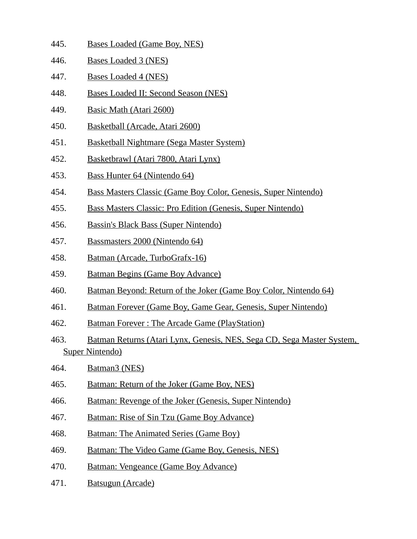- 445. Bases Loaded (Game Boy, NES)
- 446. Bases Loaded 3 (NES)
- 447. Bases Loaded 4 (NES)
- 448. Bases Loaded II: Second Season (NES)
- 449. Basic Math (Atari 2600)
- 450. Basketball (Arcade, Atari 2600)
- 451. Basketball Nightmare (Sega Master System)
- 452. Basketbrawl (Atari 7800, Atari Lynx)
- 453. Bass Hunter 64 (Nintendo 64)
- 454. Bass Masters Classic (Game Boy Color, Genesis, Super Nintendo)
- 455. Bass Masters Classic: Pro Edition (Genesis, Super Nintendo)
- 456. Bassin's Black Bass (Super Nintendo)
- 457. Bassmasters 2000 (Nintendo 64)
- 458. Batman (Arcade, TurboGrafx-16)
- 459. Batman Begins (Game Boy Advance)
- 460. Batman Beyond: Return of the Joker (Game Boy Color, Nintendo 64)
- 461. Batman Forever (Game Boy, Game Gear, Genesis, Super Nintendo)
- 462. Batman Forever : The Arcade Game (PlayStation)
- 463. Batman Returns (Atari Lynx, Genesis, NES, Sega CD, Sega Master System, Super Nintendo)
- 464. Batman3 (NES)
- 465. Batman: Return of the Joker (Game Boy, NES)
- 466. Batman: Revenge of the Joker (Genesis, Super Nintendo)
- 467. Batman: Rise of Sin Tzu (Game Boy Advance)
- 468. Batman: The Animated Series (Game Boy)
- 469. Batman: The Video Game (Game Boy, Genesis, NES)
- 470. Batman: Vengeance (Game Boy Advance)
- 471. Batsugun (Arcade)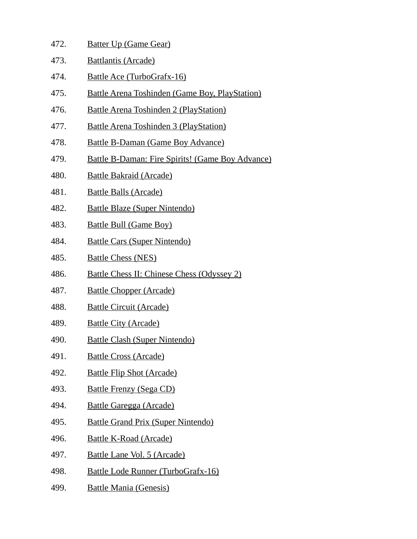| 472. | <b>Batter Up (Game Gear)</b>                            |
|------|---------------------------------------------------------|
| 473. | <b>Battlantis (Arcade)</b>                              |
| 474. | Battle Ace (TurboGrafx-16)                              |
| 475. | <b>Battle Arena Toshinden (Game Boy, PlayStation)</b>   |
| 476. | <b>Battle Arena Toshinden 2 (PlayStation)</b>           |
| 477. | <b>Battle Arena Toshinden 3 (PlayStation)</b>           |
| 478. | <b>Battle B-Daman (Game Boy Advance)</b>                |
| 479. | <b>Battle B-Daman: Fire Spirits! (Game Boy Advance)</b> |
| 480. | <b>Battle Bakraid (Arcade)</b>                          |
| 481. | <b>Battle Balls (Arcade)</b>                            |
| 482. | <b>Battle Blaze (Super Nintendo)</b>                    |
| 483. | <b>Battle Bull (Game Boy)</b>                           |
| 484. | <b>Battle Cars (Super Nintendo)</b>                     |
| 485. | <b>Battle Chess (NES)</b>                               |
| 486. | <b>Battle Chess II: Chinese Chess (Odyssey 2)</b>       |
| 487. | <b>Battle Chopper (Arcade)</b>                          |
| 488. | <b>Battle Circuit (Arcade)</b>                          |
| 489. | <b>Battle City (Arcade)</b>                             |
| 490. | <b>Battle Clash (Super Nintendo)</b>                    |
| 491. | <b>Battle Cross (Arcade)</b>                            |
| 492. | <b>Battle Flip Shot (Arcade)</b>                        |
| 493. | <b>Battle Frenzy (Sega CD)</b>                          |
| 494. | <b>Battle Garegga (Arcade)</b>                          |
| 495. | <b>Battle Grand Prix (Super Nintendo)</b>               |
| 496. | <b>Battle K-Road (Arcade)</b>                           |
| 497. | Battle Lane Vol. 5 (Arcade)                             |
| 498. | <b>Battle Lode Runner (TurboGrafx-16)</b>               |
| 499. | <b>Battle Mania (Genesis)</b>                           |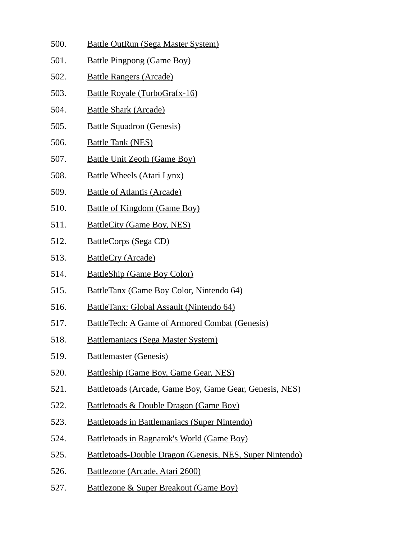- 500. Battle OutRun (Sega Master System)
- 501. Battle Pingpong (Game Boy)
- 502. Battle Rangers (Arcade)
- 503. Battle Royale (TurboGrafx-16)
- 504. Battle Shark (Arcade)
- 505. Battle Squadron (Genesis)
- 506. Battle Tank (NES)
- 507. Battle Unit Zeoth (Game Boy)
- 508. Battle Wheels (Atari Lynx)
- 509. Battle of Atlantis (Arcade)
- 510. Battle of Kingdom (Game Boy)
- 511. BattleCity (Game Boy, NES)
- 512. BattleCorps (Sega CD)
- 513. BattleCry (Arcade)
- 514. BattleShip (Game Boy Color)
- 515. BattleTanx (Game Boy Color, Nintendo 64)
- 516. BattleTanx: Global Assault (Nintendo 64)
- 517. BattleTech: A Game of Armored Combat (Genesis)
- 518. Battlemaniacs (Sega Master System)
- 519. Battlemaster (Genesis)
- 520. Battleship (Game Boy, Game Gear, NES)
- 521. Battletoads (Arcade, Game Boy, Game Gear, Genesis, NES)
- 522. Battletoads & Double Dragon (Game Boy)
- 523. Battletoads in Battlemaniacs (Super Nintendo)
- 524. Battletoads in Ragnarok's World (Game Boy)
- 525. Battletoads-Double Dragon (Genesis, NES, Super Nintendo)
- 526. Battlezone (Arcade, Atari 2600)
- 527. Battlezone & Super Breakout (Game Boy)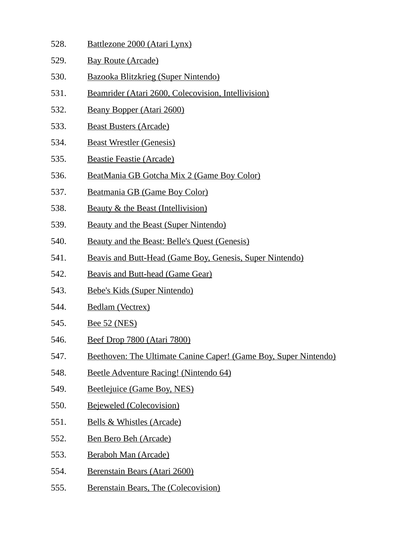- 528. Battlezone 2000 (Atari Lynx)
- 529. Bay Route (Arcade)
- 530. Bazooka Blitzkrieg (Super Nintendo)
- 531. Beamrider (Atari 2600, Colecovision, Intellivision)
- 532. Beany Bopper (Atari 2600)
- 533. Beast Busters (Arcade)
- 534. Beast Wrestler (Genesis)
- 535. Beastie Feastie (Arcade)
- 536. BeatMania GB Gotcha Mix 2 (Game Boy Color)
- 537. Beatmania GB (Game Boy Color)
- 538. Beauty & the Beast (Intellivision)
- 539. Beauty and the Beast (Super Nintendo)
- 540. Beauty and the Beast: Belle's Quest (Genesis)
- 541. Beavis and Butt-Head (Game Boy, Genesis, Super Nintendo)
- 542. Beavis and Butt-head (Game Gear)
- 543. Bebe's Kids (Super Nintendo)
- 544. Bedlam (Vectrex)
- 545. Bee 52 (NES)
- 546. Beef Drop 7800 (Atari 7800)
- 547. Beethoven: The Ultimate Canine Caper! (Game Boy, Super Nintendo)
- 548. Beetle Adventure Racing! (Nintendo 64)
- 549. Beetlejuice (Game Boy, NES)
- 550. Bejeweled (Colecovision)
- 551. Bells & Whistles (Arcade)
- 552. Ben Bero Beh (Arcade)
- 553. Beraboh Man (Arcade)
- 554. Berenstain Bears (Atari 2600)
- 555. Berenstain Bears, The (Colecovision)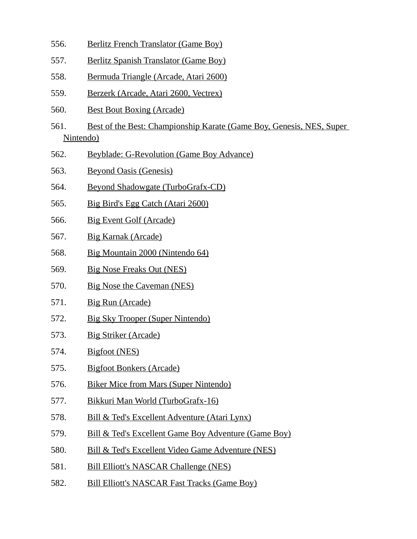- 556. Berlitz French Translator (Game Boy)
- 557. Berlitz Spanish Translator (Game Boy)
- 558. Bermuda Triangle (Arcade, Atari 2600)
- 559. Berzerk (Arcade, Atari 2600, Vectrex)
- 560. Best Bout Boxing (Arcade)
- 561. Best of the Best: Championship Karate (Game Boy, Genesis, NES, Super Nintendo)
- 562. Beyblade: G-Revolution (Game Boy Advance)
- 563. Beyond Oasis (Genesis)
- 564. Beyond Shadowgate (TurboGrafx-CD)
- 565. Big Bird's Egg Catch (Atari 2600)
- 566. Big Event Golf (Arcade)
- 567. Big Karnak (Arcade)
- 568. Big Mountain 2000 (Nintendo 64)
- 569. Big Nose Freaks Out (NES)
- 570. Big Nose the Caveman (NES)
- 571. Big Run (Arcade)
- 572. Big Sky Trooper (Super Nintendo)
- 573. Big Striker (Arcade)
- 574. Bigfoot (NES)
- 575. Bigfoot Bonkers (Arcade)
- 576. Biker Mice from Mars (Super Nintendo)
- 577. Bikkuri Man World (TurboGrafx-16)
- 578. Bill & Ted's Excellent Adventure (Atari Lynx)
- 579. Bill & Ted's Excellent Game Boy Adventure (Game Boy)
- 580. Bill & Ted's Excellent Video Game Adventure (NES)
- 581. Bill Elliott's NASCAR Challenge (NES)
- 582. Bill Elliott's NASCAR Fast Tracks (Game Boy)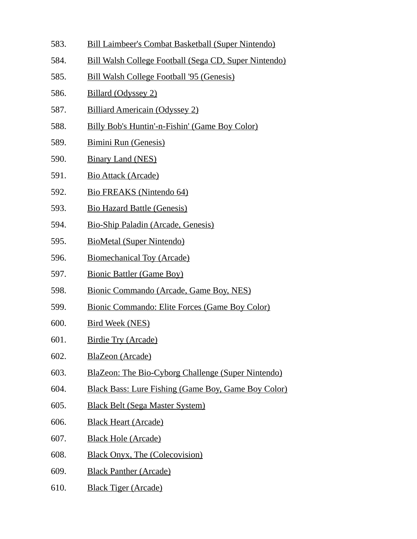- 583. Bill Laimbeer's Combat Basketball (Super Nintendo)
- 584. Bill Walsh College Football (Sega CD, Super Nintendo)
- 585. Bill Walsh College Football '95 (Genesis)
- 586. Billard (Odyssey 2)
- 587. Billiard Americain (Odyssey 2)
- 588. Billy Bob's Huntin'-n-Fishin' (Game Boy Color)
- 589. Bimini Run (Genesis)
- 590. Binary Land (NES)
- 591. Bio Attack (Arcade)
- 592. Bio FREAKS (Nintendo 64)
- 593. Bio Hazard Battle (Genesis)
- 594. Bio-Ship Paladin (Arcade, Genesis)
- 595. BioMetal (Super Nintendo)
- 596. Biomechanical Toy (Arcade)
- 597. Bionic Battler (Game Boy)
- 598. Bionic Commando (Arcade, Game Boy, NES)
- 599. Bionic Commando: Elite Forces (Game Boy Color)
- 600. Bird Week (NES)
- 601. Birdie Try (Arcade)
- 602. BlaZeon (Arcade)
- 603. BlaZeon: The Bio-Cyborg Challenge (Super Nintendo)
- 604. Black Bass: Lure Fishing (Game Boy, Game Boy Color)
- 605. Black Belt (Sega Master System)
- 606. Black Heart (Arcade)
- 607. Black Hole (Arcade)
- 608. Black Onyx, The (Colecovision)
- 609. Black Panther (Arcade)
- 610. Black Tiger (Arcade)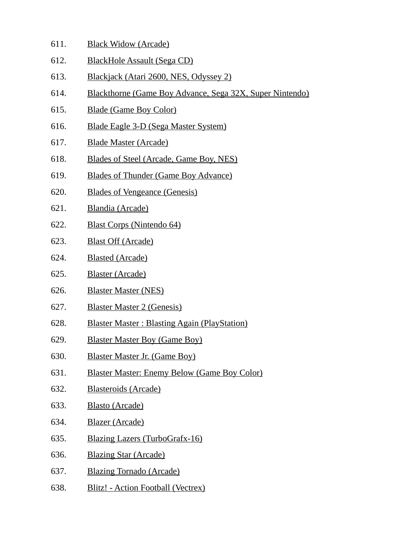- 611. Black Widow (Arcade)
- 612. BlackHole Assault (Sega CD)
- 613. Blackjack (Atari 2600, NES, Odyssey 2)
- 614. Blackthorne (Game Boy Advance, Sega 32X, Super Nintendo)
- 615. Blade (Game Boy Color)
- 616. Blade Eagle 3-D (Sega Master System)
- 617. Blade Master (Arcade)
- 618. Blades of Steel (Arcade, Game Boy, NES)
- 619. Blades of Thunder (Game Boy Advance)
- 620. Blades of Vengeance (Genesis)
- 621. Blandia (Arcade)
- 622. Blast Corps (Nintendo 64)
- 623. Blast Off (Arcade)
- 624. Blasted (Arcade)
- 625. Blaster (Arcade)
- 626. Blaster Master (NES)
- 627. Blaster Master 2 (Genesis)
- 628. Blaster Master : Blasting Again (PlayStation)
- 629. Blaster Master Boy (Game Boy)
- 630. Blaster Master Jr. (Game Boy)
- 631. Blaster Master: Enemy Below (Game Boy Color)
- 632. Blasteroids (Arcade)
- 633. Blasto (Arcade)
- 634. Blazer (Arcade)
- 635. Blazing Lazers (TurboGrafx-16)
- 636. Blazing Star (Arcade)
- 637. Blazing Tornado (Arcade)
- 638. Blitz! Action Football (Vectrex)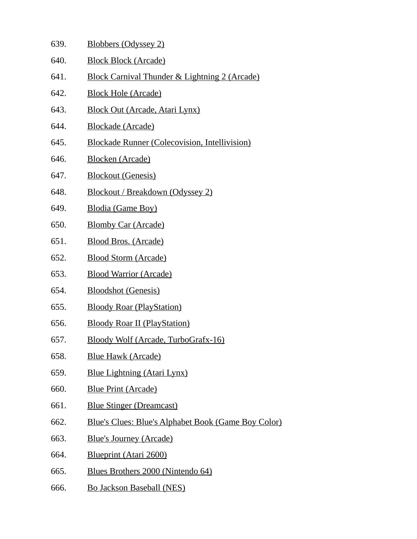| 639. | <b>Blobbers (Odyssey 2)</b>                                |
|------|------------------------------------------------------------|
| 640. | <b>Block Block (Arcade)</b>                                |
| 641. | <b>Block Carnival Thunder &amp; Lightning 2 (Arcade)</b>   |
| 642. | <b>Block Hole (Arcade)</b>                                 |
| 643. | <b>Block Out (Arcade, Atari Lynx)</b>                      |
| 644. | <b>Blockade (Arcade)</b>                                   |
| 645. | <b>Blockade Runner (Colecovision, Intellivision)</b>       |
| 646. | <b>Blocken (Arcade)</b>                                    |
| 647. | <b>Blockout (Genesis)</b>                                  |
| 648. | <b>Blockout / Breakdown (Odyssey 2)</b>                    |
| 649. | Blodia (Game Boy)                                          |
| 650. | <b>Blomby Car (Arcade)</b>                                 |
| 651. | <b>Blood Bros. (Arcade)</b>                                |
| 652. | <b>Blood Storm (Arcade)</b>                                |
| 653. | <b>Blood Warrior (Arcade)</b>                              |
| 654. | <b>Bloodshot (Genesis)</b>                                 |
| 655. | <b>Bloody Roar (PlayStation)</b>                           |
| 656. | <b>Bloody Roar II (PlayStation)</b>                        |
| 657. | Bloody Wolf (Arcade, TurboGrafx-16)                        |
| 658. | <b>Blue Hawk (Arcade)</b>                                  |
| 659. | <b>Blue Lightning (Atari Lynx)</b>                         |
| 660. | <b>Blue Print (Arcade)</b>                                 |
| 661. | <b>Blue Stinger (Dreamcast)</b>                            |
| 662. | <b>Blue's Clues: Blue's Alphabet Book (Game Boy Color)</b> |
| 663. | <b>Blue's Journey (Arcade)</b>                             |
| 664. | <b>Blueprint (Atari 2600)</b>                              |
| 665. | Blues Brothers 2000 (Nintendo 64)                          |
| 666. | <b>Bo Jackson Baseball (NES)</b>                           |
|      |                                                            |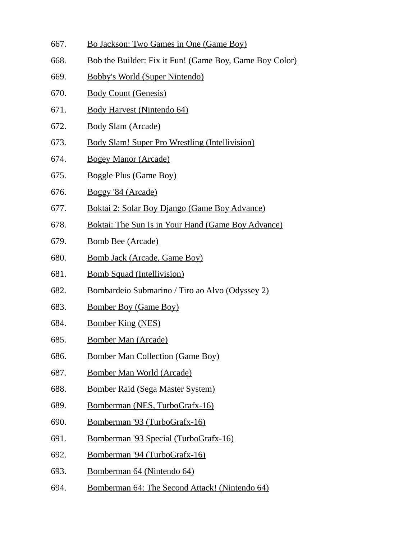- 667. Bo Jackson: Two Games in One (Game Boy)
- 668. Bob the Builder: Fix it Fun! (Game Boy, Game Boy Color)
- 669. Bobby's World (Super Nintendo)
- 670. Body Count (Genesis)
- 671. Body Harvest (Nintendo 64)
- 672. Body Slam (Arcade)
- 673. Body Slam! Super Pro Wrestling (Intellivision)
- 674. Bogey Manor (Arcade)
- 675. Boggle Plus (Game Boy)
- 676. Boggy '84 (Arcade)
- 677. Boktai 2: Solar Boy Django (Game Boy Advance)
- 678. Boktai: The Sun Is in Your Hand (Game Boy Advance)
- 679. Bomb Bee (Arcade)
- 680. Bomb Jack (Arcade, Game Boy)
- 681. Bomb Squad (Intellivision)
- 682. Bombardeio Submarino / Tiro ao Alvo (Odyssey 2)
- 683. Bomber Boy (Game Boy)
- 684. Bomber King (NES)
- 685. Bomber Man (Arcade)
- 686. Bomber Man Collection (Game Boy)
- 687. Bomber Man World (Arcade)
- 688. Bomber Raid (Sega Master System)
- 689. Bomberman (NES, TurboGrafx-16)
- 690. Bomberman '93 (TurboGrafx-16)
- 691. Bomberman '93 Special (TurboGrafx-16)
- 692. Bomberman '94 (TurboGrafx-16)
- 693. Bomberman 64 (Nintendo 64)
- 694. Bomberman 64: The Second Attack! (Nintendo 64)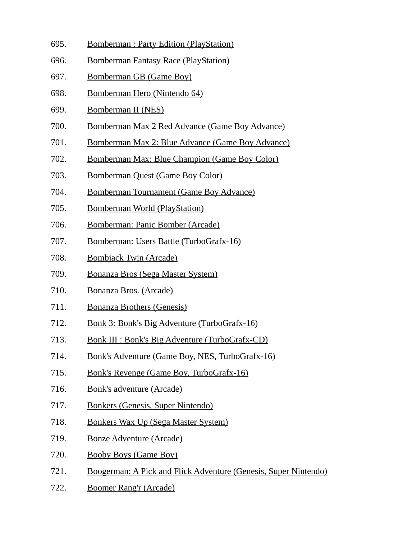- 695. Bomberman : Party Edition (PlayStation)
- 696. Bomberman Fantasy Race (PlayStation)
- 697. Bomberman GB (Game Boy)
- 698. Bomberman Hero (Nintendo 64)
- 699. Bomberman II (NES)
- 700. Bomberman Max 2 Red Advance (Game Boy Advance)
- 701. Bomberman Max 2: Blue Advance (Game Boy Advance)
- 702. Bomberman Max: Blue Champion (Game Boy Color)
- 703. Bomberman Quest (Game Boy Color)
- 704. Bomberman Tournament (Game Boy Advance)
- 705. Bomberman World (PlayStation)
- 706. Bomberman: Panic Bomber (Arcade)
- 707. Bomberman: Users Battle (TurboGrafx-16)
- 708. Bombjack Twin (Arcade)
- 709. Bonanza Bros (Sega Master System)
- 710. Bonanza Bros. (Arcade)
- 711. Bonanza Brothers (Genesis)
- 712. Bonk 3: Bonk's Big Adventure (TurboGrafx-16)
- 713. Bonk III : Bonk's Big Adventure (TurboGrafx-CD)
- 714. Bonk's Adventure (Game Boy, NES, TurboGrafx-16)
- 715. Bonk's Revenge (Game Boy, TurboGrafx-16)
- 716. Bonk's adventure (Arcade)
- 717. Bonkers (Genesis, Super Nintendo)
- 718. Bonkers Wax Up (Sega Master System)
- 719. Bonze Adventure (Arcade)
- 720. Booby Boys (Game Boy)
- 721. Boogerman: A Pick and Flick Adventure (Genesis, Super Nintendo)
- 722. Boomer Rang'r (Arcade)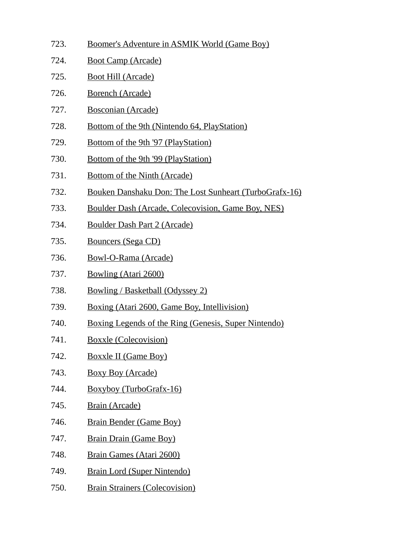- 723. Boomer's Adventure in ASMIK World (Game Boy) 724. Boot Camp (Arcade) 725. Boot Hill (Arcade) 726. Borench (Arcade) 727. Bosconian (Arcade) 728. Bottom of the 9th (Nintendo 64, PlayStation) 729. Bottom of the 9th '97 (PlayStation) 730. Bottom of the 9th '99 (PlayStation) 731. Bottom of the Ninth (Arcade) 732. Bouken Danshaku Don: The Lost Sunheart (TurboGrafx-16) 733. Boulder Dash (Arcade, Colecovision, Game Boy, NES) 734. Boulder Dash Part 2 (Arcade) 735. Bouncers (Sega CD) 736. Bowl-O-Rama (Arcade) 737. Bowling (Atari 2600) 738. Bowling / Basketball (Odyssey 2) 739. Boxing (Atari 2600, Game Boy, Intellivision) 740. Boxing Legends of the Ring (Genesis, Super Nintendo)
- 741. Boxxle (Colecovision)
- 742. Boxxle II (Game Boy)
- 743. Boxy Boy (Arcade)
- 744. Boxyboy (TurboGrafx-16)
- 745. Brain (Arcade)
- 746. Brain Bender (Game Boy)
- 747. Brain Drain (Game Boy)
- 748. Brain Games (Atari 2600)
- 749. Brain Lord (Super Nintendo)
- 750. Brain Strainers (Colecovision)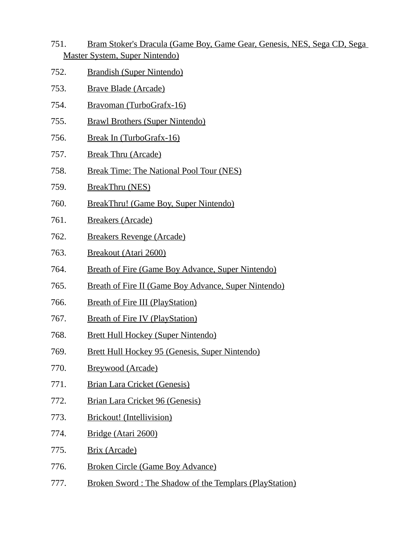- 751. Bram Stoker's Dracula (Game Boy, Game Gear, Genesis, NES, Sega CD, Sega Master System, Super Nintendo)
- 752. Brandish (Super Nintendo)
- 753. Brave Blade (Arcade)
- 754. Bravoman (TurboGrafx-16)
- 755. Brawl Brothers (Super Nintendo)
- 756. Break In (TurboGrafx-16)
- 757. Break Thru (Arcade)
- 758. Break Time: The National Pool Tour (NES)
- 759. BreakThru (NES)
- 760. BreakThru! (Game Boy, Super Nintendo)
- 761. Breakers (Arcade)
- 762. Breakers Revenge (Arcade)
- 763. Breakout (Atari 2600)
- 764. Breath of Fire (Game Boy Advance, Super Nintendo)
- 765. Breath of Fire II (Game Boy Advance, Super Nintendo)
- 766. Breath of Fire III (PlayStation)
- 767. Breath of Fire IV (PlayStation)
- 768. Brett Hull Hockey (Super Nintendo)
- 769. Brett Hull Hockey 95 (Genesis, Super Nintendo)
- 770. Breywood (Arcade)
- 771. Brian Lara Cricket (Genesis)
- 772. Brian Lara Cricket 96 (Genesis)
- 773. Brickout! (Intellivision)
- 774. Bridge (Atari 2600)
- 775. Brix (Arcade)
- 776. Broken Circle (Game Boy Advance)
- 777. Broken Sword : The Shadow of the Templars (PlayStation)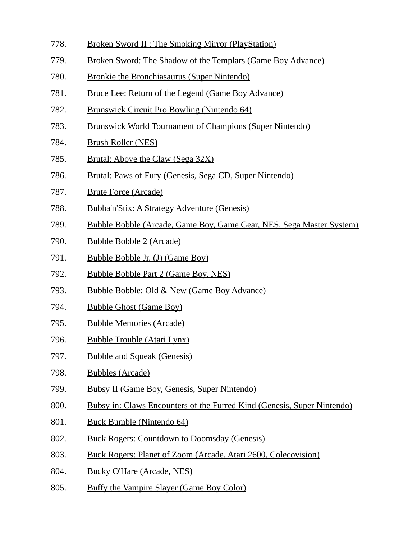- 778. Broken Sword II : The Smoking Mirror (PlayStation)
- 779. Broken Sword: The Shadow of the Templars (Game Boy Advance)
- 780. Bronkie the Bronchiasaurus (Super Nintendo)
- 781. Bruce Lee: Return of the Legend (Game Boy Advance)
- 782. Brunswick Circuit Pro Bowling (Nintendo 64)
- 783. Brunswick World Tournament of Champions (Super Nintendo)
- 784. Brush Roller (NES)
- 785. Brutal: Above the Claw (Sega 32X)
- 786. Brutal: Paws of Fury (Genesis, Sega CD, Super Nintendo)
- 787. Brute Force (Arcade)
- 788. Bubba'n'Stix: A Strategy Adventure (Genesis)
- 789. Bubble Bobble (Arcade, Game Boy, Game Gear, NES, Sega Master System)
- 790. Bubble Bobble 2 (Arcade)
- 791. Bubble Bobble Jr. (J) (Game Boy)
- 792. Bubble Bobble Part 2 (Game Boy, NES)
- 793. Bubble Bobble: Old & New (Game Boy Advance)
- 794. Bubble Ghost (Game Boy)
- 795. Bubble Memories (Arcade)
- 796. Bubble Trouble (Atari Lynx)
- 797. Bubble and Squeak (Genesis)
- 798. Bubbles (Arcade)
- 799. Bubsy II (Game Boy, Genesis, Super Nintendo)
- 800. Bubsy in: Claws Encounters of the Furred Kind (Genesis, Super Nintendo)
- 801. Buck Bumble (Nintendo 64)
- 802. Buck Rogers: Countdown to Doomsday (Genesis)
- 803. Buck Rogers: Planet of Zoom (Arcade, Atari 2600, Colecovision)
- 804. Bucky O'Hare (Arcade, NES)
- 805. Buffy the Vampire Slayer (Game Boy Color)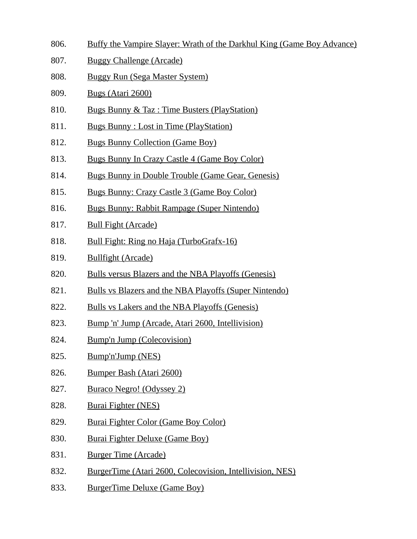- 806. Buffy the Vampire Slayer: Wrath of the Darkhul King (Game Boy Advance)
- 807. Buggy Challenge (Arcade)
- 808. Buggy Run (Sega Master System)
- 809. Bugs (Atari 2600)
- 810. Bugs Bunny & Taz : Time Busters (PlayStation)
- 811. Bugs Bunny : Lost in Time (PlayStation)
- 812. Bugs Bunny Collection (Game Boy)
- 813. Bugs Bunny In Crazy Castle 4 (Game Boy Color)
- 814. Bugs Bunny in Double Trouble (Game Gear, Genesis)
- 815. Bugs Bunny: Crazy Castle 3 (Game Boy Color)
- 816. Bugs Bunny: Rabbit Rampage (Super Nintendo)
- 817. Bull Fight (Arcade)
- 818. Bull Fight: Ring no Haja (TurboGrafx-16)
- 819. Bullfight (Arcade)
- 820. Bulls versus Blazers and the NBA Playoffs (Genesis)
- 821. Bulls vs Blazers and the NBA Playoffs (Super Nintendo)
- 822. Bulls vs Lakers and the NBA Playoffs (Genesis)
- 823. Bump 'n' Jump (Arcade, Atari 2600, Intellivision)
- 824. Bump'n Jump (Colecovision)
- 825. Bump'n'Jump (NES)
- 826. Bumper Bash (Atari 2600)
- 827. Buraco Negro! (Odyssey 2)
- 828. Burai Fighter (NES)
- 829. Burai Fighter Color (Game Boy Color)
- 830. Burai Fighter Deluxe (Game Boy)
- 831. Burger Time (Arcade)
- 832. BurgerTime (Atari 2600, Colecovision, Intellivision, NES)
- 833. BurgerTime Deluxe (Game Boy)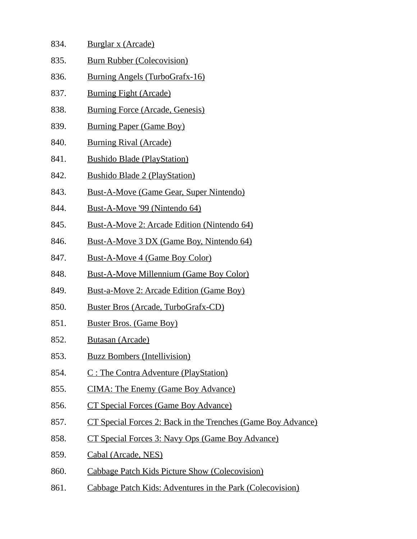| 834. | <u>Burglar x (Arcade)</u>                              |
|------|--------------------------------------------------------|
| 835. | <b>Burn Rubber (Colecovision)</b>                      |
| 836. | <b>Burning Angels (TurboGrafx-16)</b>                  |
| 837. | <b>Burning Fight (Arcade)</b>                          |
| 838. | <b>Burning Force (Arcade, Genesis)</b>                 |
| 839. | <b>Burning Paper (Game Boy)</b>                        |
| 840. | <b>Burning Rival (Arcade)</b>                          |
| 841. | <b>Bushido Blade (PlayStation)</b>                     |
| 842. | <b>Bushido Blade 2 (PlayStation)</b>                   |
| 843. | <b>Bust-A-Move (Game Gear, Super Nintendo)</b>         |
| 844. | <u>Bust-A-Move '99 (Nintendo 64)</u>                   |
| 845. | Bust-A-Move 2: Arcade Edition (Nintendo 64)            |
| 846. | Bust-A-Move 3 DX (Game Boy, Nintendo 64)               |
| 847. | <b>Bust-A-Move 4 (Game Boy Color)</b>                  |
| 848. | <b>Bust-A-Move Millennium (Game Boy Color)</b>         |
| 849. | <u><b>Bust-a-Move 2: Arcade Edition (Game Boy)</b></u> |
| 850. | <b>Buster Bros (Arcade, TurboGrafx-CD)</b>             |
| 851. | <b>Buster Bros. (Game Boy)</b>                         |
| 852  | <u> Butasan (Arcade)</u>                               |
| 853. | <b>Buzz Bombers (Intellivision)</b>                    |
| 854. | C: The Contra Adventure (PlayStation)                  |
| 855. | <b>CIMA: The Enemy (Game Boy Advance)</b>              |

- 856. CT Special Forces (Game Boy Advance)
- 857. CT Special Forces 2: Back in the Trenches (Game Boy Advance)
- 858. CT Special Forces 3: Navy Ops (Game Boy Advance)
- 859. Cabal (Arcade, NES)
- 860. Cabbage Patch Kids Picture Show (Colecovision)
- 861. Cabbage Patch Kids: Adventures in the Park (Colecovision)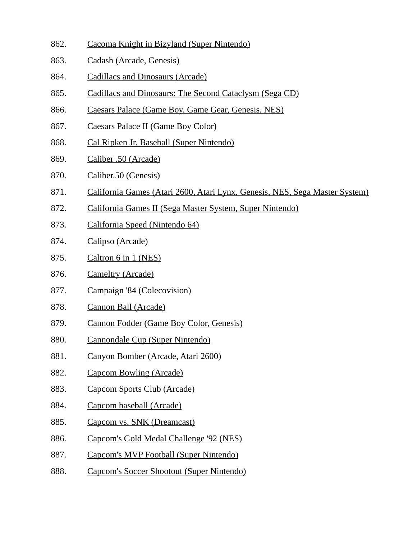- 862. Cacoma Knight in Bizyland (Super Nintendo)
- 863. Cadash (Arcade, Genesis)
- 864. Cadillacs and Dinosaurs (Arcade)
- 865. Cadillacs and Dinosaurs: The Second Cataclysm (Sega CD)
- 866. Caesars Palace (Game Boy, Game Gear, Genesis, NES)
- 867. Caesars Palace II (Game Boy Color)
- 868. Cal Ripken Jr. Baseball (Super Nintendo)
- 869. Caliber .50 (Arcade)
- 870. Caliber.50 (Genesis)
- 871. California Games (Atari 2600, Atari Lynx, Genesis, NES, Sega Master System)
- 872. California Games II (Sega Master System, Super Nintendo)
- 873. California Speed (Nintendo 64)
- 874. Calipso (Arcade)
- 875. Caltron 6 in 1 (NES)
- 876. Cameltry (Arcade)
- 877. Campaign '84 (Colecovision)
- 878. Cannon Ball (Arcade)
- 879. Cannon Fodder (Game Boy Color, Genesis)
- 880. Cannondale Cup (Super Nintendo)
- 881. Canyon Bomber (Arcade, Atari 2600)
- 882. Capcom Bowling (Arcade)
- 883. Capcom Sports Club (Arcade)
- 884. Capcom baseball (Arcade)
- 885. Capcom vs. SNK (Dreamcast)
- 886. Capcom's Gold Medal Challenge '92 (NES)
- 887. Capcom's MVP Football (Super Nintendo)
- 888. Capcom's Soccer Shootout (Super Nintendo)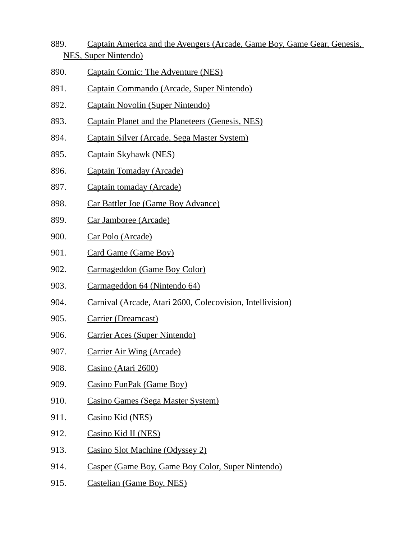- 889. Captain America and the Avengers (Arcade, Game Boy, Game Gear, Genesis, NES, Super Nintendo)
- 890. Captain Comic: The Adventure (NES)
- 891. Captain Commando (Arcade, Super Nintendo)
- 892. Captain Novolin (Super Nintendo)
- 893. Captain Planet and the Planeteers (Genesis, NES)
- 894. Captain Silver (Arcade, Sega Master System)
- 895. Captain Skyhawk (NES)
- 896. Captain Tomaday (Arcade)
- 897. Captain tomaday (Arcade)
- 898. Car Battler Joe (Game Boy Advance)
- 899. Car Jamboree (Arcade)
- 900. Car Polo (Arcade)
- 901. Card Game (Game Boy)
- 902. Carmageddon (Game Boy Color)
- 903. Carmageddon 64 (Nintendo 64)
- 904. Carnival (Arcade, Atari 2600, Colecovision, Intellivision)
- 905. Carrier (Dreamcast)
- 906. Carrier Aces (Super Nintendo)
- 907. Carrier Air Wing (Arcade)
- 908. Casino (Atari 2600)
- 909. Casino FunPak (Game Boy)
- 910. Casino Games (Sega Master System)
- 911. Casino Kid (NES)
- 912. Casino Kid II (NES)
- 913. Casino Slot Machine (Odyssey 2)
- 914. Casper (Game Boy, Game Boy Color, Super Nintendo)
- 915. Castelian (Game Boy, NES)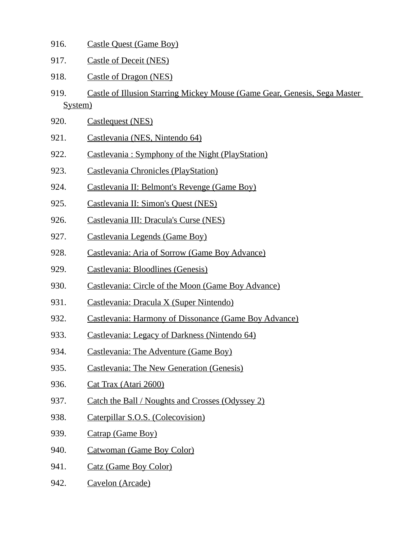| 916.            | <b>Castle Quest (Game Boy)</b>                                            |
|-----------------|---------------------------------------------------------------------------|
| 917.            | <b>Castle of Deceit (NES)</b>                                             |
| 918.            | <b>Castle of Dragon (NES)</b>                                             |
| 919.<br>System) | Castle of Illusion Starring Mickey Mouse (Game Gear, Genesis, Sega Master |
| 920.            | <b>Castlequest (NES)</b>                                                  |
| 921.            | Castlevania (NES, Nintendo 64)                                            |
| 922.            | Castlevania: Symphony of the Night (PlayStation)                          |
| 923.            | <b>Castlevania Chronicles (PlayStation)</b>                               |
| 924.            | Castlevania II: Belmont's Revenge (Game Boy)                              |
| 925.            | Castlevania II: Simon's Quest (NES)                                       |
| 926.            | Castlevania III: Dracula's Curse (NES)                                    |
| 927.            | Castlevania Legends (Game Boy)                                            |
| 928.            | <b>Castlevania: Aria of Sorrow (Game Boy Advance)</b>                     |
| 929.            | Castlevania: Bloodlines (Genesis)                                         |
| 930.            | Castlevania: Circle of the Moon (Game Boy Advance)                        |
| 931.            | Castlevania: Dracula X (Super Nintendo)                                   |
| 932.            | Castlevania: Harmony of Dissonance (Game Boy Advance)                     |
| 933.            | Castlevania: Legacy of Darkness (Nintendo 64)                             |
| 934.            | Castlevania: The Adventure (Game Boy)                                     |
| 935.            | <b>Castlevania: The New Generation (Genesis)</b>                          |
| 936.            | Cat Trax (Atari 2600)                                                     |
| 937.            | Catch the Ball / Noughts and Crosses (Odyssey 2)                          |

- 938. Caterpillar S.O.S. (Colecovision)
- 939. Catrap (Game Boy)
- 940. Catwoman (Game Boy Color)
- 941. Catz (Game Boy Color)
- 942. Cavelon (Arcade)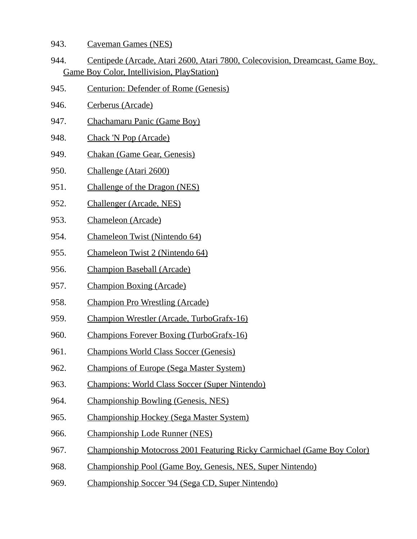- 943. Caveman Games (NES)
- 944. Centipede (Arcade, Atari 2600, Atari 7800, Colecovision, Dreamcast, Game Boy, Game Boy Color, Intellivision, PlayStation)
- 945. Centurion: Defender of Rome (Genesis)
- 946. Cerberus (Arcade)
- 947. Chachamaru Panic (Game Boy)
- 948. Chack 'N Pop (Arcade)
- 949. Chakan (Game Gear, Genesis)
- 950. Challenge (Atari 2600)
- 951. Challenge of the Dragon (NES)
- 952. Challenger (Arcade, NES)
- 953. Chameleon (Arcade)
- 954. Chameleon Twist (Nintendo 64)
- 955. Chameleon Twist 2 (Nintendo 64)
- 956. Champion Baseball (Arcade)
- 957. Champion Boxing (Arcade)
- 958. Champion Pro Wrestling (Arcade)
- 959. Champion Wrestler (Arcade, TurboGrafx-16)
- 960. Champions Forever Boxing (TurboGrafx-16)
- 961. Champions World Class Soccer (Genesis)
- 962. Champions of Europe (Sega Master System)
- 963. Champions: World Class Soccer (Super Nintendo)
- 964. Championship Bowling (Genesis, NES)
- 965. Championship Hockey (Sega Master System)
- 966. Championship Lode Runner (NES)
- 967. Championship Motocross 2001 Featuring Ricky Carmichael (Game Boy Color)
- 968. Championship Pool (Game Boy, Genesis, NES, Super Nintendo)
- 969. Championship Soccer '94 (Sega CD, Super Nintendo)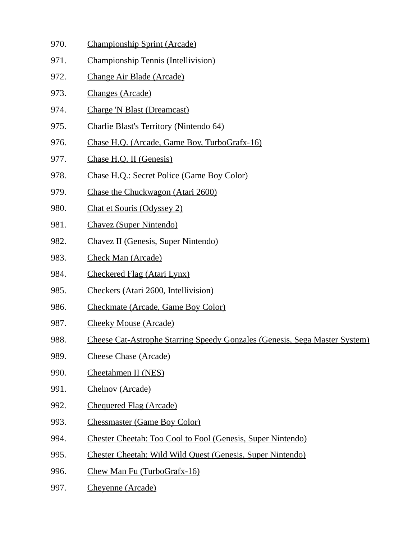- 970. Championship Sprint (Arcade)
- 971. Championship Tennis (Intellivision)
- 972. Change Air Blade (Arcade)
- 973. Changes (Arcade)
- 974. Charge 'N Blast (Dreamcast)
- 975. Charlie Blast's Territory (Nintendo 64)
- 976. Chase H.Q. (Arcade, Game Boy, TurboGrafx-16)
- 977. Chase H.Q. II (Genesis)
- 978. Chase H.Q.: Secret Police (Game Boy Color)
- 979. Chase the Chuckwagon (Atari 2600)
- 980. Chat et Souris (Odyssey 2)
- 981. Chavez (Super Nintendo)
- 982. Chavez II (Genesis, Super Nintendo)
- 983. Check Man (Arcade)
- 984. Checkered Flag (Atari Lynx)
- 985. Checkers (Atari 2600, Intellivision)
- 986. Checkmate (Arcade, Game Boy Color)
- 987. Cheeky Mouse (Arcade)
- 988. Cheese Cat-Astrophe Starring Speedy Gonzales (Genesis, Sega Master System)
- 989. Cheese Chase (Arcade)
- 990. Cheetahmen II (NES)
- 991. Chelnov (Arcade)
- 992. Chequered Flag (Arcade)
- 993. Chessmaster (Game Boy Color)
- 994. Chester Cheetah: Too Cool to Fool (Genesis, Super Nintendo)
- 995. Chester Cheetah: Wild Wild Quest (Genesis, Super Nintendo)
- 996. Chew Man Fu (TurboGrafx-16)
- 997. Cheyenne (Arcade)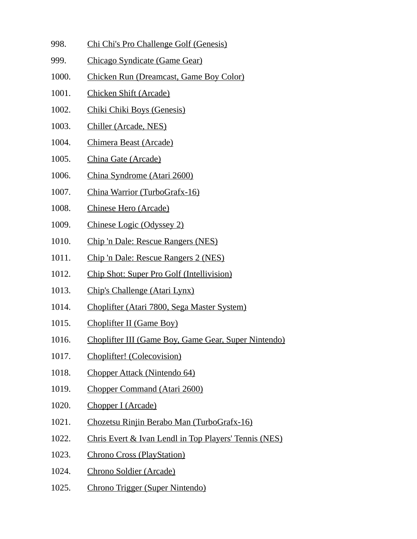- 998. Chi Chi's Pro Challenge Golf (Genesis)
- 999. Chicago Syndicate (Game Gear)
- 1000. Chicken Run (Dreamcast, Game Boy Color)
- 1001. Chicken Shift (Arcade)
- 1002. Chiki Chiki Boys (Genesis)
- 1003. Chiller (Arcade, NES)
- 1004. Chimera Beast (Arcade)
- 1005. China Gate (Arcade)
- 1006. China Syndrome (Atari 2600)
- 1007. China Warrior (TurboGrafx-16)
- 1008. Chinese Hero (Arcade)
- 1009. Chinese Logic (Odyssey 2)
- 1010. Chip 'n Dale: Rescue Rangers (NES)
- 1011. Chip 'n Dale: Rescue Rangers 2 (NES)
- 1012. Chip Shot: Super Pro Golf (Intellivision)
- 1013. Chip's Challenge (Atari Lynx)
- 1014. Choplifter (Atari 7800, Sega Master System)
- 1015. Choplifter II (Game Boy)
- 1016. Choplifter III (Game Boy, Game Gear, Super Nintendo)
- 1017. Choplifter! (Colecovision)
- 1018. Chopper Attack (Nintendo 64)
- 1019. Chopper Command (Atari 2600)
- 1020. Chopper I (Arcade)
- 1021. Chozetsu Rinjin Berabo Man (TurboGrafx-16)
- 1022. Chris Evert & Ivan Lendl in Top Players' Tennis (NES)
- 1023. Chrono Cross (PlayStation)
- 1024. Chrono Soldier (Arcade)
- 1025. Chrono Trigger (Super Nintendo)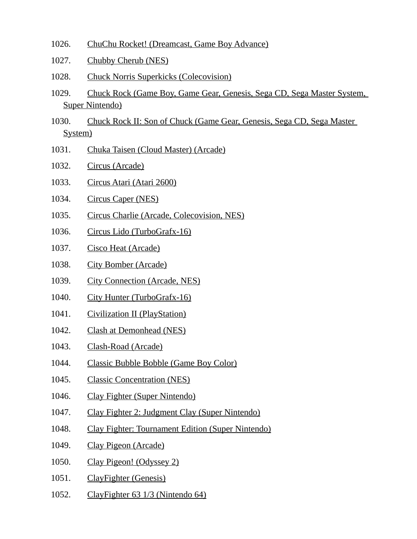- 1026. ChuChu Rocket! (Dreamcast, Game Boy Advance)
- 1027. Chubby Cherub (NES)
- 1028. Chuck Norris Superkicks (Colecovision)
- 1029. Chuck Rock (Game Boy, Game Gear, Genesis, Sega CD, Sega Master System, Super Nintendo)
- 1030. Chuck Rock II: Son of Chuck (Game Gear, Genesis, Sega CD, Sega Master System)
- 1031. Chuka Taisen (Cloud Master) (Arcade)
- 1032. Circus (Arcade)
- 1033. Circus Atari (Atari 2600)
- 1034. Circus Caper (NES)
- 1035. Circus Charlie (Arcade, Colecovision, NES)
- 1036. Circus Lido (TurboGrafx-16)
- 1037. Cisco Heat (Arcade)
- 1038. City Bomber (Arcade)
- 1039. City Connection (Arcade, NES)
- 1040. City Hunter (TurboGrafx-16)
- 1041. Civilization II (PlayStation)
- 1042. Clash at Demonhead (NES)
- 1043. Clash-Road (Arcade)
- 1044. Classic Bubble Bobble (Game Boy Color)
- 1045. Classic Concentration (NES)
- 1046. Clay Fighter (Super Nintendo)
- 1047. Clay Fighter 2: Judgment Clay (Super Nintendo)
- 1048. Clay Fighter: Tournament Edition (Super Nintendo)
- 1049. Clay Pigeon (Arcade)
- 1050. Clay Pigeon! (Odyssey 2)
- 1051. ClayFighter (Genesis)
- 1052. ClayFighter 63 1/3 (Nintendo 64)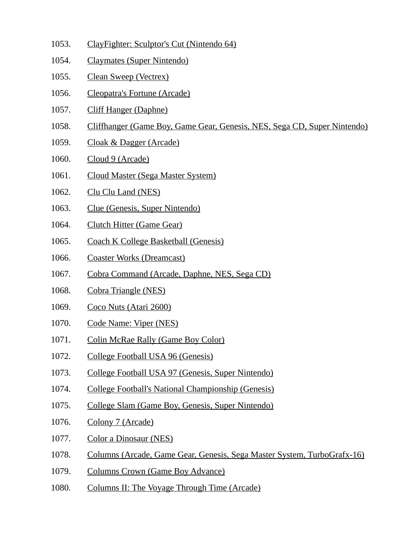- 1053. ClayFighter: Sculptor's Cut (Nintendo 64)
- 1054. Claymates (Super Nintendo)
- 1055. Clean Sweep (Vectrex)
- 1056. Cleopatra's Fortune (Arcade)
- 1057. Cliff Hanger (Daphne)
- 1058. Cliffhanger (Game Boy, Game Gear, Genesis, NES, Sega CD, Super Nintendo)
- 1059. Cloak & Dagger (Arcade)
- 1060. Cloud 9 (Arcade)
- 1061. Cloud Master (Sega Master System)
- 1062. Clu Clu Land (NES)
- 1063. Clue (Genesis, Super Nintendo)
- 1064. Clutch Hitter (Game Gear)
- 1065. Coach K College Basketball (Genesis)
- 1066. Coaster Works (Dreamcast)
- 1067. Cobra Command (Arcade, Daphne, NES, Sega CD)
- 1068. Cobra Triangle (NES)
- 1069. Coco Nuts (Atari 2600)
- 1070. Code Name: Viper (NES)
- 1071. Colin McRae Rally (Game Boy Color)
- 1072. College Football USA 96 (Genesis)
- 1073. College Football USA 97 (Genesis, Super Nintendo)
- 1074. College Football's National Championship (Genesis)
- 1075. College Slam (Game Boy, Genesis, Super Nintendo)
- 1076. Colony 7 (Arcade)
- 1077. Color a Dinosaur (NES)
- 1078. Columns (Arcade, Game Gear, Genesis, Sega Master System, TurboGrafx-16)
- 1079. Columns Crown (Game Boy Advance)
- 1080. Columns II: The Voyage Through Time (Arcade)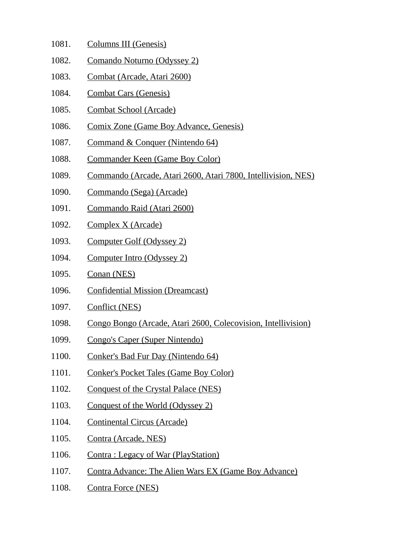- 1081. Columns III (Genesis)
- 1082. Comando Noturno (Odyssey 2)
- 1083. Combat (Arcade, Atari 2600)
- 1084. Combat Cars (Genesis)
- 1085. Combat School (Arcade)
- 1086. Comix Zone (Game Boy Advance, Genesis)
- 1087. Command & Conquer (Nintendo 64)
- 1088. Commander Keen (Game Boy Color)
- 1089. Commando (Arcade, Atari 2600, Atari 7800, Intellivision, NES)
- 1090. Commando (Sega) (Arcade)
- 1091. Commando Raid (Atari 2600)
- 1092. Complex X (Arcade)
- 1093. Computer Golf (Odyssey 2)
- 1094. Computer Intro (Odyssey 2)
- 1095. Conan (NES)
- 1096. Confidential Mission (Dreamcast)
- 1097. Conflict (NES)
- 1098. Congo Bongo (Arcade, Atari 2600, Colecovision, Intellivision)
- 1099. Congo's Caper (Super Nintendo)
- 1100. Conker's Bad Fur Day (Nintendo 64)
- 1101. Conker's Pocket Tales (Game Boy Color)
- 1102. Conquest of the Crystal Palace (NES)
- 1103. Conquest of the World (Odyssey 2)
- 1104. Continental Circus (Arcade)
- 1105. Contra (Arcade, NES)
- 1106. Contra: Legacy of War (PlayStation)
- 1107. Contra Advance: The Alien Wars EX (Game Boy Advance)
- 1108. Contra Force (NES)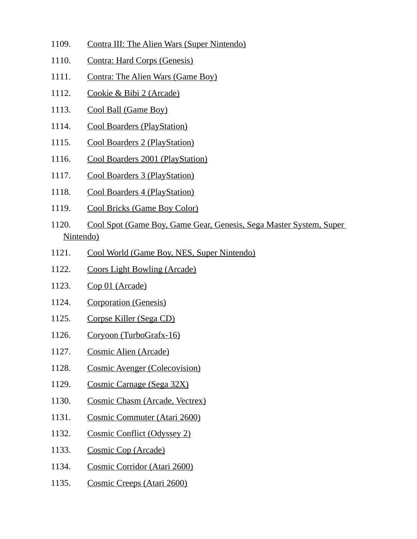- 1109. Contra III: The Alien Wars (Super Nintendo)
- 1110. Contra: Hard Corps (Genesis)
- 1111. Contra: The Alien Wars (Game Boy)
- 1112. Cookie & Bibi 2 (Arcade)
- 1113. Cool Ball (Game Boy)
- 1114. Cool Boarders (PlayStation)
- 1115. Cool Boarders 2 (PlayStation)
- 1116. Cool Boarders 2001 (PlayStation)
- 1117. Cool Boarders 3 (PlayStation)
- 1118. Cool Boarders 4 (PlayStation)
- 1119. Cool Bricks (Game Boy Color)
- 1120. Cool Spot (Game Boy, Game Gear, Genesis, Sega Master System, Super Nintendo)
- 1121. Cool World (Game Boy, NES, Super Nintendo)
- 1122. Coors Light Bowling (Arcade)
- 1123. Cop 01 (Arcade)
- 1124. Corporation (Genesis)
- 1125. Corpse Killer (Sega CD)
- 1126. Coryoon (TurboGrafx-16)
- 1127. Cosmic Alien (Arcade)
- 1128. Cosmic Avenger (Colecovision)
- 1129. Cosmic Carnage (Sega 32X)
- 1130. Cosmic Chasm (Arcade, Vectrex)
- 1131. Cosmic Commuter (Atari 2600)
- 1132. Cosmic Conflict (Odyssey 2)
- 1133. Cosmic Cop (Arcade)
- 1134. Cosmic Corridor (Atari 2600)
- 1135. Cosmic Creeps (Atari 2600)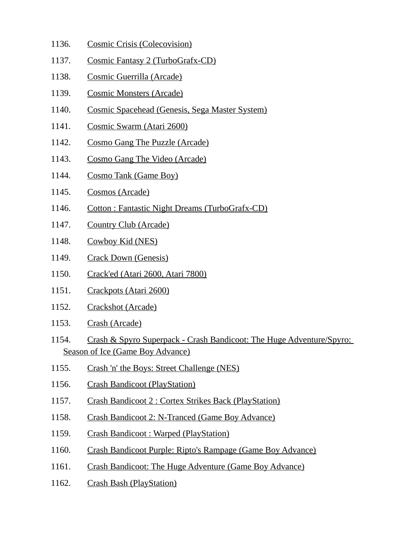- 1136. Cosmic Crisis (Colecovision)
- 1137. Cosmic Fantasy 2 (TurboGrafx-CD)
- 1138. Cosmic Guerrilla (Arcade)
- 1139. Cosmic Monsters (Arcade)
- 1140. Cosmic Spacehead (Genesis, Sega Master System)
- 1141. Cosmic Swarm (Atari 2600)
- 1142. Cosmo Gang The Puzzle (Arcade)
- 1143. Cosmo Gang The Video (Arcade)
- 1144. Cosmo Tank (Game Boy)
- 1145. Cosmos (Arcade)
- 1146. Cotton : Fantastic Night Dreams (TurboGrafx-CD)
- 1147. Country Club (Arcade)
- 1148. Cowboy Kid (NES)
- 1149. Crack Down (Genesis)
- 1150. Crack'ed (Atari 2600, Atari 7800)
- 1151. Crackpots (Atari 2600)
- 1152. Crackshot (Arcade)
- 1153. Crash (Arcade)
- 1154. Crash & Spyro Superpack Crash Bandicoot: The Huge Adventure/Spyro: Season of Ice (Game Boy Advance)
- 1155. Crash 'n' the Boys: Street Challenge (NES)
- 1156. Crash Bandicoot (PlayStation)
- 1157. Crash Bandicoot 2 : Cortex Strikes Back (PlayStation)
- 1158. Crash Bandicoot 2: N-Tranced (Game Boy Advance)
- 1159. Crash Bandicoot : Warped (PlayStation)
- 1160. Crash Bandicoot Purple: Ripto's Rampage (Game Boy Advance)
- 1161. Crash Bandicoot: The Huge Adventure (Game Boy Advance)
- 1162. Crash Bash (PlayStation)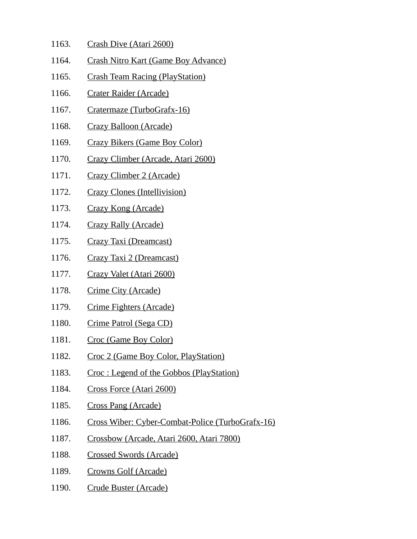- 1163. Crash Dive (Atari 2600)
- 1164. Crash Nitro Kart (Game Boy Advance)
- 1165. Crash Team Racing (PlayStation)
- 1166. Crater Raider (Arcade)
- 1167. Cratermaze (TurboGrafx-16)
- 1168. Crazy Balloon (Arcade)
- 1169. Crazy Bikers (Game Boy Color)
- 1170. Crazy Climber (Arcade, Atari 2600)
- 1171. Crazy Climber 2 (Arcade)
- 1172. Crazy Clones (Intellivision)
- 1173. Crazy Kong (Arcade)
- 1174. Crazy Rally (Arcade)
- 1175. Crazy Taxi (Dreamcast)
- 1176. Crazy Taxi 2 (Dreamcast)
- 1177. Crazy Valet (Atari 2600)
- 1178. Crime City (Arcade)
- 1179. Crime Fighters (Arcade)
- 1180. Crime Patrol (Sega CD)
- 1181. Croc (Game Boy Color)
- 1182. Croc 2 (Game Boy Color, PlayStation)
- 1183. Croc : Legend of the Gobbos (PlayStation)
- 1184. Cross Force (Atari 2600)
- 1185. Cross Pang (Arcade)
- 1186. Cross Wiber: Cyber-Combat-Police (TurboGrafx-16)
- 1187. Crossbow (Arcade, Atari 2600, Atari 7800)
- 1188. Crossed Swords (Arcade)
- 1189. Crowns Golf (Arcade)
- 1190. Crude Buster (Arcade)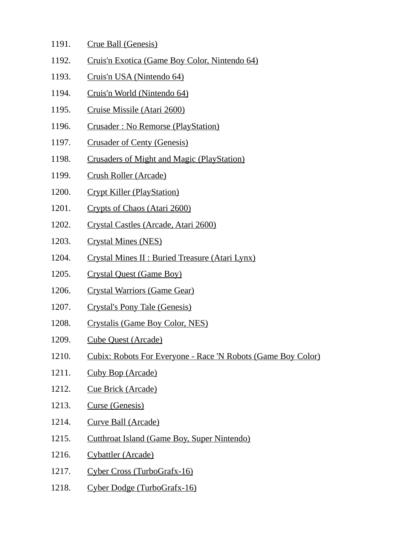- 1191. Crue Ball (Genesis)
- 1192. Cruis'n Exotica (Game Boy Color, Nintendo 64)
- 1193. Cruis'n USA (Nintendo 64)
- 1194. Cruis'n World (Nintendo 64)
- 1195. Cruise Missile (Atari 2600)
- 1196. Crusader : No Remorse (PlayStation)
- 1197. Crusader of Centy (Genesis)
- 1198. Crusaders of Might and Magic (PlayStation)
- 1199. Crush Roller (Arcade)
- 1200. Crypt Killer (PlayStation)
- 1201. Crypts of Chaos (Atari 2600)
- 1202. Crystal Castles (Arcade, Atari 2600)
- 1203. Crystal Mines (NES)
- 1204. Crystal Mines II : Buried Treasure (Atari Lynx)
- 1205. Crystal Quest (Game Boy)
- 1206. Crystal Warriors (Game Gear)
- 1207. Crystal's Pony Tale (Genesis)
- 1208. Crystalis (Game Boy Color, NES)
- 1209. Cube Quest (Arcade)
- 1210. Cubix: Robots For Everyone Race 'N Robots (Game Boy Color)
- 1211. Cuby Bop (Arcade)
- 1212. Cue Brick (Arcade)
- 1213. Curse (Genesis)
- 1214. Curve Ball (Arcade)
- 1215. Cutthroat Island (Game Boy, Super Nintendo)
- 1216. Cybattler (Arcade)
- 1217. Cyber Cross (TurboGrafx-16)
- 1218. Cyber Dodge (TurboGrafx-16)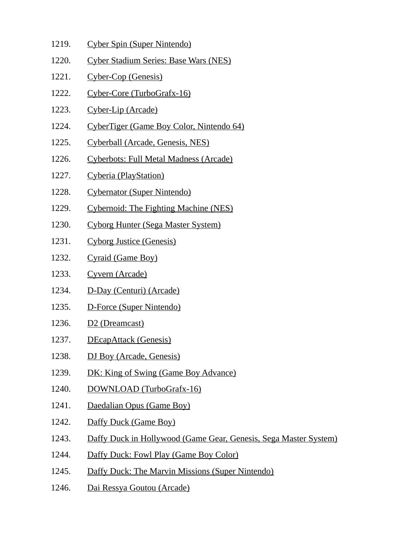- 1219. Cyber Spin (Super Nintendo)
- 1220. Cyber Stadium Series: Base Wars (NES)
- 1221. Cyber-Cop (Genesis)
- 1222. Cyber-Core (TurboGrafx-16)
- 1223. Cyber-Lip (Arcade)
- 1224. CyberTiger (Game Boy Color, Nintendo 64)
- 1225. Cyberball (Arcade, Genesis, NES)
- 1226. Cyberbots: Full Metal Madness (Arcade)
- 1227. Cyberia (PlayStation)
- 1228. Cybernator (Super Nintendo)
- 1229. Cybernoid: The Fighting Machine (NES)
- 1230. Cyborg Hunter (Sega Master System)
- 1231. Cyborg Justice (Genesis)
- 1232. Cyraid (Game Boy)
- 1233. Cyvern (Arcade)
- 1234. D-Day (Centuri) (Arcade)
- 1235. D-Force (Super Nintendo)
- 1236. D2 (Dreamcast)
- 1237. DEcapAttack (Genesis)
- 1238. DJ Boy (Arcade, Genesis)
- 1239. DK: King of Swing (Game Boy Advance)
- 1240. DOWNLOAD (TurboGrafx-16)
- 1241. Daedalian Opus (Game Boy)
- 1242. Daffy Duck (Game Boy)
- 1243. Daffy Duck in Hollywood (Game Gear, Genesis, Sega Master System)
- 1244. Daffy Duck: Fowl Play (Game Boy Color)
- 1245. Daffy Duck: The Marvin Missions (Super Nintendo)
- 1246. Dai Ressya Goutou (Arcade)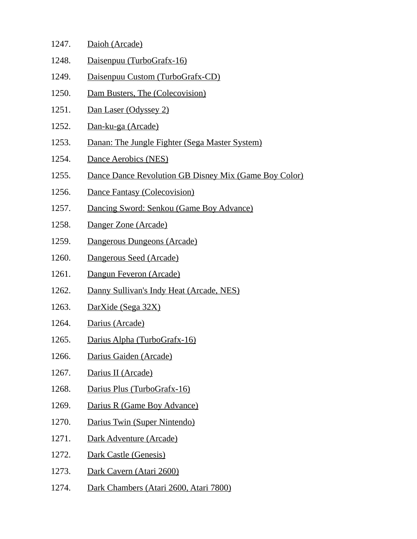| 1247. | Daioh (Arcade)                                        |
|-------|-------------------------------------------------------|
| 1248. | Daisenpuu (TurboGrafx-16)                             |
| 1249. | Daisenpuu Custom (TurboGrafx-CD)                      |
| 1250. | Dam Busters, The (Colecovision)                       |
| 1251. | Dan Laser (Odyssey 2)                                 |
| 1252. | Dan-ku-ga (Arcade)                                    |
| 1253. | Danan: The Jungle Fighter (Sega Master System)        |
| 1254. | Dance Aerobics (NES)                                  |
| 1255. | Dance Dance Revolution GB Disney Mix (Game Boy Color) |
| 1256. | Dance Fantasy (Colecovision)                          |
| 1257. | Dancing Sword: Senkou (Game Boy Advance)              |
| 1258. | Danger Zone (Arcade)                                  |
| 1259. | Dangerous Dungeons (Arcade)                           |
| 1260. | Dangerous Seed (Arcade)                               |
| 1261. | Dangun Feveron (Arcade)                               |
| 1262. | Danny Sullivan's Indy Heat (Arcade, NES)              |
| 1263. | DarXide (Sega 32X)                                    |
| 1264. | Darius (Arcade)                                       |
| 1265. | Darius Alpha (TurboGrafx-16)                          |
| 1266. | Darius Gaiden (Arcade)                                |
| 1267. | Darius II (Arcade)                                    |
| 1268. | Darius Plus (TurboGrafx-16)                           |
| 1269. | Darius R (Game Boy Advance)                           |
| 1270. | Darius Twin (Super Nintendo)                          |
| 1271. | Dark Adventure (Arcade)                               |
| 1272. | Dark Castle (Genesis)                                 |
| 1273. | Dark Cavern (Atari 2600)                              |
| 1274. | Dark Chambers (Atari 2600, Atari 7800)                |
|       |                                                       |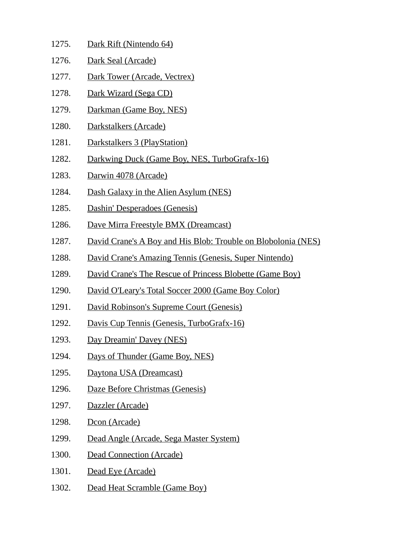| 1275. | Dark Rift (Nintendo 64)                                       |
|-------|---------------------------------------------------------------|
| 1276. | Dark Seal (Arcade)                                            |
| 1277. | Dark Tower (Arcade, Vectrex)                                  |
| 1278. | Dark Wizard (Sega CD)                                         |
| 1279. | Darkman (Game Boy, NES)                                       |
| 1280. | Darkstalkers (Arcade)                                         |
| 1281. | Darkstalkers 3 (PlayStation)                                  |
| 1282. | Darkwing Duck (Game Boy, NES, TurboGrafx-16)                  |
| 1283. | Darwin 4078 (Arcade)                                          |
| 1284. | Dash Galaxy in the Alien Asylum (NES)                         |
| 1285. | Dashin' Desperadoes (Genesis)                                 |
| 1286. | Dave Mirra Freestyle BMX (Dreamcast)                          |
| 1287. | David Crane's A Boy and His Blob: Trouble on Blobolonia (NES) |
| 1288. | David Crane's Amazing Tennis (Genesis, Super Nintendo)        |
| 1289. | David Crane's The Rescue of Princess Blobette (Game Boy)      |
| 1290. | David O'Leary's Total Soccer 2000 (Game Boy Color)            |
| 1291. | David Robinson's Supreme Court (Genesis)                      |
| 1292. | Davis Cup Tennis (Genesis, TurboGrafx-16)                     |
| 1293. | Day Dreamin' Davey (NES)                                      |
| 1294. | Days of Thunder (Game Boy, NES)                               |
| 1295. | Daytona USA (Dreamcast)                                       |
| 1296. | Daze Before Christmas (Genesis)                               |
| 1297. | Dazzler (Arcade)                                              |
| 1298. | Dcon (Arcade)                                                 |
| 1299. | Dead Angle (Arcade, Sega Master System)                       |
| 1300. | <b>Dead Connection (Arcade)</b>                               |
| 1301. | Dead Eye (Arcade)                                             |
| 1302. | Dead Heat Scramble (Game Boy)                                 |
|       |                                                               |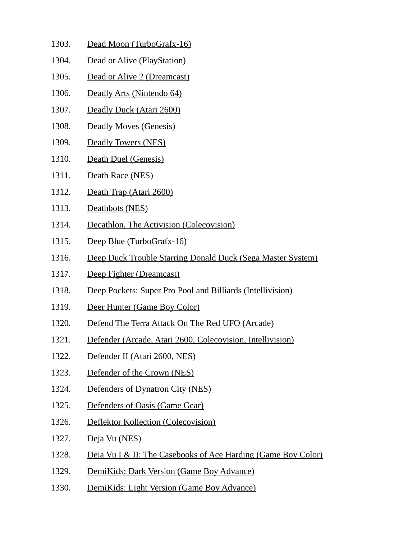- 1303. Dead Moon (TurboGrafx-16)
- 1304. Dead or Alive (PlayStation)
- 1305. Dead or Alive 2 (Dreamcast)
- 1306. Deadly Arts (Nintendo 64)
- 1307. Deadly Duck (Atari 2600)
- 1308. Deadly Moves (Genesis)
- 1309. Deadly Towers (NES)
- 1310. Death Duel (Genesis)
- 1311. Death Race (NES)
- 1312. Death Trap (Atari 2600)
- 1313. Deathbots (NES)
- 1314. Decathlon, The Activision (Colecovision)
- 1315. Deep Blue (TurboGrafx-16)
- 1316. Deep Duck Trouble Starring Donald Duck (Sega Master System)
- 1317. Deep Fighter (Dreamcast)
- 1318. Deep Pockets: Super Pro Pool and Billiards (Intellivision)
- 1319. Deer Hunter (Game Boy Color)
- 1320. Defend The Terra Attack On The Red UFO (Arcade)
- 1321. Defender (Arcade, Atari 2600, Colecovision, Intellivision)
- 1322. Defender II (Atari 2600, NES)
- 1323. Defender of the Crown (NES)
- 1324. Defenders of Dynatron City (NES)
- 1325. Defenders of Oasis (Game Gear)
- 1326. Deflektor Kollection (Colecovision)
- 1327. Deja Vu (NES)
- 1328. Deja Vu I & II: The Casebooks of Ace Harding (Game Boy Color)
- 1329. DemiKids: Dark Version (Game Boy Advance)
- 1330. DemiKids: Light Version (Game Boy Advance)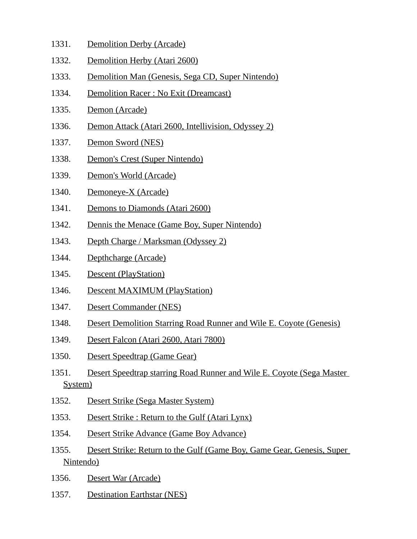- 1331. Demolition Derby (Arcade)
- 1332. Demolition Herby (Atari 2600)
- 1333. Demolition Man (Genesis, Sega CD, Super Nintendo)
- 1334. Demolition Racer : No Exit (Dreamcast)
- 1335. Demon (Arcade)
- 1336. Demon Attack (Atari 2600, Intellivision, Odyssey 2)
- 1337. Demon Sword (NES)
- 1338. Demon's Crest (Super Nintendo)
- 1339. Demon's World (Arcade)
- 1340. Demoneye-X (Arcade)
- 1341. Demons to Diamonds (Atari 2600)
- 1342. Dennis the Menace (Game Boy, Super Nintendo)
- 1343. Depth Charge / Marksman (Odyssey 2)
- 1344. Depthcharge (Arcade)
- 1345. Descent (PlayStation)
- 1346. Descent MAXIMUM (PlayStation)
- 1347. Desert Commander (NES)
- 1348. Desert Demolition Starring Road Runner and Wile E. Coyote (Genesis)
- 1349. Desert Falcon (Atari 2600, Atari 7800)
- 1350. Desert Speedtrap (Game Gear)
- 1351. Desert Speedtrap starring Road Runner and Wile E. Coyote (Sega Master System)
- 1352. Desert Strike (Sega Master System)
- 1353. Desert Strike : Return to the Gulf (Atari Lynx)
- 1354. Desert Strike Advance (Game Boy Advance)
- 1355. Desert Strike: Return to the Gulf (Game Boy, Game Gear, Genesis, Super Nintendo)
- 1356. Desert War (Arcade)
- 1357. Destination Earthstar (NES)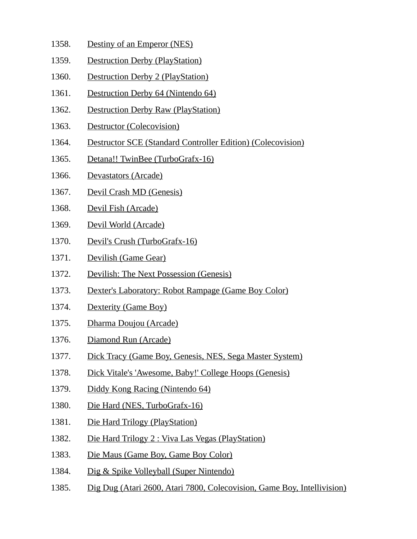- 1358. Destiny of an Emperor (NES)
- 1359. Destruction Derby (PlayStation)
- 1360. Destruction Derby 2 (PlayStation)
- 1361. Destruction Derby 64 (Nintendo 64)
- 1362. Destruction Derby Raw (PlayStation)
- 1363. Destructor (Colecovision)
- 1364. Destructor SCE (Standard Controller Edition) (Colecovision)
- 1365. Detana!! TwinBee (TurboGrafx-16)
- 1366. Devastators (Arcade)
- 1367. Devil Crash MD (Genesis)
- 1368. Devil Fish (Arcade)
- 1369. Devil World (Arcade)
- 1370. Devil's Crush (TurboGrafx-16)
- 1371. Devilish (Game Gear)
- 1372. Devilish: The Next Possession (Genesis)
- 1373. Dexter's Laboratory: Robot Rampage (Game Boy Color)
- 1374. Dexterity (Game Boy)
- 1375. Dharma Doujou (Arcade)
- 1376. Diamond Run (Arcade)
- 1377. Dick Tracy (Game Boy, Genesis, NES, Sega Master System)
- 1378. Dick Vitale's 'Awesome, Baby!' College Hoops (Genesis)
- 1379. Diddy Kong Racing (Nintendo 64)
- 1380. Die Hard (NES, TurboGrafx-16)
- 1381. Die Hard Trilogy (PlayStation)
- 1382. Die Hard Trilogy 2 : Viva Las Vegas (PlayStation)
- 1383. Die Maus (Game Boy, Game Boy Color)
- 1384. Dig & Spike Volleyball (Super Nintendo)
- 1385. Dig Dug (Atari 2600, Atari 7800, Colecovision, Game Boy, Intellivision)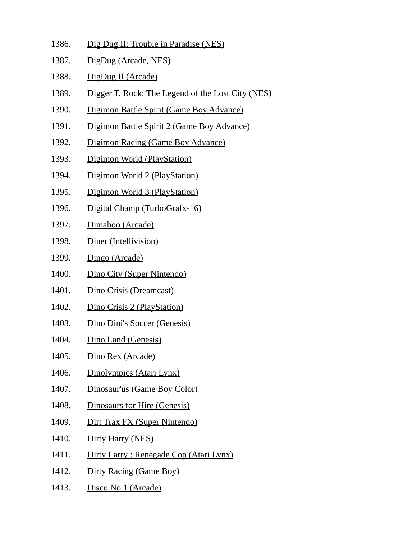- 1386. Dig Dug II: Trouble in Paradise (NES)
- 1387. DigDug (Arcade, NES)
- 1388. DigDug II (Arcade)
- 1389. Digger T. Rock: The Legend of the Lost City (NES)
- 1390. Digimon Battle Spirit (Game Boy Advance)
- 1391. Digimon Battle Spirit 2 (Game Boy Advance)
- 1392. Digimon Racing (Game Boy Advance)
- 1393. Digimon World (PlayStation)
- 1394. Digimon World 2 (PlayStation)
- 1395. Digimon World 3 (PlayStation)
- 1396. Digital Champ (TurboGrafx-16)
- 1397. Dimahoo (Arcade)
- 1398. Diner (Intellivision)
- 1399. Dingo (Arcade)
- 1400. Dino City (Super Nintendo)
- 1401. Dino Crisis (Dreamcast)
- 1402. Dino Crisis 2 (PlayStation)
- 1403. Dino Dini's Soccer (Genesis)
- 1404. Dino Land (Genesis)
- 1405. Dino Rex (Arcade)
- 1406. Dinolympics (Atari Lynx)
- 1407. Dinosaur'us (Game Boy Color)
- 1408. Dinosaurs for Hire (Genesis)
- 1409. Dirt Trax FX (Super Nintendo)
- 1410. Dirty Harry (NES)
- 1411. Dirty Larry : Renegade Cop (Atari Lynx)
- 1412. Dirty Racing (Game Boy)
- 1413. Disco No.1 (Arcade)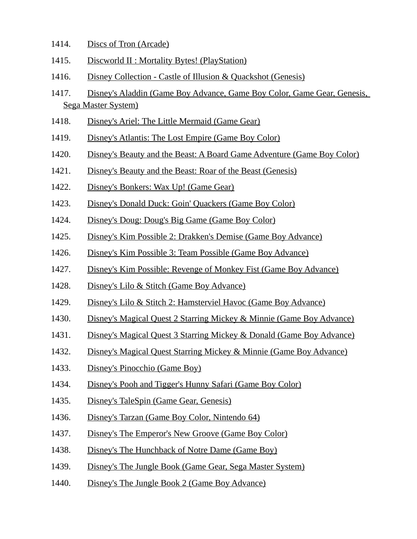- 1414. Discs of Tron (Arcade)
- 1415. Discworld II : Mortality Bytes! (PlayStation)
- 1416. Disney Collection Castle of Illusion & Quackshot (Genesis)
- 1417. Disney's Aladdin (Game Boy Advance, Game Boy Color, Game Gear, Genesis, Sega Master System)
- 1418. Disney's Ariel: The Little Mermaid (Game Gear)
- 1419. Disney's Atlantis: The Lost Empire (Game Boy Color)
- 1420. Disney's Beauty and the Beast: A Board Game Adventure (Game Boy Color)
- 1421. Disney's Beauty and the Beast: Roar of the Beast (Genesis)
- 1422. Disney's Bonkers: Wax Up! (Game Gear)
- 1423. Disney's Donald Duck: Goin' Quackers (Game Boy Color)
- 1424. Disney's Doug: Doug's Big Game (Game Boy Color)
- 1425. Disney's Kim Possible 2: Drakken's Demise (Game Boy Advance)
- 1426. Disney's Kim Possible 3: Team Possible (Game Boy Advance)
- 1427. Disney's Kim Possible: Revenge of Monkey Fist (Game Boy Advance)
- 1428. Disney's Lilo & Stitch (Game Boy Advance)
- 1429. Disney's Lilo & Stitch 2: Hamsterviel Havoc (Game Boy Advance)
- 1430. Disney's Magical Quest 2 Starring Mickey & Minnie (Game Boy Advance)
- 1431. Disney's Magical Quest 3 Starring Mickey & Donald (Game Boy Advance)
- 1432. Disney's Magical Quest Starring Mickey & Minnie (Game Boy Advance)
- 1433. Disney's Pinocchio (Game Boy)
- 1434. Disney's Pooh and Tigger's Hunny Safari (Game Boy Color)
- 1435. Disney's TaleSpin (Game Gear, Genesis)
- 1436. Disney's Tarzan (Game Boy Color, Nintendo 64)
- 1437. Disney's The Emperor's New Groove (Game Boy Color)
- 1438. Disney's The Hunchback of Notre Dame (Game Boy)
- 1439. Disney's The Jungle Book (Game Gear, Sega Master System)
- 1440. Disney's The Jungle Book 2 (Game Boy Advance)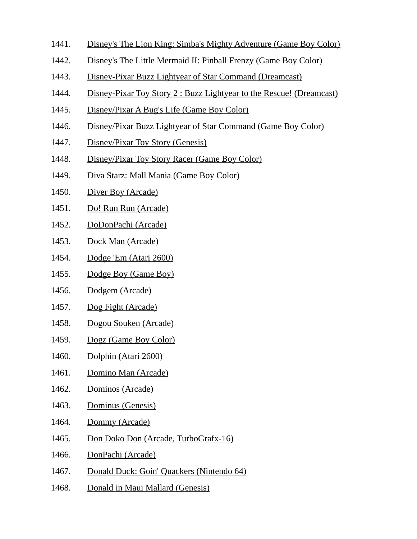- 1441. Disney's The Lion King: Simba's Mighty Adventure (Game Boy Color)
- 1442. Disney's The Little Mermaid II: Pinball Frenzy (Game Boy Color)
- 1443. Disney-Pixar Buzz Lightyear of Star Command (Dreamcast)
- 1444. Disney-Pixar Toy Story 2 : Buzz Lightyear to the Rescue! (Dreamcast)
- 1445. Disney/Pixar A Bug's Life (Game Boy Color)
- 1446. Disney/Pixar Buzz Lightyear of Star Command (Game Boy Color)
- 1447. Disney/Pixar Toy Story (Genesis)
- 1448. Disney/Pixar Toy Story Racer (Game Boy Color)
- 1449. Diva Starz: Mall Mania (Game Boy Color)
- 1450. Diver Boy (Arcade)
- 1451. Do! Run Run (Arcade)
- 1452. DoDonPachi (Arcade)
- 1453. Dock Man (Arcade)
- 1454. Dodge 'Em (Atari 2600)
- 1455. Dodge Boy (Game Boy)
- 1456. Dodgem (Arcade)
- 1457. Dog Fight (Arcade)
- 1458. Dogou Souken (Arcade)
- 1459. Dogz (Game Boy Color)
- 1460. Dolphin (Atari 2600)
- 1461. Domino Man (Arcade)
- 1462. Dominos (Arcade)
- 1463. Dominus (Genesis)
- 1464. Dommy (Arcade)
- 1465. Don Doko Don (Arcade, TurboGrafx-16)
- 1466. DonPachi (Arcade)
- 1467. Donald Duck: Goin' Quackers (Nintendo 64)
- 1468. Donald in Maui Mallard (Genesis)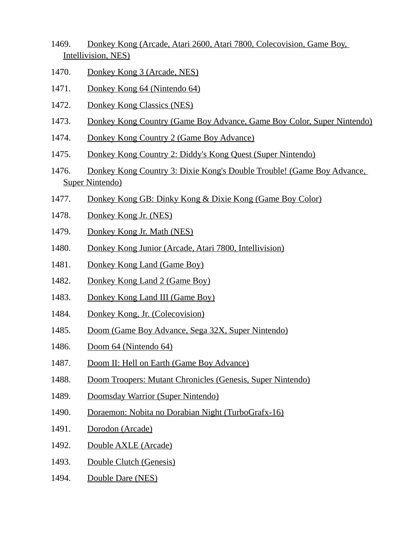- 1469. Donkey Kong (Arcade, Atari 2600, Atari 7800, Colecovision, Game Boy, Intellivision, NES)
- 1470. Donkey Kong 3 (Arcade, NES)
- 1471. Donkey Kong 64 (Nintendo 64)
- 1472. Donkey Kong Classics (NES)
- 1473. Donkey Kong Country (Game Boy Advance, Game Boy Color, Super Nintendo)
- 1474. Donkey Kong Country 2 (Game Boy Advance)
- 1475. Donkey Kong Country 2: Diddy's Kong Quest (Super Nintendo)
- 1476. Donkey Kong Country 3: Dixie Kong's Double Trouble! (Game Boy Advance, Super Nintendo)
- 1477. Donkey Kong GB: Dinky Kong & Dixie Kong (Game Boy Color)
- 1478. Donkey Kong Jr. (NES)
- 1479. Donkey Kong Jr. Math (NES)
- 1480. Donkey Kong Junior (Arcade, Atari 7800, Intellivision)
- 1481. Donkey Kong Land (Game Boy)
- 1482. Donkey Kong Land 2 (Game Boy)
- 1483. Donkey Kong Land III (Game Boy)
- 1484. Donkey Kong, Jr. (Colecovision)
- 1485. Doom (Game Boy Advance, Sega 32X, Super Nintendo)
- 1486. Doom 64 (Nintendo 64)
- 1487. Doom II: Hell on Earth (Game Boy Advance)
- 1488. Doom Troopers: Mutant Chronicles (Genesis, Super Nintendo)
- 1489. Doomsday Warrior (Super Nintendo)
- 1490. Doraemon: Nobita no Dorabian Night (TurboGrafx-16)
- 1491. Dorodon (Arcade)
- 1492. Double AXLE (Arcade)
- 1493. Double Clutch (Genesis)
- 1494. Double Dare (NES)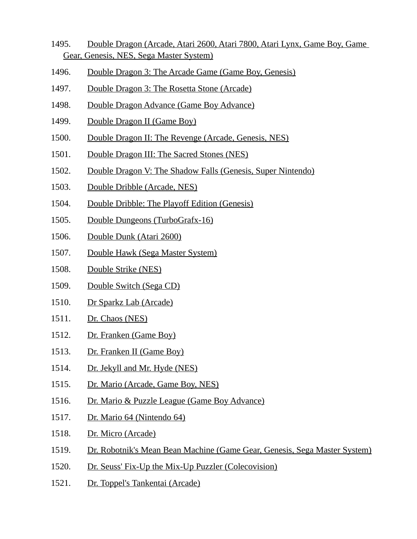- 1495. Double Dragon (Arcade, Atari 2600, Atari 7800, Atari Lynx, Game Boy, Game Gear, Genesis, NES, Sega Master System)
- 1496. Double Dragon 3: The Arcade Game (Game Boy, Genesis)
- 1497. Double Dragon 3: The Rosetta Stone (Arcade)
- 1498. Double Dragon Advance (Game Boy Advance)
- 1499. Double Dragon II (Game Boy)
- 1500. Double Dragon II: The Revenge (Arcade, Genesis, NES)
- 1501. Double Dragon III: The Sacred Stones (NES)
- 1502. Double Dragon V: The Shadow Falls (Genesis, Super Nintendo)
- 1503. Double Dribble (Arcade, NES)
- 1504. Double Dribble: The Playoff Edition (Genesis)
- 1505. Double Dungeons (TurboGrafx-16)
- 1506. Double Dunk (Atari 2600)
- 1507. Double Hawk (Sega Master System)
- 1508. Double Strike (NES)
- 1509. Double Switch (Sega CD)
- 1510. Dr Sparkz Lab (Arcade)
- 1511. Dr. Chaos (NES)
- 1512. Dr. Franken (Game Boy)
- 1513. Dr. Franken II (Game Boy)
- 1514. Dr. Jekyll and Mr. Hyde (NES)
- 1515. Dr. Mario (Arcade, Game Boy, NES)
- 1516. Dr. Mario & Puzzle League (Game Boy Advance)
- 1517. Dr. Mario 64 (Nintendo 64)
- 1518. Dr. Micro (Arcade)
- 1519. Dr. Robotnik's Mean Bean Machine (Game Gear, Genesis, Sega Master System)
- 1520. Dr. Seuss' Fix-Up the Mix-Up Puzzler (Colecovision)
- 1521. Dr. Toppel's Tankentai (Arcade)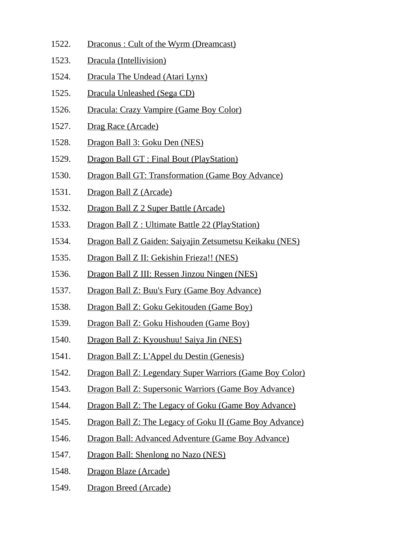1522. Draconus : Cult of the Wyrm (Dreamcast) 1523. Dracula (Intellivision) 1524. Dracula The Undead (Atari Lynx) 1525. Dracula Unleashed (Sega CD) 1526. Dracula: Crazy Vampire (Game Boy Color) 1527. Drag Race (Arcade) 1528. Dragon Ball 3: Goku Den (NES) 1529. Dragon Ball GT : Final Bout (PlayStation) 1530. Dragon Ball GT: Transformation (Game Boy Advance) 1531. Dragon Ball Z (Arcade) 1532. Dragon Ball Z 2 Super Battle (Arcade) 1533. Dragon Ball Z : Ultimate Battle 22 (PlayStation) 1534. Dragon Ball Z Gaiden: Saiyajin Zetsumetsu Keikaku (NES) 1535. Dragon Ball Z II: Gekishin Frieza!! (NES) 1536. Dragon Ball Z III: Ressen Jinzou Ningen (NES) 1537. Dragon Ball Z: Buu's Fury (Game Boy Advance) 1538. Dragon Ball Z: Goku Gekitouden (Game Boy) 1539. Dragon Ball Z: Goku Hishouden (Game Boy) 1540. Dragon Ball Z: Kyoushuu! Saiya Jin (NES) 1541. Dragon Ball Z: L'Appel du Destin (Genesis) 1542. Dragon Ball Z: Legendary Super Warriors (Game Boy Color) 1543. Dragon Ball Z: Supersonic Warriors (Game Boy Advance) 1544. Dragon Ball Z: The Legacy of Goku (Game Boy Advance) 1545. Dragon Ball Z: The Legacy of Goku II (Game Boy Advance) 1546. Dragon Ball: Advanced Adventure (Game Boy Advance) 1547. Dragon Ball: Shenlong no Nazo (NES) 1548. Dragon Blaze (Arcade) 1549. Dragon Breed (Arcade)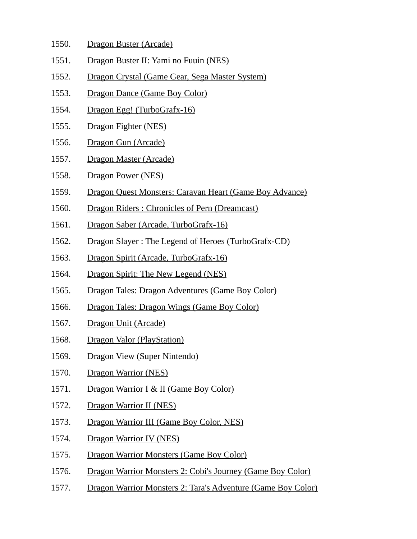- 1550. Dragon Buster (Arcade)
- 1551. Dragon Buster II: Yami no Fuuin (NES)
- 1552. Dragon Crystal (Game Gear, Sega Master System)
- 1553. Dragon Dance (Game Boy Color)
- 1554. Dragon Egg! (TurboGrafx-16)
- 1555. Dragon Fighter (NES)
- 1556. Dragon Gun (Arcade)
- 1557. Dragon Master (Arcade)
- 1558. Dragon Power (NES)
- 1559. Dragon Quest Monsters: Caravan Heart (Game Boy Advance)
- 1560. Dragon Riders : Chronicles of Pern (Dreamcast)
- 1561. Dragon Saber (Arcade, TurboGrafx-16)
- 1562. Dragon Slayer : The Legend of Heroes (TurboGrafx-CD)
- 1563. Dragon Spirit (Arcade, TurboGrafx-16)
- 1564. Dragon Spirit: The New Legend (NES)
- 1565. Dragon Tales: Dragon Adventures (Game Boy Color)
- 1566. Dragon Tales: Dragon Wings (Game Boy Color)
- 1567. Dragon Unit (Arcade)
- 1568. Dragon Valor (PlayStation)
- 1569. Dragon View (Super Nintendo)
- 1570. Dragon Warrior (NES)
- 1571. Dragon Warrior I & II (Game Boy Color)
- 1572. Dragon Warrior II (NES)
- 1573. Dragon Warrior III (Game Boy Color, NES)
- 1574. Dragon Warrior IV (NES)
- 1575. Dragon Warrior Monsters (Game Boy Color)
- 1576. Dragon Warrior Monsters 2: Cobi's Journey (Game Boy Color)
- 1577. Dragon Warrior Monsters 2: Tara's Adventure (Game Boy Color)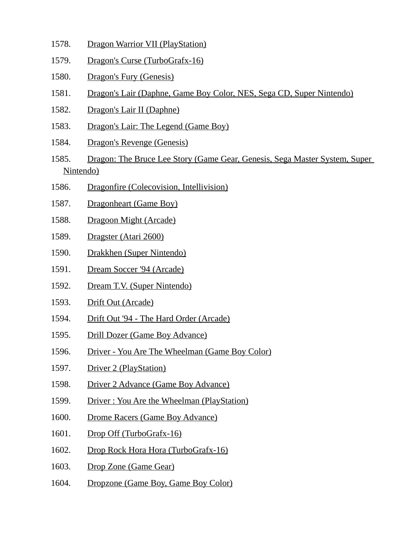- 1578. Dragon Warrior VII (PlayStation)
- 1579. Dragon's Curse (TurboGrafx-16)
- 1580. Dragon's Fury (Genesis)
- 1581. Dragon's Lair (Daphne, Game Boy Color, NES, Sega CD, Super Nintendo)
- 1582. Dragon's Lair II (Daphne)
- 1583. Dragon's Lair: The Legend (Game Boy)
- 1584. Dragon's Revenge (Genesis)
- 1585. Dragon: The Bruce Lee Story (Game Gear, Genesis, Sega Master System, Super Nintendo)
- 1586. Dragonfire (Colecovision, Intellivision)
- 1587. Dragonheart (Game Boy)
- 1588. Dragoon Might (Arcade)
- 1589. Dragster (Atari 2600)
- 1590. Drakkhen (Super Nintendo)
- 1591. Dream Soccer '94 (Arcade)
- 1592. Dream T.V. (Super Nintendo)
- 1593. Drift Out (Arcade)
- 1594. Drift Out '94 The Hard Order (Arcade)
- 1595. Drill Dozer (Game Boy Advance)
- 1596. Driver You Are The Wheelman (Game Boy Color)
- 1597. Driver 2 (PlayStation)
- 1598. Driver 2 Advance (Game Boy Advance)
- 1599. Driver : You Are the Wheelman (PlayStation)
- 1600. Drome Racers (Game Boy Advance)
- 1601. Drop Off (TurboGrafx-16)
- 1602. Drop Rock Hora Hora (TurboGrafx-16)
- 1603. Drop Zone (Game Gear)
- 1604. Dropzone (Game Boy, Game Boy Color)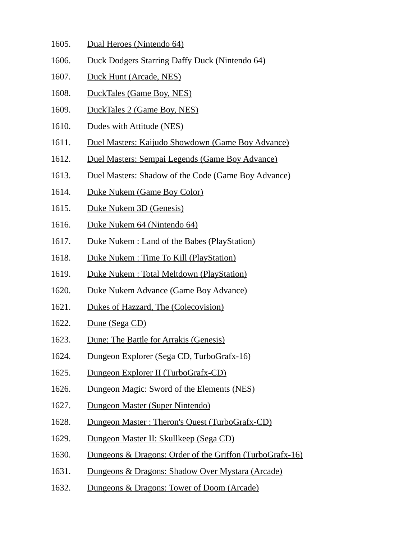- 1605. Dual Heroes (Nintendo 64)
- 1606. Duck Dodgers Starring Daffy Duck (Nintendo 64)
- 1607. Duck Hunt (Arcade, NES)
- 1608. DuckTales (Game Boy, NES)
- 1609. DuckTales 2 (Game Boy, NES)
- 1610. Dudes with Attitude (NES)
- 1611. Duel Masters: Kaijudo Showdown (Game Boy Advance)
- 1612. Duel Masters: Sempai Legends (Game Boy Advance)
- 1613. Duel Masters: Shadow of the Code (Game Boy Advance)
- 1614. Duke Nukem (Game Boy Color)
- 1615. Duke Nukem 3D (Genesis)
- 1616. Duke Nukem 64 (Nintendo 64)
- 1617. Duke Nukem : Land of the Babes (PlayStation)
- 1618. Duke Nukem : Time To Kill (PlayStation)
- 1619. Duke Nukem : Total Meltdown (PlayStation)
- 1620. Duke Nukem Advance (Game Boy Advance)
- 1621. Dukes of Hazzard, The (Colecovision)
- 1622. Dune (Sega CD)
- 1623. Dune: The Battle for Arrakis (Genesis)
- 1624. Dungeon Explorer (Sega CD, TurboGrafx-16)
- 1625. Dungeon Explorer II (TurboGrafx-CD)
- 1626. Dungeon Magic: Sword of the Elements (NES)
- 1627. Dungeon Master (Super Nintendo)
- 1628. Dungeon Master : Theron's Quest (TurboGrafx-CD)
- 1629. Dungeon Master II: Skullkeep (Sega CD)
- 1630. Dungeons & Dragons: Order of the Griffon (TurboGrafx-16)
- 1631. Dungeons & Dragons: Shadow Over Mystara (Arcade)
- 1632. Dungeons & Dragons: Tower of Doom (Arcade)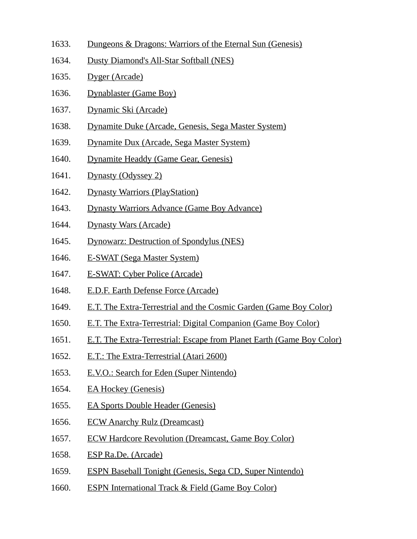- 1633. Dungeons & Dragons: Warriors of the Eternal Sun (Genesis)
- 1634. Dusty Diamond's All-Star Softball (NES)
- 1635. Dyger (Arcade)
- 1636. Dynablaster (Game Boy)
- 1637. Dynamic Ski (Arcade)
- 1638. Dynamite Duke (Arcade, Genesis, Sega Master System)
- 1639. Dynamite Dux (Arcade, Sega Master System)
- 1640. Dynamite Headdy (Game Gear, Genesis)
- 1641. Dynasty (Odyssey 2)
- 1642. Dynasty Warriors (PlayStation)
- 1643. Dynasty Warriors Advance (Game Boy Advance)
- 1644. Dynasty Wars (Arcade)
- 1645. Dynowarz: Destruction of Spondylus (NES)
- 1646. E-SWAT (Sega Master System)
- 1647. E-SWAT: Cyber Police (Arcade)
- 1648. E.D.F. Earth Defense Force (Arcade)
- 1649. E.T. The Extra-Terrestrial and the Cosmic Garden (Game Boy Color)
- 1650. E.T. The Extra-Terrestrial: Digital Companion (Game Boy Color)
- 1651. E.T. The Extra-Terrestrial: Escape from Planet Earth (Game Boy Color)
- 1652. E.T.: The Extra-Terrestrial (Atari 2600)
- 1653. E.V.O.: Search for Eden (Super Nintendo)
- 1654. EA Hockey (Genesis)
- 1655. EA Sports Double Header (Genesis)
- 1656. ECW Anarchy Rulz (Dreamcast)
- 1657. ECW Hardcore Revolution (Dreamcast, Game Boy Color)
- 1658. ESP Ra.De. (Arcade)
- 1659. ESPN Baseball Tonight (Genesis, Sega CD, Super Nintendo)
- 1660. ESPN International Track & Field (Game Boy Color)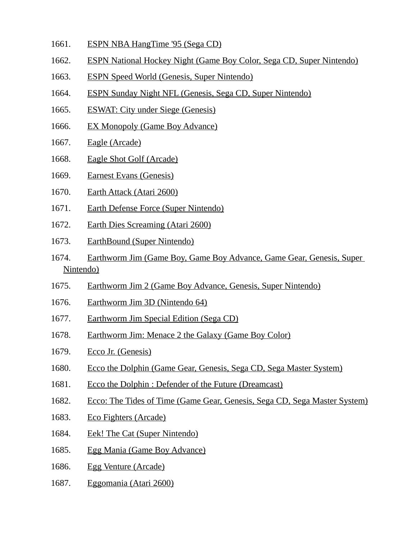- 1661. ESPN NBA HangTime '95 (Sega CD)
- 1662. ESPN National Hockey Night (Game Boy Color, Sega CD, Super Nintendo)
- 1663. ESPN Speed World (Genesis, Super Nintendo)
- 1664. ESPN Sunday Night NFL (Genesis, Sega CD, Super Nintendo)
- 1665. ESWAT: City under Siege (Genesis)
- 1666. EX Monopoly (Game Boy Advance)
- 1667. Eagle (Arcade)
- 1668. Eagle Shot Golf (Arcade)
- 1669. Earnest Evans (Genesis)
- 1670. Earth Attack (Atari 2600)
- 1671. Earth Defense Force (Super Nintendo)
- 1672. Earth Dies Screaming (Atari 2600)
- 1673. EarthBound (Super Nintendo)
- 1674. Earthworm Jim (Game Boy, Game Boy Advance, Game Gear, Genesis, Super Nintendo)
- 1675. Earthworm Jim 2 (Game Boy Advance, Genesis, Super Nintendo)
- 1676. Earthworm Jim 3D (Nintendo 64)
- 1677. Earthworm Jim Special Edition (Sega CD)
- 1678. Earthworm Jim: Menace 2 the Galaxy (Game Boy Color)
- 1679. Ecco Jr. (Genesis)
- 1680. Ecco the Dolphin (Game Gear, Genesis, Sega CD, Sega Master System)
- 1681. Ecco the Dolphin : Defender of the Future (Dreamcast)
- 1682. Ecco: The Tides of Time (Game Gear, Genesis, Sega CD, Sega Master System)
- 1683. Eco Fighters (Arcade)
- 1684. Eek! The Cat (Super Nintendo)
- 1685. Egg Mania (Game Boy Advance)
- 1686. Egg Venture (Arcade)
- 1687. Eggomania (Atari 2600)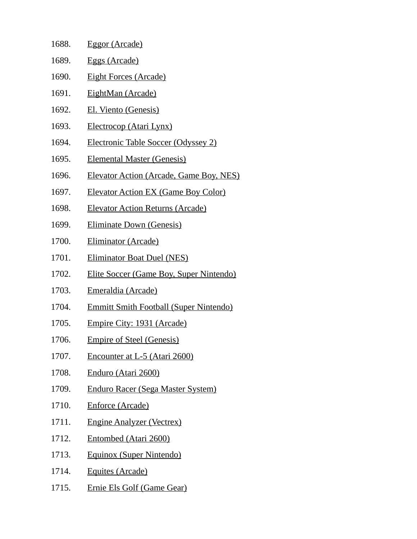| 1688. | <b>Eggor (Arcade)</b>                          |
|-------|------------------------------------------------|
| 1689. | <u>Eggs (Arcade)</u>                           |
| 1690. | <u>Eight Forces (Arcade)</u>                   |
| 1691. | <u>EightMan (Arcade)</u>                       |
| 1692. | <b>El. Viento (Genesis)</b>                    |
| 1693. | <u>Electrocop (Atari Lynx)</u>                 |
| 1694. | <b>Electronic Table Soccer (Odyssey 2)</b>     |
| 1695. | <b>Elemental Master (Genesis)</b>              |
| 1696. | <b>Elevator Action (Arcade, Game Boy, NES)</b> |
| 1697. | <b>Elevator Action EX (Game Boy Color)</b>     |
| 1698. | <b>Elevator Action Returns (Arcade)</b>        |
| 1699. | <b>Eliminate Down (Genesis)</b>                |
| 1700. | <u>Eliminator (Arcade)</u>                     |
| 1701. | <b>Eliminator Boat Duel (NES)</b>              |
| 1702. | <b>Elite Soccer (Game Boy, Super Nintendo)</b> |
| 1703. | <u> Emeraldia (Arcade)</u>                     |
| 1704. | <b>Emmitt Smith Football (Super Nintendo)</b>  |
| 1705. | <u>Empire City: 1931 (Arcade)</u>              |
| 1706. | <b>Empire of Steel (Genesis)</b>               |
| 1707. | Encounter at L-5 (Atari 2600)                  |
| 1708. | Enduro (Atari 2600)                            |
| 1709. | <b>Enduro Racer (Sega Master System)</b>       |
| 1710. | <b>Enforce (Arcade)</b>                        |
| 1711. | <b>Engine Analyzer (Vectrex)</b>               |
| 1712. | Entombed (Atari 2600)                          |
| 1713. | Equinox (Super Nintendo)                       |
| 1714. | <b>Equites (Arcade)</b>                        |
| 1715. | <b>Ernie Els Golf (Game Gear)</b>              |
|       |                                                |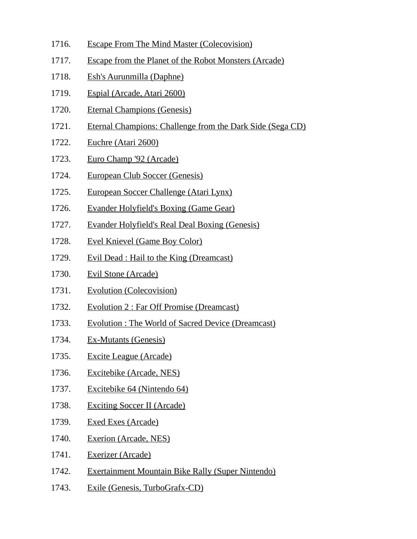- 1716. Escape From The Mind Master (Colecovision)
- 1717. Escape from the Planet of the Robot Monsters (Arcade)
- 1718. Esh's Aurunmilla (Daphne)
- 1719. Espial (Arcade, Atari 2600)
- 1720. Eternal Champions (Genesis)
- 1721. Eternal Champions: Challenge from the Dark Side (Sega CD)
- 1722. Euchre (Atari 2600)
- 1723. Euro Champ '92 (Arcade)
- 1724. European Club Soccer (Genesis)
- 1725. European Soccer Challenge (Atari Lynx)
- 1726. Evander Holyfield's Boxing (Game Gear)
- 1727. Evander Holyfield's Real Deal Boxing (Genesis)
- 1728. Evel Knievel (Game Boy Color)
- 1729. Evil Dead : Hail to the King (Dreamcast)
- 1730. Evil Stone (Arcade)
- 1731. Evolution (Colecovision)
- 1732. Evolution 2 : Far Off Promise (Dreamcast)
- 1733. Evolution : The World of Sacred Device (Dreamcast)
- 1734. Ex-Mutants (Genesis)
- 1735. Excite League (Arcade)
- 1736. Excitebike (Arcade, NES)
- 1737. Excitebike 64 (Nintendo 64)
- 1738. Exciting Soccer II (Arcade)
- 1739. Exed Exes (Arcade)
- 1740. Exerion (Arcade, NES)
- 1741. Exerizer (Arcade)
- 1742. Exertainment Mountain Bike Rally (Super Nintendo)
- 1743. Exile (Genesis, TurboGrafx-CD)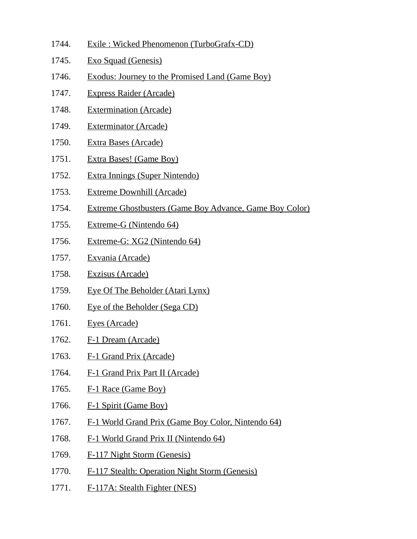- 1744. Exile : Wicked Phenomenon (TurboGrafx-CD)
- 1745. Exo Squad (Genesis)
- 1746. Exodus: Journey to the Promised Land (Game Boy)
- 1747. Express Raider (Arcade)
- 1748. Extermination (Arcade)
- 1749. Exterminator (Arcade)
- 1750. Extra Bases (Arcade)
- 1751. Extra Bases! (Game Boy)
- 1752. Extra Innings (Super Nintendo)
- 1753. Extreme Downhill (Arcade)
- 1754. Extreme Ghostbusters (Game Boy Advance, Game Boy Color)
- 1755. Extreme-G (Nintendo 64)
- 1756. Extreme-G: XG2 (Nintendo 64)
- 1757. Exvania (Arcade)
- 1758. Exzisus (Arcade)
- 1759. Eye Of The Beholder (Atari Lynx)
- 1760. Eye of the Beholder (Sega CD)
- 1761. Eyes (Arcade)
- 1762. F-1 Dream (Arcade)
- 1763. F-1 Grand Prix (Arcade)
- 1764. F-1 Grand Prix Part II (Arcade)
- 1765. F-1 Race (Game Boy)
- 1766. F-1 Spirit (Game Boy)
- 1767. F-1 World Grand Prix (Game Boy Color, Nintendo 64)
- 1768. F-1 World Grand Prix II (Nintendo 64)
- 1769. F-117 Night Storm (Genesis)
- 1770. F-117 Stealth: Operation Night Storm (Genesis)
- 1771. F-117A: Stealth Fighter (NES)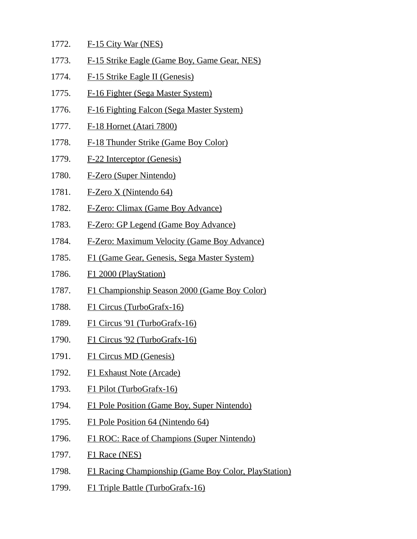- 1772. F-15 City War (NES)
- 1773. F-15 Strike Eagle (Game Boy, Game Gear, NES)
- 1774. F-15 Strike Eagle II (Genesis)
- 1775. F-16 Fighter (Sega Master System)
- 1776. F-16 Fighting Falcon (Sega Master System)
- 1777. F-18 Hornet (Atari 7800)
- 1778. F-18 Thunder Strike (Game Boy Color)
- 1779. F-22 Interceptor (Genesis)
- 1780. F-Zero (Super Nintendo)
- 1781. F-Zero X (Nintendo 64)
- 1782. F-Zero: Climax (Game Boy Advance)
- 1783. F-Zero: GP Legend (Game Boy Advance)
- 1784. F-Zero: Maximum Velocity (Game Boy Advance)
- 1785. F1 (Game Gear, Genesis, Sega Master System)
- 1786. F1 2000 (PlayStation)
- 1787. F1 Championship Season 2000 (Game Boy Color)
- 1788. F1 Circus (TurboGrafx-16)
- 1789. F1 Circus '91 (TurboGrafx-16)
- 1790. F1 Circus '92 (TurboGrafx-16)
- 1791. F1 Circus MD (Genesis)
- 1792. F1 Exhaust Note (Arcade)
- 1793. F1 Pilot (TurboGrafx-16)
- 1794. F1 Pole Position (Game Boy, Super Nintendo)
- 1795. F1 Pole Position 64 (Nintendo 64)
- 1796. F1 ROC: Race of Champions (Super Nintendo)
- 1797. **F1 Race (NES)**
- 1798. F1 Racing Championship (Game Boy Color, PlayStation)
- 1799. F1 Triple Battle (TurboGrafx-16)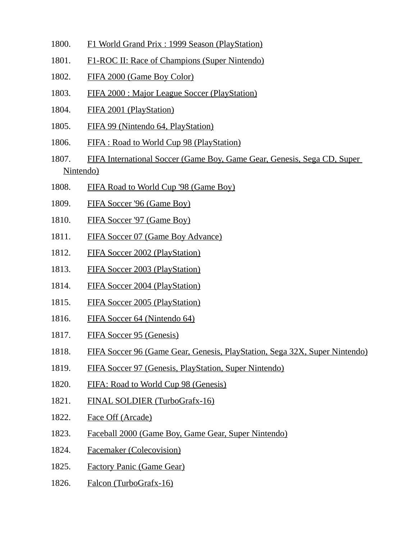- 1800. F1 World Grand Prix : 1999 Season (PlayStation)
- 1801. F1-ROC II: Race of Champions (Super Nintendo)
- 1802. FIFA 2000 (Game Boy Color)
- 1803. FIFA 2000 : Major League Soccer (PlayStation)
- 1804. FIFA 2001 (PlayStation)
- 1805. FIFA 99 (Nintendo 64, PlayStation)
- 1806. FIFA : Road to World Cup 98 (PlayStation)
- 1807. FIFA International Soccer (Game Boy, Game Gear, Genesis, Sega CD, Super Nintendo)
- 1808. FIFA Road to World Cup '98 (Game Boy)
- 1809. FIFA Soccer '96 (Game Boy)
- 1810. FIFA Soccer '97 (Game Boy)
- 1811. FIFA Soccer 07 (Game Boy Advance)
- 1812. FIFA Soccer 2002 (PlayStation)
- 1813. FIFA Soccer 2003 (PlayStation)
- 1814. FIFA Soccer 2004 (PlayStation)
- 1815. FIFA Soccer 2005 (PlayStation)
- 1816. FIFA Soccer 64 (Nintendo 64)
- 1817. FIFA Soccer 95 (Genesis)
- 1818. FIFA Soccer 96 (Game Gear, Genesis, PlayStation, Sega 32X, Super Nintendo)
- 1819. FIFA Soccer 97 (Genesis, PlayStation, Super Nintendo)
- 1820. FIFA: Road to World Cup 98 (Genesis)
- 1821. FINAL SOLDIER (TurboGrafx-16)
- 1822. Face Off (Arcade)
- 1823. Faceball 2000 (Game Boy, Game Gear, Super Nintendo)
- 1824. Facemaker (Colecovision)
- 1825. Factory Panic (Game Gear)
- 1826. Falcon (TurboGrafx-16)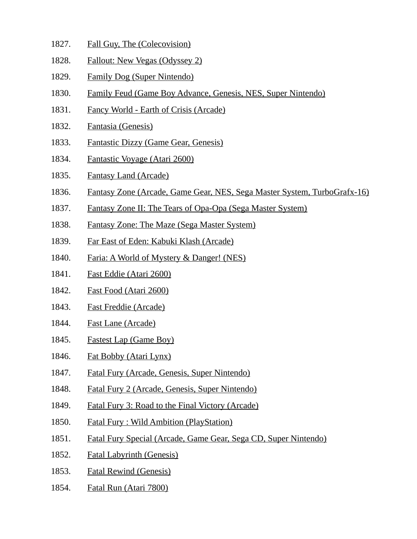- 1827. Fall Guy, The (Colecovision)
- 1828. Fallout: New Vegas (Odyssey 2)
- 1829. Family Dog (Super Nintendo)
- 1830. Family Feud (Game Boy Advance, Genesis, NES, Super Nintendo)
- 1831. Fancy World Earth of Crisis (Arcade)
- 1832. Fantasia (Genesis)
- 1833. Fantastic Dizzy (Game Gear, Genesis)
- 1834. Fantastic Voyage (Atari 2600)
- 1835. Fantasy Land (Arcade)
- 1836. Fantasy Zone (Arcade, Game Gear, NES, Sega Master System, TurboGrafx-16)
- 1837. Fantasy Zone II: The Tears of Opa-Opa (Sega Master System)
- 1838. Fantasy Zone: The Maze (Sega Master System)
- 1839. Far East of Eden: Kabuki Klash (Arcade)
- 1840. Faria: A World of Mystery & Danger! (NES)
- 1841. Fast Eddie (Atari 2600)
- 1842. Fast Food (Atari 2600)
- 1843. Fast Freddie (Arcade)
- 1844. Fast Lane (Arcade)
- 1845. Fastest Lap (Game Boy)
- 1846. Fat Bobby (Atari Lynx)
- 1847. Fatal Fury (Arcade, Genesis, Super Nintendo)
- 1848. Fatal Fury 2 (Arcade, Genesis, Super Nintendo)
- 1849. Fatal Fury 3: Road to the Final Victory (Arcade)
- 1850. Fatal Fury : Wild Ambition (PlayStation)
- 1851. Fatal Fury Special (Arcade, Game Gear, Sega CD, Super Nintendo)
- 1852. Fatal Labyrinth (Genesis)
- 1853. Fatal Rewind (Genesis)
- 1854. Fatal Run (Atari 7800)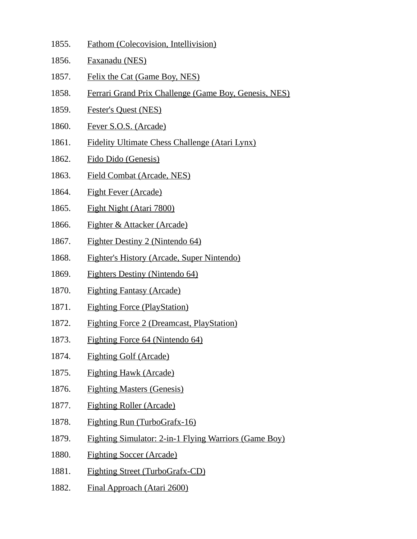- 1855. Fathom (Colecovision, Intellivision)
- 1856. Faxanadu (NES)
- 1857. Felix the Cat (Game Boy, NES)
- 1858. Ferrari Grand Prix Challenge (Game Boy, Genesis, NES)
- 1859. Fester's Quest (NES)
- 1860. Fever S.O.S. (Arcade)
- 1861. Fidelity Ultimate Chess Challenge (Atari Lynx)
- 1862. Fido Dido (Genesis)
- 1863. Field Combat (Arcade, NES)
- 1864. Fight Fever (Arcade)
- 1865. Fight Night (Atari 7800)
- 1866. Fighter & Attacker (Arcade)
- 1867. Fighter Destiny 2 (Nintendo 64)
- 1868. Fighter's History (Arcade, Super Nintendo)
- 1869. Fighters Destiny (Nintendo 64)
- 1870. Fighting Fantasy (Arcade)
- 1871. Fighting Force (PlayStation)
- 1872. Fighting Force 2 (Dreamcast, PlayStation)
- 1873. Fighting Force 64 (Nintendo 64)
- 1874. Fighting Golf (Arcade)
- 1875. Fighting Hawk (Arcade)
- 1876. Fighting Masters (Genesis)
- 1877. Fighting Roller (Arcade)
- 1878. Fighting Run (TurboGrafx-16)
- 1879. Fighting Simulator: 2-in-1 Flying Warriors (Game Boy)
- 1880. Fighting Soccer (Arcade)
- 1881. Fighting Street (TurboGrafx-CD)
- 1882. Final Approach (Atari 2600)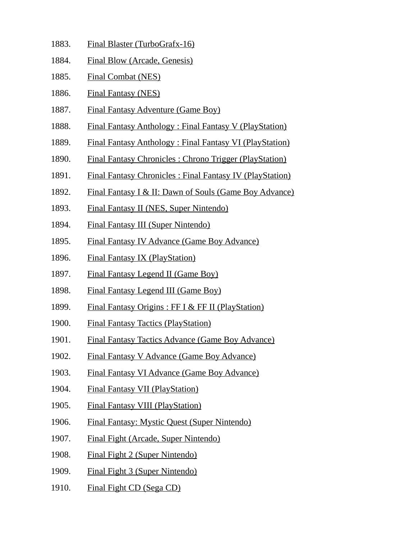- 1883. Final Blaster (TurboGrafx-16)
- 1884. Final Blow (Arcade, Genesis)
- 1885. Final Combat (NES)
- 1886. Final Fantasy (NES)
- 1887. Final Fantasy Adventure (Game Boy)
- 1888. Final Fantasy Anthology : Final Fantasy V (PlayStation)
- 1889. Final Fantasy Anthology : Final Fantasy VI (PlayStation)
- 1890. Final Fantasy Chronicles : Chrono Trigger (PlayStation)
- 1891. Final Fantasy Chronicles : Final Fantasy IV (PlayStation)
- 1892. Final Fantasy I & II: Dawn of Souls (Game Boy Advance)
- 1893. Final Fantasy II (NES, Super Nintendo)
- 1894. Final Fantasy III (Super Nintendo)
- 1895. Final Fantasy IV Advance (Game Boy Advance)
- 1896. Final Fantasy IX (PlayStation)
- 1897. Final Fantasy Legend II (Game Boy)
- 1898. Final Fantasy Legend III (Game Boy)
- 1899. Final Fantasy Origins : FF I & FF II (PlayStation)
- 1900. Final Fantasy Tactics (PlayStation)
- 1901. Final Fantasy Tactics Advance (Game Boy Advance)
- 1902. Final Fantasy V Advance (Game Boy Advance)
- 1903. Final Fantasy VI Advance (Game Boy Advance)
- 1904. Final Fantasy VII (PlayStation)
- 1905. Final Fantasy VIII (PlayStation)
- 1906. Final Fantasy: Mystic Quest (Super Nintendo)
- 1907. Final Fight (Arcade, Super Nintendo)
- 1908. Final Fight 2 (Super Nintendo)
- 1909. Final Fight 3 (Super Nintendo)
- 1910. Final Fight CD (Sega CD)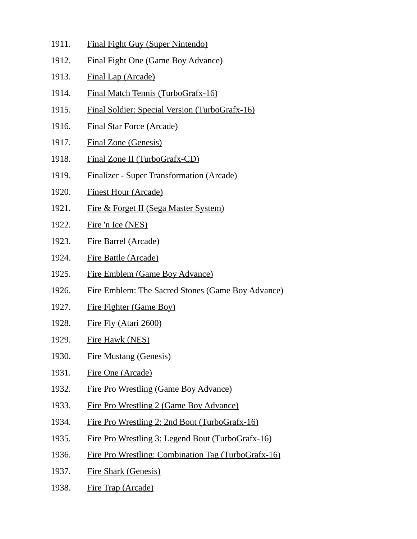- 1911. Final Fight Guy (Super Nintendo)
- 1912. Final Fight One (Game Boy Advance)
- 1913. Final Lap (Arcade)
- 1914. Final Match Tennis (TurboGrafx-16)
- 1915. Final Soldier: Special Version (TurboGrafx-16)
- 1916. Final Star Force (Arcade)
- 1917. Final Zone (Genesis)
- 1918. Final Zone II (TurboGrafx-CD)
- 1919. Finalizer Super Transformation (Arcade)
- 1920. Finest Hour (Arcade)
- 1921. Fire & Forget II (Sega Master System)
- 1922. Fire 'n Ice (NES)
- 1923. Fire Barrel (Arcade)
- 1924. Fire Battle (Arcade)
- 1925. Fire Emblem (Game Boy Advance)
- 1926. Fire Emblem: The Sacred Stones (Game Boy Advance)
- 1927. Fire Fighter (Game Boy)
- 1928. Fire Fly (Atari 2600)
- 1929. Fire Hawk (NES)
- 1930. Fire Mustang (Genesis)
- 1931. Fire One (Arcade)
- 1932. Fire Pro Wrestling (Game Boy Advance)
- 1933. Fire Pro Wrestling 2 (Game Boy Advance)
- 1934. Fire Pro Wrestling 2: 2nd Bout (TurboGrafx-16)
- 1935. Fire Pro Wrestling 3: Legend Bout (TurboGrafx-16)
- 1936. Fire Pro Wrestling: Combination Tag (TurboGrafx-16)
- 1937. Fire Shark (Genesis)
- 1938. Fire Trap (Arcade)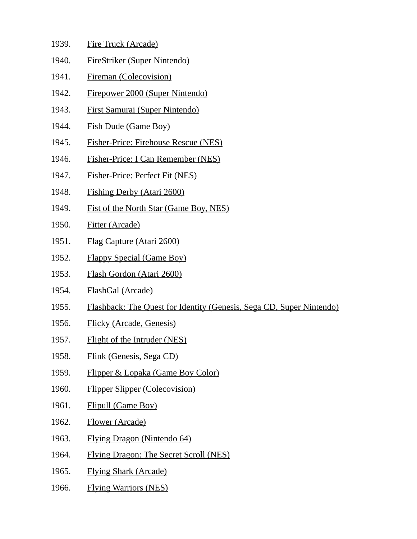| 1939. | Fire Truck (Arcade) |
|-------|---------------------|
|       |                     |

- 1940. FireStriker (Super Nintendo)
- 1941. Fireman (Colecovision)
- 1942. Firepower 2000 (Super Nintendo)
- 1943. First Samurai (Super Nintendo)
- 1944. Fish Dude (Game Boy)
- 1945. Fisher-Price: Firehouse Rescue (NES)
- 1946. Fisher-Price: I Can Remember (NES)
- 1947. Fisher-Price: Perfect Fit (NES)
- 1948. Fishing Derby (Atari 2600)
- 1949. Fist of the North Star (Game Boy, NES)
- 1950. Fitter (Arcade)
- 1951. Flag Capture (Atari 2600)
- 1952. Flappy Special (Game Boy)
- 1953. Flash Gordon (Atari 2600)
- 1954. FlashGal (Arcade)
- 1955. Flashback: The Quest for Identity (Genesis, Sega CD, Super Nintendo)
- 1956. Flicky (Arcade, Genesis)
- 1957. Flight of the Intruder (NES)
- 1958. Flink (Genesis, Sega CD)
- 1959. Flipper & Lopaka (Game Boy Color)
- 1960. Flipper Slipper (Colecovision)
- 1961. Flipull (Game Boy)
- 1962. Flower (Arcade)
- 1963. Flying Dragon (Nintendo 64)
- 1964. Flying Dragon: The Secret Scroll (NES)
- 1965. Flying Shark (Arcade)
- 1966. Flying Warriors (NES)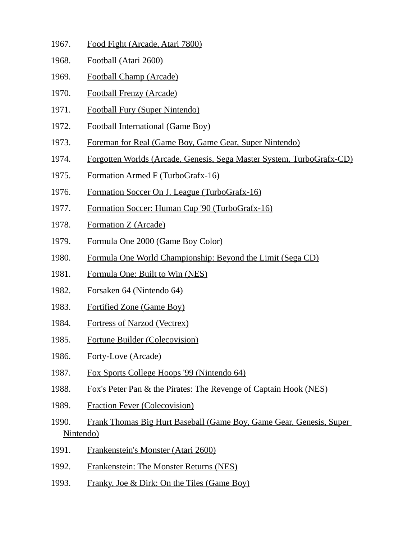- 1967. Food Fight (Arcade, Atari 7800)
- 1968. Football (Atari 2600)
- 1969. Football Champ (Arcade)
- 1970. Football Frenzy (Arcade)
- 1971. Football Fury (Super Nintendo)
- 1972. Football International (Game Boy)
- 1973. Foreman for Real (Game Boy, Game Gear, Super Nintendo)
- 1974. Forgotten Worlds (Arcade, Genesis, Sega Master System, TurboGrafx-CD)
- 1975. Formation Armed F (TurboGrafx-16)
- 1976. Formation Soccer On J. League (TurboGrafx-16)
- 1977. Formation Soccer: Human Cup '90 (TurboGrafx-16)
- 1978. Formation Z (Arcade)
- 1979. Formula One 2000 (Game Boy Color)
- 1980. Formula One World Championship: Beyond the Limit (Sega CD)
- 1981. Formula One: Built to Win (NES)
- 1982. Forsaken 64 (Nintendo 64)
- 1983. Fortified Zone (Game Boy)
- 1984. Fortress of Narzod (Vectrex)
- 1985. Fortune Builder (Colecovision)
- 1986. Forty-Love (Arcade)
- 1987. Fox Sports College Hoops '99 (Nintendo 64)
- 1988. Fox's Peter Pan & the Pirates: The Revenge of Captain Hook (NES)
- 1989. Fraction Fever (Colecovision)
- 1990. Frank Thomas Big Hurt Baseball (Game Boy, Game Gear, Genesis, Super Nintendo)
- 1991. Frankenstein's Monster (Atari 2600)
- 1992. Frankenstein: The Monster Returns (NES)
- 1993. Franky, Joe & Dirk: On the Tiles (Game Boy)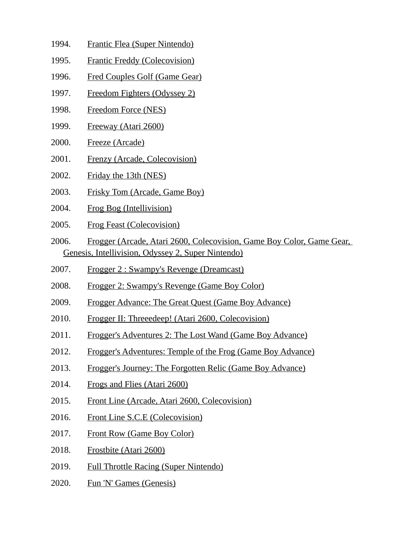- 1994. Frantic Flea (Super Nintendo)
- 1995. Frantic Freddy (Colecovision)
- 1996. Fred Couples Golf (Game Gear)
- 1997. Freedom Fighters (Odyssey 2)
- 1998. Freedom Force (NES)
- 1999. Freeway (Atari 2600)
- 2000. Freeze (Arcade)
- 2001. Frenzy (Arcade, Colecovision)
- 2002. Friday the 13th (NES)
- 2003. Frisky Tom (Arcade, Game Boy)
- 2004. Frog Bog (Intellivision)
- 2005. Frog Feast (Colecovision)
- 2006. Frogger (Arcade, Atari 2600, Colecovision, Game Boy Color, Game Gear, Genesis, Intellivision, Odyssey 2, Super Nintendo)
- 2007. Frogger 2 : Swampy's Revenge (Dreamcast)
- 2008. Frogger 2: Swampy's Revenge (Game Boy Color)
- 2009. Frogger Advance: The Great Quest (Game Boy Advance)
- 2010. Frogger II: Threeedeep! (Atari 2600, Colecovision)
- 2011. Frogger's Adventures 2: The Lost Wand (Game Boy Advance)
- 2012. Frogger's Adventures: Temple of the Frog (Game Boy Advance)
- 2013. Frogger's Journey: The Forgotten Relic (Game Boy Advance)
- 2014. Frogs and Flies (Atari 2600)
- 2015. Front Line (Arcade, Atari 2600, Colecovision)
- 2016. Front Line S.C.E (Colecovision)
- 2017. Front Row (Game Boy Color)
- 2018. Frostbite (Atari 2600)
- 2019. Full Throttle Racing (Super Nintendo)
- 2020. Fun 'N' Games (Genesis)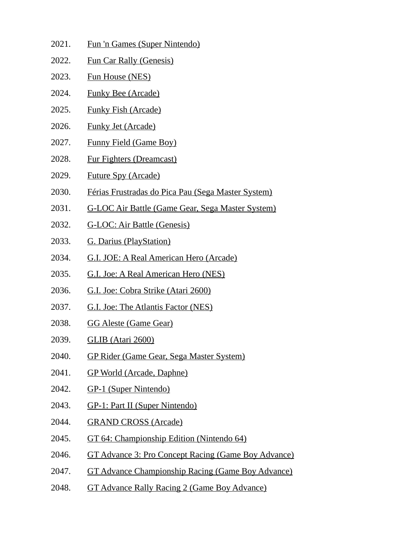- 2021. Fun 'n Games (Super Nintendo)
- 2022. Fun Car Rally (Genesis)
- 2023. Fun House (NES)
- 2024. Funky Bee (Arcade)
- 2025. Funky Fish (Arcade)
- 2026. Funky Jet (Arcade)
- 2027. Funny Field (Game Boy)
- 2028. Fur Fighters (Dreamcast)
- 2029. Future Spy (Arcade)
- 2030. Férias Frustradas do Pica Pau (Sega Master System)
- 2031. G-LOC Air Battle (Game Gear, Sega Master System)
- 2032. G-LOC: Air Battle (Genesis)
- 2033. G. Darius (PlayStation)
- 2034. G.I. JOE: A Real American Hero (Arcade)
- 2035. G.I. Joe: A Real American Hero (NES)
- 2036. G.I. Joe: Cobra Strike (Atari 2600)
- 2037. G.I. Joe: The Atlantis Factor (NES)
- 2038. GG Aleste (Game Gear)
- 2039. GLIB (Atari 2600)
- 2040. GP Rider (Game Gear, Sega Master System)
- 2041. GP World (Arcade, Daphne)
- 2042. GP-1 (Super Nintendo)
- 2043. GP-1: Part II (Super Nintendo)
- 2044. GRAND CROSS (Arcade)
- 2045. GT 64: Championship Edition (Nintendo 64)
- 2046. GT Advance 3: Pro Concept Racing (Game Boy Advance)
- 2047. GT Advance Championship Racing (Game Boy Advance)
- 2048. GT Advance Rally Racing 2 (Game Boy Advance)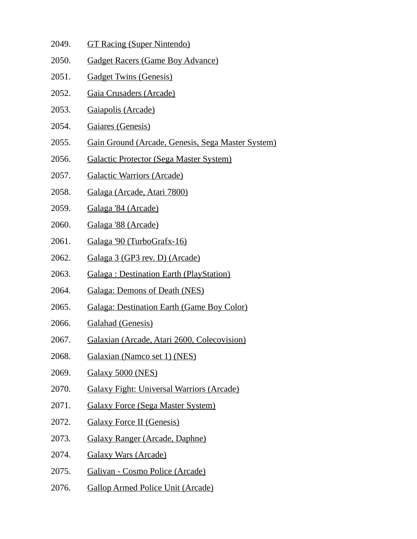- 2049. GT Racing (Super Nintendo)
- 2050. Gadget Racers (Game Boy Advance)
- 2051. Gadget Twins (Genesis)
- 2052. Gaia Crusaders (Arcade)
- 2053. Gaiapolis (Arcade)
- 2054. Gaiares (Genesis)
- 2055. Gain Ground (Arcade, Genesis, Sega Master System)
- 2056. Galactic Protector (Sega Master System)
- 2057. Galactic Warriors (Arcade)
- 2058. Galaga (Arcade, Atari 7800)
- 2059. Galaga '84 (Arcade)
- 2060. Galaga '88 (Arcade)
- 2061. Galaga '90 (TurboGrafx-16)
- 2062. Galaga 3 (GP3 rev. D) (Arcade)
- 2063. Galaga : Destination Earth (PlayStation)
- 2064. Galaga: Demons of Death (NES)
- 2065. Galaga: Destination Earth (Game Boy Color)
- 2066. Galahad (Genesis)
- 2067. Galaxian (Arcade, Atari 2600, Colecovision)
- 2068. Galaxian (Namco set 1) (NES)
- 2069. Galaxy 5000 (NES)
- 2070. Galaxy Fight: Universal Warriors (Arcade)
- 2071. Galaxy Force (Sega Master System)
- 2072. Galaxy Force II (Genesis)
- 2073. Galaxy Ranger (Arcade, Daphne)
- 2074. Galaxy Wars (Arcade)
- 2075. Galivan Cosmo Police (Arcade)
- 2076. Gallop Armed Police Unit (Arcade)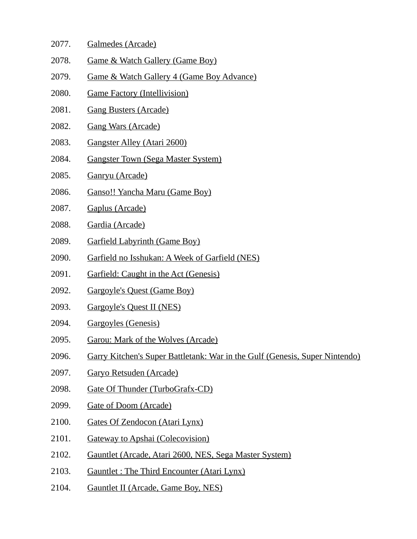- 2077. Galmedes (Arcade)
- 2078. Game & Watch Gallery (Game Boy)
- 2079. Game & Watch Gallery 4 (Game Boy Advance)
- 2080. Game Factory (Intellivision)
- 2081. Gang Busters (Arcade)
- 2082. Gang Wars (Arcade)
- 2083. Gangster Alley (Atari 2600)
- 2084. Gangster Town (Sega Master System)
- 2085. Ganryu (Arcade)
- 2086. Ganso!! Yancha Maru (Game Boy)
- 2087. Gaplus (Arcade)
- 2088. Gardia (Arcade)
- 2089. Garfield Labyrinth (Game Boy)
- 2090. Garfield no Isshukan: A Week of Garfield (NES)
- 2091. Garfield: Caught in the Act (Genesis)
- 2092. Gargoyle's Quest (Game Boy)
- 2093. Gargoyle's Quest II (NES)
- 2094. Gargoyles (Genesis)
- 2095. Garou: Mark of the Wolves (Arcade)
- 2096. Garry Kitchen's Super Battletank: War in the Gulf (Genesis, Super Nintendo)
- 2097. Garyo Retsuden (Arcade)
- 2098. Gate Of Thunder (TurboGrafx-CD)
- 2099. Gate of Doom (Arcade)
- 2100. Gates Of Zendocon (Atari Lynx)
- 2101. Gateway to Apshai (Colecovision)
- 2102. Gauntlet (Arcade, Atari 2600, NES, Sega Master System)
- 2103. Gauntlet : The Third Encounter (Atari Lynx)
- 2104. Gauntlet II (Arcade, Game Boy, NES)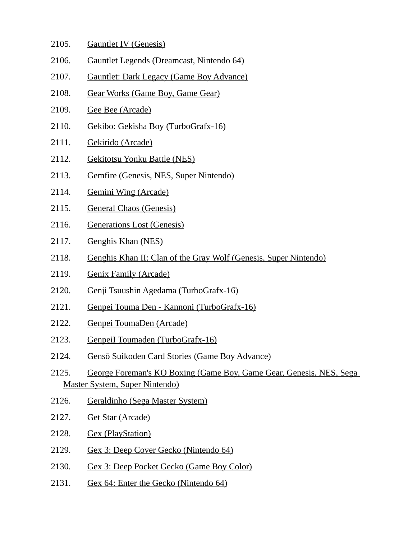| 2105. | <b>Gauntlet IV (Genesis)</b>                                                                                 |
|-------|--------------------------------------------------------------------------------------------------------------|
| 2106. | Gauntlet Legends (Dreamcast, Nintendo 64)                                                                    |
| 2107. | <b>Gauntlet: Dark Legacy (Game Boy Advance)</b>                                                              |
| 2108. | Gear Works (Game Boy, Game Gear)                                                                             |
| 2109. | Gee Bee (Arcade)                                                                                             |
| 2110. | Gekibo: Gekisha Boy (TurboGrafx-16)                                                                          |
| 2111. | Gekirido (Arcade)                                                                                            |
| 2112. | <b>Gekitotsu Yonku Battle (NES)</b>                                                                          |
| 2113. | Gemfire (Genesis, NES, Super Nintendo)                                                                       |
| 2114. | <b>Gemini Wing (Arcade)</b>                                                                                  |
| 2115. | <b>General Chaos (Genesis)</b>                                                                               |
| 2116. | <b>Generations Lost (Genesis)</b>                                                                            |
| 2117. | Genghis Khan (NES)                                                                                           |
| 2118. | Genghis Khan II: Clan of the Gray Wolf (Genesis, Super Nintendo)                                             |
| 2119. | <b>Genix Family (Arcade)</b>                                                                                 |
| 2120. | Genji Tsuushin Agedama (TurboGrafx-16)                                                                       |
| 2121. | Genpei Touma Den - Kannoni (TurboGrafx-16)                                                                   |
| 2122. | Genpei ToumaDen (Arcade)                                                                                     |
| 2123. | Genpeil Toumaden (TurboGrafx-16)                                                                             |
| 2124. | Gensō Suikoden Card Stories (Game Boy Advance)                                                               |
| 2125. | George Foreman's KO Boxing (Game Boy, Game Gear, Genesis, NES, Sega<br><b>Master System, Super Nintendo)</b> |
| 2126. | Geraldinho (Sega Master System)                                                                              |
| 2127. | <b>Get Star (Arcade)</b>                                                                                     |
| 2128. | <b>Gex (PlayStation)</b>                                                                                     |
| 2129. | Gex 3: Deep Cover Gecko (Nintendo 64)                                                                        |
| 2130. | <b>Gex 3: Deep Pocket Gecko (Game Boy Color)</b>                                                             |
| 2131. | Gex 64: Enter the Gecko (Nintendo 64)                                                                        |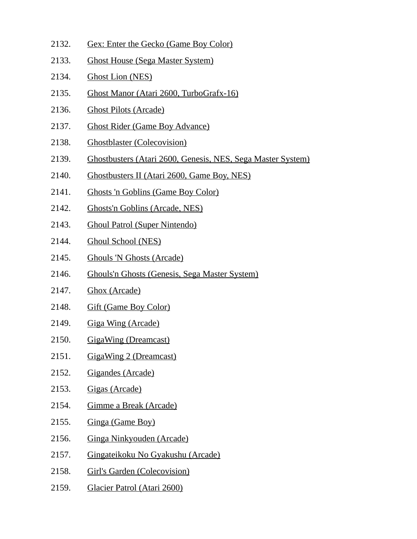2132. Gex: Enter the Gecko (Game Boy Color) 2133. Ghost House (Sega Master System) 2134. Ghost Lion (NES) 2135. Ghost Manor (Atari 2600, TurboGrafx-16) 2136. Ghost Pilots (Arcade) 2137. Ghost Rider (Game Boy Advance) 2138. Ghostblaster (Colecovision) 2139. Ghostbusters (Atari 2600, Genesis, NES, Sega Master System) 2140. Ghostbusters II (Atari 2600, Game Boy, NES) 2141. Ghosts 'n Goblins (Game Boy Color) 2142. Ghosts'n Goblins (Arcade, NES) 2143. Ghoul Patrol (Super Nintendo) 2144. Ghoul School (NES) 2145. Ghouls 'N Ghosts (Arcade) 2146. Ghouls'n Ghosts (Genesis, Sega Master System) 2147. Ghox (Arcade) 2148. Gift (Game Boy Color) 2149. Giga Wing (Arcade) 2150. GigaWing (Dreamcast) 2151. GigaWing 2 (Dreamcast) 2152. Gigandes (Arcade) 2153. Gigas (Arcade) 2154. Gimme a Break (Arcade) 2155. Ginga (Game Boy) 2156. Ginga Ninkyouden (Arcade) 2157. Gingateikoku No Gyakushu (Arcade) 2158. Girl's Garden (Colecovision) 2159. Glacier Patrol (Atari 2600)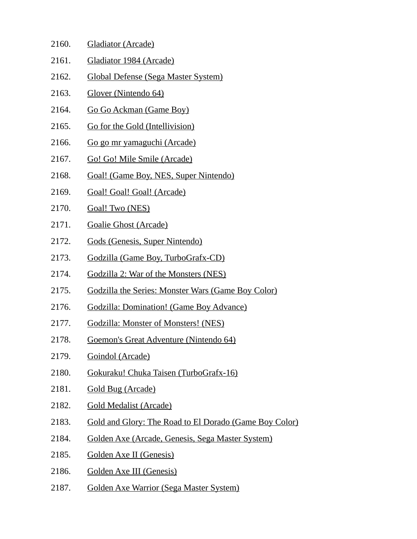| 2160. | Gladiator (Arcade)                                        |
|-------|-----------------------------------------------------------|
| 2161. | Gladiator 1984 (Arcade)                                   |
| 2162. | <b>Global Defense (Sega Master System)</b>                |
| 2163. | Glover (Nintendo 64)                                      |
| 2164. | Go Go Ackman (Game Boy)                                   |
| 2165. | Go for the Gold (Intellivision)                           |
| 2166. | <u>Go go mr yamaguchi (Arcade)</u>                        |
| 2167. | Go! Go! Mile Smile (Arcade)                               |
| 2168. | Goal! (Game Boy, NES, Super Nintendo)                     |
| 2169. | Goal! Goal! Goal! (Arcade)                                |
| 2170. | Goal! Two (NES)                                           |
| 2171. | <b>Goalie Ghost (Arcade)</b>                              |
| 2172. | Gods (Genesis, Super Nintendo)                            |
| 2173. | Godzilla (Game Boy, TurboGrafx-CD)                        |
| 2174. | Godzilla 2: War of the Monsters (NES)                     |
| 2175. | <b>Godzilla the Series: Monster Wars (Game Boy Color)</b> |
| 2176. | <b>Godzilla: Domination! (Game Boy Advance)</b>           |
| 2177. | Godzilla: Monster of Monsters! (NES)                      |
| 2178. | Goemon's Great Adventure (Nintendo 64)                    |
| 2179. | Goindol (Arcade)                                          |
| 2180. | Gokuraku! Chuka Taisen (TurboGrafx-16)                    |
| 2181. | <b>Gold Bug (Arcade)</b>                                  |
| 2182. | <b>Gold Medalist (Arcade)</b>                             |
| 2183. | Gold and Glory: The Road to El Dorado (Game Boy Color)    |
| 2184. | Golden Axe (Arcade, Genesis, Sega Master System)          |
| 2185. | Golden Axe II (Genesis)                                   |
| 2186. | Golden Axe III (Genesis)                                  |
| 2187. | <b>Golden Axe Warrior (Sega Master System)</b>            |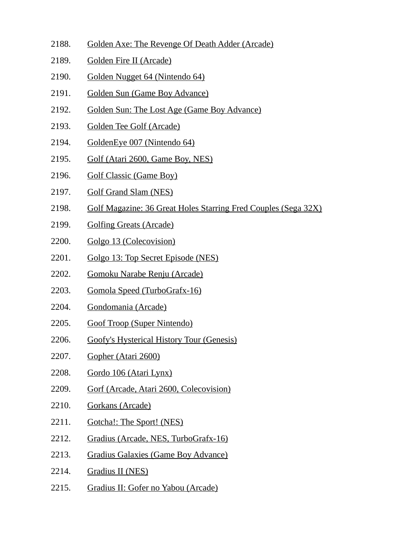- 2188. Golden Axe: The Revenge Of Death Adder (Arcade)
- 2189. Golden Fire II (Arcade)
- 2190. Golden Nugget 64 (Nintendo 64)
- 2191. Golden Sun (Game Boy Advance)
- 2192. Golden Sun: The Lost Age (Game Boy Advance)
- 2193. Golden Tee Golf (Arcade)
- 2194. GoldenEye 007 (Nintendo 64)
- 2195. Golf (Atari 2600, Game Boy, NES)
- 2196. Golf Classic (Game Boy)
- 2197. Golf Grand Slam (NES)
- 2198. Golf Magazine: 36 Great Holes Starring Fred Couples (Sega 32X)
- 2199. Golfing Greats (Arcade)
- 2200. Golgo 13 (Colecovision)
- 2201. Golgo 13: Top Secret Episode (NES)
- 2202. Gomoku Narabe Renju (Arcade)
- 2203. Gomola Speed (TurboGrafx-16)
- 2204. Gondomania (Arcade)
- 2205. Goof Troop (Super Nintendo)
- 2206. Goofy's Hysterical History Tour (Genesis)
- 2207. Gopher (Atari 2600)
- 2208. Gordo 106 (Atari Lynx)
- 2209. Gorf (Arcade, Atari 2600, Colecovision)
- 2210. Gorkans (Arcade)
- 2211. Gotcha!: The Sport! (NES)
- 2212. Gradius (Arcade, NES, TurboGrafx-16)
- 2213. Gradius Galaxies (Game Boy Advance)
- 2214. Gradius II (NES)
- 2215. Gradius II: Gofer no Yabou (Arcade)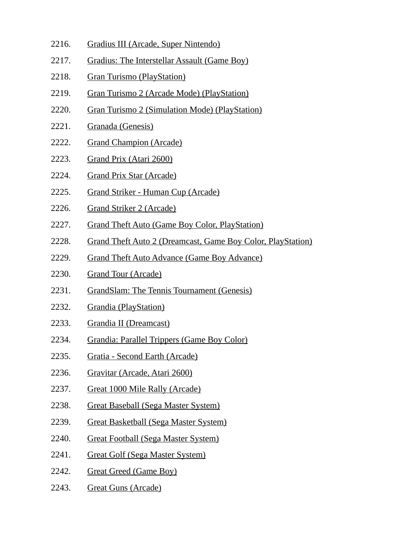- 2216. Gradius III (Arcade, Super Nintendo)
- 2217. Gradius: The Interstellar Assault (Game Boy)
- 2218. Gran Turismo (PlayStation)
- 2219. Gran Turismo 2 (Arcade Mode) (PlayStation)
- 2220. Gran Turismo 2 (Simulation Mode) (PlayStation)
- 2221. Granada (Genesis)
- 2222. Grand Champion (Arcade)
- 2223. Grand Prix (Atari 2600)
- 2224. Grand Prix Star (Arcade)
- 2225. Grand Striker Human Cup (Arcade)
- 2226. Grand Striker 2 (Arcade)
- 2227. Grand Theft Auto (Game Boy Color, PlayStation)
- 2228. Grand Theft Auto 2 (Dreamcast, Game Boy Color, PlayStation)
- 2229. Grand Theft Auto Advance (Game Boy Advance)
- 2230. Grand Tour (Arcade)
- 2231. GrandSlam: The Tennis Tournament (Genesis)
- 2232. Grandia (PlayStation)
- 2233. Grandia II (Dreamcast)
- 2234. Grandia: Parallel Trippers (Game Boy Color)
- 2235. Gratia Second Earth (Arcade)
- 2236. Gravitar (Arcade, Atari 2600)
- 2237. Great 1000 Mile Rally (Arcade)
- 2238. Great Baseball (Sega Master System)
- 2239. Great Basketball (Sega Master System)
- 2240. Great Football (Sega Master System)
- 2241. Great Golf (Sega Master System)
- 2242. Great Greed (Game Boy)
- 2243. Great Guns (Arcade)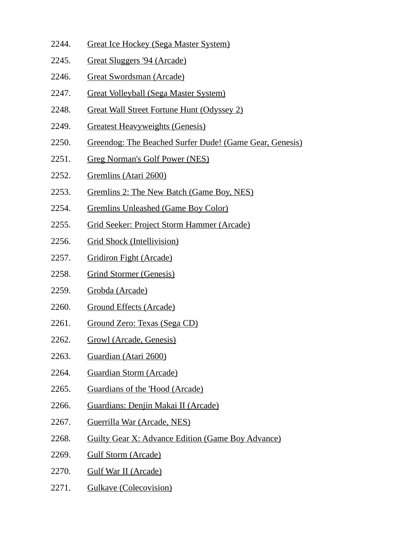- 2244. Great Ice Hockey (Sega Master System)
- 2245. Great Sluggers '94 (Arcade)
- 2246. Great Swordsman (Arcade)
- 2247. Great Volleyball (Sega Master System)
- 2248. Great Wall Street Fortune Hunt (Odyssey 2)
- 2249. Greatest Heavyweights (Genesis)
- 2250. Greendog: The Beached Surfer Dude! (Game Gear, Genesis)
- 2251. Greg Norman's Golf Power (NES)
- 2252. Gremlins (Atari 2600)
- 2253. Gremlins 2: The New Batch (Game Boy, NES)
- 2254. Gremlins Unleashed (Game Boy Color)
- 2255. Grid Seeker: Project Storm Hammer (Arcade)
- 2256. Grid Shock (Intellivision)
- 2257. Gridiron Fight (Arcade)
- 2258. Grind Stormer (Genesis)
- 2259. Grobda (Arcade)
- 2260. Ground Effects (Arcade)
- 2261. Ground Zero: Texas (Sega CD)
- 2262. Growl (Arcade, Genesis)
- 2263. Guardian (Atari 2600)
- 2264. Guardian Storm (Arcade)
- 2265. Guardians of the 'Hood (Arcade)
- 2266. Guardians: Denjin Makai II (Arcade)
- 2267. Guerrilla War (Arcade, NES)
- 2268. Guilty Gear X: Advance Edition (Game Boy Advance)
- 2269. Gulf Storm (Arcade)
- 2270. Gulf War II (Arcade)
- 2271. Gulkave (Colecovision)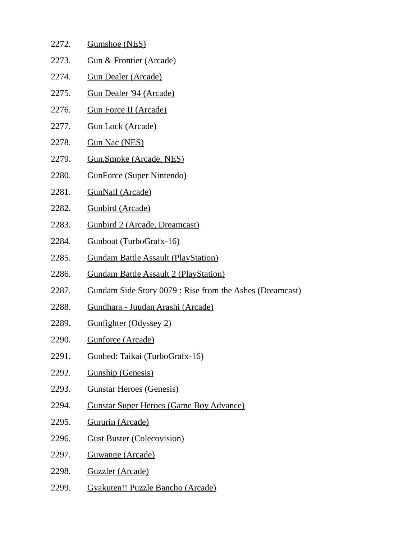| 2272. | Gumshoe (NES)                                            |
|-------|----------------------------------------------------------|
| 2273. | <b>Gun &amp; Frontier (Arcade)</b>                       |
| 2274. | <b>Gun Dealer (Arcade)</b>                               |
| 2275. | <b>Gun Dealer '94 (Arcade)</b>                           |
| 2276. | <b>Gun Force II (Arcade)</b>                             |
| 2277. | <b>Gun Lock (Arcade)</b>                                 |
| 2278. | <b>Gun Nac (NES)</b>                                     |
| 2279. | <b>Gun.Smoke (Arcade, NES)</b>                           |
| 2280. | <b>GunForce (Super Nintendo)</b>                         |
| 2281. | <b>GunNail (Arcade)</b>                                  |
| 2282. | <b>Gunbird (Arcade)</b>                                  |
| 2283. | <b>Gunbird 2 (Arcade, Dreamcast)</b>                     |
| 2284. | Gunboat (TurboGrafx-16)                                  |
| 2285. | <b>Gundam Battle Assault (PlayStation)</b>               |
| 2286. | <b>Gundam Battle Assault 2 (PlayStation)</b>             |
| 2287. | Gundam Side Story 0079 : Rise from the Ashes (Dreamcast) |
| 2288. | Gundhara - Juudan Arashi (Arcade)                        |
| 2289. | <b>Gunfighter (Odyssey 2)</b>                            |
| 2290. | <u> Gunforce (Arcade)</u>                                |
| 2291. | Gunhed: Taikai (TurboGrafx-16)                           |
| 2292. | <b>Gunship (Genesis)</b>                                 |
| 2293. | <b>Gunstar Heroes (Genesis)</b>                          |
| 2294. | <b>Gunstar Super Heroes (Game Boy Advance)</b>           |
| 2295. | Gururin (Arcade)                                         |
| 2296. | <b>Gust Buster (Colecovision)</b>                        |
| 2297. | <u>Guwange (Arcade)</u>                                  |
| 2298. | Guzzler (Arcade)                                         |
| 2299. | <b>Gyakuten!! Puzzle Bancho (Arcade)</b>                 |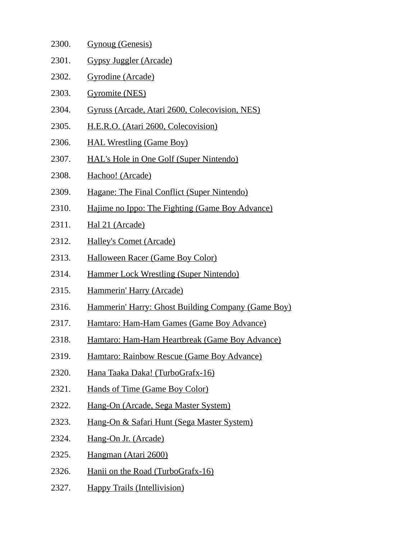| 2300. | <b>Gynoug (Genesis)</b>                            |
|-------|----------------------------------------------------|
| 2301. | Gypsy Juggler (Arcade)                             |
| 2302. | Gyrodine (Arcade)                                  |
| 2303. | <b>Gyromite (NES)</b>                              |
| 2304. | Gyruss (Arcade, Atari 2600, Colecovision, NES)     |
| 2305. | H.E.R.O. (Atari 2600, Colecovision)                |
| 2306. | <b>HAL Wrestling (Game Boy)</b>                    |
| 2307. | <b>HAL's Hole in One Golf (Super Nintendo)</b>     |
| 2308. | Hachoo! (Arcade)                                   |
| 2309. | Hagane: The Final Conflict (Super Nintendo)        |
| 2310. | Hajime no Ippo: The Fighting (Game Boy Advance)    |
| 2311. | Hal 21 (Arcade)                                    |
| 2312. | <b>Halley's Comet (Arcade)</b>                     |
| 2313. | <b>Halloween Racer (Game Boy Color)</b>            |
| 2314. | <b>Hammer Lock Wrestling (Super Nintendo)</b>      |
| 2315. | Hammerin' Harry (Arcade)                           |
| 2316. | Hammerin' Harry: Ghost Building Company (Game Boy) |
| 2317. | Hamtaro: Ham-Ham Games (Game Boy Advance)          |
| 2318. | Hamtaro: Ham-Ham Heartbreak (Game Boy Advance)     |
| 2319. | Hamtaro: Rainbow Rescue (Game Boy Advance)         |
| 2320. | Hana Taaka Daka! (TurboGrafx-16)                   |
| 2321. | <b>Hands of Time (Game Boy Color)</b>              |
| 2322. | Hang-On (Arcade, Sega Master System)               |
| 2323. | Hang-On & Safari Hunt (Sega Master System)         |
| 2324. | Hang-On Jr. (Arcade)                               |
| 2325. | Hangman (Atari 2600)                               |
| 2326. | Hanii on the Road (TurboGrafx-16)                  |
| 2327. | <b>Happy Trails (Intellivision)</b>                |
|       |                                                    |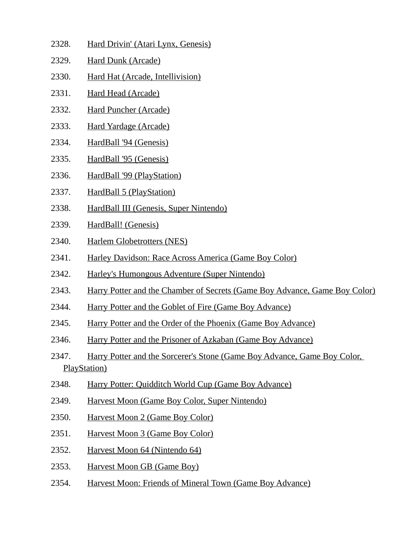| 2328. | Hard Drivin' (Atari Lynx, Genesis)                                                               |
|-------|--------------------------------------------------------------------------------------------------|
| 2329. | <b>Hard Dunk (Arcade)</b>                                                                        |
| 2330. | <b>Hard Hat (Arcade, Intellivision)</b>                                                          |
| 2331. | <b>Hard Head (Arcade)</b>                                                                        |
| 2332. | <b>Hard Puncher (Arcade)</b>                                                                     |
| 2333. | <b>Hard Yardage (Arcade)</b>                                                                     |
| 2334. | HardBall '94 (Genesis)                                                                           |
| 2335. | HardBall '95 (Genesis)                                                                           |
| 2336. | HardBall '99 (PlayStation)                                                                       |
| 2337. | <b>HardBall 5 (PlayStation)</b>                                                                  |
| 2338. | HardBall III (Genesis, Super Nintendo)                                                           |
| 2339. | HardBall! (Genesis)                                                                              |
| 2340. | <b>Harlem Globetrotters (NES)</b>                                                                |
| 2341. | Harley Davidson: Race Across America (Game Boy Color)                                            |
| 2342. | Harley's Humongous Adventure (Super Nintendo)                                                    |
| 2343. | Harry Potter and the Chamber of Secrets (Game Boy Advance, Game Boy Color)                       |
| 2344. | Harry Potter and the Goblet of Fire (Game Boy Advance)                                           |
| 2345. | Harry Potter and the Order of the Phoenix (Game Boy Advance)                                     |
| 2346. | Harry Potter and the Prisoner of Azkaban (Game Boy Advance)                                      |
| 2347. | Harry Potter and the Sorcerer's Stone (Game Boy Advance, Game Boy Color,<br><b>PlayStation</b> ) |
| 2348. | Harry Potter: Quidditch World Cup (Game Boy Advance)                                             |
| 2349. | Harvest Moon (Game Boy Color, Super Nintendo)                                                    |
| 2350. | <b>Harvest Moon 2 (Game Boy Color)</b>                                                           |
| 2351. | <b>Harvest Moon 3 (Game Boy Color)</b>                                                           |
| 2352. | Harvest Moon 64 (Nintendo 64)                                                                    |
| 2353. | <b>Harvest Moon GB (Game Boy)</b>                                                                |
| 2354. | Harvest Moon: Friends of Mineral Town (Game Boy Advance)                                         |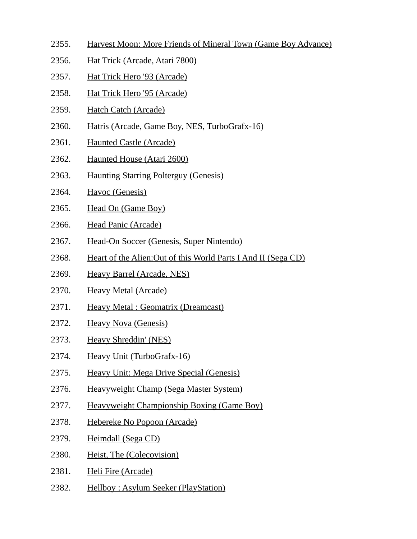- 2355. Harvest Moon: More Friends of Mineral Town (Game Boy Advance)
- 2356. Hat Trick (Arcade, Atari 7800)
- 2357. Hat Trick Hero '93 (Arcade)
- 2358. Hat Trick Hero '95 (Arcade)
- 2359. Hatch Catch (Arcade)
- 2360. Hatris (Arcade, Game Boy, NES, TurboGrafx-16)
- 2361. Haunted Castle (Arcade)
- 2362. Haunted House (Atari 2600)
- 2363. Haunting Starring Polterguy (Genesis)
- 2364. Havoc (Genesis)
- 2365. Head On (Game Boy)
- 2366. Head Panic (Arcade)
- 2367. Head-On Soccer (Genesis, Super Nintendo)
- 2368. Heart of the Alien:Out of this World Parts I And II (Sega CD)
- 2369. Heavy Barrel (Arcade, NES)
- 2370. Heavy Metal (Arcade)
- 2371. Heavy Metal : Geomatrix (Dreamcast)
- 2372. Heavy Nova (Genesis)
- 2373. Heavy Shreddin' (NES)
- 2374. Heavy Unit (TurboGrafx-16)
- 2375. Heavy Unit: Mega Drive Special (Genesis)
- 2376. Heavyweight Champ (Sega Master System)
- 2377. Heavyweight Championship Boxing (Game Boy)
- 2378. Hebereke No Popoon (Arcade)
- 2379. Heimdall (Sega CD)
- 2380. Heist, The (Colecovision)
- 2381. Heli Fire (Arcade)
- 2382. Hellboy : Asylum Seeker (PlayStation)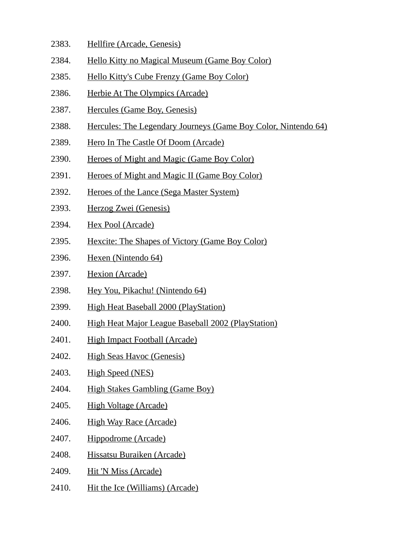- 2383. Hellfire (Arcade, Genesis)
- 2384. Hello Kitty no Magical Museum (Game Boy Color)
- 2385. Hello Kitty's Cube Frenzy (Game Boy Color)
- 2386. Herbie At The Olympics (Arcade)
- 2387. Hercules (Game Boy, Genesis)
- 2388. Hercules: The Legendary Journeys (Game Boy Color, Nintendo 64)
- 2389. Hero In The Castle Of Doom (Arcade)
- 2390. Heroes of Might and Magic (Game Boy Color)
- 2391. Heroes of Might and Magic II (Game Boy Color)
- 2392. Heroes of the Lance (Sega Master System)
- 2393. Herzog Zwei (Genesis)
- 2394. Hex Pool (Arcade)
- 2395. Hexcite: The Shapes of Victory (Game Boy Color)
- 2396. Hexen (Nintendo 64)
- 2397. Hexion (Arcade)
- 2398. Hey You, Pikachu! (Nintendo 64)
- 2399. High Heat Baseball 2000 (PlayStation)
- 2400. High Heat Major League Baseball 2002 (PlayStation)
- 2401. High Impact Football (Arcade)
- 2402. High Seas Havoc (Genesis)
- 2403. High Speed (NES)
- 2404. High Stakes Gambling (Game Boy)
- 2405. High Voltage (Arcade)
- 2406. High Way Race (Arcade)
- 2407. Hippodrome (Arcade)
- 2408. Hissatsu Buraiken (Arcade)
- 2409. Hit 'N Miss (Arcade)
- 2410. Hit the Ice (Williams) (Arcade)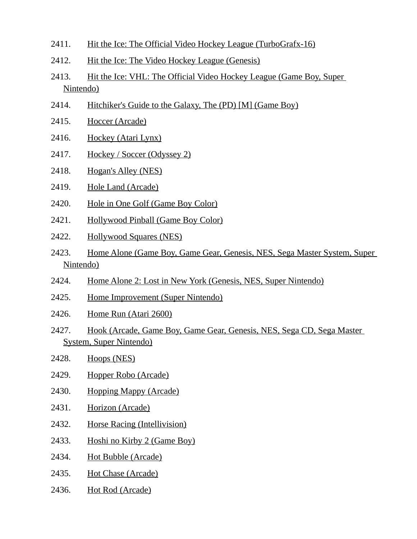- 2411. Hit the Ice: The Official Video Hockey League (TurboGrafx-16)
- 2412. Hit the Ice: The Video Hockey League (Genesis)
- 2413. Hit the Ice: VHL: The Official Video Hockey League (Game Boy, Super Nintendo)
- 2414. Hitchiker's Guide to the Galaxy, The (PD) [M] (Game Boy)
- 2415. Hoccer (Arcade)
- 2416. Hockey (Atari Lynx)
- 2417. Hockey / Soccer (Odyssey 2)
- 2418. Hogan's Alley (NES)
- 2419. Hole Land (Arcade)
- 2420. Hole in One Golf (Game Boy Color)
- 2421. Hollywood Pinball (Game Boy Color)
- 2422. Hollywood Squares (NES)
- 2423. Home Alone (Game Boy, Game Gear, Genesis, NES, Sega Master System, Super Nintendo)
- 2424. Home Alone 2: Lost in New York (Genesis, NES, Super Nintendo)
- 2425. Home Improvement (Super Nintendo)
- 2426. Home Run (Atari 2600)
- 2427. Hook (Arcade, Game Boy, Game Gear, Genesis, NES, Sega CD, Sega Master System, Super Nintendo)
- 2428. Hoops (NES)
- 2429. Hopper Robo (Arcade)
- 2430. Hopping Mappy (Arcade)
- 2431. Horizon (Arcade)
- 2432. Horse Racing (Intellivision)
- 2433. Hoshi no Kirby 2 (Game Boy)
- 2434. Hot Bubble (Arcade)
- 2435. Hot Chase (Arcade)
- 2436. Hot Rod (Arcade)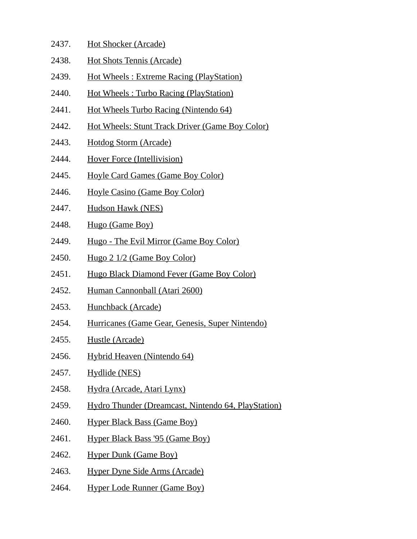- 2437. Hot Shocker (Arcade)
- 2438. Hot Shots Tennis (Arcade)
- 2439. Hot Wheels : Extreme Racing (PlayStation)
- 2440. Hot Wheels : Turbo Racing (PlayStation)
- 2441. Hot Wheels Turbo Racing (Nintendo 64)
- 2442. Hot Wheels: Stunt Track Driver (Game Boy Color)
- 2443. Hotdog Storm (Arcade)
- 2444. Hover Force (Intellivision)
- 2445. Hoyle Card Games (Game Boy Color)
- 2446. Hoyle Casino (Game Boy Color)
- 2447. Hudson Hawk (NES)
- 2448. Hugo (Game Boy)
- 2449. Hugo The Evil Mirror (Game Boy Color)
- 2450. Hugo 2 1/2 (Game Boy Color)
- 2451. Hugo Black Diamond Fever (Game Boy Color)
- 2452. Human Cannonball (Atari 2600)
- 2453. Hunchback (Arcade)
- 2454. Hurricanes (Game Gear, Genesis, Super Nintendo)
- 2455. Hustle (Arcade)
- 2456. Hybrid Heaven (Nintendo 64)
- 2457. Hydlide (NES)
- 2458. Hydra (Arcade, Atari Lynx)
- 2459. Hydro Thunder (Dreamcast, Nintendo 64, PlayStation)
- 2460. Hyper Black Bass (Game Boy)
- 2461. Hyper Black Bass '95 (Game Boy)
- 2462. Hyper Dunk (Game Boy)
- 2463. Hyper Dyne Side Arms (Arcade)
- 2464. Hyper Lode Runner (Game Boy)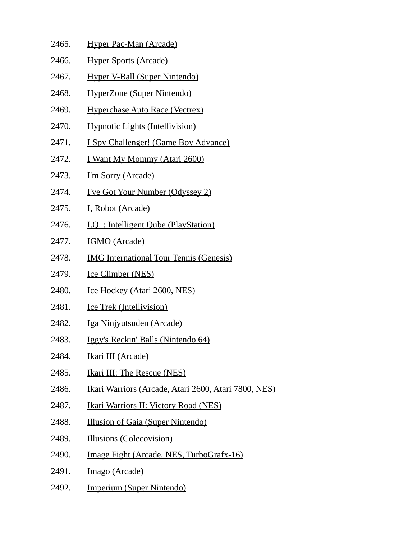| 2465. | <b>Hyper Pac-Man (Arcade)</b>                        |
|-------|------------------------------------------------------|
| 2466. | <b>Hyper Sports (Arcade)</b>                         |
| 2467. | Hyper V-Ball (Super Nintendo)                        |
| 2468. | HyperZone (Super Nintendo)                           |
| 2469. | <b>Hyperchase Auto Race (Vectrex)</b>                |
| 2470. | <b>Hypnotic Lights (Intellivision)</b>               |
| 2471. | I Spy Challenger! (Game Boy Advance)                 |
| 2472. | <u>I Want My Mommy (Atari 2600)</u>                  |
| 2473. | <u>I'm Sorry (Arcade)</u>                            |
| 2474. | <u>I've Got Your Number (Odyssey 2)</u>              |
| 2475. | I, Robot (Arcade)                                    |
| 2476. | <u> I.Q. : Intelligent Qube (PlayStation)</u>        |
| 2477. | <b>IGMO</b> (Arcade)                                 |
| 2478. | <b>IMG International Tour Tennis (Genesis)</b>       |
| 2479. | <b>Ice Climber (NES)</b>                             |
| 2480. | <b>Ice Hockey (Atari 2600, NES)</b>                  |
| 2481. | <b>Ice Trek (Intellivision)</b>                      |
| 2482. | <u>Iga Ninjyutsuden (Arcade)</u>                     |
| 2483. | Iggy's Reckin' Balls (Nintendo 64)                   |
| 2484. | Ikari III (Arcade)                                   |
| 2485. | <b>Ikari III: The Rescue (NES)</b>                   |
| 2486. | Ikari Warriors (Arcade, Atari 2600, Atari 7800, NES) |
| 2487. | <b>Ikari Warriors II: Victory Road (NES)</b>         |
| 2488. | Illusion of Gaia (Super Nintendo)                    |
| 2489. | <b>Illusions (Colecovision)</b>                      |
| 2490. | Image Fight (Arcade, NES, TurboGrafx-16)             |
| 2491. | Imago (Arcade)                                       |
| 2492. | Imperium (Super Nintendo)                            |
|       |                                                      |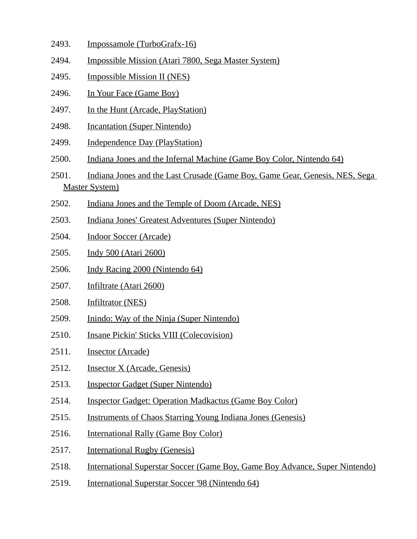- 2493. Impossamole (TurboGrafx-16)
- 2494. Impossible Mission (Atari 7800, Sega Master System)
- 2495. Impossible Mission II (NES)
- 2496. In Your Face (Game Boy)
- 2497. In the Hunt (Arcade, PlayStation)
- 2498. Incantation (Super Nintendo)
- 2499. Independence Day (PlayStation)
- 2500. Indiana Jones and the Infernal Machine (Game Boy Color, Nintendo 64)
- 2501. Indiana Jones and the Last Crusade (Game Boy, Game Gear, Genesis, NES, Sega Master System)
- 2502. Indiana Jones and the Temple of Doom (Arcade, NES)
- 2503. Indiana Jones' Greatest Adventures (Super Nintendo)
- 2504. Indoor Soccer (Arcade)
- 2505. Indy 500 (Atari 2600)
- 2506. Indy Racing 2000 (Nintendo 64)
- 2507. Infiltrate (Atari 2600)
- 2508. Infiltrator (NES)
- 2509. Inindo: Way of the Ninja (Super Nintendo)
- 2510. Insane Pickin' Sticks VIII (Colecovision)
- 2511. Insector (Arcade)
- 2512. Insector X (Arcade, Genesis)
- 2513. Inspector Gadget (Super Nintendo)
- 2514. Inspector Gadget: Operation Madkactus (Game Boy Color)
- 2515. Instruments of Chaos Starring Young Indiana Jones (Genesis)
- 2516. International Rally (Game Boy Color)
- 2517. International Rugby (Genesis)
- 2518. International Superstar Soccer (Game Boy, Game Boy Advance, Super Nintendo)
- 2519. International Superstar Soccer '98 (Nintendo 64)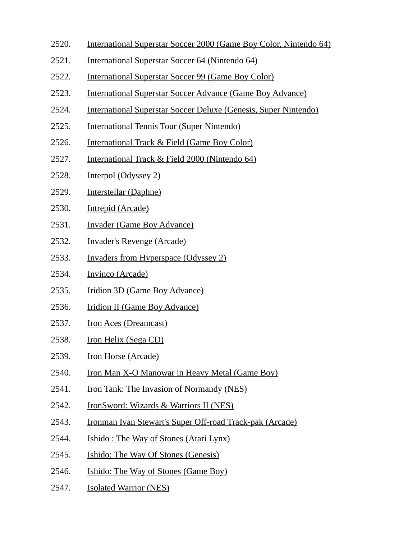- 2520. International Superstar Soccer 2000 (Game Boy Color, Nintendo 64)
- 2521. International Superstar Soccer 64 (Nintendo 64)
- 2522. International Superstar Soccer 99 (Game Boy Color)
- 2523. International Superstar Soccer Advance (Game Boy Advance)
- 2524. International Superstar Soccer Deluxe (Genesis, Super Nintendo)
- 2525. International Tennis Tour (Super Nintendo)
- 2526. International Track & Field (Game Boy Color)
- 2527. International Track & Field 2000 (Nintendo 64)
- 2528. Interpol (Odyssey 2)
- 2529. Interstellar (Daphne)
- 2530. Intrepid (Arcade)
- 2531. Invader (Game Boy Advance)
- 2532. Invader's Revenge (Arcade)
- 2533. Invaders from Hyperspace (Odyssey 2)
- 2534. Invinco (Arcade)
- 2535. Iridion 3D (Game Boy Advance)
- 2536. Iridion II (Game Boy Advance)
- 2537. Iron Aces (Dreamcast)
- 2538. Iron Helix (Sega CD)
- 2539. Iron Horse (Arcade)
- 2540. Iron Man X-O Manowar in Heavy Metal (Game Boy)
- 2541. Iron Tank: The Invasion of Normandy (NES)
- 2542. IronSword: Wizards & Warriors II (NES)
- 2543. Ironman Ivan Stewart's Super Off-road Track-pak (Arcade)
- 2544. Ishido : The Way of Stones (Atari Lynx)
- 2545. Ishido: The Way Of Stones (Genesis)
- 2546. Ishido: The Way of Stones (Game Boy)
- 2547. Isolated Warrior (NES)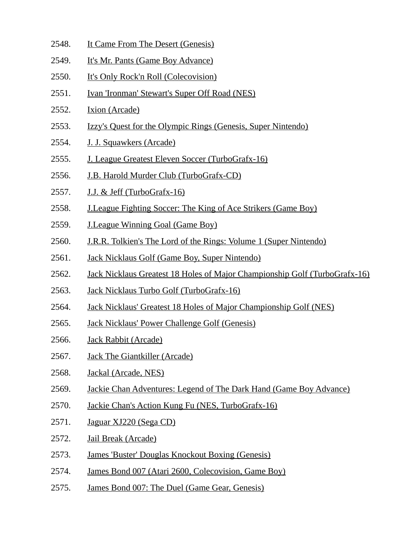- 2548. It Came From The Desert (Genesis)
- 2549. It's Mr. Pants (Game Boy Advance)
- 2550. It's Only Rock'n Roll (Colecovision)
- 2551. Ivan 'Ironman' Stewart's Super Off Road (NES)
- 2552. Ixion (Arcade)
- 2553. Izzy's Quest for the Olympic Rings (Genesis, Super Nintendo)
- 2554. J. J. Squawkers (Arcade)
- 2555. J. League Greatest Eleven Soccer (TurboGrafx-16)
- 2556. J.B. Harold Murder Club (TurboGrafx-CD)
- 2557. J.J. & Jeff (TurboGrafx-16)
- 2558. J.League Fighting Soccer: The King of Ace Strikers (Game Boy)
- 2559. J.League Winning Goal (Game Boy)
- 2560. J.R.R. Tolkien's The Lord of the Rings: Volume 1 (Super Nintendo)
- 2561. Jack Nicklaus Golf (Game Boy, Super Nintendo)
- 2562. Jack Nicklaus Greatest 18 Holes of Major Championship Golf (TurboGrafx-16)
- 2563. Jack Nicklaus Turbo Golf (TurboGrafx-16)
- 2564. Jack Nicklaus' Greatest 18 Holes of Major Championship Golf (NES)
- 2565. Jack Nicklaus' Power Challenge Golf (Genesis)
- 2566. Jack Rabbit (Arcade)
- 2567. Jack The Giantkiller (Arcade)
- 2568. Jackal (Arcade, NES)
- 2569. Jackie Chan Adventures: Legend of The Dark Hand (Game Boy Advance)
- 2570. Jackie Chan's Action Kung Fu (NES, TurboGrafx-16)
- 2571. Jaguar XJ220 (Sega CD)
- 2572. Jail Break (Arcade)
- 2573. James 'Buster' Douglas Knockout Boxing (Genesis)
- 2574. James Bond 007 (Atari 2600, Colecovision, Game Boy)
- 2575. James Bond 007: The Duel (Game Gear, Genesis)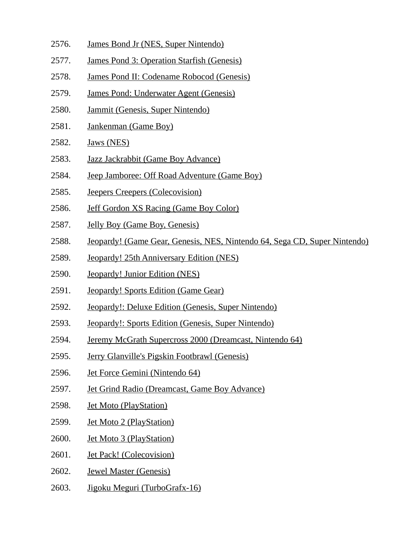- 2576. James Bond Jr (NES, Super Nintendo)
- 2577. James Pond 3: Operation Starfish (Genesis)
- 2578. James Pond II: Codename Robocod (Genesis)
- 2579. James Pond: Underwater Agent (Genesis)
- 2580. Jammit (Genesis, Super Nintendo)
- 2581. Jankenman (Game Boy)
- 2582. Jaws (NES)
- 2583. Jazz Jackrabbit (Game Boy Advance)
- 2584. Jeep Jamboree: Off Road Adventure (Game Boy)
- 2585. Jeepers Creepers (Colecovision)
- 2586. Jeff Gordon XS Racing (Game Boy Color)
- 2587. Jelly Boy (Game Boy, Genesis)
- 2588. Jeopardy! (Game Gear, Genesis, NES, Nintendo 64, Sega CD, Super Nintendo)
- 2589. Jeopardy! 25th Anniversary Edition (NES)
- 2590. Jeopardy! Junior Edition (NES)
- 2591. Jeopardy! Sports Edition (Game Gear)
- 2592. Jeopardy!: Deluxe Edition (Genesis, Super Nintendo)
- 2593. Jeopardy!: Sports Edition (Genesis, Super Nintendo)
- 2594. Jeremy McGrath Supercross 2000 (Dreamcast, Nintendo 64)
- 2595. Jerry Glanville's Pigskin Footbrawl (Genesis)
- 2596. Jet Force Gemini (Nintendo 64)
- 2597. Jet Grind Radio (Dreamcast, Game Boy Advance)
- 2598. Jet Moto (PlayStation)
- 2599. Jet Moto 2 (PlayStation)
- 2600. Jet Moto 3 (PlayStation)
- 2601. Jet Pack! (Colecovision)
- 2602. Jewel Master (Genesis)
- 2603. Jigoku Meguri (TurboGrafx-16)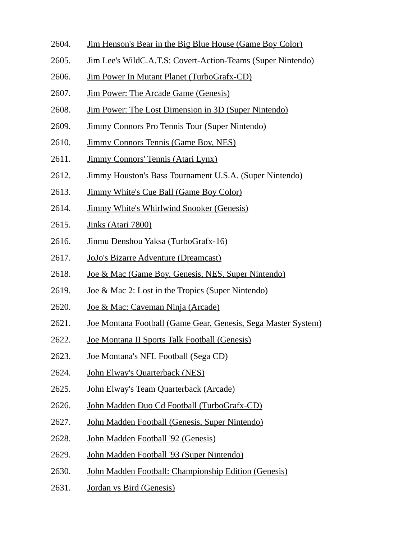- 2604. Jim Henson's Bear in the Big Blue House (Game Boy Color)
- 2605. Jim Lee's WildC.A.T.S: Covert-Action-Teams (Super Nintendo)
- 2606. Jim Power In Mutant Planet (TurboGrafx-CD)
- 2607. Jim Power: The Arcade Game (Genesis)
- 2608. Jim Power: The Lost Dimension in 3D (Super Nintendo)
- 2609. Jimmy Connors Pro Tennis Tour (Super Nintendo)
- 2610. Jimmy Connors Tennis (Game Boy, NES)
- 2611. Jimmy Connors' Tennis (Atari Lynx)
- 2612. Jimmy Houston's Bass Tournament U.S.A. (Super Nintendo)
- 2613. Jimmy White's Cue Ball (Game Boy Color)
- 2614. Jimmy White's Whirlwind Snooker (Genesis)
- 2615. Jinks (Atari 7800)
- 2616. Jinmu Denshou Yaksa (TurboGrafx-16)
- 2617. JoJo's Bizarre Adventure (Dreamcast)
- 2618. Joe & Mac (Game Boy, Genesis, NES, Super Nintendo)
- 2619. Joe & Mac 2: Lost in the Tropics (Super Nintendo)
- 2620. Joe & Mac: Caveman Ninja (Arcade)
- 2621. Joe Montana Football (Game Gear, Genesis, Sega Master System)
- 2622. Joe Montana II Sports Talk Football (Genesis)
- 2623. Joe Montana's NFL Football (Sega CD)
- 2624. John Elway's Quarterback (NES)
- 2625. John Elway's Team Quarterback (Arcade)
- 2626. John Madden Duo Cd Football (TurboGrafx-CD)
- 2627. John Madden Football (Genesis, Super Nintendo)
- 2628. John Madden Football '92 (Genesis)
- 2629. John Madden Football '93 (Super Nintendo)
- 2630. John Madden Football: Championship Edition (Genesis)
- 2631. Jordan vs Bird (Genesis)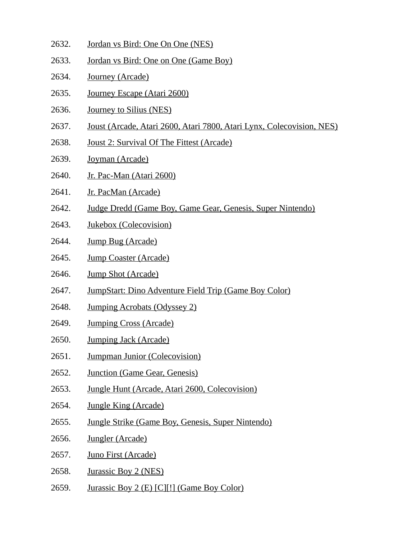- 2632. Jordan vs Bird: One On One (NES)
- 2633. Jordan vs Bird: One on One (Game Boy)
- 2634. Journey (Arcade)
- 2635. Journey Escape (Atari 2600)
- 2636. Journey to Silius (NES)
- 2637. Joust (Arcade, Atari 2600, Atari 7800, Atari Lynx, Colecovision, NES)
- 2638. Joust 2: Survival Of The Fittest (Arcade)
- 2639. Joyman (Arcade)
- 2640. Jr. Pac-Man (Atari 2600)
- 2641. Jr. PacMan (Arcade)
- 2642. Judge Dredd (Game Boy, Game Gear, Genesis, Super Nintendo)
- 2643. Jukebox (Colecovision)
- 2644. Jump Bug (Arcade)
- 2645. Jump Coaster (Arcade)
- 2646. Jump Shot (Arcade)
- 2647. JumpStart: Dino Adventure Field Trip (Game Boy Color)
- 2648. Jumping Acrobats (Odyssey 2)
- 2649. Jumping Cross (Arcade)
- 2650. Jumping Jack (Arcade)
- 2651. Jumpman Junior (Colecovision)
- 2652. Junction (Game Gear, Genesis)
- 2653. Jungle Hunt (Arcade, Atari 2600, Colecovision)
- 2654. Jungle King (Arcade)
- 2655. Jungle Strike (Game Boy, Genesis, Super Nintendo)
- 2656. Jungler (Arcade)
- 2657. Juno First (Arcade)
- 2658. Jurassic Boy 2 (NES)
- 2659. Jurassic Boy 2 (E) [C][!] (Game Boy Color)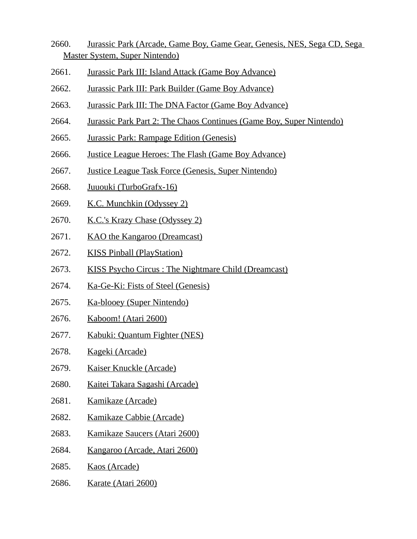- 2660. Jurassic Park (Arcade, Game Boy, Game Gear, Genesis, NES, Sega CD, Sega Master System, Super Nintendo)
- 2661. Jurassic Park III: Island Attack (Game Boy Advance)
- 2662. Jurassic Park III: Park Builder (Game Boy Advance)
- 2663. Jurassic Park III: The DNA Factor (Game Boy Advance)
- 2664. Jurassic Park Part 2: The Chaos Continues (Game Boy, Super Nintendo)
- 2665. Jurassic Park: Rampage Edition (Genesis)
- 2666. Justice League Heroes: The Flash (Game Boy Advance)
- 2667. Justice League Task Force (Genesis, Super Nintendo)
- 2668. Juuouki (TurboGrafx-16)
- 2669. K.C. Munchkin (Odyssey 2)
- 2670. K.C.'s Krazy Chase (Odyssey 2)
- 2671. KAO the Kangaroo (Dreamcast)
- 2672. KISS Pinball (PlayStation)
- 2673. KISS Psycho Circus : The Nightmare Child (Dreamcast)
- 2674. Ka-Ge-Ki: Fists of Steel (Genesis)
- 2675. Ka-blooey (Super Nintendo)
- 2676. Kaboom! (Atari 2600)
- 2677. Kabuki: Quantum Fighter (NES)
- 2678. Kageki (Arcade)
- 2679. Kaiser Knuckle (Arcade)
- 2680. Kaitei Takara Sagashi (Arcade)
- 2681. Kamikaze (Arcade)
- 2682. Kamikaze Cabbie (Arcade)
- 2683. Kamikaze Saucers (Atari 2600)
- 2684. Kangaroo (Arcade, Atari 2600)
- 2685. Kaos (Arcade)
- 2686. Karate (Atari 2600)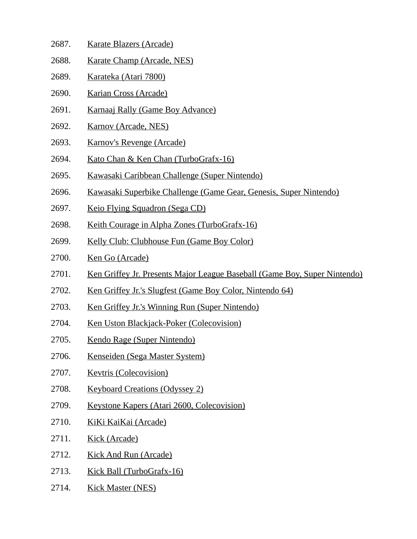- 2687. Karate Blazers (Arcade)
- 2688. Karate Champ (Arcade, NES)
- 2689. Karateka (Atari 7800)
- 2690. Karian Cross (Arcade)
- 2691. Karnaaj Rally (Game Boy Advance)
- 2692. Karnov (Arcade, NES)
- 2693. Karnov's Revenge (Arcade)
- 2694. Kato Chan & Ken Chan (TurboGrafx-16)
- 2695. Kawasaki Caribbean Challenge (Super Nintendo)
- 2696. Kawasaki Superbike Challenge (Game Gear, Genesis, Super Nintendo)
- 2697. Keio Flying Squadron (Sega CD)
- 2698. Keith Courage in Alpha Zones (TurboGrafx-16)
- 2699. Kelly Club: Clubhouse Fun (Game Boy Color)
- 2700. Ken Go (Arcade)
- 2701. Ken Griffey Jr. Presents Major League Baseball (Game Boy, Super Nintendo)
- 2702. Ken Griffey Jr.'s Slugfest (Game Boy Color, Nintendo 64)
- 2703. Ken Griffey Jr.'s Winning Run (Super Nintendo)
- 2704. Ken Uston Blackjack-Poker (Colecovision)
- 2705. Kendo Rage (Super Nintendo)
- 2706. Kenseiden (Sega Master System)
- 2707. Kevtris (Colecovision)
- 2708. Keyboard Creations (Odyssey 2)
- 2709. Keystone Kapers (Atari 2600, Colecovision)
- 2710. KiKi KaiKai (Arcade)
- 2711. Kick (Arcade)
- 2712. Kick And Run (Arcade)
- 2713. Kick Ball (TurboGrafx-16)
- 2714. Kick Master (NES)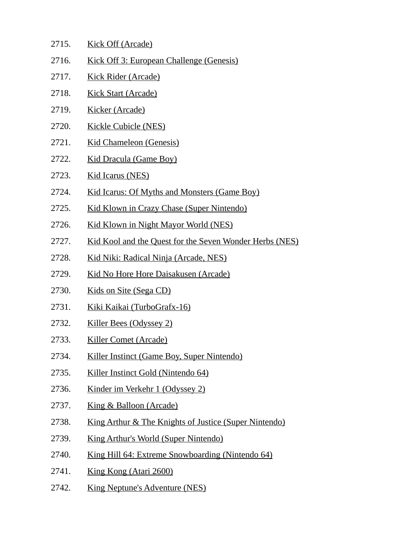| 2715. | <b>Kick Off (Arcade)</b>                                         |
|-------|------------------------------------------------------------------|
| 2716. | Kick Off 3: European Challenge (Genesis)                         |
| 2717. | <b>Kick Rider (Arcade)</b>                                       |
| 2718. | <b>Kick Start (Arcade)</b>                                       |
| 2719. | <b>Kicker (Arcade)</b>                                           |
| 2720. | <b>Kickle Cubicle (NES)</b>                                      |
| 2721. | <b>Kid Chameleon (Genesis)</b>                                   |
| 2722. | <b>Kid Dracula (Game Boy)</b>                                    |
| 2723. | <b>Kid Icarus (NES)</b>                                          |
| 2724. | Kid Icarus: Of Myths and Monsters (Game Boy)                     |
| 2725. | Kid Klown in Crazy Chase (Super Nintendo)                        |
| 2726. | Kid Klown in Night Mayor World (NES)                             |
| 2727. | Kid Kool and the Quest for the Seven Wonder Herbs (NES)          |
| 2728. | <u> Kid Niki: Radical Ninja (Arcade, NES)</u>                    |
| 2729. | <u>Kid No Hore Hore Daisakusen (Arcade)</u>                      |
| 2730. | Kids on Site (Sega CD)                                           |
| 2731. | Kiki Kaikai (TurboGrafx-16)                                      |
| 2732. | Killer Bees (Odyssey 2)                                          |
| 2733. | <b>Killer Comet (Arcade)</b>                                     |
| 2734. | Killer Instinct (Game Boy, Super Nintendo)                       |
| 2735. | Killer Instinct Gold (Nintendo 64)                               |
| 2736. | <u>Kinder im Verkehr 1 (Odyssey 2)</u>                           |
| 2737. | <b>King &amp; Balloon (Arcade)</b>                               |
| 2738. | <u>King Arthur &amp; The Knights of Justice (Super Nintendo)</u> |
| 2739. | <b>King Arthur's World (Super Nintendo)</b>                      |
| 2740. | <u>King Hill 64: Extreme Snowboarding (Nintendo 64)</u>          |
| 2741. | King Kong (Atari 2600)                                           |
| 2742. | <b>King Neptune's Adventure (NES)</b>                            |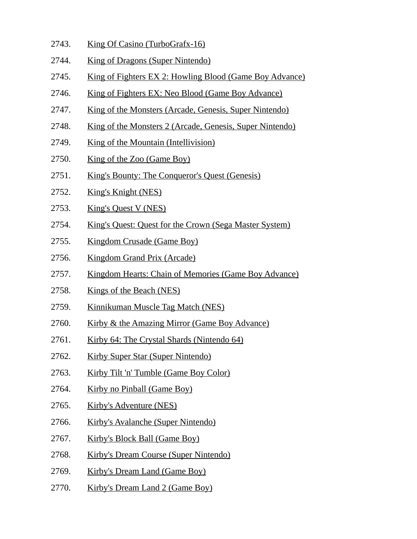- 2743. King Of Casino (TurboGrafx-16)
- 2744. King of Dragons (Super Nintendo)
- 2745. King of Fighters EX 2: Howling Blood (Game Boy Advance)
- 2746. King of Fighters EX: Neo Blood (Game Boy Advance)
- 2747. King of the Monsters (Arcade, Genesis, Super Nintendo)
- 2748. King of the Monsters 2 (Arcade, Genesis, Super Nintendo)
- 2749. King of the Mountain (Intellivision)
- 2750. King of the Zoo (Game Boy)
- 2751. King's Bounty: The Conqueror's Quest (Genesis)
- 2752. King's Knight (NES)
- 2753. King's Quest V (NES)
- 2754. King's Quest: Quest for the Crown (Sega Master System)
- 2755. Kingdom Crusade (Game Boy)
- 2756. Kingdom Grand Prix (Arcade)
- 2757. Kingdom Hearts: Chain of Memories (Game Boy Advance)
- 2758. Kings of the Beach (NES)
- 2759. Kinnikuman Muscle Tag Match (NES)
- 2760. Kirby & the Amazing Mirror (Game Boy Advance)
- 2761. Kirby 64: The Crystal Shards (Nintendo 64)
- 2762. Kirby Super Star (Super Nintendo)
- 2763. Kirby Tilt 'n' Tumble (Game Boy Color)
- 2764. Kirby no Pinball (Game Boy)
- 2765. Kirby's Adventure (NES)
- 2766. Kirby's Avalanche (Super Nintendo)
- 2767. Kirby's Block Ball (Game Boy)
- 2768. Kirby's Dream Course (Super Nintendo)
- 2769. Kirby's Dream Land (Game Boy)
- 2770. Kirby's Dream Land 2 (Game Boy)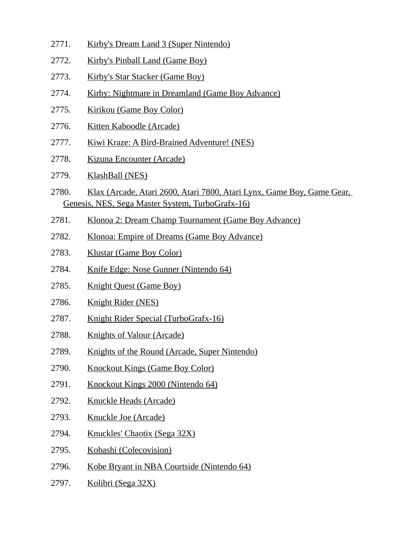- 2771. Kirby's Dream Land 3 (Super Nintendo)
- 2772. Kirby's Pinball Land (Game Boy)
- 2773. Kirby's Star Stacker (Game Boy)
- 2774. Kirby: Nightmare in Dreamland (Game Boy Advance)
- 2775. Kirikou (Game Boy Color)
- 2776. Kitten Kaboodle (Arcade)
- 2777. Kiwi Kraze: A Bird-Brained Adventure! (NES)
- 2778. Kizuna Encounter (Arcade)
- 2779. KlashBall (NES)
- 2780. Klax (Arcade, Atari 2600, Atari 7800, Atari Lynx, Game Boy, Game Gear, Genesis, NES, Sega Master System, TurboGrafx-16)
- 2781. Klonoa 2: Dream Champ Tournament (Game Boy Advance)
- 2782. Klonoa: Empire of Dreams (Game Boy Advance)
- 2783. Klustar (Game Boy Color)
- 2784. Knife Edge: Nose Gunner (Nintendo 64)
- 2785. Knight Quest (Game Boy)
- 2786. Knight Rider (NES)
- 2787. Knight Rider Special (TurboGrafx-16)
- 2788. Knights of Valour (Arcade)
- 2789. Knights of the Round (Arcade, Super Nintendo)
- 2790. Knockout Kings (Game Boy Color)
- 2791. Knockout Kings 2000 (Nintendo 64)
- 2792. Knuckle Heads (Arcade)
- 2793. Knuckle Joe (Arcade)
- 2794. Knuckles' Chaotix (Sega 32X)
- 2795. Kobashi (Colecovision)
- 2796. Kobe Bryant in NBA Courtside (Nintendo 64)
- 2797. Kolibri (Sega 32X)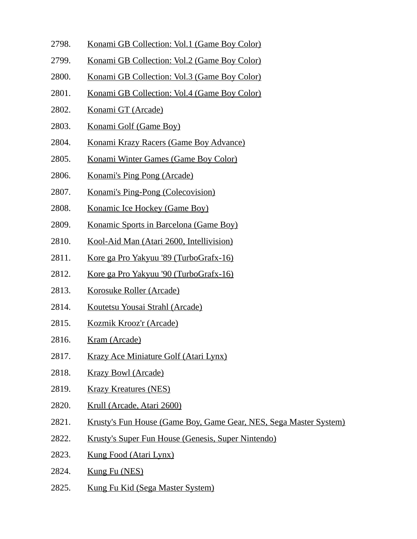- 2798. Konami GB Collection: Vol.1 (Game Boy Color)
- 2799. Konami GB Collection: Vol.2 (Game Boy Color)
- 2800. Konami GB Collection: Vol.3 (Game Boy Color)
- 2801. Konami GB Collection: Vol.4 (Game Boy Color)
- 2802. Konami GT (Arcade)
- 2803. Konami Golf (Game Boy)
- 2804. Konami Krazy Racers (Game Boy Advance)
- 2805. Konami Winter Games (Game Boy Color)
- 2806. Konami's Ping Pong (Arcade)
- 2807. Konami's Ping-Pong (Colecovision)
- 2808. Konamic Ice Hockey (Game Boy)
- 2809. Konamic Sports in Barcelona (Game Boy)
- 2810. Kool-Aid Man (Atari 2600, Intellivision)
- 2811. Kore ga Pro Yakyuu '89 (TurboGrafx-16)
- 2812. Kore ga Pro Yakyuu '90 (TurboGrafx-16)
- 2813. Korosuke Roller (Arcade)
- 2814. Koutetsu Yousai Strahl (Arcade)
- 2815. Kozmik Krooz'r (Arcade)
- 2816. Kram (Arcade)
- 2817. Krazy Ace Miniature Golf (Atari Lynx)
- 2818. Krazy Bowl (Arcade)
- 2819. Krazy Kreatures (NES)
- 2820. Krull (Arcade, Atari 2600)
- 2821. Krusty's Fun House (Game Boy, Game Gear, NES, Sega Master System)
- 2822. Krusty's Super Fun House (Genesis, Super Nintendo)
- 2823. Kung Food (Atari Lynx)
- 2824. Kung Fu (NES)
- 2825. Kung Fu Kid (Sega Master System)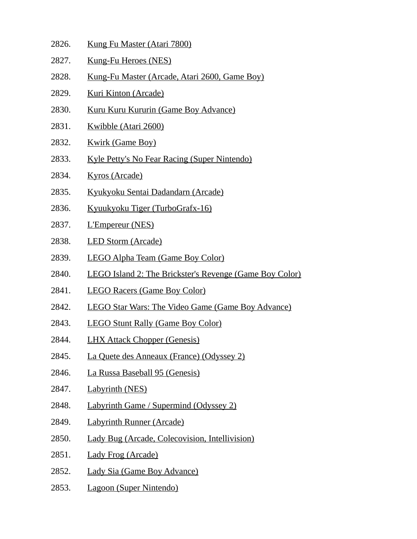- 2826. Kung Fu Master (Atari 7800)
- 2827. Kung-Fu Heroes (NES)
- 2828. Kung-Fu Master (Arcade, Atari 2600, Game Boy)
- 2829. Kuri Kinton (Arcade)
- 2830. Kuru Kuru Kururin (Game Boy Advance)
- 2831. Kwibble (Atari 2600)
- 2832. Kwirk (Game Boy)
- 2833. Kyle Petty's No Fear Racing (Super Nintendo)
- 2834. Kyros (Arcade)
- 2835. Kyukyoku Sentai Dadandarn (Arcade)
- 2836. Kyuukyoku Tiger (TurboGrafx-16)
- 2837. L'Empereur (NES)
- 2838. LED Storm (Arcade)
- 2839. LEGO Alpha Team (Game Boy Color)
- 2840. LEGO Island 2: The Brickster's Revenge (Game Boy Color)
- 2841. LEGO Racers (Game Boy Color)
- 2842. LEGO Star Wars: The Video Game (Game Boy Advance)
- 2843. LEGO Stunt Rally (Game Boy Color)
- 2844. LHX Attack Chopper (Genesis)
- 2845. La Quete des Anneaux (France) (Odyssey 2)
- 2846. La Russa Baseball 95 (Genesis)
- 2847. Labyrinth (NES)
- 2848. Labyrinth Game / Supermind (Odyssey 2)
- 2849. Labyrinth Runner (Arcade)
- 2850. Lady Bug (Arcade, Colecovision, Intellivision)
- 2851. Lady Frog (Arcade)
- 2852. Lady Sia (Game Boy Advance)
- 2853. Lagoon (Super Nintendo)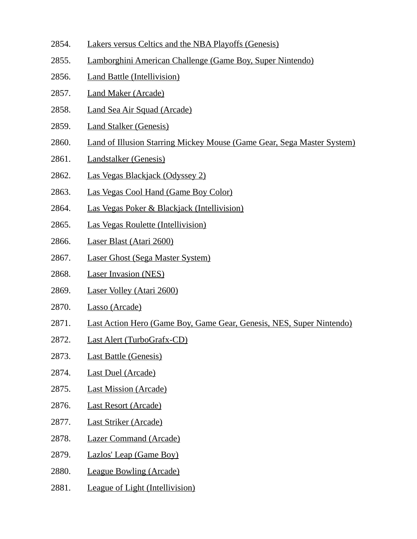- 2854. Lakers versus Celtics and the NBA Playoffs (Genesis)
- 2855. Lamborghini American Challenge (Game Boy, Super Nintendo)
- 2856. Land Battle (Intellivision)
- 2857. Land Maker (Arcade)
- 2858. Land Sea Air Squad (Arcade)
- 2859. Land Stalker (Genesis)
- 2860. Land of Illusion Starring Mickey Mouse (Game Gear, Sega Master System)
- 2861. Landstalker (Genesis)
- 2862. Las Vegas Blackjack (Odyssey 2)
- 2863. Las Vegas Cool Hand (Game Boy Color)
- 2864. Las Vegas Poker & Blackjack (Intellivision)
- 2865. Las Vegas Roulette (Intellivision)
- 2866. Laser Blast (Atari 2600)
- 2867. Laser Ghost (Sega Master System)
- 2868. Laser Invasion (NES)
- 2869. Laser Volley (Atari 2600)
- 2870. Lasso (Arcade)
- 2871. Last Action Hero (Game Boy, Game Gear, Genesis, NES, Super Nintendo)
- 2872. Last Alert (TurboGrafx-CD)
- 2873. Last Battle (Genesis)
- 2874. Last Duel (Arcade)
- 2875. Last Mission (Arcade)
- 2876. Last Resort (Arcade)
- 2877. Last Striker (Arcade)
- 2878. Lazer Command (Arcade)
- 2879. Lazlos' Leap (Game Boy)
- 2880. League Bowling (Arcade)
- 2881. League of Light (Intellivision)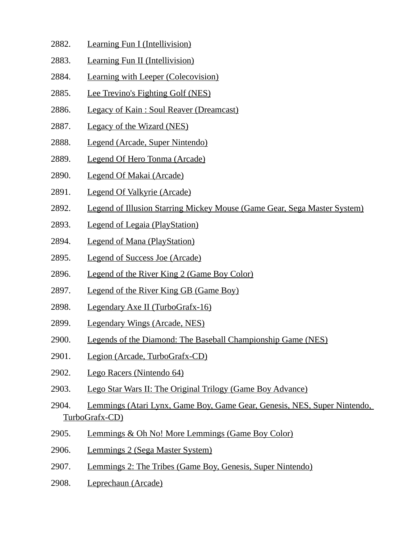- 2882. Learning Fun I (Intellivision)
- 2883. Learning Fun II (Intellivision)
- 2884. Learning with Leeper (Colecovision)
- 2885. Lee Trevino's Fighting Golf (NES)
- 2886. Legacy of Kain : Soul Reaver (Dreamcast)
- 2887. Legacy of the Wizard (NES)
- 2888. Legend (Arcade, Super Nintendo)
- 2889. Legend Of Hero Tonma (Arcade)
- 2890. Legend Of Makai (Arcade)
- 2891. Legend Of Valkyrie (Arcade)
- 2892. Legend of Illusion Starring Mickey Mouse (Game Gear, Sega Master System)
- 2893. Legend of Legaia (PlayStation)
- 2894. Legend of Mana (PlayStation)
- 2895. Legend of Success Joe (Arcade)
- 2896. Legend of the River King 2 (Game Boy Color)
- 2897. Legend of the River King GB (Game Boy)
- 2898. Legendary Axe II (TurboGrafx-16)
- 2899. Legendary Wings (Arcade, NES)
- 2900. Legends of the Diamond: The Baseball Championship Game (NES)
- 2901. Legion (Arcade, TurboGrafx-CD)
- 2902. Lego Racers (Nintendo 64)
- 2903. Lego Star Wars II: The Original Trilogy (Game Boy Advance)
- 2904. Lemmings (Atari Lynx, Game Boy, Game Gear, Genesis, NES, Super Nintendo, TurboGrafx-CD)
- 2905. Lemmings & Oh No! More Lemmings (Game Boy Color)
- 2906. Lemmings 2 (Sega Master System)
- 2907. Lemmings 2: The Tribes (Game Boy, Genesis, Super Nintendo)
- 2908. Leprechaun (Arcade)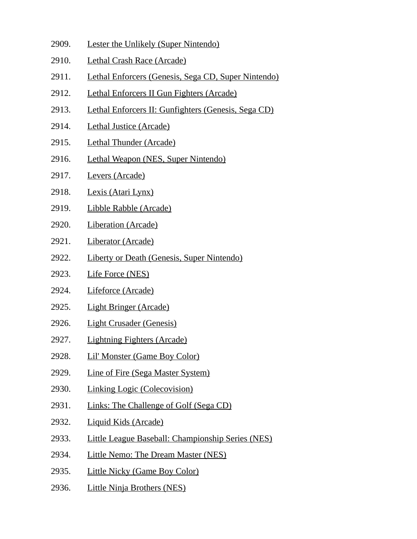- 2909. Lester the Unlikely (Super Nintendo)
- 2910. Lethal Crash Race (Arcade)
- 2911. Lethal Enforcers (Genesis, Sega CD, Super Nintendo)
- 2912. Lethal Enforcers II Gun Fighters (Arcade)
- 2913. Lethal Enforcers II: Gunfighters (Genesis, Sega CD)
- 2914. Lethal Justice (Arcade)
- 2915. Lethal Thunder (Arcade)
- 2916. Lethal Weapon (NES, Super Nintendo)
- 2917. Levers (Arcade)
- 2918. Lexis (Atari Lynx)
- 2919. Libble Rabble (Arcade)
- 2920. Liberation (Arcade)
- 2921. Liberator (Arcade)
- 2922. Liberty or Death (Genesis, Super Nintendo)
- 2923. Life Force (NES)
- 2924. Lifeforce (Arcade)
- 2925. Light Bringer (Arcade)
- 2926. Light Crusader (Genesis)
- 2927. Lightning Fighters (Arcade)
- 2928. Lil' Monster (Game Boy Color)
- 2929. Line of Fire (Sega Master System)
- 2930. Linking Logic (Colecovision)
- 2931. Links: The Challenge of Golf (Sega CD)
- 2932. Liquid Kids (Arcade)
- 2933. Little League Baseball: Championship Series (NES)
- 2934. Little Nemo: The Dream Master (NES)
- 2935. Little Nicky (Game Boy Color)
- 2936. Little Ninja Brothers (NES)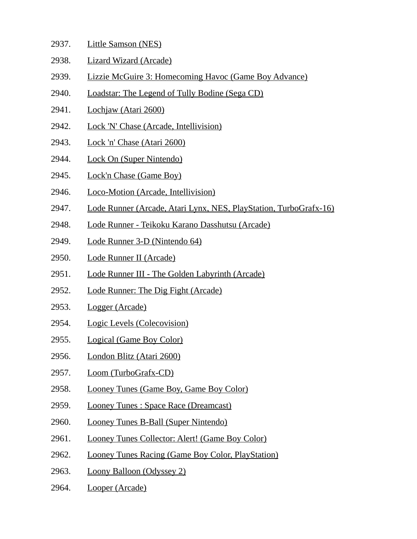- 2937. Little Samson (NES)
- 2938. Lizard Wizard (Arcade)
- 2939. Lizzie McGuire 3: Homecoming Havoc (Game Boy Advance)
- 2940. Loadstar: The Legend of Tully Bodine (Sega CD)
- 2941. Lochjaw (Atari 2600)
- 2942. Lock 'N' Chase (Arcade, Intellivision)
- 2943. Lock 'n' Chase (Atari 2600)
- 2944. Lock On (Super Nintendo)
- 2945. Lock'n Chase (Game Boy)
- 2946. Loco-Motion (Arcade, Intellivision)
- 2947. Lode Runner (Arcade, Atari Lynx, NES, PlayStation, TurboGrafx-16)
- 2948. Lode Runner Teikoku Karano Dasshutsu (Arcade)
- 2949. Lode Runner 3-D (Nintendo 64)
- 2950. Lode Runner II (Arcade)
- 2951. Lode Runner III The Golden Labyrinth (Arcade)
- 2952. Lode Runner: The Dig Fight (Arcade)
- 2953. Logger (Arcade)
- 2954. Logic Levels (Colecovision)
- 2955. Logical (Game Boy Color)
- 2956. London Blitz (Atari 2600)
- 2957. Loom (TurboGrafx-CD)
- 2958. Looney Tunes (Game Boy, Game Boy Color)
- 2959. Looney Tunes : Space Race (Dreamcast)
- 2960. Looney Tunes B-Ball (Super Nintendo)
- 2961. Looney Tunes Collector: Alert! (Game Boy Color)
- 2962. Looney Tunes Racing (Game Boy Color, PlayStation)
- 2963. Loony Balloon (Odyssey 2)
- 2964. Looper (Arcade)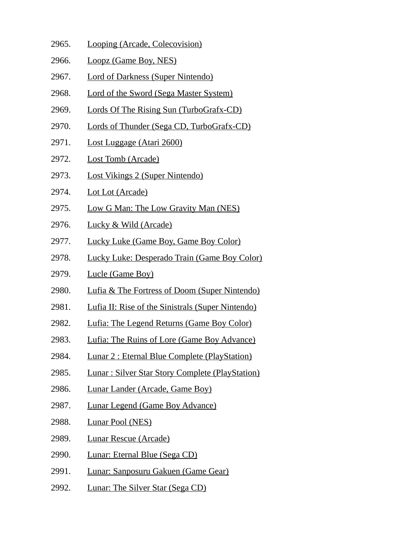- 2965. Looping (Arcade, Colecovision)
- 2966. Loopz (Game Boy, NES)
- 2967. Lord of Darkness (Super Nintendo)
- 2968. Lord of the Sword (Sega Master System)
- 2969. Lords Of The Rising Sun (TurboGrafx-CD)
- 2970. Lords of Thunder (Sega CD, TurboGrafx-CD)
- 2971. Lost Luggage (Atari 2600)
- 2972. Lost Tomb (Arcade)
- 2973. Lost Vikings 2 (Super Nintendo)
- 2974. Lot Lot (Arcade)
- 2975. Low G Man: The Low Gravity Man (NES)
- 2976. Lucky & Wild (Arcade)
- 2977. Lucky Luke (Game Boy, Game Boy Color)
- 2978. Lucky Luke: Desperado Train (Game Boy Color)
- 2979. Lucle (Game Boy)
- 2980. Lufia & The Fortress of Doom (Super Nintendo)
- 2981. Lufia II: Rise of the Sinistrals (Super Nintendo)
- 2982. Lufia: The Legend Returns (Game Boy Color)
- 2983. Lufia: The Ruins of Lore (Game Boy Advance)
- 2984. Lunar 2 : Eternal Blue Complete (PlayStation)
- 2985. Lunar : Silver Star Story Complete (PlayStation)
- 2986. Lunar Lander (Arcade, Game Boy)
- 2987. Lunar Legend (Game Boy Advance)
- 2988. Lunar Pool (NES)
- 2989. Lunar Rescue (Arcade)
- 2990. Lunar: Eternal Blue (Sega CD)
- 2991. Lunar: Sanposuru Gakuen (Game Gear)
- 2992. Lunar: The Silver Star (Sega CD)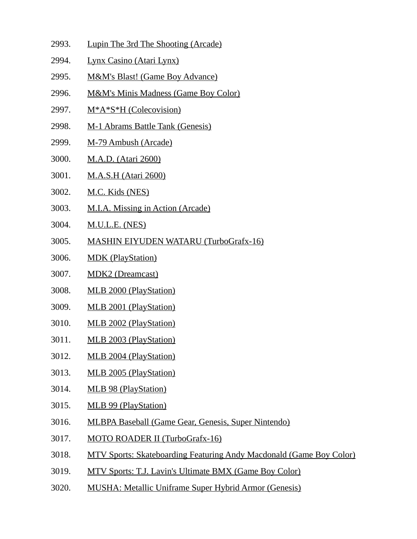- 2993. Lupin The 3rd The Shooting (Arcade)
- 2994. Lynx Casino (Atari Lynx)
- 2995. M&M's Blast! (Game Boy Advance)
- 2996. M&M's Minis Madness (Game Boy Color)
- 2997. M\*A\*S\*H (Colecovision)
- 2998. M-1 Abrams Battle Tank (Genesis)
- 2999. M-79 Ambush (Arcade)
- 3000. M.A.D. (Atari 2600)
- 3001. M.A.S.H (Atari 2600)
- 3002. M.C. Kids (NES)
- 3003. M.I.A. Missing in Action (Arcade)
- 3004. M.U.L.E. (NES)
- 3005. MASHIN EIYUDEN WATARU (TurboGrafx-16)
- 3006. MDK (PlayStation)
- 3007. MDK2 (Dreamcast)
- 3008. MLB 2000 (PlayStation)
- 3009. MLB 2001 (PlayStation)
- 3010. MLB 2002 (PlayStation)
- 3011. MLB 2003 (PlayStation)
- 3012. MLB 2004 (PlayStation)
- 3013. MLB 2005 (PlayStation)
- 3014. MLB 98 (PlayStation)
- 3015. MLB 99 (PlayStation)
- 3016. MLBPA Baseball (Game Gear, Genesis, Super Nintendo)
- 3017. MOTO ROADER II (TurboGrafx-16)
- 3018. MTV Sports: Skateboarding Featuring Andy Macdonald (Game Boy Color)
- 3019. MTV Sports: T.J. Lavin's Ultimate BMX (Game Boy Color)
- 3020. MUSHA: Metallic Uniframe Super Hybrid Armor (Genesis)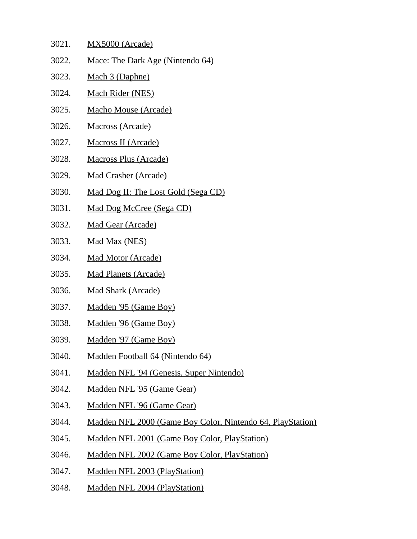- 3021. MX5000 (Arcade) 3022. Mace: The Dark Age (Nintendo 64) 3023. Mach 3 (Daphne) 3024. Mach Rider (NES)
- 
- 3025. Macho Mouse (Arcade)
- 3026. Macross (Arcade)
- 3027. Macross II (Arcade)
- 3028. Macross Plus (Arcade)
- 3029. Mad Crasher (Arcade)
- 3030. Mad Dog II: The Lost Gold (Sega CD)
- 3031. Mad Dog McCree (Sega CD)
- 3032. Mad Gear (Arcade)
- 3033. Mad Max (NES)
- 3034. Mad Motor (Arcade)
- 3035. Mad Planets (Arcade)
- 3036. Mad Shark (Arcade)
- 3037. Madden '95 (Game Boy)
- 3038. Madden '96 (Game Boy)
- 3039. Madden '97 (Game Boy)
- 3040. Madden Football 64 (Nintendo 64)
- 3041. Madden NFL '94 (Genesis, Super Nintendo)
- 3042. Madden NFL '95 (Game Gear)
- 3043. Madden NFL '96 (Game Gear)
- 3044. Madden NFL 2000 (Game Boy Color, Nintendo 64, PlayStation)
- 3045. Madden NFL 2001 (Game Boy Color, PlayStation)
- 3046. Madden NFL 2002 (Game Boy Color, PlayStation)
- 3047. Madden NFL 2003 (PlayStation)
- 3048. Madden NFL 2004 (PlayStation)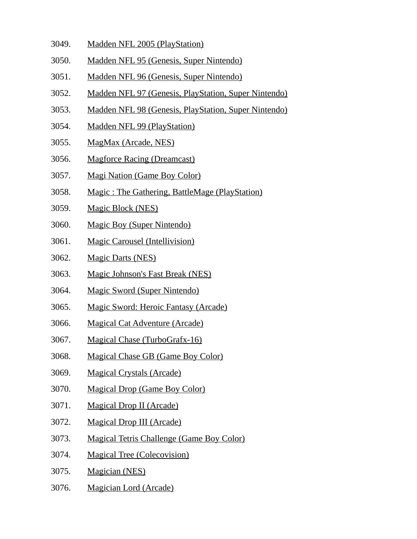- 3049. Madden NFL 2005 (PlayStation)
- 3050. Madden NFL 95 (Genesis, Super Nintendo)
- 3051. Madden NFL 96 (Genesis, Super Nintendo)
- 3052. Madden NFL 97 (Genesis, PlayStation, Super Nintendo)
- 3053. Madden NFL 98 (Genesis, PlayStation, Super Nintendo)
- 3054. Madden NFL 99 (PlayStation)
- 3055. MagMax (Arcade, NES)
- 3056. Magforce Racing (Dreamcast)
- 3057. Magi Nation (Game Boy Color)
- 3058. Magic : The Gathering, BattleMage (PlayStation)
- 3059. Magic Block (NES)
- 3060. Magic Boy (Super Nintendo)
- 3061. Magic Carousel (Intellivision)
- 3062. Magic Darts (NES)
- 3063. Magic Johnson's Fast Break (NES)
- 3064. Magic Sword (Super Nintendo)
- 3065. Magic Sword: Heroic Fantasy (Arcade)
- 3066. Magical Cat Adventure (Arcade)
- 3067. Magical Chase (TurboGrafx-16)
- 3068. Magical Chase GB (Game Boy Color)
- 3069. Magical Crystals (Arcade)
- 3070. Magical Drop (Game Boy Color)
- 3071. Magical Drop II (Arcade)
- 3072. Magical Drop III (Arcade)
- 3073. Magical Tetris Challenge (Game Boy Color)
- 3074. Magical Tree (Colecovision)
- 3075. Magician (NES)
- 3076. Magician Lord (Arcade)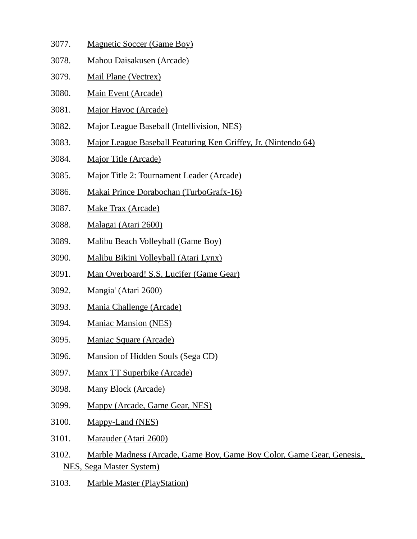- 3077. Magnetic Soccer (Game Boy)
- 3078. Mahou Daisakusen (Arcade)
- 3079. Mail Plane (Vectrex)
- 3080. Main Event (Arcade)
- 3081. Major Havoc (Arcade)
- 3082. Major League Baseball (Intellivision, NES)
- 3083. Major League Baseball Featuring Ken Griffey, Jr. (Nintendo 64)
- 3084. Major Title (Arcade)
- 3085. Major Title 2: Tournament Leader (Arcade)
- 3086. Makai Prince Dorabochan (TurboGrafx-16)
- 3087. Make Trax (Arcade)
- 3088. Malagai (Atari 2600)
- 3089. Malibu Beach Volleyball (Game Boy)
- 3090. Malibu Bikini Volleyball (Atari Lynx)
- 3091. Man Overboard! S.S. Lucifer (Game Gear)
- 3092. Mangia' (Atari 2600)
- 3093. Mania Challenge (Arcade)
- 3094. Maniac Mansion (NES)
- 3095. Maniac Square (Arcade)
- 3096. Mansion of Hidden Souls (Sega CD)
- 3097. Manx TT Superbike (Arcade)
- 3098. Many Block (Arcade)
- 3099. Mappy (Arcade, Game Gear, NES)
- 3100. Mappy-Land (NES)
- 3101. Marauder (Atari 2600)
- 3102. Marble Madness (Arcade, Game Boy, Game Boy Color, Game Gear, Genesis, NES, Sega Master System)
- 3103. Marble Master (PlayStation)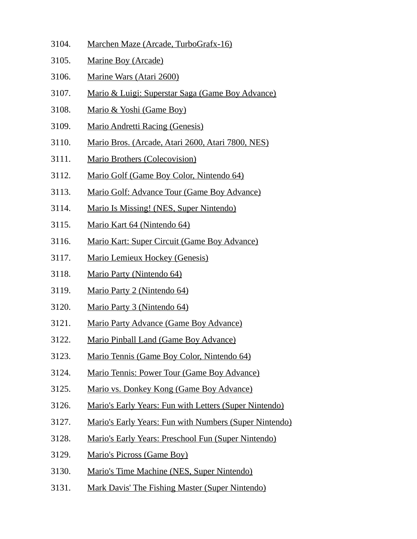- 3104. Marchen Maze (Arcade, TurboGrafx-16)
- 3105. Marine Boy (Arcade)
- 3106. Marine Wars (Atari 2600)
- 3107. Mario & Luigi: Superstar Saga (Game Boy Advance)
- 3108. Mario & Yoshi (Game Boy)
- 3109. Mario Andretti Racing (Genesis)
- 3110. Mario Bros. (Arcade, Atari 2600, Atari 7800, NES)
- 3111. Mario Brothers (Colecovision)
- 3112. Mario Golf (Game Boy Color, Nintendo 64)
- 3113. Mario Golf: Advance Tour (Game Boy Advance)
- 3114. Mario Is Missing! (NES, Super Nintendo)
- 3115. Mario Kart 64 (Nintendo 64)
- 3116. Mario Kart: Super Circuit (Game Boy Advance)
- 3117. Mario Lemieux Hockey (Genesis)
- 3118. Mario Party (Nintendo 64)
- 3119. Mario Party 2 (Nintendo 64)
- 3120. Mario Party 3 (Nintendo 64)
- 3121. Mario Party Advance (Game Boy Advance)
- 3122. Mario Pinball Land (Game Boy Advance)
- 3123. Mario Tennis (Game Boy Color, Nintendo 64)
- 3124. Mario Tennis: Power Tour (Game Boy Advance)
- 3125. Mario vs. Donkey Kong (Game Boy Advance)
- 3126. Mario's Early Years: Fun with Letters (Super Nintendo)
- 3127. Mario's Early Years: Fun with Numbers (Super Nintendo)
- 3128. Mario's Early Years: Preschool Fun (Super Nintendo)
- 3129. Mario's Picross (Game Boy)
- 3130. Mario's Time Machine (NES, Super Nintendo)
- 3131. Mark Davis' The Fishing Master (Super Nintendo)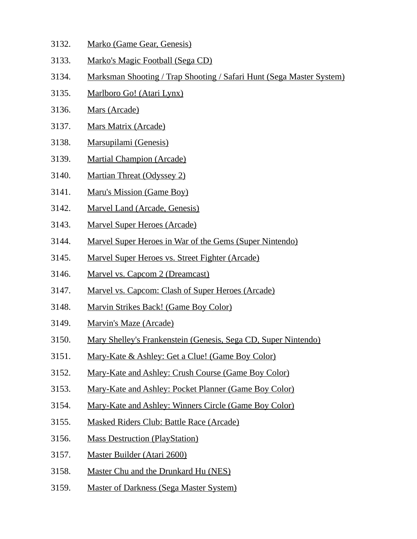- 3132. Marko (Game Gear, Genesis)
- 3133. Marko's Magic Football (Sega CD)
- 3134. Marksman Shooting / Trap Shooting / Safari Hunt (Sega Master System)
- 3135. Marlboro Go! (Atari Lynx)
- 3136. Mars (Arcade)
- 3137. Mars Matrix (Arcade)
- 3138. Marsupilami (Genesis)
- 3139. Martial Champion (Arcade)
- 3140. Martian Threat (Odyssey 2)
- 3141. Maru's Mission (Game Boy)
- 3142. Marvel Land (Arcade, Genesis)
- 3143. Marvel Super Heroes (Arcade)
- 3144. Marvel Super Heroes in War of the Gems (Super Nintendo)
- 3145. Marvel Super Heroes vs. Street Fighter (Arcade)
- 3146. Marvel vs. Capcom 2 (Dreamcast)
- 3147. Marvel vs. Capcom: Clash of Super Heroes (Arcade)
- 3148. Marvin Strikes Back! (Game Boy Color)
- 3149. Marvin's Maze (Arcade)
- 3150. Mary Shelley's Frankenstein (Genesis, Sega CD, Super Nintendo)
- 3151. Mary-Kate & Ashley: Get a Clue! (Game Boy Color)
- 3152. Mary-Kate and Ashley: Crush Course (Game Boy Color)
- 3153. Mary-Kate and Ashley: Pocket Planner (Game Boy Color)
- 3154. Mary-Kate and Ashley: Winners Circle (Game Boy Color)
- 3155. Masked Riders Club: Battle Race (Arcade)
- 3156. Mass Destruction (PlayStation)
- 3157. Master Builder (Atari 2600)
- 3158. Master Chu and the Drunkard Hu (NES)
- 3159. Master of Darkness (Sega Master System)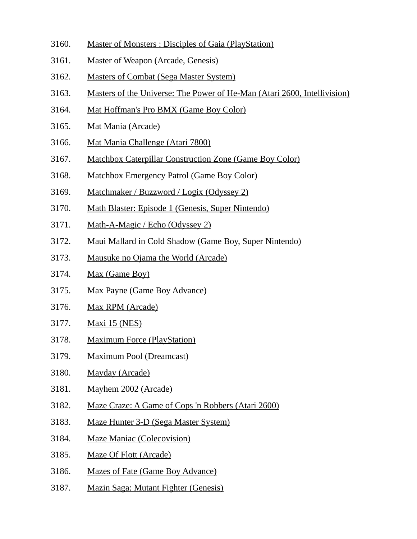- 3160. Master of Monsters : Disciples of Gaia (PlayStation)
- 3161. Master of Weapon (Arcade, Genesis)
- 3162. Masters of Combat (Sega Master System)
- 3163. Masters of the Universe: The Power of He-Man (Atari 2600, Intellivision)
- 3164. Mat Hoffman's Pro BMX (Game Boy Color)
- 3165. Mat Mania (Arcade)
- 3166. Mat Mania Challenge (Atari 7800)
- 3167. Matchbox Caterpillar Construction Zone (Game Boy Color)
- 3168. Matchbox Emergency Patrol (Game Boy Color)
- 3169. Matchmaker / Buzzword / Logix (Odyssey 2)
- 3170. Math Blaster: Episode 1 (Genesis, Super Nintendo)
- 3171. Math-A-Magic / Echo (Odyssey 2)
- 3172. Maui Mallard in Cold Shadow (Game Boy, Super Nintendo)
- 3173. Mausuke no Ojama the World (Arcade)
- 3174. Max (Game Boy)
- 3175. Max Payne (Game Boy Advance)
- 3176. Max RPM (Arcade)
- 3177. Maxi 15 (NES)
- 3178. Maximum Force (PlayStation)
- 3179. Maximum Pool (Dreamcast)
- 3180. Mayday (Arcade)
- 3181. Mayhem 2002 (Arcade)
- 3182. Maze Craze: A Game of Cops 'n Robbers (Atari 2600)
- 3183. Maze Hunter 3-D (Sega Master System)
- 3184. Maze Maniac (Colecovision)
- 3185. Maze Of Flott (Arcade)
- 3186. Mazes of Fate (Game Boy Advance)
- 3187. Mazin Saga: Mutant Fighter (Genesis)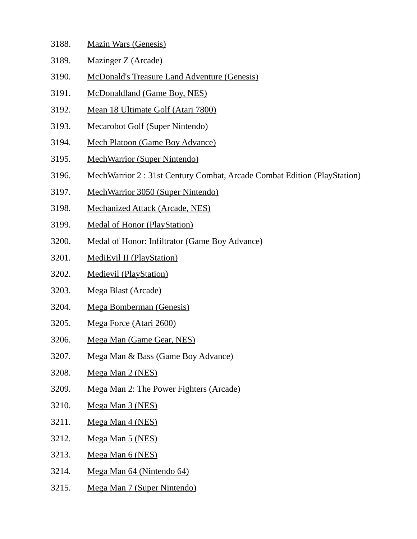| 3188. |  | <b>Mazin Wars (Genesis)</b> |
|-------|--|-----------------------------|
|       |  |                             |

- 3189. Mazinger Z (Arcade)
- 3190. McDonald's Treasure Land Adventure (Genesis)
- 3191. McDonaldland (Game Boy, NES)
- 3192. Mean 18 Ultimate Golf (Atari 7800)
- 3193. Mecarobot Golf (Super Nintendo)
- 3194. Mech Platoon (Game Boy Advance)
- 3195. MechWarrior (Super Nintendo)
- 3196. MechWarrior 2 : 31st Century Combat, Arcade Combat Edition (PlayStation)
- 3197. MechWarrior 3050 (Super Nintendo)
- 3198. Mechanized Attack (Arcade, NES)
- 3199. Medal of Honor (PlayStation)
- 3200. Medal of Honor: Infiltrator (Game Boy Advance)
- 3201. MediEvil II (PlayStation)
- 3202. Medievil (PlayStation)
- 3203. Mega Blast (Arcade)
- 3204. Mega Bomberman (Genesis)
- 3205. Mega Force (Atari 2600)
- 3206. Mega Man (Game Gear, NES)
- 3207. Mega Man & Bass (Game Boy Advance)
- 3208. Mega Man 2 (NES)
- 3209. Mega Man 2: The Power Fighters (Arcade)
- 3210. Mega Man 3 (NES)
- 3211. Mega Man 4 (NES)
- 3212. Mega Man 5 (NES)
- 3213. Mega Man 6 (NES)
- 3214. Mega Man 64 (Nintendo 64)
- 3215. Mega Man 7 (Super Nintendo)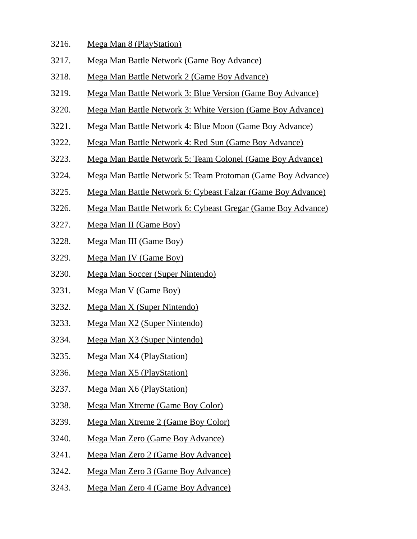- 3216. Mega Man 8 (PlayStation)
- 3217. Mega Man Battle Network (Game Boy Advance)
- 3218. Mega Man Battle Network 2 (Game Boy Advance)
- 3219. Mega Man Battle Network 3: Blue Version (Game Boy Advance)
- 3220. Mega Man Battle Network 3: White Version (Game Boy Advance)
- 3221. Mega Man Battle Network 4: Blue Moon (Game Boy Advance)
- 3222. Mega Man Battle Network 4: Red Sun (Game Boy Advance)
- 3223. Mega Man Battle Network 5: Team Colonel (Game Boy Advance)
- 3224. Mega Man Battle Network 5: Team Protoman (Game Boy Advance)
- 3225. Mega Man Battle Network 6: Cybeast Falzar (Game Boy Advance)
- 3226. Mega Man Battle Network 6: Cybeast Gregar (Game Boy Advance)
- 3227. Mega Man II (Game Boy)
- 3228. Mega Man III (Game Boy)
- 3229. Mega Man IV (Game Boy)
- 3230. Mega Man Soccer (Super Nintendo)
- 3231. Mega Man V (Game Boy)
- 3232. Mega Man X (Super Nintendo)
- 3233. Mega Man X2 (Super Nintendo)
- 3234. Mega Man X3 (Super Nintendo)
- 3235. Mega Man X4 (PlayStation)
- 3236. Mega Man X5 (PlayStation)
- 3237. Mega Man X6 (PlayStation)
- 3238. Mega Man Xtreme (Game Boy Color)
- 3239. Mega Man Xtreme 2 (Game Boy Color)
- 3240. Mega Man Zero (Game Boy Advance)
- 3241. Mega Man Zero 2 (Game Boy Advance)
- 3242. Mega Man Zero 3 (Game Boy Advance)
- 3243. Mega Man Zero 4 (Game Boy Advance)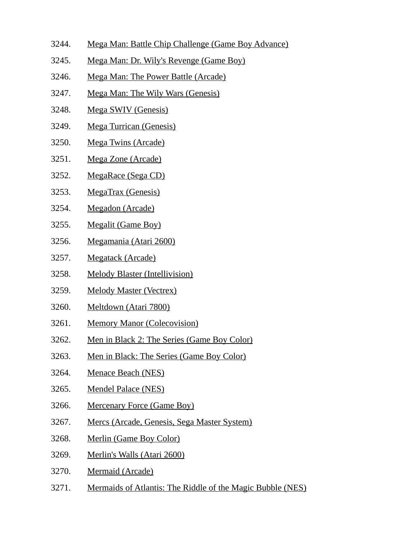- 3244. Mega Man: Battle Chip Challenge (Game Boy Advance)
- 3245. Mega Man: Dr. Wily's Revenge (Game Boy)
- 3246. Mega Man: The Power Battle (Arcade)
- 3247. Mega Man: The Wily Wars (Genesis)
- 3248. Mega SWIV (Genesis)
- 3249. Mega Turrican (Genesis)
- 3250. Mega Twins (Arcade)
- 3251. Mega Zone (Arcade)
- 3252. MegaRace (Sega CD)
- 3253. MegaTrax (Genesis)
- 3254. Megadon (Arcade)
- 3255. Megalit (Game Boy)
- 3256. Megamania (Atari 2600)
- 3257. Megatack (Arcade)
- 3258. Melody Blaster (Intellivision)
- 3259. Melody Master (Vectrex)
- 3260. Meltdown (Atari 7800)
- 3261. Memory Manor (Colecovision)
- 3262. Men in Black 2: The Series (Game Boy Color)
- 3263. Men in Black: The Series (Game Boy Color)
- 3264. Menace Beach (NES)
- 3265. Mendel Palace (NES)
- 3266. Mercenary Force (Game Boy)
- 3267. Mercs (Arcade, Genesis, Sega Master System)
- 3268. Merlin (Game Boy Color)
- 3269. Merlin's Walls (Atari 2600)
- 3270. Mermaid (Arcade)
- 3271. Mermaids of Atlantis: The Riddle of the Magic Bubble (NES)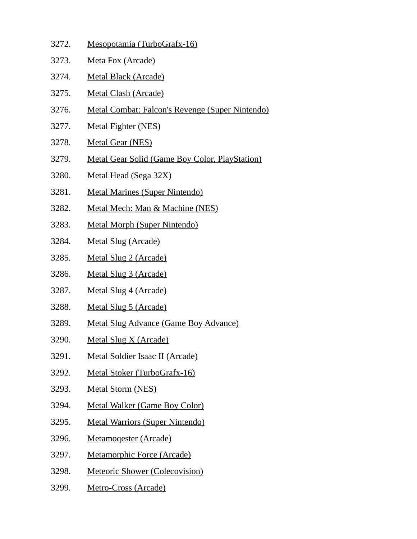3272. Mesopotamia (TurboGrafx-16) 3273. Meta Fox (Arcade) 3274. Metal Black (Arcade) 3275. Metal Clash (Arcade) 3276. Metal Combat: Falcon's Revenge (Super Nintendo) 3277. Metal Fighter (NES) 3278. Metal Gear (NES) 3279. Metal Gear Solid (Game Boy Color, PlayStation) 3280. Metal Head (Sega 32X) 3281. Metal Marines (Super Nintendo) 3282. Metal Mech: Man & Machine (NES) 3283. Metal Morph (Super Nintendo) 3284. Metal Slug (Arcade) 3285. Metal Slug 2 (Arcade) 3286. Metal Slug 3 (Arcade) 3287. Metal Slug 4 (Arcade) 3288. Metal Slug 5 (Arcade) 3289. Metal Slug Advance (Game Boy Advance) 3290. Metal Slug X (Arcade) 3291. Metal Soldier Isaac II (Arcade) 3292. Metal Stoker (TurboGrafx-16) 3293. Metal Storm (NES) 3294. Metal Walker (Game Boy Color) 3295. Metal Warriors (Super Nintendo) 3296. Metamoqester (Arcade) 3297. Metamorphic Force (Arcade) 3298. Meteoric Shower (Colecovision) 3299. Metro-Cross (Arcade)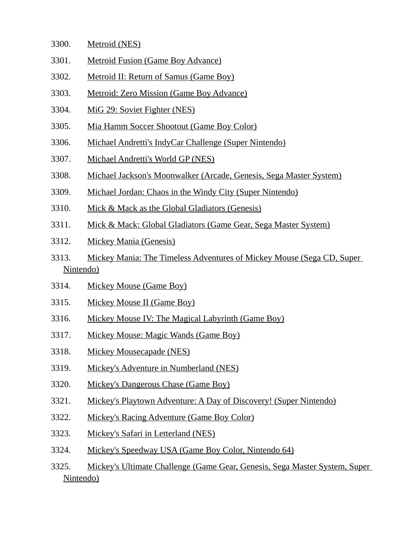- 3300. Metroid (NES)
- 3301. Metroid Fusion (Game Boy Advance)
- 3302. Metroid II: Return of Samus (Game Boy)
- 3303. Metroid: Zero Mission (Game Boy Advance)
- 3304. MiG 29: Soviet Fighter (NES)
- 3305. Mia Hamm Soccer Shootout (Game Boy Color)
- 3306. Michael Andretti's IndyCar Challenge (Super Nintendo)
- 3307. Michael Andretti's World GP (NES)
- 3308. Michael Jackson's Moonwalker (Arcade, Genesis, Sega Master System)
- 3309. Michael Jordan: Chaos in the Windy City (Super Nintendo)
- 3310. Mick & Mack as the Global Gladiators (Genesis)
- 3311. Mick & Mack: Global Gladiators (Game Gear, Sega Master System)
- 3312. Mickey Mania (Genesis)
- 3313. Mickey Mania: The Timeless Adventures of Mickey Mouse (Sega CD, Super Nintendo)
- 3314. Mickey Mouse (Game Boy)
- 3315. Mickey Mouse II (Game Boy)
- 3316. Mickey Mouse IV: The Magical Labyrinth (Game Boy)
- 3317. Mickey Mouse: Magic Wands (Game Boy)
- 3318. Mickey Mousecapade (NES)
- 3319. Mickey's Adventure in Numberland (NES)
- 3320. Mickey's Dangerous Chase (Game Boy)
- 3321. Mickey's Playtown Adventure: A Day of Discovery! (Super Nintendo)
- 3322. Mickey's Racing Adventure (Game Boy Color)
- 3323. Mickey's Safari in Letterland (NES)
- 3324. Mickey's Speedway USA (Game Boy Color, Nintendo 64)
- 3325. Mickey's Ultimate Challenge (Game Gear, Genesis, Sega Master System, Super Nintendo)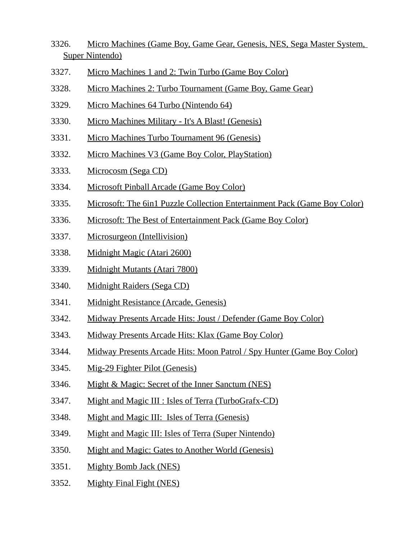- 3326. Micro Machines (Game Boy, Game Gear, Genesis, NES, Sega Master System, Super Nintendo)
- 3327. Micro Machines 1 and 2: Twin Turbo (Game Boy Color)
- 3328. Micro Machines 2: Turbo Tournament (Game Boy, Game Gear)
- 3329. Micro Machines 64 Turbo (Nintendo 64)
- 3330. Micro Machines Military It's A Blast! (Genesis)
- 3331. Micro Machines Turbo Tournament 96 (Genesis)
- 3332. Micro Machines V3 (Game Boy Color, PlayStation)
- 3333. Microcosm (Sega CD)
- 3334. Microsoft Pinball Arcade (Game Boy Color)
- 3335. Microsoft: The 6in1 Puzzle Collection Entertainment Pack (Game Boy Color)
- 3336. Microsoft: The Best of Entertainment Pack (Game Boy Color)
- 3337. Microsurgeon (Intellivision)
- 3338. Midnight Magic (Atari 2600)
- 3339. Midnight Mutants (Atari 7800)
- 3340. Midnight Raiders (Sega CD)
- 3341. Midnight Resistance (Arcade, Genesis)
- 3342. Midway Presents Arcade Hits: Joust / Defender (Game Boy Color)
- 3343. Midway Presents Arcade Hits: Klax (Game Boy Color)
- 3344. Midway Presents Arcade Hits: Moon Patrol / Spy Hunter (Game Boy Color)
- 3345. Mig-29 Fighter Pilot (Genesis)
- 3346. Might & Magic: Secret of the Inner Sanctum (NES)
- 3347. Might and Magic III : Isles of Terra (TurboGrafx-CD)
- 3348. Might and Magic III: Isles of Terra (Genesis)
- 3349. Might and Magic III: Isles of Terra (Super Nintendo)
- 3350. Might and Magic: Gates to Another World (Genesis)
- 3351. Mighty Bomb Jack (NES)
- 3352. Mighty Final Fight (NES)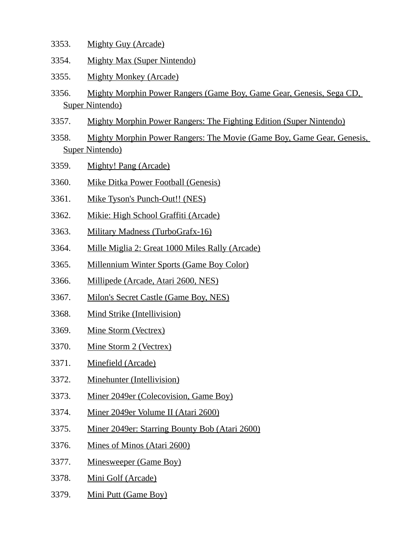- 3353. Mighty Guy (Arcade)
- 3354. Mighty Max (Super Nintendo)
- 3355. Mighty Monkey (Arcade)
- 3356. Mighty Morphin Power Rangers (Game Boy, Game Gear, Genesis, Sega CD, Super Nintendo)
- 3357. Mighty Morphin Power Rangers: The Fighting Edition (Super Nintendo)
- 3358. Mighty Morphin Power Rangers: The Movie (Game Boy, Game Gear, Genesis, Super Nintendo)
- 3359. Mighty! Pang (Arcade)
- 3360. Mike Ditka Power Football (Genesis)
- 3361. Mike Tyson's Punch-Out!! (NES)
- 3362. Mikie: High School Graffiti (Arcade)
- 3363. Military Madness (TurboGrafx-16)
- 3364. Mille Miglia 2: Great 1000 Miles Rally (Arcade)
- 3365. Millennium Winter Sports (Game Boy Color)
- 3366. Millipede (Arcade, Atari 2600, NES)
- 3367. Milon's Secret Castle (Game Boy, NES)
- 3368. Mind Strike (Intellivision)
- 3369. Mine Storm (Vectrex)
- 3370. Mine Storm 2 (Vectrex)
- 3371. Minefield (Arcade)
- 3372. Minehunter (Intellivision)
- 3373. Miner 2049er (Colecovision, Game Boy)
- 3374. Miner 2049er Volume II (Atari 2600)
- 3375. Miner 2049er: Starring Bounty Bob (Atari 2600)
- 3376. Mines of Minos (Atari 2600)
- 3377. Minesweeper (Game Boy)
- 3378. Mini Golf (Arcade)
- 3379. Mini Putt (Game Boy)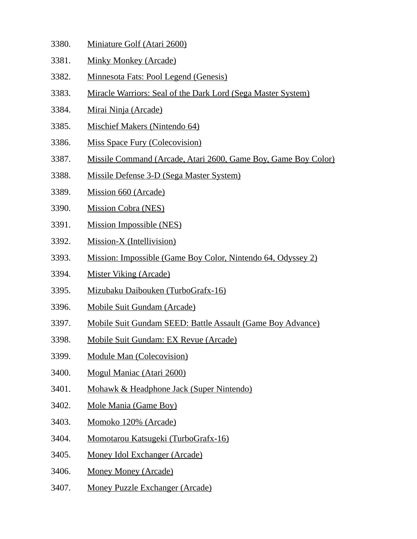3380. Miniature Golf (Atari 2600) 3381. Minky Monkey (Arcade) 3382. Minnesota Fats: Pool Legend (Genesis) 3383. Miracle Warriors: Seal of the Dark Lord (Sega Master System) 3384. Mirai Ninja (Arcade) 3385. Mischief Makers (Nintendo 64) 3386. Miss Space Fury (Colecovision) 3387. Missile Command (Arcade, Atari 2600, Game Boy, Game Boy Color) 3388. Missile Defense 3-D (Sega Master System) 3389. Mission 660 (Arcade) 3390. Mission Cobra (NES) 3391. Mission Impossible (NES) 3392. Mission-X (Intellivision) 3393. Mission: Impossible (Game Boy Color, Nintendo 64, Odyssey 2) 3394. Mister Viking (Arcade) 3395. Mizubaku Daibouken (TurboGrafx-16) 3396. Mobile Suit Gundam (Arcade) 3397. Mobile Suit Gundam SEED: Battle Assault (Game Boy Advance) 3398. Mobile Suit Gundam: EX Revue (Arcade) 3399. Module Man (Colecovision) 3400. Mogul Maniac (Atari 2600) 3401. Mohawk & Headphone Jack (Super Nintendo) 3402. Mole Mania (Game Boy) 3403. Momoko 120% (Arcade) 3404. Momotarou Katsugeki (TurboGrafx-16) 3405. Money Idol Exchanger (Arcade) 3406. Money Money (Arcade) 3407. Money Puzzle Exchanger (Arcade)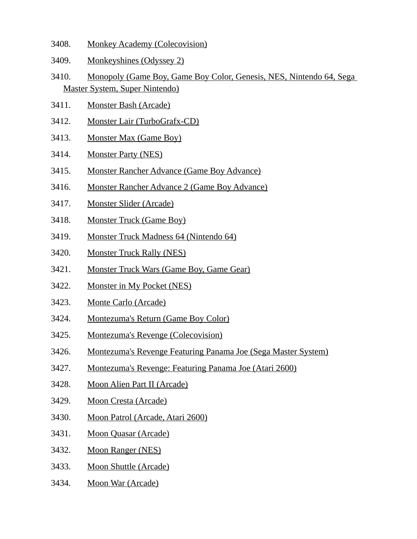- 3408. Monkey Academy (Colecovision)
- 3409. Monkeyshines (Odyssey 2)
- 3410. Monopoly (Game Boy, Game Boy Color, Genesis, NES, Nintendo 64, Sega Master System, Super Nintendo)
- 3411. Monster Bash (Arcade)
- 3412. Monster Lair (TurboGrafx-CD)
- 3413. Monster Max (Game Boy)
- 3414. Monster Party (NES)
- 3415. Monster Rancher Advance (Game Boy Advance)
- 3416. Monster Rancher Advance 2 (Game Boy Advance)
- 3417. Monster Slider (Arcade)
- 3418. Monster Truck (Game Boy)
- 3419. Monster Truck Madness 64 (Nintendo 64)
- 3420. Monster Truck Rally (NES)
- 3421. Monster Truck Wars (Game Boy, Game Gear)
- 3422. Monster in My Pocket (NES)
- 3423. Monte Carlo (Arcade)
- 3424. Montezuma's Return (Game Boy Color)
- 3425. Montezuma's Revenge (Colecovision)
- 3426. Montezuma's Revenge Featuring Panama Joe (Sega Master System)
- 3427. Montezuma's Revenge: Featuring Panama Joe (Atari 2600)
- 3428. Moon Alien Part II (Arcade)
- 3429. Moon Cresta (Arcade)
- 3430. Moon Patrol (Arcade, Atari 2600)
- 3431. Moon Quasar (Arcade)
- 3432. Moon Ranger (NES)
- 3433. Moon Shuttle (Arcade)
- 3434. Moon War (Arcade)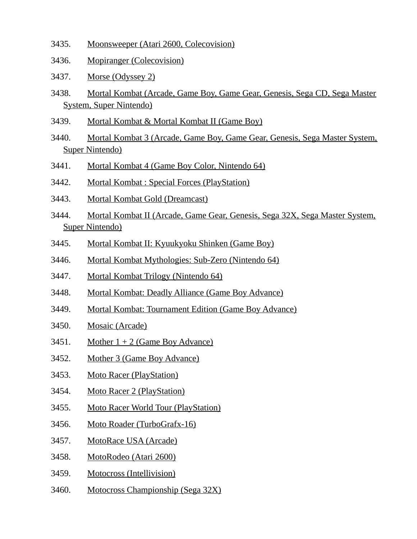- 3435. Moonsweeper (Atari 2600, Colecovision)
- 3436. Mopiranger (Colecovision)
- 3437. Morse (Odyssey 2)
- 3438. Mortal Kombat (Arcade, Game Boy, Game Gear, Genesis, Sega CD, Sega Master System, Super Nintendo)
- 3439. Mortal Kombat & Mortal Kombat II (Game Boy)
- 3440. Mortal Kombat 3 (Arcade, Game Boy, Game Gear, Genesis, Sega Master System, Super Nintendo)
- 3441. Mortal Kombat 4 (Game Boy Color, Nintendo 64)
- 3442. Mortal Kombat : Special Forces (PlayStation)
- 3443. Mortal Kombat Gold (Dreamcast)
- 3444. Mortal Kombat II (Arcade, Game Gear, Genesis, Sega 32X, Sega Master System, Super Nintendo)
- 3445. Mortal Kombat II: Kyuukyoku Shinken (Game Boy)
- 3446. Mortal Kombat Mythologies: Sub-Zero (Nintendo 64)
- 3447. Mortal Kombat Trilogy (Nintendo 64)
- 3448. Mortal Kombat: Deadly Alliance (Game Boy Advance)
- 3449. Mortal Kombat: Tournament Edition (Game Boy Advance)
- 3450. Mosaic (Arcade)
- 3451. Mother  $1 + 2$  (Game Boy Advance)
- 3452. Mother 3 (Game Boy Advance)
- 3453. Moto Racer (PlayStation)
- 3454. Moto Racer 2 (PlayStation)
- 3455. Moto Racer World Tour (PlayStation)
- 3456. Moto Roader (TurboGrafx-16)
- 3457. MotoRace USA (Arcade)
- 3458. MotoRodeo (Atari 2600)
- 3459. Motocross (Intellivision)
- 3460. Motocross Championship (Sega 32X)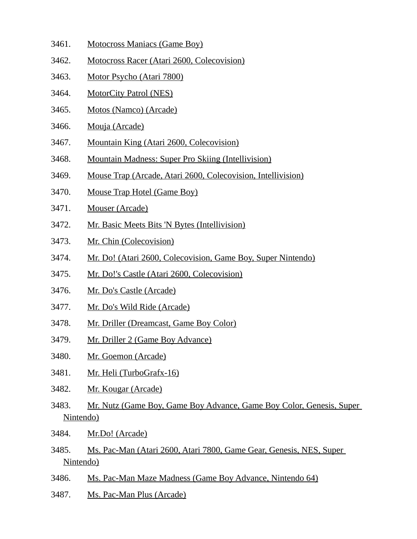- 3461. Motocross Maniacs (Game Boy)
- 3462. Motocross Racer (Atari 2600, Colecovision)
- 3463. Motor Psycho (Atari 7800)
- 3464. MotorCity Patrol (NES)
- 3465. Motos (Namco) (Arcade)
- 3466. Mouja (Arcade)
- 3467. Mountain King (Atari 2600, Colecovision)
- 3468. Mountain Madness: Super Pro Skiing (Intellivision)
- 3469. Mouse Trap (Arcade, Atari 2600, Colecovision, Intellivision)
- 3470. Mouse Trap Hotel (Game Boy)
- 3471. Mouser (Arcade)
- 3472. Mr. Basic Meets Bits 'N Bytes (Intellivision)
- 3473. Mr. Chin (Colecovision)
- 3474. Mr. Do! (Atari 2600, Colecovision, Game Boy, Super Nintendo)
- 3475. Mr. Do!'s Castle (Atari 2600, Colecovision)
- 3476. Mr. Do's Castle (Arcade)
- 3477. Mr. Do's Wild Ride (Arcade)
- 3478. Mr. Driller (Dreamcast, Game Boy Color)
- 3479. Mr. Driller 2 (Game Boy Advance)
- 3480. Mr. Goemon (Arcade)
- 3481. Mr. Heli (TurboGrafx-16)
- 3482. Mr. Kougar (Arcade)
- 3483. Mr. Nutz (Game Boy, Game Boy Advance, Game Boy Color, Genesis, Super Nintendo)
- 3484. Mr.Do! (Arcade)
- 3485. Ms. Pac-Man (Atari 2600, Atari 7800, Game Gear, Genesis, NES, Super Nintendo)
- 3486. Ms. Pac-Man Maze Madness (Game Boy Advance, Nintendo 64)
- 3487. Ms. Pac-Man Plus (Arcade)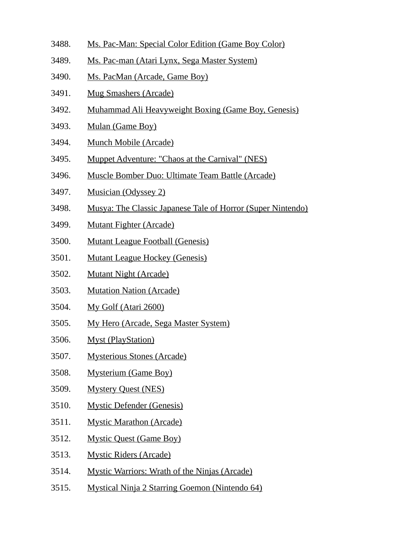- 3488. Ms. Pac-Man: Special Color Edition (Game Boy Color)
- 3489. Ms. Pac-man (Atari Lynx, Sega Master System)
- 3490. Ms. PacMan (Arcade, Game Boy)
- 3491. Mug Smashers (Arcade)
- 3492. Muhammad Ali Heavyweight Boxing (Game Boy, Genesis)
- 3493. Mulan (Game Boy)
- 3494. Munch Mobile (Arcade)
- 3495. Muppet Adventure: "Chaos at the Carnival" (NES)
- 3496. Muscle Bomber Duo: Ultimate Team Battle (Arcade)
- 3497. Musician (Odyssey 2)
- 3498. Musya: The Classic Japanese Tale of Horror (Super Nintendo)
- 3499. Mutant Fighter (Arcade)
- 3500. Mutant League Football (Genesis)
- 3501. Mutant League Hockey (Genesis)
- 3502. Mutant Night (Arcade)
- 3503. Mutation Nation (Arcade)
- 3504. My Golf (Atari 2600)
- 3505. My Hero (Arcade, Sega Master System)
- 3506. Myst (PlayStation)
- 3507. Mysterious Stones (Arcade)
- 3508. Mysterium (Game Boy)
- 3509. Mystery Quest (NES)
- 3510. Mystic Defender (Genesis)
- 3511. Mystic Marathon (Arcade)
- 3512. Mystic Quest (Game Boy)
- 3513. Mystic Riders (Arcade)
- 3514. Mystic Warriors: Wrath of the Ninjas (Arcade)
- 3515. Mystical Ninja 2 Starring Goemon (Nintendo 64)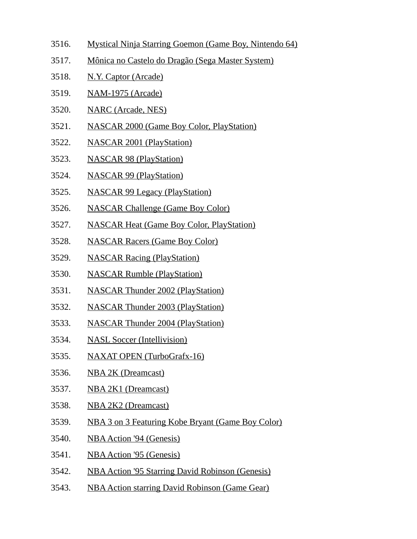- 3516. Mystical Ninja Starring Goemon (Game Boy, Nintendo 64)
- 3517. Mônica no Castelo do Dragão (Sega Master System)
- 3518. N.Y. Captor (Arcade)
- 3519. NAM-1975 (Arcade)
- 3520. NARC (Arcade, NES)
- 3521. NASCAR 2000 (Game Boy Color, PlayStation)
- 3522. NASCAR 2001 (PlayStation)
- 3523. NASCAR 98 (PlayStation)
- 3524. NASCAR 99 (PlayStation)
- 3525. NASCAR 99 Legacy (PlayStation)
- 3526. NASCAR Challenge (Game Boy Color)
- 3527. NASCAR Heat (Game Boy Color, PlayStation)
- 3528. NASCAR Racers (Game Boy Color)
- 3529. NASCAR Racing (PlayStation)
- 3530. NASCAR Rumble (PlayStation)
- 3531. NASCAR Thunder 2002 (PlayStation)
- 3532. NASCAR Thunder 2003 (PlayStation)
- 3533. NASCAR Thunder 2004 (PlayStation)
- 3534. NASL Soccer (Intellivision)
- 3535. NAXAT OPEN (TurboGrafx-16)
- 3536. NBA 2K (Dreamcast)
- 3537. NBA 2K1 (Dreamcast)
- 3538. NBA 2K2 (Dreamcast)
- 3539. NBA 3 on 3 Featuring Kobe Bryant (Game Boy Color)
- 3540. NBA Action '94 (Genesis)
- 3541. NBA Action '95 (Genesis)
- 3542. NBA Action '95 Starring David Robinson (Genesis)
- 3543. NBA Action starring David Robinson (Game Gear)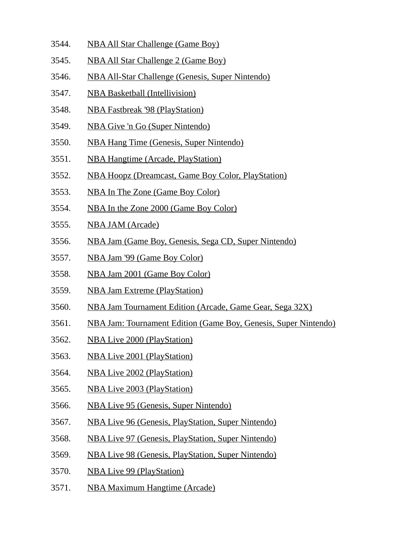- 3544. NBA All Star Challenge (Game Boy)
- 3545. NBA All Star Challenge 2 (Game Boy)
- 3546. NBA All-Star Challenge (Genesis, Super Nintendo)
- 3547. NBA Basketball (Intellivision)
- 3548. NBA Fastbreak '98 (PlayStation)
- 3549. NBA Give 'n Go (Super Nintendo)
- 3550. NBA Hang Time (Genesis, Super Nintendo)
- 3551. NBA Hangtime (Arcade, PlayStation)
- 3552. NBA Hoopz (Dreamcast, Game Boy Color, PlayStation)
- 3553. NBA In The Zone (Game Boy Color)
- 3554. NBA In the Zone 2000 (Game Boy Color)
- 3555. NBA JAM (Arcade)
- 3556. NBA Jam (Game Boy, Genesis, Sega CD, Super Nintendo)
- 3557. NBA Jam '99 (Game Boy Color)
- 3558. NBA Jam 2001 (Game Boy Color)
- 3559. NBA Jam Extreme (PlayStation)
- 3560. NBA Jam Tournament Edition (Arcade, Game Gear, Sega 32X)
- 3561. NBA Jam: Tournament Edition (Game Boy, Genesis, Super Nintendo)
- 3562. NBA Live 2000 (PlayStation)
- 3563. NBA Live 2001 (PlayStation)
- 3564. NBA Live 2002 (PlayStation)
- 3565. NBA Live 2003 (PlayStation)
- 3566. NBA Live 95 (Genesis, Super Nintendo)
- 3567. NBA Live 96 (Genesis, PlayStation, Super Nintendo)
- 3568. NBA Live 97 (Genesis, PlayStation, Super Nintendo)
- 3569. NBA Live 98 (Genesis, PlayStation, Super Nintendo)
- 3570. NBA Live 99 (PlayStation)
- 3571. NBA Maximum Hangtime (Arcade)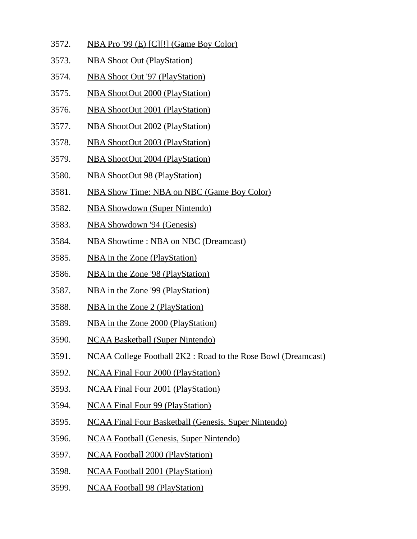- 3572. NBA Pro '99 (E) [C][!] (Game Boy Color)
- 3573. NBA Shoot Out (PlayStation)
- 3574. NBA Shoot Out '97 (PlayStation)
- 3575. NBA ShootOut 2000 (PlayStation)
- 3576. NBA ShootOut 2001 (PlayStation)
- 3577. NBA ShootOut 2002 (PlayStation)
- 3578. NBA ShootOut 2003 (PlayStation)
- 3579. NBA ShootOut 2004 (PlayStation)
- 3580. NBA ShootOut 98 (PlayStation)
- 3581. NBA Show Time: NBA on NBC (Game Boy Color)
- 3582. NBA Showdown (Super Nintendo)
- 3583. NBA Showdown '94 (Genesis)
- 3584. NBA Showtime : NBA on NBC (Dreamcast)
- 3585. NBA in the Zone (PlayStation)
- 3586. NBA in the Zone '98 (PlayStation)
- 3587. NBA in the Zone '99 (PlayStation)
- 3588. NBA in the Zone 2 (PlayStation)
- 3589. NBA in the Zone 2000 (PlayStation)
- 3590. NCAA Basketball (Super Nintendo)
- 3591. NCAA College Football 2K2 : Road to the Rose Bowl (Dreamcast)
- 3592. NCAA Final Four 2000 (PlayStation)
- 3593. NCAA Final Four 2001 (PlayStation)
- 3594. NCAA Final Four 99 (PlayStation)
- 3595. NCAA Final Four Basketball (Genesis, Super Nintendo)
- 3596. NCAA Football (Genesis, Super Nintendo)
- 3597. NCAA Football 2000 (PlayStation)
- 3598. NCAA Football 2001 (PlayStation)
- 3599. NCAA Football 98 (PlayStation)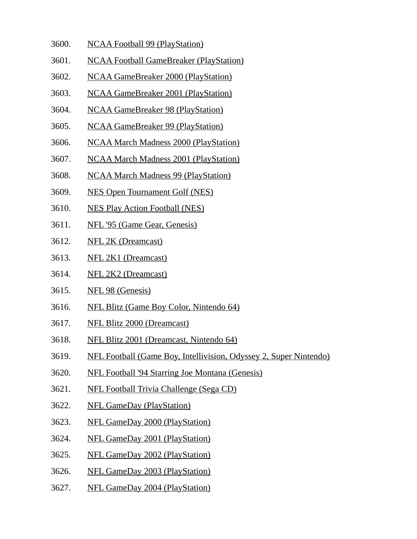- 3600. NCAA Football 99 (PlayStation)
- 3601. NCAA Football GameBreaker (PlayStation)
- 3602. NCAA GameBreaker 2000 (PlayStation)
- 3603. NCAA GameBreaker 2001 (PlayStation)
- 3604. NCAA GameBreaker 98 (PlayStation)
- 3605. NCAA GameBreaker 99 (PlayStation)
- 3606. NCAA March Madness 2000 (PlayStation)
- 3607. NCAA March Madness 2001 (PlayStation)
- 3608. NCAA March Madness 99 (PlayStation)
- 3609. NES Open Tournament Golf (NES)
- 3610. NES Play Action Football (NES)
- 3611. NFL '95 (Game Gear, Genesis)
- 3612. NFL 2K (Dreamcast)
- 3613. NFL 2K1 (Dreamcast)
- 3614. NFL 2K2 (Dreamcast)
- 3615. NFL 98 (Genesis)
- 3616. NFL Blitz (Game Boy Color, Nintendo 64)
- 3617. NFL Blitz 2000 (Dreamcast)
- 3618. NFL Blitz 2001 (Dreamcast, Nintendo 64)
- 3619. NFL Football (Game Boy, Intellivision, Odyssey 2, Super Nintendo)
- 3620. NFL Football '94 Starring Joe Montana (Genesis)
- 3621. NFL Football Trivia Challenge (Sega CD)
- 3622. NFL GameDay (PlayStation)
- 3623. NFL GameDay 2000 (PlayStation)
- 3624. NFL GameDay 2001 (PlayStation)
- 3625. NFL GameDay 2002 (PlayStation)
- 3626. NFL GameDay 2003 (PlayStation)
- 3627. NFL GameDay 2004 (PlayStation)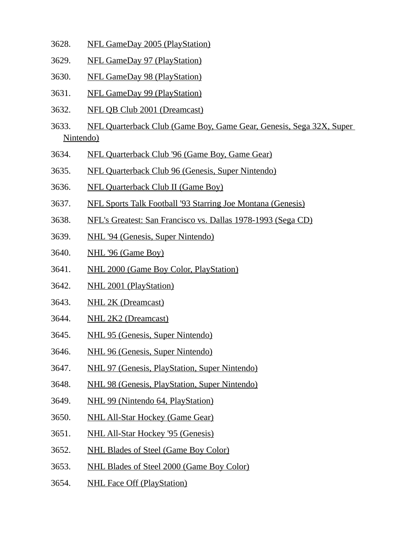- 3628. NFL GameDay 2005 (PlayStation)
- 3629. NFL GameDay 97 (PlayStation)
- 3630. NFL GameDay 98 (PlayStation)
- 3631. NFL GameDay 99 (PlayStation)
- 3632. NFL QB Club 2001 (Dreamcast)
- 3633. NFL Quarterback Club (Game Boy, Game Gear, Genesis, Sega 32X, Super Nintendo)
- 3634. NFL Quarterback Club '96 (Game Boy, Game Gear)
- 3635. NFL Quarterback Club 96 (Genesis, Super Nintendo)
- 3636. NFL Quarterback Club II (Game Boy)
- 3637. NFL Sports Talk Football '93 Starring Joe Montana (Genesis)
- 3638. NFL's Greatest: San Francisco vs. Dallas 1978-1993 (Sega CD)
- 3639. NHL '94 (Genesis, Super Nintendo)
- 3640. NHL '96 (Game Boy)
- 3641. NHL 2000 (Game Boy Color, PlayStation)
- 3642. NHL 2001 (PlayStation)
- 3643. NHL 2K (Dreamcast)
- 3644. NHL 2K2 (Dreamcast)
- 3645. NHL 95 (Genesis, Super Nintendo)
- 3646. NHL 96 (Genesis, Super Nintendo)
- 3647. NHL 97 (Genesis, PlayStation, Super Nintendo)
- 3648. NHL 98 (Genesis, PlayStation, Super Nintendo)
- 3649. NHL 99 (Nintendo 64, PlayStation)
- 3650. NHL All-Star Hockey (Game Gear)
- 3651. NHL All-Star Hockey '95 (Genesis)
- 3652. NHL Blades of Steel (Game Boy Color)
- 3653. NHL Blades of Steel 2000 (Game Boy Color)
- 3654. NHL Face Off (PlayStation)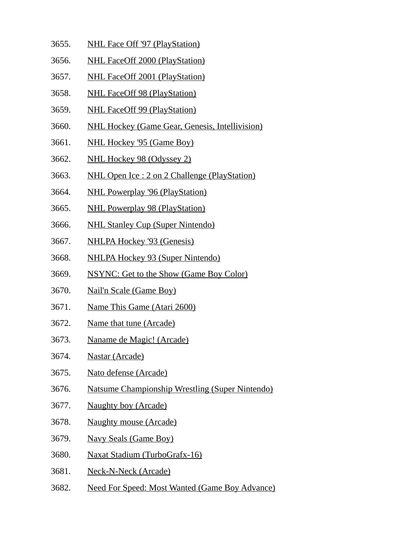- 3655. NHL Face Off '97 (PlayStation)
- 3656. NHL FaceOff 2000 (PlayStation)
- 3657. NHL FaceOff 2001 (PlayStation)
- 3658. NHL FaceOff 98 (PlayStation)
- 3659. NHL FaceOff 99 (PlayStation)
- 3660. NHL Hockey (Game Gear, Genesis, Intellivision)
- 3661. NHL Hockey '95 (Game Boy)
- 3662. NHL Hockey 98 (Odyssey 2)
- 3663. NHL Open Ice : 2 on 2 Challenge (PlayStation)
- 3664. NHL Powerplay '96 (PlayStation)
- 3665. NHL Powerplay 98 (PlayStation)
- 3666. NHL Stanley Cup (Super Nintendo)
- 3667. NHLPA Hockey '93 (Genesis)
- 3668. NHLPA Hockey 93 (Super Nintendo)
- 3669. NSYNC: Get to the Show (Game Boy Color)
- 3670. Nail'n Scale (Game Boy)
- 3671. Name This Game (Atari 2600)
- 3672. Name that tune (Arcade)
- 3673. Naname de Magic! (Arcade)
- 3674. Nastar (Arcade)
- 3675. Nato defense (Arcade)
- 3676. Natsume Championship Wrestling (Super Nintendo)
- 3677. Naughty boy (Arcade)
- 3678. Naughty mouse (Arcade)
- 3679. Navy Seals (Game Boy)
- 3680. Naxat Stadium (TurboGrafx-16)
- 3681. Neck-N-Neck (Arcade)
- 3682. Need For Speed: Most Wanted (Game Boy Advance)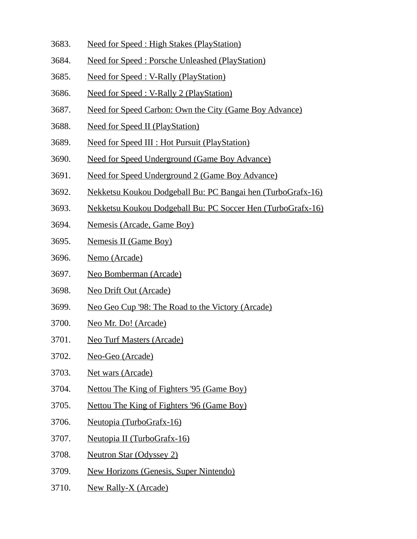- 3683. Need for Speed : High Stakes (PlayStation)
- 3684. Need for Speed : Porsche Unleashed (PlayStation)
- 3685. Need for Speed : V-Rally (PlayStation)
- 3686. Need for Speed : V-Rally 2 (PlayStation)
- 3687. Need for Speed Carbon: Own the City (Game Boy Advance)
- 3688. Need for Speed II (PlayStation)
- 3689. Need for Speed III : Hot Pursuit (PlayStation)
- 3690. Need for Speed Underground (Game Boy Advance)
- 3691. Need for Speed Underground 2 (Game Boy Advance)
- 3692. Nekketsu Koukou Dodgeball Bu: PC Bangai hen (TurboGrafx-16)
- 3693. Nekketsu Koukou Dodgeball Bu: PC Soccer Hen (TurboGrafx-16)
- 3694. Nemesis (Arcade, Game Boy)
- 3695. Nemesis II (Game Boy)
- 3696. Nemo (Arcade)
- 3697. Neo Bomberman (Arcade)
- 3698. Neo Drift Out (Arcade)
- 3699. Neo Geo Cup '98: The Road to the Victory (Arcade)
- 3700. Neo Mr. Do! (Arcade)
- 3701. Neo Turf Masters (Arcade)
- 3702. Neo-Geo (Arcade)
- 3703. Net wars (Arcade)
- 3704. Nettou The King of Fighters '95 (Game Boy)
- 3705. Nettou The King of Fighters '96 (Game Boy)
- 3706. Neutopia (TurboGrafx-16)
- 3707. Neutopia II (TurboGrafx-16)
- 3708. Neutron Star (Odyssey 2)
- 3709. New Horizons (Genesis, Super Nintendo)
- 3710. New Rally-X (Arcade)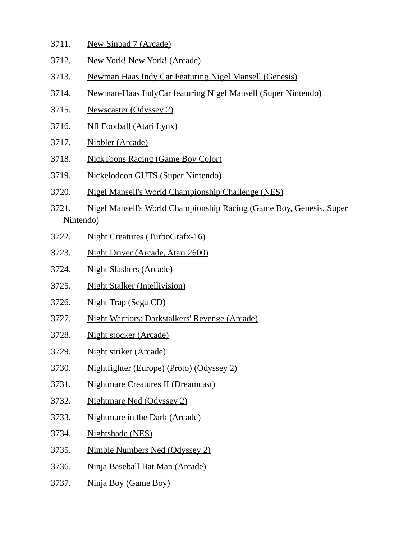- 3711. New Sinbad 7 (Arcade)
- 3712. New York! New York! (Arcade)
- 3713. Newman Haas Indy Car Featuring Nigel Mansell (Genesis)
- 3714. Newman-Haas IndyCar featuring Nigel Mansell (Super Nintendo)
- 3715. Newscaster (Odyssey 2)
- 3716. Nfl Football (Atari Lynx)
- 3717. Nibbler (Arcade)
- 3718. NickToons Racing (Game Boy Color)
- 3719. Nickelodeon GUTS (Super Nintendo)
- 3720. Nigel Mansell's World Championship Challenge (NES)
- 3721. Nigel Mansell's World Championship Racing (Game Boy, Genesis, Super Nintendo)
- 3722. Night Creatures (TurboGrafx-16)
- 3723. Night Driver (Arcade, Atari 2600)
- 3724. Night Slashers (Arcade)
- 3725. Night Stalker (Intellivision)
- 3726. Night Trap (Sega CD)
- 3727. Night Warriors: Darkstalkers' Revenge (Arcade)
- 3728. Night stocker (Arcade)
- 3729. Night striker (Arcade)
- 3730. Nightfighter (Europe) (Proto) (Odyssey 2)
- 3731. Nightmare Creatures II (Dreamcast)
- 3732. Nightmare Ned (Odyssey 2)
- 3733. Nightmare in the Dark (Arcade)
- 3734. Nightshade (NES)
- 3735. Nimble Numbers Ned (Odyssey 2)
- 3736. Ninja Baseball Bat Man (Arcade)
- 3737. Ninja Boy (Game Boy)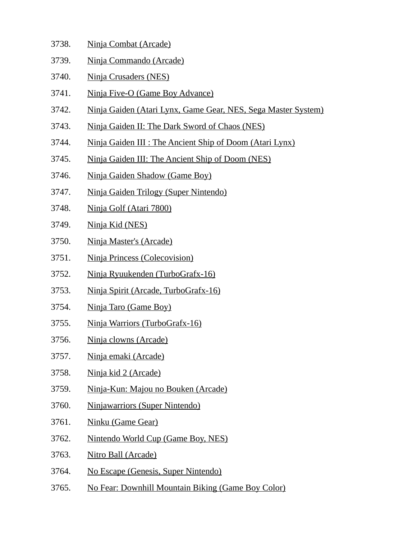- 3738. Ninja Combat (Arcade)
- 3739. Ninja Commando (Arcade)
- 3740. Ninja Crusaders (NES)
- 3741. Ninja Five-O (Game Boy Advance)
- 3742. Ninja Gaiden (Atari Lynx, Game Gear, NES, Sega Master System)
- 3743. Ninja Gaiden II: The Dark Sword of Chaos (NES)
- 3744. Ninja Gaiden III : The Ancient Ship of Doom (Atari Lynx)
- 3745. Ninja Gaiden III: The Ancient Ship of Doom (NES)
- 3746. Ninja Gaiden Shadow (Game Boy)
- 3747. Ninja Gaiden Trilogy (Super Nintendo)
- 3748. Ninja Golf (Atari 7800)
- 3749. Ninja Kid (NES)
- 3750. Ninja Master's (Arcade)
- 3751. Ninja Princess (Colecovision)
- 3752. Ninja Ryuukenden (TurboGrafx-16)
- 3753. Ninja Spirit (Arcade, TurboGrafx-16)
- 3754. Ninja Taro (Game Boy)
- 3755. Ninja Warriors (TurboGrafx-16)
- 3756. Ninja clowns (Arcade)
- 3757. Ninja emaki (Arcade)
- 3758. Ninja kid 2 (Arcade)
- 3759. Ninja-Kun: Majou no Bouken (Arcade)
- 3760. Ninjawarriors (Super Nintendo)
- 3761. Ninku (Game Gear)
- 3762. Nintendo World Cup (Game Boy, NES)
- 3763. Nitro Ball (Arcade)
- 3764. No Escape (Genesis, Super Nintendo)
- 3765. No Fear: Downhill Mountain Biking (Game Boy Color)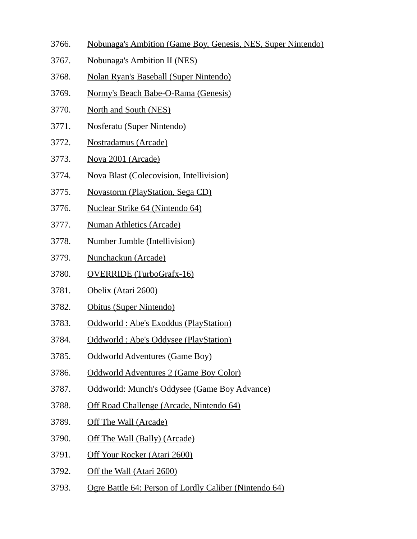- 3766. Nobunaga's Ambition (Game Boy, Genesis, NES, Super Nintendo)
- 3767. Nobunaga's Ambition II (NES)
- 3768. Nolan Ryan's Baseball (Super Nintendo)
- 3769. Normy's Beach Babe-O-Rama (Genesis)
- 3770. North and South (NES)
- 3771. Nosferatu (Super Nintendo)
- 3772. Nostradamus (Arcade)
- 3773. Nova 2001 (Arcade)
- 3774. Nova Blast (Colecovision, Intellivision)
- 3775. Novastorm (PlayStation, Sega CD)
- 3776. Nuclear Strike 64 (Nintendo 64)
- 3777. Numan Athletics (Arcade)
- 3778. Number Jumble (Intellivision)
- 3779. Nunchackun (Arcade)
- 3780. OVERRIDE (TurboGrafx-16)
- 3781. Obelix (Atari 2600)
- 3782. Obitus (Super Nintendo)
- 3783. Oddworld : Abe's Exoddus (PlayStation)
- 3784. Oddworld : Abe's Oddysee (PlayStation)
- 3785. Oddworld Adventures (Game Boy)
- 3786. Oddworld Adventures 2 (Game Boy Color)
- 3787. Oddworld: Munch's Oddysee (Game Boy Advance)
- 3788. Off Road Challenge (Arcade, Nintendo 64)
- 3789. Off The Wall (Arcade)
- 3790. Off The Wall (Bally) (Arcade)
- 3791. Off Your Rocker (Atari 2600)
- 3792. Off the Wall (Atari 2600)
- 3793. Ogre Battle 64: Person of Lordly Caliber (Nintendo 64)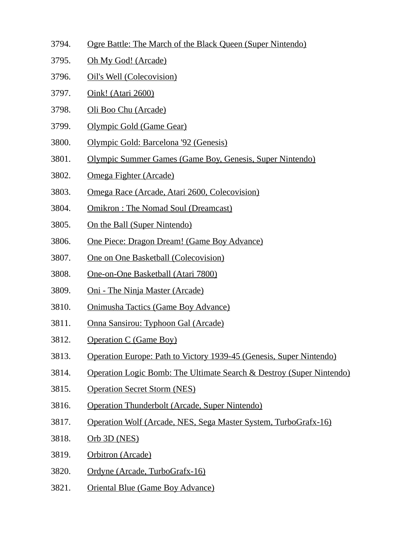- 3794. Ogre Battle: The March of the Black Queen (Super Nintendo)
- 3795. Oh My God! (Arcade)
- 3796. Oil's Well (Colecovision)
- 3797. Oink! (Atari 2600)
- 3798. Oli Boo Chu (Arcade)
- 3799. Olympic Gold (Game Gear)
- 3800. Olympic Gold: Barcelona '92 (Genesis)
- 3801. Olympic Summer Games (Game Boy, Genesis, Super Nintendo)
- 3802. Omega Fighter (Arcade)
- 3803. Omega Race (Arcade, Atari 2600, Colecovision)
- 3804. Omikron : The Nomad Soul (Dreamcast)
- 3805. On the Ball (Super Nintendo)
- 3806. One Piece: Dragon Dream! (Game Boy Advance)
- 3807. One on One Basketball (Colecovision)
- 3808. One-on-One Basketball (Atari 7800)
- 3809. Oni The Ninja Master (Arcade)
- 3810. Onimusha Tactics (Game Boy Advance)
- 3811. Onna Sansirou: Typhoon Gal (Arcade)
- 3812. Operation C (Game Boy)
- 3813. Operation Europe: Path to Victory 1939-45 (Genesis, Super Nintendo)
- 3814. Operation Logic Bomb: The Ultimate Search & Destroy (Super Nintendo)
- 3815. Operation Secret Storm (NES)
- 3816. Operation Thunderbolt (Arcade, Super Nintendo)
- 3817. Operation Wolf (Arcade, NES, Sega Master System, TurboGrafx-16)
- 3818. Orb 3D (NES)
- 3819. Orbitron (Arcade)
- 3820. Ordyne (Arcade, TurboGrafx-16)
- 3821. Oriental Blue (Game Boy Advance)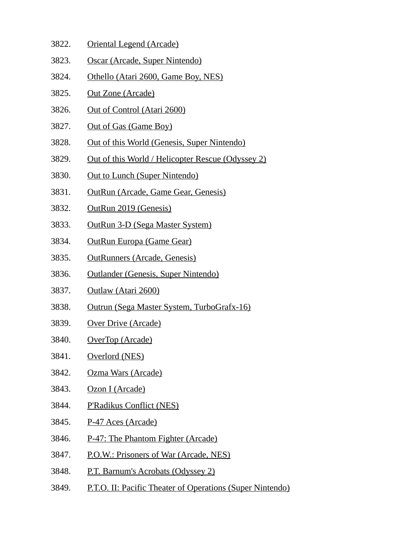- 3822. Oriental Legend (Arcade)
- 3823. Oscar (Arcade, Super Nintendo)
- 3824. Othello (Atari 2600, Game Boy, NES)
- 3825. Out Zone (Arcade)
- 3826. Out of Control (Atari 2600)
- 3827. Out of Gas (Game Boy)
- 3828. Out of this World (Genesis, Super Nintendo)
- 3829. Out of this World / Helicopter Rescue (Odyssey 2)
- 3830. Out to Lunch (Super Nintendo)
- 3831. OutRun (Arcade, Game Gear, Genesis)
- 3832. OutRun 2019 (Genesis)
- 3833. OutRun 3-D (Sega Master System)
- 3834. OutRun Europa (Game Gear)
- 3835. OutRunners (Arcade, Genesis)
- 3836. Outlander (Genesis, Super Nintendo)
- 3837. Outlaw (Atari 2600)
- 3838. Outrun (Sega Master System, TurboGrafx-16)
- 3839. Over Drive (Arcade)
- 3840. OverTop (Arcade)
- 3841. Overlord (NES)
- 3842. Ozma Wars (Arcade)
- 3843. Ozon I (Arcade)
- 3844. P'Radikus Conflict (NES)
- 3845. P-47 Aces (Arcade)
- 3846. P-47: The Phantom Fighter (Arcade)
- 3847. P.O.W.: Prisoners of War (Arcade, NES)
- 3848. P.T. Barnum's Acrobats (Odyssey 2)
- 3849. P.T.O. II: Pacific Theater of Operations (Super Nintendo)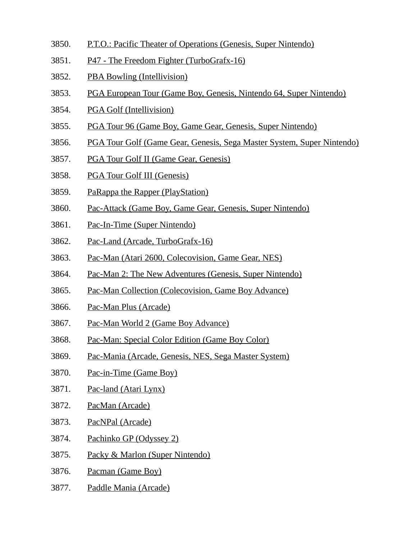- 3850. P.T.O.: Pacific Theater of Operations (Genesis, Super Nintendo)
- 3851. P47 The Freedom Fighter (TurboGrafx-16)
- 3852. PBA Bowling (Intellivision)
- 3853. PGA European Tour (Game Boy, Genesis, Nintendo 64, Super Nintendo)
- 3854. PGA Golf (Intellivision)
- 3855. PGA Tour 96 (Game Boy, Game Gear, Genesis, Super Nintendo)
- 3856. PGA Tour Golf (Game Gear, Genesis, Sega Master System, Super Nintendo)
- 3857. PGA Tour Golf II (Game Gear, Genesis)
- 3858. PGA Tour Golf III (Genesis)
- 3859. PaRappa the Rapper (PlayStation)
- 3860. Pac-Attack (Game Boy, Game Gear, Genesis, Super Nintendo)
- 3861. Pac-In-Time (Super Nintendo)
- 3862. Pac-Land (Arcade, TurboGrafx-16)
- 3863. Pac-Man (Atari 2600, Colecovision, Game Gear, NES)
- 3864. Pac-Man 2: The New Adventures (Genesis, Super Nintendo)
- 3865. Pac-Man Collection (Colecovision, Game Boy Advance)
- 3866. Pac-Man Plus (Arcade)
- 3867. Pac-Man World 2 (Game Boy Advance)
- 3868. Pac-Man: Special Color Edition (Game Boy Color)
- 3869. Pac-Mania (Arcade, Genesis, NES, Sega Master System)
- 3870. Pac-in-Time (Game Boy)
- 3871. Pac-land (Atari Lynx)
- 3872. PacMan (Arcade)
- 3873. PacNPal (Arcade)
- 3874. Pachinko GP (Odyssey 2)
- 3875. Packy & Marlon (Super Nintendo)
- 3876. Pacman (Game Boy)
- 3877. Paddle Mania (Arcade)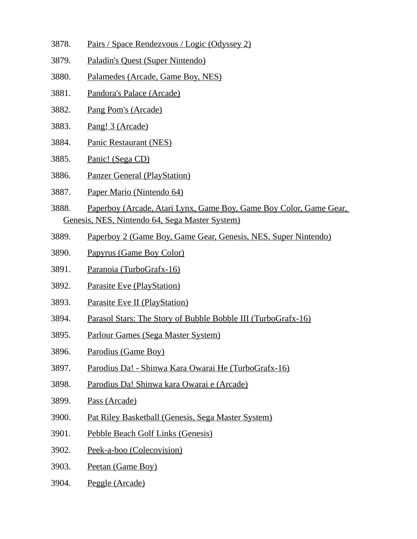- 3878. Pairs / Space Rendezvous / Logic (Odyssey 2)
- 3879. Paladin's Quest (Super Nintendo)
- 3880. Palamedes (Arcade, Game Boy, NES)
- 3881. Pandora's Palace (Arcade)
- 3882. Pang Pom's (Arcade)
- 3883. Pang! 3 (Arcade)
- 3884. Panic Restaurant (NES)
- 3885. Panic! (Sega CD)
- 3886. Panzer General (PlayStation)
- 3887. Paper Mario (Nintendo 64)
- 3888. Paperboy (Arcade, Atari Lynx, Game Boy, Game Boy Color, Game Gear, Genesis, NES, Nintendo 64, Sega Master System)
- 3889. Paperboy 2 (Game Boy, Game Gear, Genesis, NES, Super Nintendo)
- 3890. Papyrus (Game Boy Color)
- 3891. Paranoia (TurboGrafx-16)
- 3892. Parasite Eve (PlayStation)
- 3893. Parasite Eve II (PlayStation)
- 3894. Parasol Stars: The Story of Bubble Bobble III (TurboGrafx-16)
- 3895. Parlour Games (Sega Master System)
- 3896. Parodius (Game Boy)
- 3897. Parodius Da! Shinwa Kara Owarai He (TurboGrafx-16)
- 3898. Parodius Da! Shinwa kara Owarai e (Arcade)
- 3899. Pass (Arcade)
- 3900. Pat Riley Basketball (Genesis, Sega Master System)
- 3901. Pebble Beach Golf Links (Genesis)
- 3902. Peek-a-boo (Colecovision)
- 3903. Peetan (Game Boy)
- 3904. Peggle (Arcade)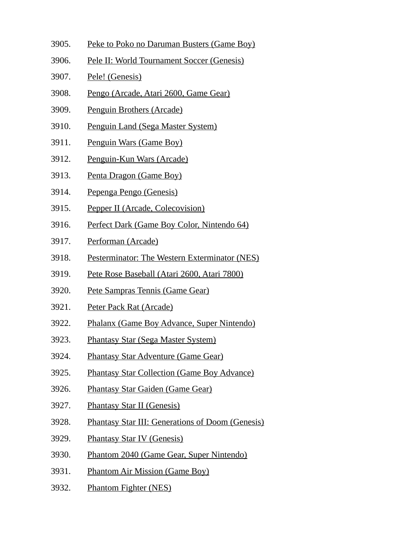- 3905. Peke to Poko no Daruman Busters (Game Boy)
- 3906. Pele II: World Tournament Soccer (Genesis)
- 3907. Pele! (Genesis)
- 3908. Pengo (Arcade, Atari 2600, Game Gear)
- 3909. Penguin Brothers (Arcade)
- 3910. Penguin Land (Sega Master System)
- 3911. Penguin Wars (Game Boy)
- 3912. Penguin-Kun Wars (Arcade)
- 3913. Penta Dragon (Game Boy)
- 3914. Pepenga Pengo (Genesis)
- 3915. Pepper II (Arcade, Colecovision)
- 3916. Perfect Dark (Game Boy Color, Nintendo 64)
- 3917. Performan (Arcade)
- 3918. Pesterminator: The Western Exterminator (NES)
- 3919. Pete Rose Baseball (Atari 2600, Atari 7800)
- 3920. Pete Sampras Tennis (Game Gear)
- 3921. Peter Pack Rat (Arcade)
- 3922. Phalanx (Game Boy Advance, Super Nintendo)
- 3923. Phantasy Star (Sega Master System)
- 3924. Phantasy Star Adventure (Game Gear)
- 3925. Phantasy Star Collection (Game Boy Advance)
- 3926. Phantasy Star Gaiden (Game Gear)
- 3927. Phantasy Star II (Genesis)
- 3928. Phantasy Star III: Generations of Doom (Genesis)
- 3929. Phantasy Star IV (Genesis)
- 3930. Phantom 2040 (Game Gear, Super Nintendo)
- 3931. Phantom Air Mission (Game Boy)
- 3932. Phantom Fighter (NES)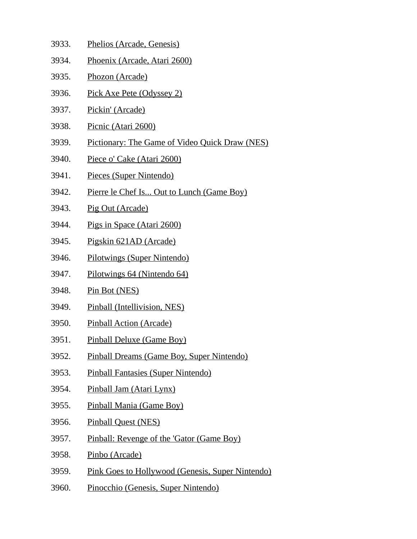- 3933. Phelios (Arcade, Genesis)
- 3934. Phoenix (Arcade, Atari 2600)
- 3935. Phozon (Arcade)
- 3936. Pick Axe Pete (Odyssey 2)
- 3937. Pickin' (Arcade)
- 3938. Picnic (Atari 2600)
- 3939. Pictionary: The Game of Video Quick Draw (NES)
- 3940. Piece o' Cake (Atari 2600)
- 3941. Pieces (Super Nintendo)
- 3942. Pierre le Chef Is... Out to Lunch (Game Boy)
- 3943. Pig Out (Arcade)
- 3944. Pigs in Space (Atari 2600)
- 3945. Pigskin 621AD (Arcade)
- 3946. Pilotwings (Super Nintendo)
- 3947. Pilotwings 64 (Nintendo 64)
- 3948. Pin Bot (NES)
- 3949. Pinball (Intellivision, NES)
- 3950. Pinball Action (Arcade)
- 3951. Pinball Deluxe (Game Boy)
- 3952. Pinball Dreams (Game Boy, Super Nintendo)
- 3953. Pinball Fantasies (Super Nintendo)
- 3954. Pinball Jam (Atari Lynx)
- 3955. Pinball Mania (Game Boy)
- 3956. Pinball Quest (NES)
- 3957. Pinball: Revenge of the 'Gator (Game Boy)
- 3958. Pinbo (Arcade)
- 3959. Pink Goes to Hollywood (Genesis, Super Nintendo)
- 3960. Pinocchio (Genesis, Super Nintendo)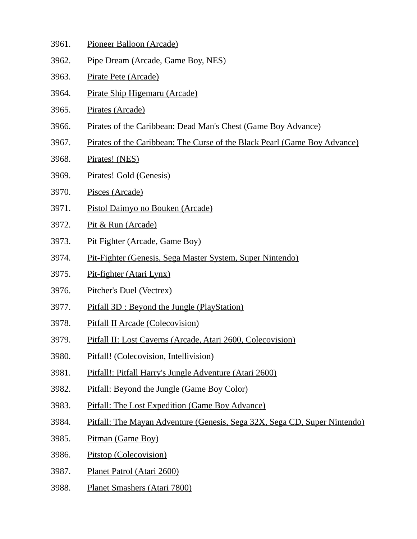- 3961. Pioneer Balloon (Arcade)
- 3962. Pipe Dream (Arcade, Game Boy, NES)
- 3963. Pirate Pete (Arcade)
- 3964. Pirate Ship Higemaru (Arcade)
- 3965. Pirates (Arcade)
- 3966. Pirates of the Caribbean: Dead Man's Chest (Game Boy Advance)
- 3967. Pirates of the Caribbean: The Curse of the Black Pearl (Game Boy Advance)
- 3968. Pirates! (NES)
- 3969. Pirates! Gold (Genesis)
- 3970. Pisces (Arcade)
- 3971. Pistol Daimyo no Bouken (Arcade)
- 3972. Pit & Run (Arcade)
- 3973. Pit Fighter (Arcade, Game Boy)
- 3974. Pit-Fighter (Genesis, Sega Master System, Super Nintendo)
- 3975. Pit-fighter (Atari Lynx)
- 3976. Pitcher's Duel (Vectrex)
- 3977. Pitfall 3D : Beyond the Jungle (PlayStation)
- 3978. Pitfall II Arcade (Colecovision)
- 3979. Pitfall II: Lost Caverns (Arcade, Atari 2600, Colecovision)
- 3980. Pitfall! (Colecovision, Intellivision)
- 3981. Pitfall!: Pitfall Harry's Jungle Adventure (Atari 2600)
- 3982. Pitfall: Beyond the Jungle (Game Boy Color)
- 3983. Pitfall: The Lost Expedition (Game Boy Advance)
- 3984. Pitfall: The Mayan Adventure (Genesis, Sega 32X, Sega CD, Super Nintendo)
- 3985. Pitman (Game Boy)
- 3986. Pitstop (Colecovision)
- 3987. Planet Patrol (Atari 2600)
- 3988. Planet Smashers (Atari 7800)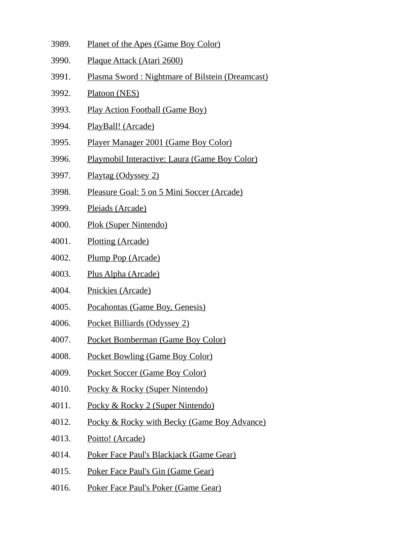- 3989. Planet of the Apes (Game Boy Color)
- 3990. Plaque Attack (Atari 2600)
- 3991. Plasma Sword : Nightmare of Bilstein (Dreamcast)
- 3992. Platoon (NES)
- 3993. Play Action Football (Game Boy)
- 3994. PlayBall! (Arcade)
- 3995. Player Manager 2001 (Game Boy Color)
- 3996. Playmobil Interactive: Laura (Game Boy Color)
- 3997. Playtag (Odyssey 2)
- 3998. Pleasure Goal: 5 on 5 Mini Soccer (Arcade)
- 3999. Pleiads (Arcade)
- 4000. Plok (Super Nintendo)
- 4001. Plotting (Arcade)
- 4002. Plump Pop (Arcade)
- 4003. Plus Alpha (Arcade)
- 4004. Pnickies (Arcade)
- 4005. Pocahontas (Game Boy, Genesis)
- 4006. Pocket Billiards (Odyssey 2)
- 4007. Pocket Bomberman (Game Boy Color)
- 4008. Pocket Bowling (Game Boy Color)
- 4009. Pocket Soccer (Game Boy Color)
- 4010. Pocky & Rocky (Super Nintendo)
- 4011. Pocky & Rocky 2 (Super Nintendo)
- 4012. Pocky & Rocky with Becky (Game Boy Advance)
- 4013. Poitto! (Arcade)
- 4014. Poker Face Paul's Blackjack (Game Gear)
- 4015. Poker Face Paul's Gin (Game Gear)
- 4016. Poker Face Paul's Poker (Game Gear)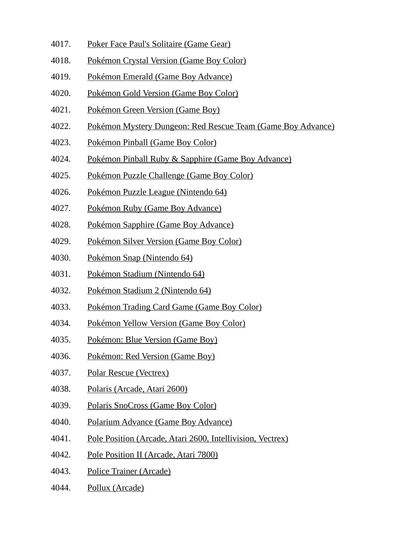- 4017. Poker Face Paul's Solitaire (Game Gear)
- 4018. Pokémon Crystal Version (Game Boy Color)
- 4019. Pokémon Emerald (Game Boy Advance)
- 4020. Pokémon Gold Version (Game Boy Color)
- 4021. Pokémon Green Version (Game Boy)
- 4022. Pokémon Mystery Dungeon: Red Rescue Team (Game Boy Advance)
- 4023. Pokémon Pinball (Game Boy Color)
- 4024. Pokémon Pinball Ruby & Sapphire (Game Boy Advance)
- 4025. Pokémon Puzzle Challenge (Game Boy Color)
- 4026. Pokémon Puzzle League (Nintendo 64)
- 4027. Pokémon Ruby (Game Boy Advance)
- 4028. Pokémon Sapphire (Game Boy Advance)
- 4029. Pokémon Silver Version (Game Boy Color)
- 4030. Pokémon Snap (Nintendo 64)
- 4031. Pokémon Stadium (Nintendo 64)
- 4032. Pokémon Stadium 2 (Nintendo 64)
- 4033. Pokémon Trading Card Game (Game Boy Color)
- 4034. Pokémon Yellow Version (Game Boy Color)
- 4035. Pokémon: Blue Version (Game Boy)
- 4036. Pokémon: Red Version (Game Boy)
- 4037. Polar Rescue (Vectrex)
- 4038. Polaris (Arcade, Atari 2600)
- 4039. Polaris SnoCross (Game Boy Color)
- 4040. Polarium Advance (Game Boy Advance)
- 4041. Pole Position (Arcade, Atari 2600, Intellivision, Vectrex)
- 4042. Pole Position II (Arcade, Atari 7800)
- 4043. Police Trainer (Arcade)
- 4044. Pollux (Arcade)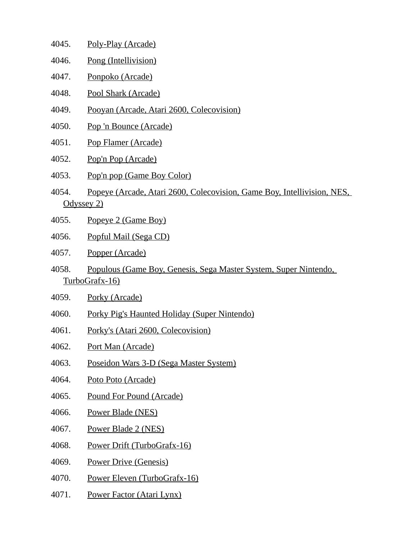- 4045. Poly-Play (Arcade)
- 4046. Pong (Intellivision)
- 4047. Ponpoko (Arcade)
- 4048. Pool Shark (Arcade)
- 4049. Pooyan (Arcade, Atari 2600, Colecovision)
- 4050. Pop 'n Bounce (Arcade)
- 4051. Pop Flamer (Arcade)
- 4052. Pop'n Pop (Arcade)
- 4053. Pop'n pop (Game Boy Color)
- 4054. Popeye (Arcade, Atari 2600, Colecovision, Game Boy, Intellivision, NES, Odyssey 2)
- 4055. Popeye 2 (Game Boy)
- 4056. Popful Mail (Sega CD)
- 4057. Popper (Arcade)
- 4058. Populous (Game Boy, Genesis, Sega Master System, Super Nintendo, TurboGrafx-16)
- 4059. Porky (Arcade)
- 4060. Porky Pig's Haunted Holiday (Super Nintendo)
- 4061. Porky's (Atari 2600, Colecovision)
- 4062. Port Man (Arcade)
- 4063. Poseidon Wars 3-D (Sega Master System)
- 4064. Poto Poto (Arcade)
- 4065. Pound For Pound (Arcade)
- 4066. Power Blade (NES)
- 4067. Power Blade 2 (NES)
- 4068. Power Drift (TurboGrafx-16)
- 4069. Power Drive (Genesis)
- 4070. Power Eleven (TurboGrafx-16)
- 4071. Power Factor (Atari Lynx)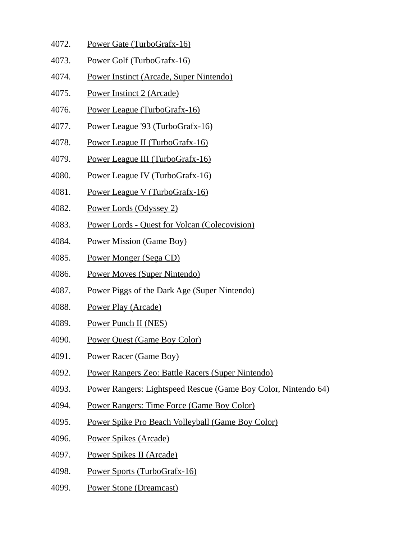- 4072. Power Gate (TurboGrafx-16)
- 4073. Power Golf (TurboGrafx-16)
- 4074. Power Instinct (Arcade, Super Nintendo)
- 4075. Power Instinct 2 (Arcade)
- 4076. Power League (TurboGrafx-16)
- 4077. Power League '93 (TurboGrafx-16)
- 4078. Power League II (TurboGrafx-16)
- 4079. Power League III (TurboGrafx-16)
- 4080. Power League IV (TurboGrafx-16)
- 4081. Power League V (TurboGrafx-16)
- 4082. Power Lords (Odyssey 2)
- 4083. Power Lords Quest for Volcan (Colecovision)
- 4084. Power Mission (Game Boy)
- 4085. Power Monger (Sega CD)
- 4086. Power Moves (Super Nintendo)
- 4087. Power Piggs of the Dark Age (Super Nintendo)
- 4088. Power Play (Arcade)
- 4089. Power Punch II (NES)
- 4090. Power Quest (Game Boy Color)
- 4091. Power Racer (Game Boy)
- 4092. Power Rangers Zeo: Battle Racers (Super Nintendo)
- 4093. Power Rangers: Lightspeed Rescue (Game Boy Color, Nintendo 64)
- 4094. Power Rangers: Time Force (Game Boy Color)
- 4095. Power Spike Pro Beach Volleyball (Game Boy Color)
- 4096. Power Spikes (Arcade)
- 4097. Power Spikes II (Arcade)
- 4098. Power Sports (TurboGrafx-16)
- 4099. Power Stone (Dreamcast)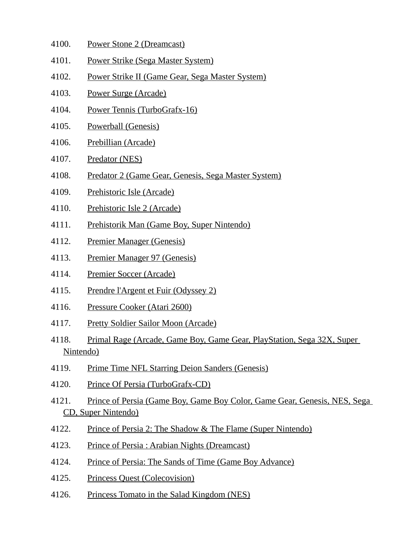- 4100. Power Stone 2 (Dreamcast)
- 4101. Power Strike (Sega Master System)
- 4102. Power Strike II (Game Gear, Sega Master System)
- 4103. Power Surge (Arcade)
- 4104. Power Tennis (TurboGrafx-16)
- 4105. Powerball (Genesis)
- 4106. Prebillian (Arcade)
- 4107. Predator (NES)
- 4108. Predator 2 (Game Gear, Genesis, Sega Master System)
- 4109. Prehistoric Isle (Arcade)
- 4110. Prehistoric Isle 2 (Arcade)
- 4111. Prehistorik Man (Game Boy, Super Nintendo)
- 4112. Premier Manager (Genesis)
- 4113. Premier Manager 97 (Genesis)
- 4114. Premier Soccer (Arcade)
- 4115. Prendre l'Argent et Fuir (Odyssey 2)
- 4116. Pressure Cooker (Atari 2600)
- 4117. Pretty Soldier Sailor Moon (Arcade)
- 4118. Primal Rage (Arcade, Game Boy, Game Gear, PlayStation, Sega 32X, Super Nintendo)
- 4119. Prime Time NFL Starring Deion Sanders (Genesis)
- 4120. Prince Of Persia (TurboGrafx-CD)
- 4121. Prince of Persia (Game Boy, Game Boy Color, Game Gear, Genesis, NES, Sega CD, Super Nintendo)
- 4122. Prince of Persia 2: The Shadow & The Flame (Super Nintendo)
- 4123. Prince of Persia : Arabian Nights (Dreamcast)
- 4124. Prince of Persia: The Sands of Time (Game Boy Advance)
- 4125. Princess Quest (Colecovision)
- 4126. Princess Tomato in the Salad Kingdom (NES)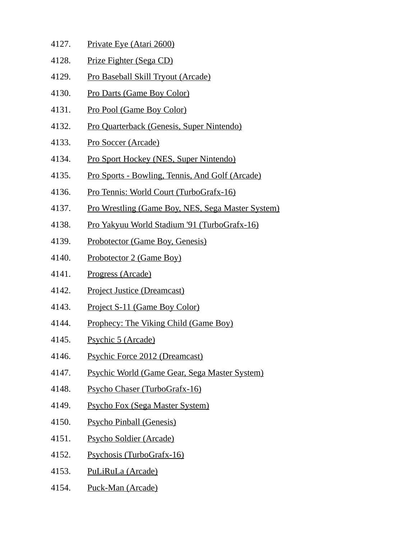- 4127. Private Eye (Atari 2600) 4128. Prize Fighter (Sega CD) 4129. Pro Baseball Skill Tryout (Arcade) 4130. Pro Darts (Game Boy Color) 4131. Pro Pool (Game Boy Color) 4132. Pro Quarterback (Genesis, Super Nintendo) 4133. Pro Soccer (Arcade)
- 4134. Pro Sport Hockey (NES, Super Nintendo)
- 4135. Pro Sports Bowling, Tennis, And Golf (Arcade)
- 4136. Pro Tennis: World Court (TurboGrafx-16)
- 4137. Pro Wrestling (Game Boy, NES, Sega Master System)
- 4138. Pro Yakyuu World Stadium '91 (TurboGrafx-16)
- 4139. Probotector (Game Boy, Genesis)
- 4140. Probotector 2 (Game Boy)
- 4141. Progress (Arcade)
- 4142. Project Justice (Dreamcast)
- 4143. Project S-11 (Game Boy Color)
- 4144. Prophecy: The Viking Child (Game Boy)
- 4145. Psychic 5 (Arcade)
- 4146. Psychic Force 2012 (Dreamcast)
- 4147. Psychic World (Game Gear, Sega Master System)
- 4148. Psycho Chaser (TurboGrafx-16)
- 4149. Psycho Fox (Sega Master System)
- 4150. Psycho Pinball (Genesis)
- 4151. Psycho Soldier (Arcade)
- 4152. Psychosis (TurboGrafx-16)
- 4153. PuLiRuLa (Arcade)
- 4154. Puck-Man (Arcade)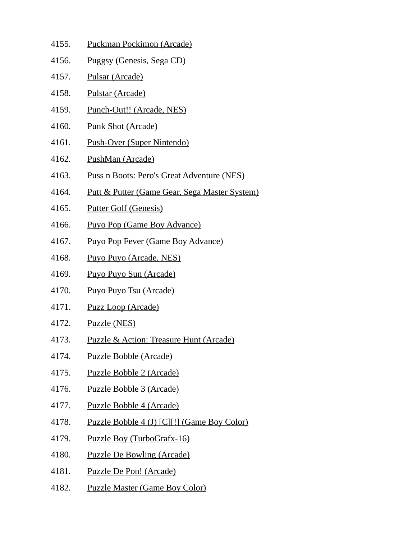- 4155. Puckman Pockimon (Arcade) 4156. Puggsy (Genesis, Sega CD) 4157. Pulsar (Arcade) 4158. Pulstar (Arcade) 4159. Punch-Out!! (Arcade, NES) 4160. Punk Shot (Arcade) 4161. Push-Over (Super Nintendo) 4162. PushMan (Arcade) 4163. Puss n Boots: Pero's Great Adventure (NES) 4164. Putt & Putter (Game Gear, Sega Master System) 4165. Putter Golf (Genesis) 4166. Puyo Pop (Game Boy Advance) 4167. Puyo Pop Fever (Game Boy Advance) 4168. Puyo Puyo (Arcade, NES) 4169. Puyo Puyo Sun (Arcade) 4170. Puyo Puyo Tsu (Arcade) 4171. Puzz Loop (Arcade) 4172. Puzzle (NES) 4173. Puzzle & Action: Treasure Hunt (Arcade) 4174. Puzzle Bobble (Arcade) 4175. Puzzle Bobble 2 (Arcade) 4176. Puzzle Bobble 3 (Arcade) 4177. Puzzle Bobble 4 (Arcade) 4178. Puzzle Bobble 4 (J) [C][!] (Game Boy Color) 4179. Puzzle Boy (TurboGrafx-16) 4180. Puzzle De Bowling (Arcade) 4181. Puzzle De Pon! (Arcade)
- 4182. Puzzle Master (Game Boy Color)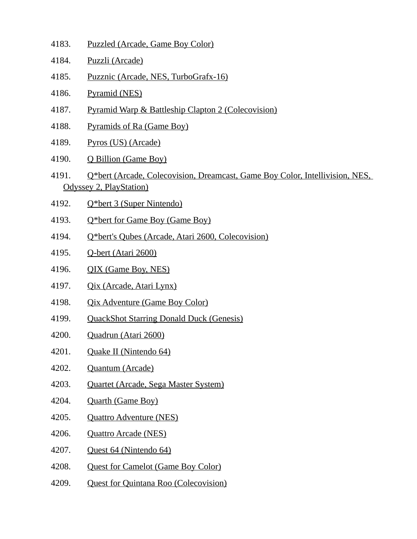- 4183. Puzzled (Arcade, Game Boy Color)
- 4184. Puzzli (Arcade)
- 4185. Puzznic (Arcade, NES, TurboGrafx-16)
- 4186. Pyramid (NES)
- 4187. Pyramid Warp & Battleship Clapton 2 (Colecovision)
- 4188. Pyramids of Ra (Game Boy)
- 4189. Pyros (US) (Arcade)
- 4190. Q Billion (Game Boy)
- 4191. Q\*bert (Arcade, Colecovision, Dreamcast, Game Boy Color, Intellivision, NES, Odyssey 2, PlayStation)
- 4192. Q\*bert 3 (Super Nintendo)
- 4193. Q\*bert for Game Boy (Game Boy)
- 4194. Q\*bert's Qubes (Arcade, Atari 2600, Colecovision)
- 4195. Q-bert (Atari 2600)
- 4196. QIX (Game Boy, NES)
- 4197. Qix (Arcade, Atari Lynx)
- 4198. Qix Adventure (Game Boy Color)
- 4199. QuackShot Starring Donald Duck (Genesis)
- 4200. Quadrun (Atari 2600)
- 4201. Quake II (Nintendo 64)
- 4202. Quantum (Arcade)
- 4203. Quartet (Arcade, Sega Master System)
- 4204. Quarth (Game Boy)
- 4205. Quattro Adventure (NES)
- 4206. Quattro Arcade (NES)
- 4207. Quest 64 (Nintendo 64)
- 4208. Quest for Camelot (Game Boy Color)
- 4209. Quest for Quintana Roo (Colecovision)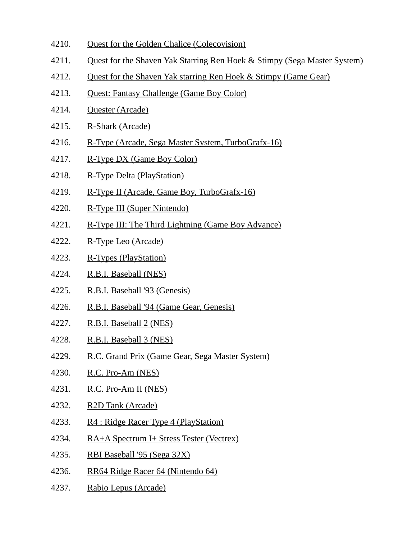- 4210. Quest for the Golden Chalice (Colecovision)
- 4211. Quest for the Shaven Yak Starring Ren Hoek & Stimpy (Sega Master System)
- 4212. Ouest for the Shaven Yak starring Ren Hoek & Stimpy (Game Gear)
- 4213. Quest: Fantasy Challenge (Game Boy Color)
- 4214. Quester (Arcade)
- 4215. R-Shark (Arcade)
- 4216. R-Type (Arcade, Sega Master System, TurboGrafx-16)
- 4217. R-Type DX (Game Boy Color)
- 4218. R-Type Delta (PlayStation)
- 4219. R-Type II (Arcade, Game Boy, TurboGrafx-16)
- 4220. R-Type III (Super Nintendo)
- 4221. R-Type III: The Third Lightning (Game Boy Advance)
- 4222. R-Type Leo (Arcade)
- 4223. R-Types (PlayStation)
- 4224. R.B.I. Baseball (NES)
- 4225. R.B.I. Baseball '93 (Genesis)
- 4226. R.B.I. Baseball '94 (Game Gear, Genesis)
- 4227. R.B.I. Baseball 2 (NES)
- 4228. R.B.I. Baseball 3 (NES)
- 4229. R.C. Grand Prix (Game Gear, Sega Master System)
- 4230. R.C. Pro-Am (NES)
- 4231. R.C. Pro-Am II (NES)
- 4232. R2D Tank (Arcade)
- 4233. R4 : Ridge Racer Type 4 (PlayStation)
- 4234. RA+A Spectrum I+ Stress Tester (Vectrex)
- 4235. RBI Baseball '95 (Sega 32X)
- 4236. RR64 Ridge Racer 64 (Nintendo 64)
- 4237. Rabio Lepus (Arcade)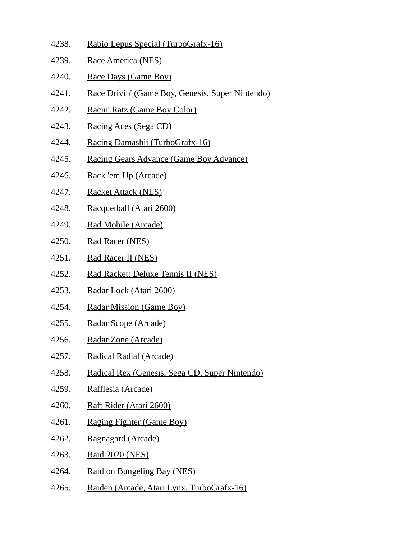- 4238. Rabio Lepus Special (TurboGrafx-16)
- 4239. Race America (NES)
- 4240. Race Days (Game Boy)
- 4241. Race Drivin' (Game Boy, Genesis, Super Nintendo)
- 4242. Racin' Ratz (Game Boy Color)
- 4243. Racing Aces (Sega CD)
- 4244. Racing Damashii (TurboGrafx-16)
- 4245. Racing Gears Advance (Game Boy Advance)
- 4246. Rack 'em Up (Arcade)
- 4247. Racket Attack (NES)
- 4248. Racquetball (Atari 2600)
- 4249. Rad Mobile (Arcade)
- 4250. Rad Racer (NES)
- 4251. Rad Racer II (NES)
- 4252. Rad Racket: Deluxe Tennis II (NES)
- 4253. Radar Lock (Atari 2600)
- 4254. Radar Mission (Game Boy)
- 4255. Radar Scope (Arcade)
- 4256. Radar Zone (Arcade)
- 4257. Radical Radial (Arcade)
- 4258. Radical Rex (Genesis, Sega CD, Super Nintendo)
- 4259. Rafflesia (Arcade)
- 4260. Raft Rider (Atari 2600)
- 4261. Raging Fighter (Game Boy)
- 4262. Ragnagard (Arcade)
- 4263. Raid 2020 (NES)
- 4264. Raid on Bungeling Bay (NES)
- 4265. Raiden (Arcade, Atari Lynx, TurboGrafx-16)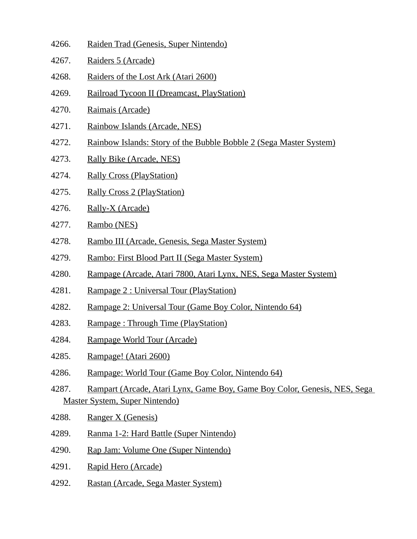- 4266. Raiden Trad (Genesis, Super Nintendo) 4267. Raiders 5 (Arcade) 4268. Raiders of the Lost Ark (Atari 2600) 4269. Railroad Tycoon II (Dreamcast, PlayStation) 4270. Raimais (Arcade) 4271. Rainbow Islands (Arcade, NES) 4272. Rainbow Islands: Story of the Bubble Bobble 2 (Sega Master System) 4273. Rally Bike (Arcade, NES) 4274. Rally Cross (PlayStation) 4275. Rally Cross 2 (PlayStation) 4276. Rally-X (Arcade) 4277. Rambo (NES) 4278. Rambo III (Arcade, Genesis, Sega Master System) 4279. Rambo: First Blood Part II (Sega Master System) 4280. Rampage (Arcade, Atari 7800, Atari Lynx, NES, Sega Master System) 4281. Rampage 2 : Universal Tour (PlayStation) 4282. Rampage 2: Universal Tour (Game Boy Color, Nintendo 64) 4283. Rampage : Through Time (PlayStation) 4284. Rampage World Tour (Arcade) 4285. Rampage! (Atari 2600)
- 4286. Rampage: World Tour (Game Boy Color, Nintendo 64)
- 4287. Rampart (Arcade, Atari Lynx, Game Boy, Game Boy Color, Genesis, NES, Sega Master System, Super Nintendo)
- 4288. Ranger X (Genesis)
- 4289. Ranma 1-2: Hard Battle (Super Nintendo)
- 4290. Rap Jam: Volume One (Super Nintendo)
- 4291. Rapid Hero (Arcade)
- 4292. Rastan (Arcade, Sega Master System)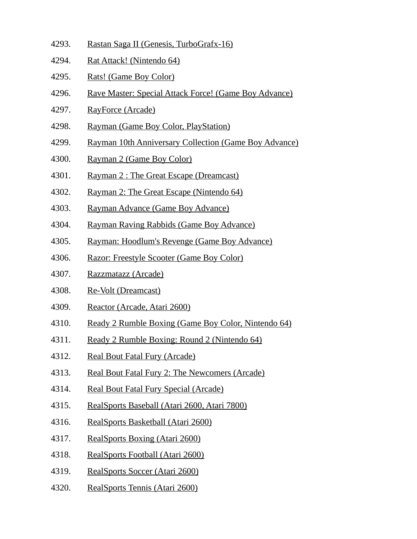- 4293. Rastan Saga II (Genesis, TurboGrafx-16)
- 4294. Rat Attack! (Nintendo 64)
- 4295. Rats! (Game Boy Color)
- 4296. Rave Master: Special Attack Force! (Game Boy Advance)
- 4297. RayForce (Arcade)
- 4298. Rayman (Game Boy Color, PlayStation)
- 4299. Rayman 10th Anniversary Collection (Game Boy Advance)
- 4300. Rayman 2 (Game Boy Color)
- 4301. Rayman 2 : The Great Escape (Dreamcast)
- 4302. Rayman 2: The Great Escape (Nintendo 64)
- 4303. Rayman Advance (Game Boy Advance)
- 4304. Rayman Raving Rabbids (Game Boy Advance)
- 4305. Rayman: Hoodlum's Revenge (Game Boy Advance)
- 4306. Razor: Freestyle Scooter (Game Boy Color)
- 4307. Razzmatazz (Arcade)
- 4308. Re-Volt (Dreamcast)
- 4309. Reactor (Arcade, Atari 2600)
- 4310. Ready 2 Rumble Boxing (Game Boy Color, Nintendo 64)
- 4311. Ready 2 Rumble Boxing: Round 2 (Nintendo 64)
- 4312. Real Bout Fatal Fury (Arcade)
- 4313. Real Bout Fatal Fury 2: The Newcomers (Arcade)
- 4314. Real Bout Fatal Fury Special (Arcade)
- 4315. RealSports Baseball (Atari 2600, Atari 7800)
- 4316. RealSports Basketball (Atari 2600)
- 4317. RealSports Boxing (Atari 2600)
- 4318. RealSports Football (Atari 2600)
- 4319. RealSports Soccer (Atari 2600)
- 4320. RealSports Tennis (Atari 2600)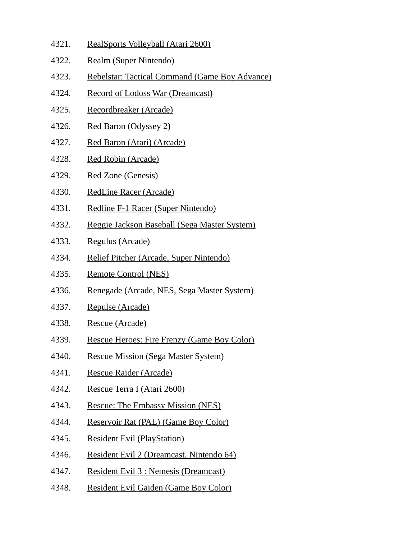- 4321. RealSports Volleyball (Atari 2600)
- 4322. Realm (Super Nintendo)
- 4323. Rebelstar: Tactical Command (Game Boy Advance)
- 4324. Record of Lodoss War (Dreamcast)
- 4325. Recordbreaker (Arcade)
- 4326. Red Baron (Odyssey 2)
- 4327. Red Baron (Atari) (Arcade)
- 4328. Red Robin (Arcade)
- 4329. Red Zone (Genesis)
- 4330. RedLine Racer (Arcade)
- 4331. Redline F-1 Racer (Super Nintendo)
- 4332. Reggie Jackson Baseball (Sega Master System)
- 4333. Regulus (Arcade)
- 4334. Relief Pitcher (Arcade, Super Nintendo)
- 4335. Remote Control (NES)
- 4336. Renegade (Arcade, NES, Sega Master System)
- 4337. Repulse (Arcade)
- 4338. Rescue (Arcade)
- 4339. Rescue Heroes: Fire Frenzy (Game Boy Color)
- 4340. Rescue Mission (Sega Master System)
- 4341. Rescue Raider (Arcade)
- 4342. Rescue Terra I (Atari 2600)
- 4343. Rescue: The Embassy Mission (NES)
- 4344. Reservoir Rat (PAL) (Game Boy Color)
- 4345. Resident Evil (PlayStation)
- 4346. Resident Evil 2 (Dreamcast, Nintendo 64)
- 4347. Resident Evil 3 : Nemesis (Dreamcast)
- 4348. Resident Evil Gaiden (Game Boy Color)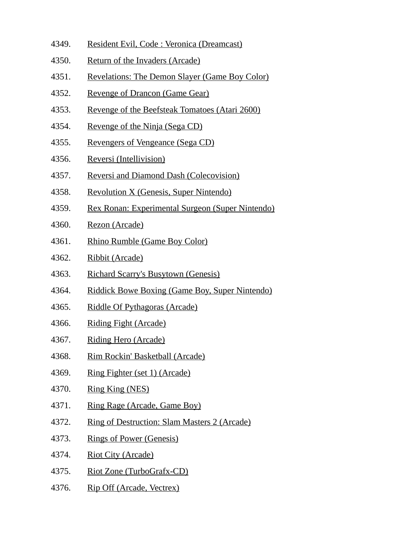- 4349. Resident Evil, Code : Veronica (Dreamcast)
- 4350. Return of the Invaders (Arcade)
- 4351. Revelations: The Demon Slayer (Game Boy Color)
- 4352. Revenge of Drancon (Game Gear)
- 4353. Revenge of the Beefsteak Tomatoes (Atari 2600)
- 4354. Revenge of the Ninja (Sega CD)
- 4355. Revengers of Vengeance (Sega CD)
- 4356. Reversi (Intellivision)
- 4357. Reversi and Diamond Dash (Colecovision)
- 4358. Revolution X (Genesis, Super Nintendo)
- 4359. Rex Ronan: Experimental Surgeon (Super Nintendo)
- 4360. Rezon (Arcade)
- 4361. Rhino Rumble (Game Boy Color)
- 4362. Ribbit (Arcade)
- 4363. Richard Scarry's Busytown (Genesis)
- 4364. Riddick Bowe Boxing (Game Boy, Super Nintendo)
- 4365. Riddle Of Pythagoras (Arcade)
- 4366. Riding Fight (Arcade)
- 4367. Riding Hero (Arcade)
- 4368. Rim Rockin' Basketball (Arcade)
- 4369. Ring Fighter (set 1) (Arcade)
- 4370. Ring King (NES)
- 4371. Ring Rage (Arcade, Game Boy)
- 4372. Ring of Destruction: Slam Masters 2 (Arcade)
- 4373. Rings of Power (Genesis)
- 4374. Riot City (Arcade)
- 4375. Riot Zone (TurboGrafx-CD)
- 4376. Rip Off (Arcade, Vectrex)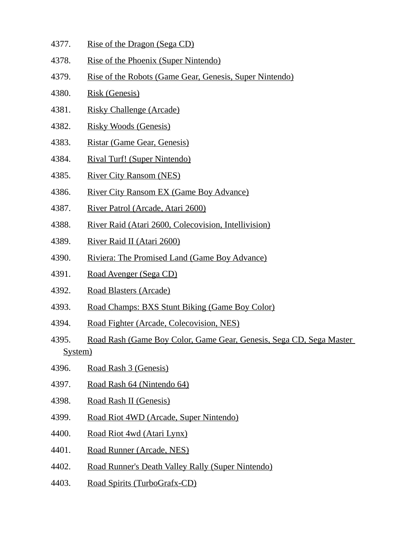- 4377. Rise of the Dragon (Sega CD)
- 4378. Rise of the Phoenix (Super Nintendo)
- 4379. Rise of the Robots (Game Gear, Genesis, Super Nintendo)
- 4380. Risk (Genesis)
- 4381. Risky Challenge (Arcade)
- 4382. Risky Woods (Genesis)
- 4383. Ristar (Game Gear, Genesis)
- 4384. Rival Turf! (Super Nintendo)
- 4385. River City Ransom (NES)
- 4386. River City Ransom EX (Game Boy Advance)
- 4387. River Patrol (Arcade, Atari 2600)
- 4388. River Raid (Atari 2600, Colecovision, Intellivision)
- 4389. River Raid II (Atari 2600)
- 4390. Riviera: The Promised Land (Game Boy Advance)
- 4391. Road Avenger (Sega CD)
- 4392. Road Blasters (Arcade)
- 4393. Road Champs: BXS Stunt Biking (Game Boy Color)
- 4394. Road Fighter (Arcade, Colecovision, NES)
- 4395. Road Rash (Game Boy Color, Game Gear, Genesis, Sega CD, Sega Master System)
- 4396. Road Rash 3 (Genesis)
- 4397. Road Rash 64 (Nintendo 64)
- 4398. Road Rash II (Genesis)
- 4399. Road Riot 4WD (Arcade, Super Nintendo)
- 4400. Road Riot 4wd (Atari Lynx)
- 4401. Road Runner (Arcade, NES)
- 4402. Road Runner's Death Valley Rally (Super Nintendo)
- 4403. Road Spirits (TurboGrafx-CD)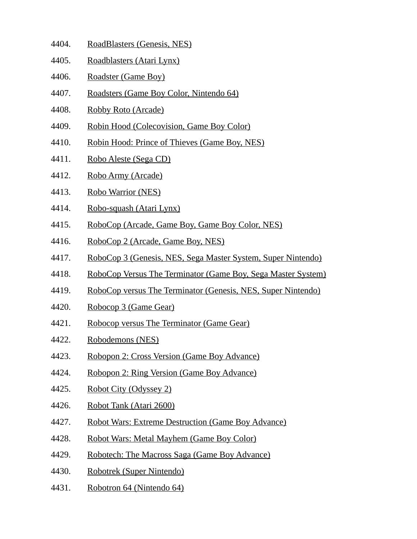- 4404. RoadBlasters (Genesis, NES)
- 4405. Roadblasters (Atari Lynx)
- 4406. Roadster (Game Boy)
- 4407. Roadsters (Game Boy Color, Nintendo 64)
- 4408. Robby Roto (Arcade)
- 4409. Robin Hood (Colecovision, Game Boy Color)
- 4410. Robin Hood: Prince of Thieves (Game Boy, NES)
- 4411. Robo Aleste (Sega CD)
- 4412. Robo Army (Arcade)
- 4413. Robo Warrior (NES)
- 4414. Robo-squash (Atari Lynx)
- 4415. RoboCop (Arcade, Game Boy, Game Boy Color, NES)
- 4416. RoboCop 2 (Arcade, Game Boy, NES)
- 4417. RoboCop 3 (Genesis, NES, Sega Master System, Super Nintendo)
- 4418. RoboCop Versus The Terminator (Game Boy, Sega Master System)
- 4419. RoboCop versus The Terminator (Genesis, NES, Super Nintendo)
- 4420. Robocop 3 (Game Gear)
- 4421. Robocop versus The Terminator (Game Gear)
- 4422. Robodemons (NES)
- 4423. Robopon 2: Cross Version (Game Boy Advance)
- 4424. Robopon 2: Ring Version (Game Boy Advance)
- 4425. Robot City (Odyssey 2)
- 4426. Robot Tank (Atari 2600)
- 4427. Robot Wars: Extreme Destruction (Game Boy Advance)
- 4428. Robot Wars: Metal Mayhem (Game Boy Color)
- 4429. Robotech: The Macross Saga (Game Boy Advance)
- 4430. Robotrek (Super Nintendo)
- 4431. Robotron 64 (Nintendo 64)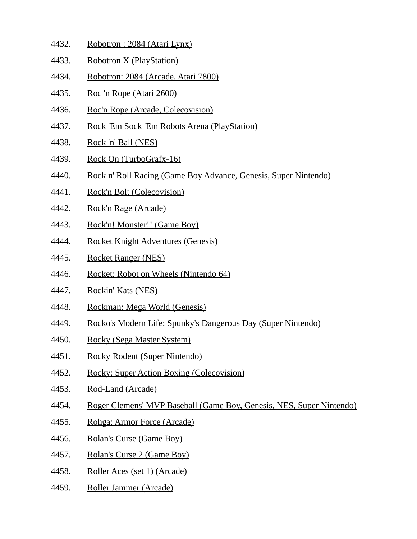- 4432. Robotron : 2084 (Atari Lynx)
- 4433. Robotron X (PlayStation)
- 4434. Robotron: 2084 (Arcade, Atari 7800)
- 4435. Roc 'n Rope (Atari 2600)
- 4436. Roc'n Rope (Arcade, Colecovision)
- 4437. Rock 'Em Sock 'Em Robots Arena (PlayStation)
- 4438. Rock 'n' Ball (NES)
- 4439. Rock On (TurboGrafx-16)
- 4440. Rock n' Roll Racing (Game Boy Advance, Genesis, Super Nintendo)
- 4441. Rock'n Bolt (Colecovision)
- 4442. Rock'n Rage (Arcade)
- 4443. Rock'n! Monster!! (Game Boy)
- 4444. Rocket Knight Adventures (Genesis)
- 4445. Rocket Ranger (NES)
- 4446. Rocket: Robot on Wheels (Nintendo 64)
- 4447. Rockin' Kats (NES)
- 4448. Rockman: Mega World (Genesis)
- 4449. Rocko's Modern Life: Spunky's Dangerous Day (Super Nintendo)
- 4450. Rocky (Sega Master System)
- 4451. Rocky Rodent (Super Nintendo)
- 4452. Rocky: Super Action Boxing (Colecovision)
- 4453. Rod-Land (Arcade)
- 4454. Roger Clemens' MVP Baseball (Game Boy, Genesis, NES, Super Nintendo)
- 4455. Rohga: Armor Force (Arcade)
- 4456. Rolan's Curse (Game Boy)
- 4457. Rolan's Curse 2 (Game Boy)
- 4458. Roller Aces (set 1) (Arcade)
- 4459. Roller Jammer (Arcade)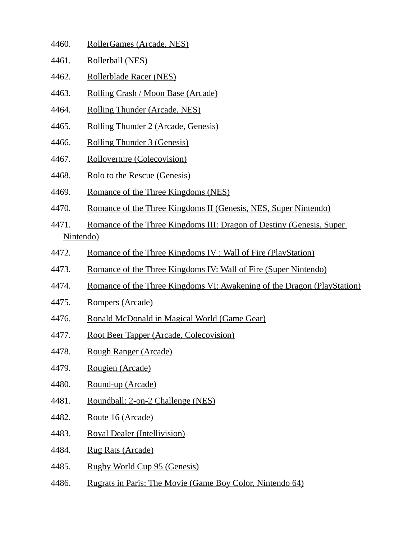- 4460. RollerGames (Arcade, NES)
- 4461. Rollerball (NES)
- 4462. Rollerblade Racer (NES)
- 4463. Rolling Crash / Moon Base (Arcade)
- 4464. Rolling Thunder (Arcade, NES)
- 4465. Rolling Thunder 2 (Arcade, Genesis)
- 4466. Rolling Thunder 3 (Genesis)
- 4467. Rolloverture (Colecovision)
- 4468. Rolo to the Rescue (Genesis)
- 4469. Romance of the Three Kingdoms (NES)
- 4470. Romance of the Three Kingdoms II (Genesis, NES, Super Nintendo)
- 4471. Romance of the Three Kingdoms III: Dragon of Destiny (Genesis, Super Nintendo)
- 4472. Romance of the Three Kingdoms IV : Wall of Fire (PlayStation)
- 4473. Romance of the Three Kingdoms IV: Wall of Fire (Super Nintendo)
- 4474. Romance of the Three Kingdoms VI: Awakening of the Dragon (PlayStation)
- 4475. Rompers (Arcade)
- 4476. Ronald McDonald in Magical World (Game Gear)
- 4477. Root Beer Tapper (Arcade, Colecovision)
- 4478. Rough Ranger (Arcade)
- 4479. Rougien (Arcade)
- 4480. Round-up (Arcade)
- 4481. Roundball: 2-on-2 Challenge (NES)
- 4482. Route 16 (Arcade)
- 4483. Royal Dealer (Intellivision)
- 4484. Rug Rats (Arcade)
- 4485. Rugby World Cup 95 (Genesis)
- 4486. Rugrats in Paris: The Movie (Game Boy Color, Nintendo 64)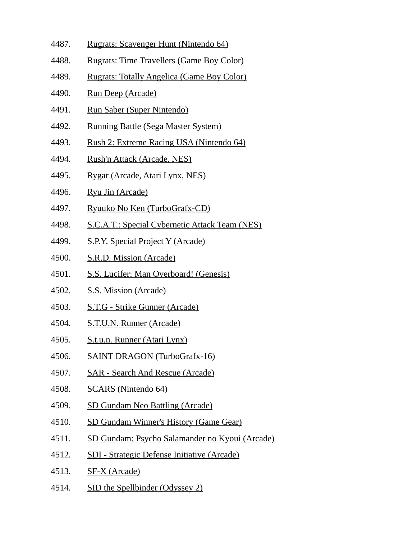- 4487. Rugrats: Scavenger Hunt (Nintendo 64)
- 4488. Rugrats: Time Travellers (Game Boy Color)
- 4489. Rugrats: Totally Angelica (Game Boy Color)
- 4490. Run Deep (Arcade)
- 4491. Run Saber (Super Nintendo)
- 4492. Running Battle (Sega Master System)
- 4493. Rush 2: Extreme Racing USA (Nintendo 64)
- 4494. Rush'n Attack (Arcade, NES)
- 4495. Rygar (Arcade, Atari Lynx, NES)
- 4496. Ryu Jin (Arcade)
- 4497. Ryuuko No Ken (TurboGrafx-CD)
- 4498. S.C.A.T.: Special Cybernetic Attack Team (NES)
- 4499. S.P.Y. Special Project Y (Arcade)
- 4500. S.R.D. Mission (Arcade)
- 4501. S.S. Lucifer: Man Overboard! (Genesis)
- 4502. S.S. Mission (Arcade)
- 4503. S.T.G Strike Gunner (Arcade)
- 4504. S.T.U.N. Runner (Arcade)
- 4505. S.t.u.n. Runner (Atari Lynx)
- 4506. SAINT DRAGON (TurboGrafx-16)
- 4507. SAR Search And Rescue (Arcade)
- 4508. SCARS (Nintendo 64)
- 4509. SD Gundam Neo Battling (Arcade)
- 4510. SD Gundam Winner's History (Game Gear)
- 4511. SD Gundam: Psycho Salamander no Kyoui (Arcade)
- 4512. SDI Strategic Defense Initiative (Arcade)
- 4513. SF-X (Arcade)
- 4514. SID the Spellbinder (Odyssey 2)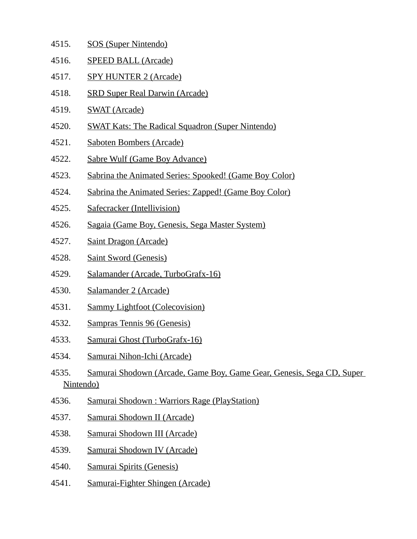- 4515. SOS (Super Nintendo) 4516. SPEED BALL (Arcade) 4517. SPY HUNTER 2 (Arcade) 4518. SRD Super Real Darwin (Arcade) 4519. SWAT (Arcade) 4520. SWAT Kats: The Radical Squadron (Super Nintendo) 4521. Saboten Bombers (Arcade) 4522. Sabre Wulf (Game Boy Advance) 4523. Sabrina the Animated Series: Spooked! (Game Boy Color) 4524. Sabrina the Animated Series: Zapped! (Game Boy Color) 4525. Safecracker (Intellivision) 4526. Sagaia (Game Boy, Genesis, Sega Master System) 4527. Saint Dragon (Arcade) 4528. Saint Sword (Genesis) 4529. Salamander (Arcade, TurboGrafx-16) 4530. Salamander 2 (Arcade) 4531. Sammy Lightfoot (Colecovision) 4532. Sampras Tennis 96 (Genesis) 4533. Samurai Ghost (TurboGrafx-16) 4534. Samurai Nihon-Ichi (Arcade) 4535. Samurai Shodown (Arcade, Game Boy, Game Gear, Genesis, Sega CD, Super Nintendo) 4536. Samurai Shodown : Warriors Rage (PlayStation)
- 4537. Samurai Shodown II (Arcade)
- 4538. Samurai Shodown III (Arcade)
- 4539. Samurai Shodown IV (Arcade)
- 4540. Samurai Spirits (Genesis)
- 4541. Samurai-Fighter Shingen (Arcade)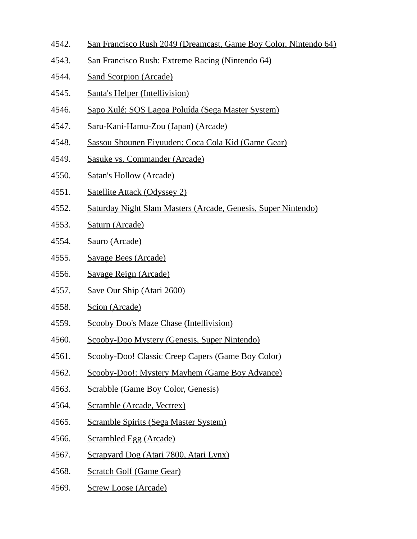- 4542. San Francisco Rush 2049 (Dreamcast, Game Boy Color, Nintendo 64)
- 4543. San Francisco Rush: Extreme Racing (Nintendo 64)
- 4544. Sand Scorpion (Arcade)
- 4545. Santa's Helper (Intellivision)
- 4546. Sapo Xulé: SOS Lagoa Poluída (Sega Master System)
- 4547. Saru-Kani-Hamu-Zou (Japan) (Arcade)
- 4548. Sassou Shounen Eiyuuden: Coca Cola Kid (Game Gear)
- 4549. Sasuke vs. Commander (Arcade)
- 4550. Satan's Hollow (Arcade)
- 4551. Satellite Attack (Odyssey 2)
- 4552. Saturday Night Slam Masters (Arcade, Genesis, Super Nintendo)
- 4553. Saturn (Arcade)
- 4554. Sauro (Arcade)
- 4555. Savage Bees (Arcade)
- 4556. Savage Reign (Arcade)
- 4557. Save Our Ship (Atari 2600)
- 4558. Scion (Arcade)
- 4559. Scooby Doo's Maze Chase (Intellivision)
- 4560. Scooby-Doo Mystery (Genesis, Super Nintendo)
- 4561. Scooby-Doo! Classic Creep Capers (Game Boy Color)
- 4562. Scooby-Doo!: Mystery Mayhem (Game Boy Advance)
- 4563. Scrabble (Game Boy Color, Genesis)
- 4564. Scramble (Arcade, Vectrex)
- 4565. Scramble Spirits (Sega Master System)
- 4566. Scrambled Egg (Arcade)
- 4567. Scrapyard Dog (Atari 7800, Atari Lynx)
- 4568. Scratch Golf (Game Gear)
- 4569. Screw Loose (Arcade)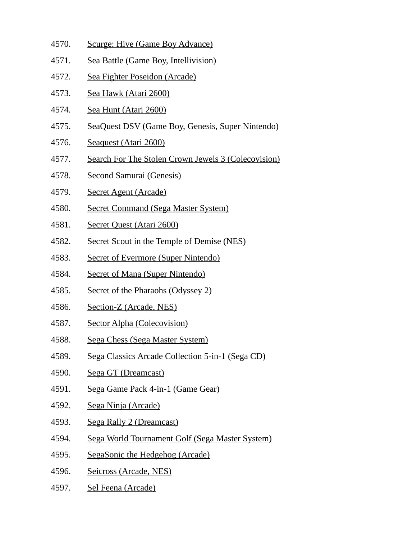- 4570. Scurge: Hive (Game Boy Advance)
- 4571. Sea Battle (Game Boy, Intellivision)
- 4572. Sea Fighter Poseidon (Arcade)
- 4573. Sea Hawk (Atari 2600)
- 4574. Sea Hunt (Atari 2600)
- 4575. SeaQuest DSV (Game Boy, Genesis, Super Nintendo)
- 4576. Seaquest (Atari 2600)
- 4577. Search For The Stolen Crown Jewels 3 (Colecovision)
- 4578. Second Samurai (Genesis)
- 4579. Secret Agent (Arcade)
- 4580. Secret Command (Sega Master System)
- 4581. Secret Quest (Atari 2600)
- 4582. Secret Scout in the Temple of Demise (NES)
- 4583. Secret of Evermore (Super Nintendo)
- 4584. Secret of Mana (Super Nintendo)
- 4585. Secret of the Pharaohs (Odyssey 2)
- 4586. Section-Z (Arcade, NES)
- 4587. Sector Alpha (Colecovision)
- 4588. Sega Chess (Sega Master System)
- 4589. Sega Classics Arcade Collection 5-in-1 (Sega CD)
- 4590. Sega GT (Dreamcast)
- 4591. Sega Game Pack 4-in-1 (Game Gear)
- 4592. Sega Ninja (Arcade)
- 4593. Sega Rally 2 (Dreamcast)
- 4594. Sega World Tournament Golf (Sega Master System)
- 4595. SegaSonic the Hedgehog (Arcade)
- 4596. Seicross (Arcade, NES)
- 4597. Sel Feena (Arcade)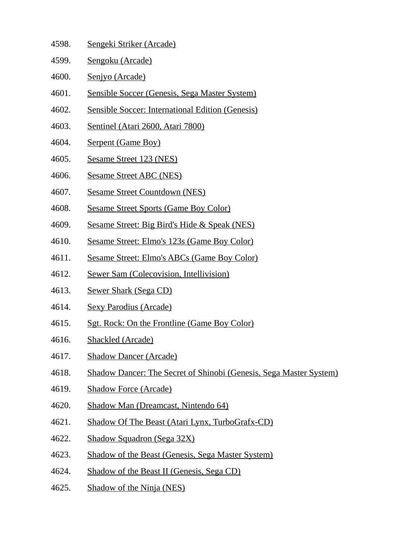- 4598. Sengeki Striker (Arcade)
- 4599. Sengoku (Arcade)
- 4600. Senjyo (Arcade)
- 4601. Sensible Soccer (Genesis, Sega Master System)
- 4602. Sensible Soccer: International Edition (Genesis)
- 4603. Sentinel (Atari 2600, Atari 7800)
- 4604. Serpent (Game Boy)
- 4605. Sesame Street 123 (NES)
- 4606. Sesame Street ABC (NES)
- 4607. Sesame Street Countdown (NES)
- 4608. Sesame Street Sports (Game Boy Color)
- 4609. Sesame Street: Big Bird's Hide & Speak (NES)
- 4610. Sesame Street: Elmo's 123s (Game Boy Color)
- 4611. Sesame Street: Elmo's ABCs (Game Boy Color)
- 4612. Sewer Sam (Colecovision, Intellivision)
- 4613. Sewer Shark (Sega CD)
- 4614. Sexy Parodius (Arcade)
- 4615. Sgt. Rock: On the Frontline (Game Boy Color)
- 4616. Shackled (Arcade)
- 4617. Shadow Dancer (Arcade)
- 4618. Shadow Dancer: The Secret of Shinobi (Genesis, Sega Master System)
- 4619. Shadow Force (Arcade)
- 4620. Shadow Man (Dreamcast, Nintendo 64)
- 4621. Shadow Of The Beast (Atari Lynx, TurboGrafx-CD)
- 4622. Shadow Squadron (Sega 32X)
- 4623. Shadow of the Beast (Genesis, Sega Master System)
- 4624. Shadow of the Beast II (Genesis, Sega CD)
- 4625. Shadow of the Ninja (NES)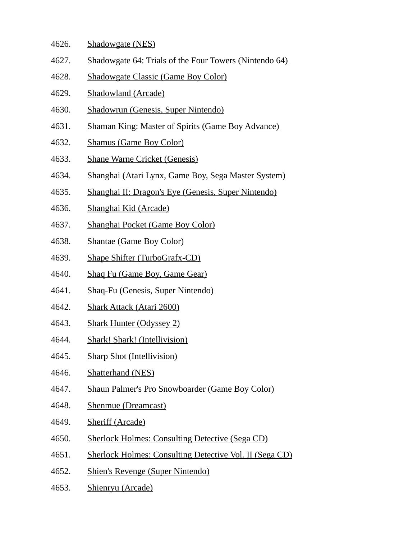- 4626. Shadowgate (NES)
- 4627. Shadowgate 64: Trials of the Four Towers (Nintendo 64)
- 4628. Shadowgate Classic (Game Boy Color)
- 4629. Shadowland (Arcade)
- 4630. Shadowrun (Genesis, Super Nintendo)
- 4631. Shaman King: Master of Spirits (Game Boy Advance)
- 4632. Shamus (Game Boy Color)
- 4633. Shane Warne Cricket (Genesis)
- 4634. Shanghai (Atari Lynx, Game Boy, Sega Master System)
- 4635. Shanghai II: Dragon's Eye (Genesis, Super Nintendo)
- 4636. Shanghai Kid (Arcade)
- 4637. Shanghai Pocket (Game Boy Color)
- 4638. Shantae (Game Boy Color)
- 4639. Shape Shifter (TurboGrafx-CD)
- 4640. Shaq Fu (Game Boy, Game Gear)
- 4641. Shaq-Fu (Genesis, Super Nintendo)
- 4642. Shark Attack (Atari 2600)
- 4643. Shark Hunter (Odyssey 2)
- 4644. Shark! Shark! (Intellivision)
- 4645. Sharp Shot (Intellivision)
- 4646. Shatterhand (NES)
- 4647. Shaun Palmer's Pro Snowboarder (Game Boy Color)
- 4648. Shenmue (Dreamcast)
- 4649. Sheriff (Arcade)
- 4650. Sherlock Holmes: Consulting Detective (Sega CD)
- 4651. Sherlock Holmes: Consulting Detective Vol. II (Sega CD)
- 4652. Shien's Revenge (Super Nintendo)
- 4653. Shienryu (Arcade)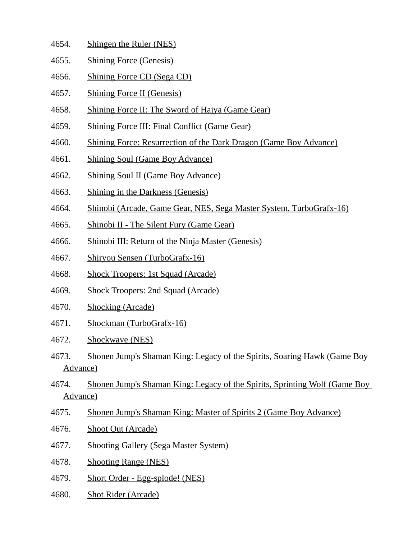- 4654. Shingen the Ruler (NES)
- 4655. Shining Force (Genesis)
- 4656. Shining Force CD (Sega CD)
- 4657. Shining Force II (Genesis)
- 4658. Shining Force II: The Sword of Hajya (Game Gear)
- 4659. Shining Force III: Final Conflict (Game Gear)
- 4660. Shining Force: Resurrection of the Dark Dragon (Game Boy Advance)
- 4661. Shining Soul (Game Boy Advance)
- 4662. Shining Soul II (Game Boy Advance)
- 4663. Shining in the Darkness (Genesis)
- 4664. Shinobi (Arcade, Game Gear, NES, Sega Master System, TurboGrafx-16)
- 4665. Shinobi II The Silent Fury (Game Gear)
- 4666. Shinobi III: Return of the Ninja Master (Genesis)
- 4667. Shiryou Sensen (TurboGrafx-16)
- 4668. Shock Troopers: 1st Squad (Arcade)
- 4669. Shock Troopers: 2nd Squad (Arcade)
- 4670. Shocking (Arcade)
- 4671. Shockman (TurboGrafx-16)
- 4672. Shockwave (NES)
- 4673. Shonen Jump's Shaman King: Legacy of the Spirits, Soaring Hawk (Game Boy Advance)
- 4674. Shonen Jump's Shaman King: Legacy of the Spirits, Sprinting Wolf (Game Boy Advance)
- 4675. Shonen Jump's Shaman King: Master of Spirits 2 (Game Boy Advance)
- 4676. Shoot Out (Arcade)
- 4677. Shooting Gallery (Sega Master System)
- 4678. Shooting Range (NES)
- 4679. Short Order Egg-splode! (NES)
- 4680. Shot Rider (Arcade)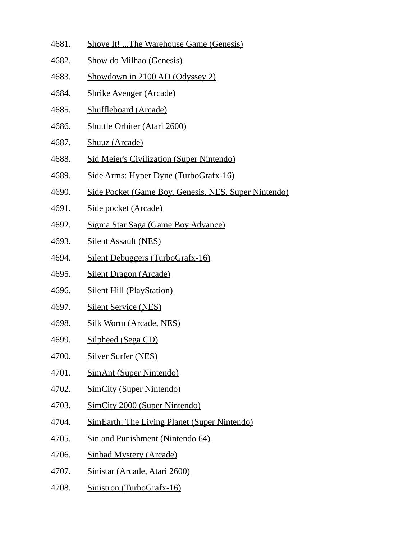- 4681. Shove It! ...The Warehouse Game (Genesis)
- 4682. Show do Milhao (Genesis)
- 4683. Showdown in 2100 AD (Odyssey 2)
- 4684. Shrike Avenger (Arcade)
- 4685. Shuffleboard (Arcade)
- 4686. Shuttle Orbiter (Atari 2600)
- 4687. Shuuz (Arcade)
- 4688. Sid Meier's Civilization (Super Nintendo)
- 4689. Side Arms: Hyper Dyne (TurboGrafx-16)
- 4690. Side Pocket (Game Boy, Genesis, NES, Super Nintendo)
- 4691. Side pocket (Arcade)
- 4692. Sigma Star Saga (Game Boy Advance)
- 4693. Silent Assault (NES)
- 4694. Silent Debuggers (TurboGrafx-16)
- 4695. Silent Dragon (Arcade)
- 4696. Silent Hill (PlayStation)
- 4697. Silent Service (NES)
- 4698. Silk Worm (Arcade, NES)
- 4699. Silpheed (Sega CD)
- 4700. Silver Surfer (NES)
- 4701. SimAnt (Super Nintendo)
- 4702. SimCity (Super Nintendo)
- 4703. SimCity 2000 (Super Nintendo)
- 4704. SimEarth: The Living Planet (Super Nintendo)
- 4705. Sin and Punishment (Nintendo 64)
- 4706. Sinbad Mystery (Arcade)
- 4707. Sinistar (Arcade, Atari 2600)
- 4708. Sinistron (TurboGrafx-16)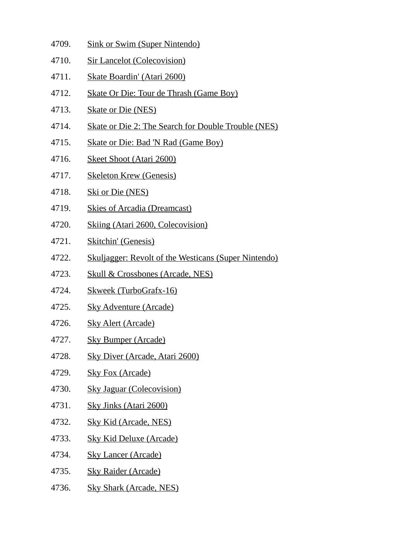- 4709. Sink or Swim (Super Nintendo)
- 4710. Sir Lancelot (Colecovision)
- 4711. Skate Boardin' (Atari 2600)
- 4712. Skate Or Die: Tour de Thrash (Game Boy)
- 4713. Skate or Die (NES)
- 4714. Skate or Die 2: The Search for Double Trouble (NES)
- 4715. Skate or Die: Bad 'N Rad (Game Boy)
- 4716. Skeet Shoot (Atari 2600)
- 4717. Skeleton Krew (Genesis)
- 4718. Ski or Die (NES)
- 4719. Skies of Arcadia (Dreamcast)
- 4720. Skiing (Atari 2600, Colecovision)
- 4721. Skitchin' (Genesis)
- 4722. Skuljagger: Revolt of the Westicans (Super Nintendo)
- 4723. Skull & Crossbones (Arcade, NES)
- 4724. Skweek (TurboGrafx-16)
- 4725. Sky Adventure (Arcade)
- 4726. Sky Alert (Arcade)
- 4727. Sky Bumper (Arcade)
- 4728. Sky Diver (Arcade, Atari 2600)
- 4729. Sky Fox (Arcade)
- 4730. Sky Jaguar (Colecovision)
- 4731. Sky Jinks (Atari 2600)
- 4732. Sky Kid (Arcade, NES)
- 4733. Sky Kid Deluxe (Arcade)
- 4734. Sky Lancer (Arcade)
- 4735. Sky Raider (Arcade)
- 4736. Sky Shark (Arcade, NES)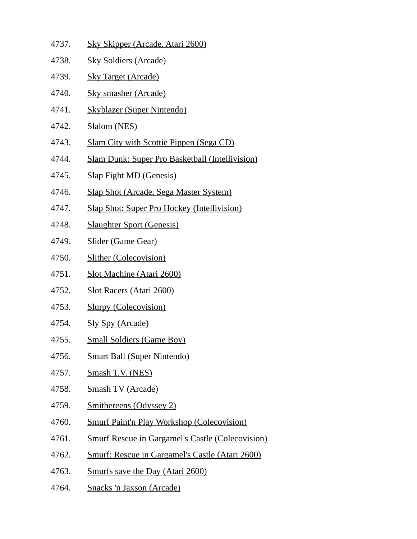| 4737. | <b>Sky Skipper (Arcade, Atari 2600)</b>                 |
|-------|---------------------------------------------------------|
| 4738. | <b>Sky Soldiers (Arcade)</b>                            |
| 4739. | <b>Sky Target (Arcade)</b>                              |
| 4740. | <b>Sky smasher (Arcade)</b>                             |
| 4741. | <b>Skyblazer (Super Nintendo)</b>                       |
| 4742. | Slalom (NES)                                            |
| 4743. | <b>Slam City with Scottie Pippen (Sega CD)</b>          |
| 4744. | <b>Slam Dunk: Super Pro Basketball (Intellivision)</b>  |
| 4745. | <b>Slap Fight MD (Genesis)</b>                          |
| 4746. | <b>Slap Shot (Arcade, Sega Master System)</b>           |
| 4747. | <b>Slap Shot: Super Pro Hockey (Intellivision)</b>      |
| 4748. | <b>Slaughter Sport (Genesis)</b>                        |
| 4749. | <b>Slider (Game Gear)</b>                               |
| 4750. | <b>Slither (Colecovision)</b>                           |
| 4751. | <b>Slot Machine (Atari 2600)</b>                        |
| 4752. | <b>Slot Racers (Atari 2600)</b>                         |
| 4753. | <b>Slurpy (Colecovision)</b>                            |
| 4754. | <u>Sly Spy (Arcade)</u>                                 |
| 4755. | <b>Small Soldiers (Game Boy)</b>                        |
| 4756. | <b>Smart Ball (Super Nintendo)</b>                      |
| 4757. | Smash T.V. (NES)                                        |
| 4758. | <b>Smash TV (Arcade)</b>                                |
| 4759. | <b>Smithereens (Odyssey 2)</b>                          |
| 4760. | <b>Smurf Paint'n Play Workshop (Colecovision)</b>       |
| 4761. | <b>Smurf Rescue in Gargamel's Castle (Colecovision)</b> |
| 4762. | <u>Smurf: Rescue in Gargamel's Castle (Atari 2600)</u>  |
| 4763. | <b>Smurfs save the Day (Atari 2600)</b>                 |
|       |                                                         |

4764. Snacks 'n Jaxson (Arcade)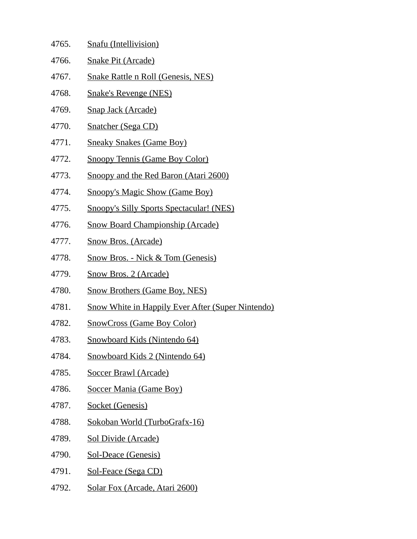| 4765. | Snafu (Intellivision)                                    |
|-------|----------------------------------------------------------|
| 4766. | <b>Snake Pit (Arcade)</b>                                |
| 4767. | <b>Snake Rattle n Roll (Genesis, NES)</b>                |
| 4768. | <b>Snake's Revenge (NES)</b>                             |
| 4769. | <b>Snap Jack (Arcade)</b>                                |
| 4770. | <b>Snatcher (Sega CD)</b>                                |
| 4771. | <b>Sneaky Snakes (Game Boy)</b>                          |
| 4772. | <b>Snoopy Tennis (Game Boy Color)</b>                    |
| 4773. | <b>Snoopy and the Red Baron (Atari 2600)</b>             |
| 4774. | <b>Snoopy's Magic Show (Game Boy)</b>                    |
| 4775. | <b>Snoopy's Silly Sports Spectacular! (NES)</b>          |
| 4776. | <b>Snow Board Championship (Arcade)</b>                  |
| 4777. | <b>Snow Bros. (Arcade)</b>                               |
| 4778. | <b>Snow Bros. - Nick &amp; Tom (Genesis)</b>             |
| 4779. | <b>Snow Bros. 2 (Arcade)</b>                             |
| 4780. | <b>Snow Brothers (Game Boy, NES)</b>                     |
| 4781. | <b>Snow White in Happily Ever After (Super Nintendo)</b> |
| 4782. | <b>SnowCross (Game Boy Color)</b>                        |
| 4783. | <b>Snowboard Kids (Nintendo 64)</b>                      |
| 4784. | Snowboard Kids 2 (Nintendo 64)                           |
| 4785. | <b>Soccer Brawl (Arcade)</b>                             |
| 4786. | <b>Soccer Mania (Game Boy)</b>                           |
| 4787. | <b>Socket (Genesis)</b>                                  |
| 4788. | <u>Sokoban World (TurboGrafx-16)</u>                     |
| 4789. | <b>Sol Divide (Arcade)</b>                               |
| 4790. | <b>Sol-Deace (Genesis)</b>                               |
| 4791. | <b>Sol-Feace (Sega CD)</b>                               |

4792. Solar Fox (Arcade, Atari 2600)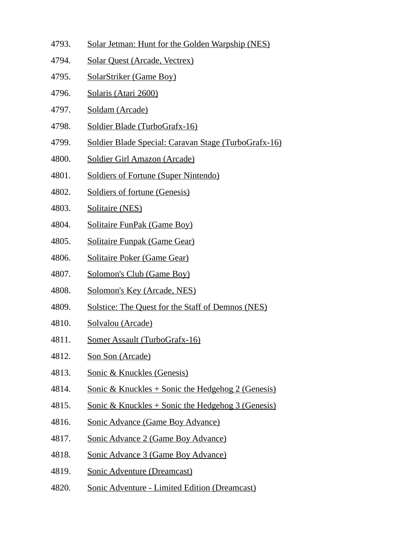- 4793. Solar Jetman: Hunt for the Golden Warpship (NES)
- 4794. Solar Quest (Arcade, Vectrex)
- 4795. SolarStriker (Game Boy)
- 4796. Solaris (Atari 2600)
- 4797. Soldam (Arcade)
- 4798. Soldier Blade (TurboGrafx-16)
- 4799. Soldier Blade Special: Caravan Stage (TurboGrafx-16)
- 4800. Soldier Girl Amazon (Arcade)
- 4801. Soldiers of Fortune (Super Nintendo)
- 4802. Soldiers of fortune (Genesis)
- 4803. Solitaire (NES)
- 4804. Solitaire FunPak (Game Boy)
- 4805. Solitaire Funpak (Game Gear)
- 4806. Solitaire Poker (Game Gear)
- 4807. Solomon's Club (Game Boy)
- 4808. Solomon's Key (Arcade, NES)
- 4809. Solstice: The Quest for the Staff of Demnos (NES)
- 4810. Solvalou (Arcade)
- 4811. Somer Assault (TurboGrafx-16)
- 4812. Son Son (Arcade)
- 4813. Sonic & Knuckles (Genesis)
- 4814. Sonic & Knuckles + Sonic the Hedgehog 2 (Genesis)
- 4815. Sonic & Knuckles + Sonic the Hedgehog 3 (Genesis)
- 4816. Sonic Advance (Game Boy Advance)
- 4817. Sonic Advance 2 (Game Boy Advance)
- 4818. Sonic Advance 3 (Game Boy Advance)
- 4819. Sonic Adventure (Dreamcast)
- 4820. Sonic Adventure Limited Edition (Dreamcast)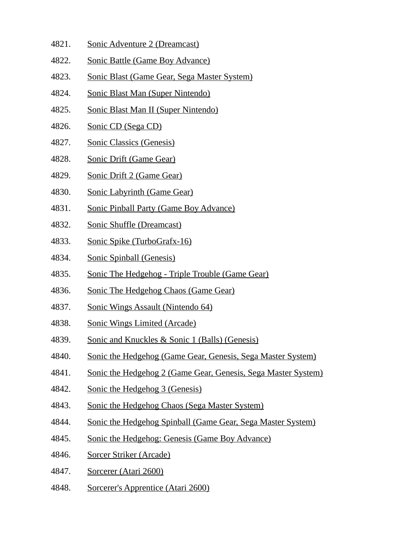- 4821. Sonic Adventure 2 (Dreamcast)
- 4822. Sonic Battle (Game Boy Advance)
- 4823. Sonic Blast (Game Gear, Sega Master System)
- 4824. Sonic Blast Man (Super Nintendo)
- 4825. Sonic Blast Man II (Super Nintendo)
- 4826. Sonic CD (Sega CD)
- 4827. Sonic Classics (Genesis)
- 4828. Sonic Drift (Game Gear)
- 4829. Sonic Drift 2 (Game Gear)
- 4830. Sonic Labyrinth (Game Gear)
- 4831. Sonic Pinball Party (Game Boy Advance)
- 4832. Sonic Shuffle (Dreamcast)
- 4833. Sonic Spike (TurboGrafx-16)
- 4834. Sonic Spinball (Genesis)
- 4835. Sonic The Hedgehog Triple Trouble (Game Gear)
- 4836. Sonic The Hedgehog Chaos (Game Gear)
- 4837. Sonic Wings Assault (Nintendo 64)
- 4838. Sonic Wings Limited (Arcade)
- 4839. Sonic and Knuckles & Sonic 1 (Balls) (Genesis)
- 4840. Sonic the Hedgehog (Game Gear, Genesis, Sega Master System)
- 4841. Sonic the Hedgehog 2 (Game Gear, Genesis, Sega Master System)
- 4842. Sonic the Hedgehog 3 (Genesis)
- 4843. Sonic the Hedgehog Chaos (Sega Master System)
- 4844. Sonic the Hedgehog Spinball (Game Gear, Sega Master System)
- 4845. Sonic the Hedgehog: Genesis (Game Boy Advance)
- 4846. Sorcer Striker (Arcade)
- 4847. Sorcerer (Atari 2600)
- 4848. Sorcerer's Apprentice (Atari 2600)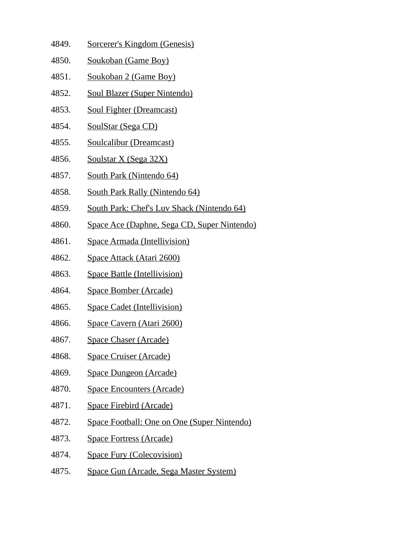- 4849. Sorcerer's Kingdom (Genesis)
- 4850. Soukoban (Game Boy)
- 4851. Soukoban 2 (Game Boy)
- 4852. Soul Blazer (Super Nintendo)
- 4853. Soul Fighter (Dreamcast)
- 4854. SoulStar (Sega CD)
- 4855. Soulcalibur (Dreamcast)
- 4856. Soulstar X (Sega 32X)
- 4857. South Park (Nintendo 64)
- 4858. South Park Rally (Nintendo 64)
- 4859. South Park: Chef's Luv Shack (Nintendo 64)
- 4860. Space Ace (Daphne, Sega CD, Super Nintendo)
- 4861. Space Armada (Intellivision)
- 4862. Space Attack (Atari 2600)
- 4863. Space Battle (Intellivision)
- 4864. Space Bomber (Arcade)
- 4865. Space Cadet (Intellivision)
- 4866. Space Cavern (Atari 2600)
- 4867. Space Chaser (Arcade)
- 4868. Space Cruiser (Arcade)
- 4869. Space Dungeon (Arcade)
- 4870. Space Encounters (Arcade)
- 4871. Space Firebird (Arcade)
- 4872. Space Football: One on One (Super Nintendo)
- 4873. Space Fortress (Arcade)
- 4874. Space Fury (Colecovision)
- 4875. Space Gun (Arcade, Sega Master System)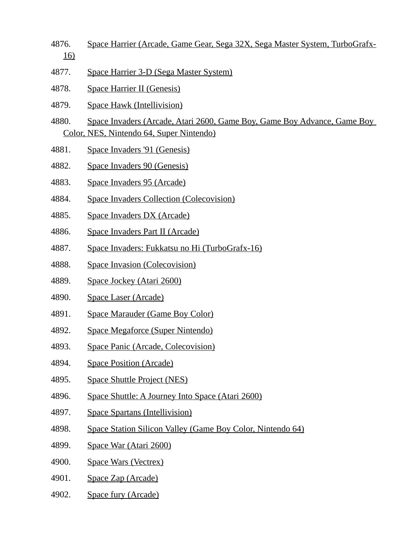- 4876. Space Harrier (Arcade, Game Gear, Sega 32X, Sega Master System, TurboGrafx-16)
- 4877. Space Harrier 3-D (Sega Master System)
- 4878. Space Harrier II (Genesis)
- 4879. Space Hawk (Intellivision)
- 4880. Space Invaders (Arcade, Atari 2600, Game Boy, Game Boy Advance, Game Boy Color, NES, Nintendo 64, Super Nintendo)
- 4881. Space Invaders '91 (Genesis)
- 4882. Space Invaders 90 (Genesis)
- 4883. Space Invaders 95 (Arcade)
- 4884. Space Invaders Collection (Colecovision)
- 4885. Space Invaders DX (Arcade)
- 4886. Space Invaders Part II (Arcade)
- 4887. Space Invaders: Fukkatsu no Hi (TurboGrafx-16)
- 4888. Space Invasion (Colecovision)
- 4889. Space Jockey (Atari 2600)
- 4890. Space Laser (Arcade)
- 4891. Space Marauder (Game Boy Color)
- 4892. Space Megaforce (Super Nintendo)
- 4893. Space Panic (Arcade, Colecovision)
- 4894. Space Position (Arcade)
- 4895. Space Shuttle Project (NES)
- 4896. Space Shuttle: A Journey Into Space (Atari 2600)
- 4897. Space Spartans (Intellivision)
- 4898. Space Station Silicon Valley (Game Boy Color, Nintendo 64)
- 4899. Space War (Atari 2600)
- 4900. Space Wars (Vectrex)
- 4901. Space Zap (Arcade)
- 4902. Space fury (Arcade)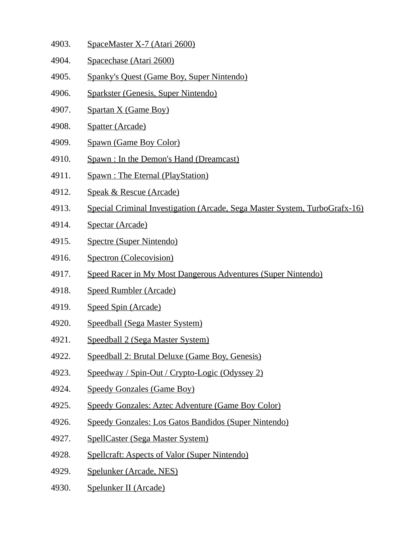- 4903. SpaceMaster X-7 (Atari 2600)
- 4904. Spacechase (Atari 2600)
- 4905. Spanky's Quest (Game Boy, Super Nintendo)
- 4906. Sparkster (Genesis, Super Nintendo)
- 4907. Spartan X (Game Boy)
- 4908. Spatter (Arcade)
- 4909. Spawn (Game Boy Color)
- 4910. Spawn : In the Demon's Hand (Dreamcast)
- 4911. Spawn : The Eternal (PlayStation)
- 4912. Speak & Rescue (Arcade)
- 4913. Special Criminal Investigation (Arcade, Sega Master System, TurboGrafx-16)
- 4914. Spectar (Arcade)
- 4915. Spectre (Super Nintendo)
- 4916. Spectron (Colecovision)
- 4917. Speed Racer in My Most Dangerous Adventures (Super Nintendo)
- 4918. Speed Rumbler (Arcade)
- 4919. Speed Spin (Arcade)
- 4920. Speedball (Sega Master System)
- 4921. Speedball 2 (Sega Master System)
- 4922. Speedball 2: Brutal Deluxe (Game Boy, Genesis)
- 4923. Speedway / Spin-Out / Crypto-Logic (Odyssey 2)
- 4924. Speedy Gonzales (Game Boy)
- 4925. Speedy Gonzales: Aztec Adventure (Game Boy Color)
- 4926. Speedy Gonzales: Los Gatos Bandidos (Super Nintendo)
- 4927. SpellCaster (Sega Master System)
- 4928. Spellcraft: Aspects of Valor (Super Nintendo)
- 4929. Spelunker (Arcade, NES)
- 4930. Spelunker II (Arcade)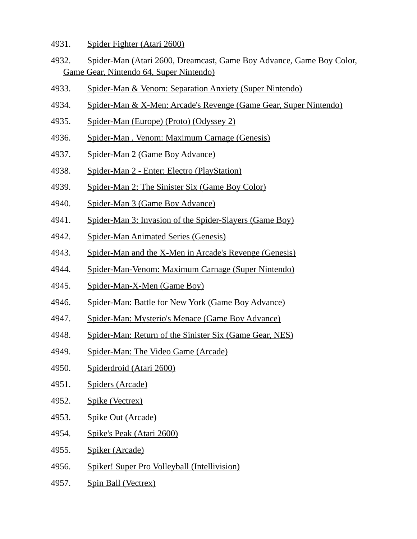- 4931. Spider Fighter (Atari 2600)
- 4932. Spider-Man (Atari 2600, Dreamcast, Game Boy Advance, Game Boy Color, Game Gear, Nintendo 64, Super Nintendo)
- 4933. Spider-Man & Venom: Separation Anxiety (Super Nintendo)
- 4934. Spider-Man & X-Men: Arcade's Revenge (Game Gear, Super Nintendo)
- 4935. Spider-Man (Europe) (Proto) (Odyssey 2)
- 4936. Spider-Man . Venom: Maximum Carnage (Genesis)
- 4937. Spider-Man 2 (Game Boy Advance)
- 4938. Spider-Man 2 Enter: Electro (PlayStation)
- 4939. Spider-Man 2: The Sinister Six (Game Boy Color)
- 4940. Spider-Man 3 (Game Boy Advance)
- 4941. Spider-Man 3: Invasion of the Spider-Slayers (Game Boy)
- 4942. Spider-Man Animated Series (Genesis)
- 4943. Spider-Man and the X-Men in Arcade's Revenge (Genesis)
- 4944. Spider-Man-Venom: Maximum Carnage (Super Nintendo)
- 4945. Spider-Man-X-Men (Game Boy)
- 4946. Spider-Man: Battle for New York (Game Boy Advance)
- 4947. Spider-Man: Mysterio's Menace (Game Boy Advance)
- 4948. Spider-Man: Return of the Sinister Six (Game Gear, NES)
- 4949. Spider-Man: The Video Game (Arcade)
- 4950. Spiderdroid (Atari 2600)
- 4951. Spiders (Arcade)
- 4952. Spike (Vectrex)
- 4953. Spike Out (Arcade)
- 4954. Spike's Peak (Atari 2600)
- 4955. Spiker (Arcade)
- 4956. Spiker! Super Pro Volleyball (Intellivision)
- 4957. Spin Ball (Vectrex)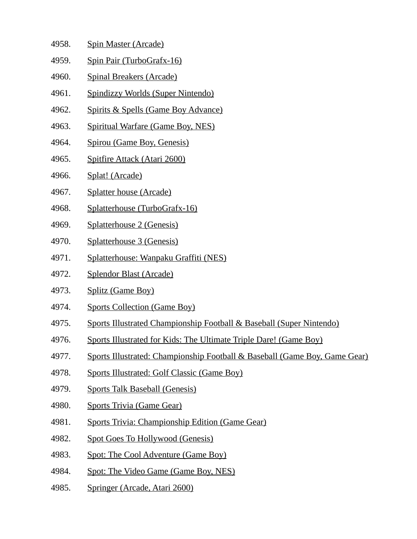- 4958. Spin Master (Arcade)
- 4959. Spin Pair (TurboGrafx-16)
- 4960. Spinal Breakers (Arcade)
- 4961. Spindizzy Worlds (Super Nintendo)
- 4962. Spirits & Spells (Game Boy Advance)
- 4963. Spiritual Warfare (Game Boy, NES)
- 4964. Spirou (Game Boy, Genesis)
- 4965. Spitfire Attack (Atari 2600)
- 4966. Splat! (Arcade)
- 4967. Splatter house (Arcade)
- 4968. Splatterhouse (TurboGrafx-16)
- 4969. Splatterhouse 2 (Genesis)
- 4970. Splatterhouse 3 (Genesis)
- 4971. Splatterhouse: Wanpaku Graffiti (NES)
- 4972. Splendor Blast (Arcade)
- 4973. Splitz (Game Boy)
- 4974. Sports Collection (Game Boy)
- 4975. Sports Illustrated Championship Football & Baseball (Super Nintendo)
- 4976. Sports Illustrated for Kids: The Ultimate Triple Dare! (Game Boy)
- 4977. Sports Illustrated: Championship Football & Baseball (Game Boy, Game Gear)
- 4978. Sports Illustrated: Golf Classic (Game Boy)
- 4979. Sports Talk Baseball (Genesis)
- 4980. Sports Trivia (Game Gear)
- 4981. Sports Trivia: Championship Edition (Game Gear)
- 4982. Spot Goes To Hollywood (Genesis)
- 4983. Spot: The Cool Adventure (Game Boy)
- 4984. Spot: The Video Game (Game Boy, NES)
- 4985. Springer (Arcade, Atari 2600)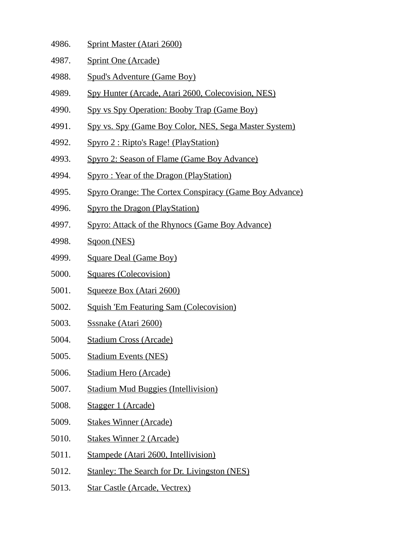- 4986. Sprint Master (Atari 2600)
- 4987. Sprint One (Arcade)
- 4988. Spud's Adventure (Game Boy)
- 4989. Spy Hunter (Arcade, Atari 2600, Colecovision, NES)
- 4990. Spy vs Spy Operation: Booby Trap (Game Boy)
- 4991. Spy vs. Spy (Game Boy Color, NES, Sega Master System)
- 4992. Spyro 2 : Ripto's Rage! (PlayStation)
- 4993. Spyro 2: Season of Flame (Game Boy Advance)
- 4994. Spyro : Year of the Dragon (PlayStation)
- 4995. Spyro Orange: The Cortex Conspiracy (Game Boy Advance)
- 4996. Spyro the Dragon (PlayStation)
- 4997. Spyro: Attack of the Rhynocs (Game Boy Advance)
- 4998. Sqoon (NES)
- 4999. Square Deal (Game Boy)
- 5000. Squares (Colecovision)
- 5001. Squeeze Box (Atari 2600)
- 5002. Squish 'Em Featuring Sam (Colecovision)
- 5003. Sssnake (Atari 2600)
- 5004. Stadium Cross (Arcade)
- 5005. Stadium Events (NES)
- 5006. Stadium Hero (Arcade)
- 5007. Stadium Mud Buggies (Intellivision)
- 5008. Stagger 1 (Arcade)
- 5009. Stakes Winner (Arcade)
- 5010. Stakes Winner 2 (Arcade)
- 5011. Stampede (Atari 2600, Intellivision)
- 5012. Stanley: The Search for Dr. Livingston (NES)
- 5013. Star Castle (Arcade, Vectrex)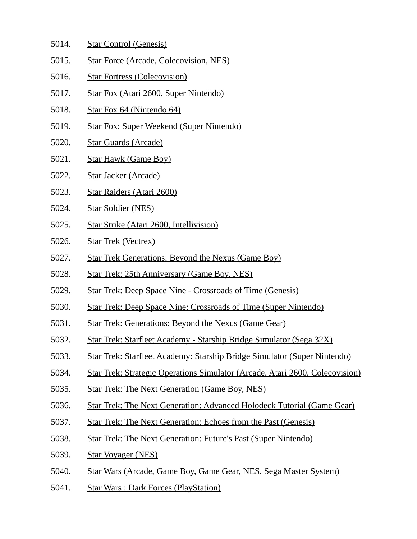- 5014. Star Control (Genesis)
- 5015. Star Force (Arcade, Colecovision, NES)
- 5016. Star Fortress (Colecovision)
- 5017. Star Fox (Atari 2600, Super Nintendo)
- 5018. Star Fox 64 (Nintendo 64)
- 5019. Star Fox: Super Weekend (Super Nintendo)
- 5020. Star Guards (Arcade)
- 5021. Star Hawk (Game Boy)
- 5022. Star Jacker (Arcade)
- 5023. Star Raiders (Atari 2600)
- 5024. Star Soldier (NES)
- 5025. Star Strike (Atari 2600, Intellivision)
- 5026. Star Trek (Vectrex)
- 5027. Star Trek Generations: Beyond the Nexus (Game Boy)
- 5028. Star Trek: 25th Anniversary (Game Boy, NES)
- 5029. Star Trek: Deep Space Nine Crossroads of Time (Genesis)
- 5030. Star Trek: Deep Space Nine: Crossroads of Time (Super Nintendo)
- 5031. Star Trek: Generations: Beyond the Nexus (Game Gear)
- 5032. Star Trek: Starfleet Academy Starship Bridge Simulator (Sega 32X)
- 5033. Star Trek: Starfleet Academy: Starship Bridge Simulator (Super Nintendo)
- 5034. Star Trek: Strategic Operations Simulator (Arcade, Atari 2600, Colecovision)
- 5035. Star Trek: The Next Generation (Game Boy, NES)
- 5036. Star Trek: The Next Generation: Advanced Holodeck Tutorial (Game Gear)
- 5037. Star Trek: The Next Generation: Echoes from the Past (Genesis)
- 5038. Star Trek: The Next Generation: Future's Past (Super Nintendo)
- 5039. Star Voyager (NES)
- 5040. Star Wars (Arcade, Game Boy, Game Gear, NES, Sega Master System)
- 5041. Star Wars : Dark Forces (PlayStation)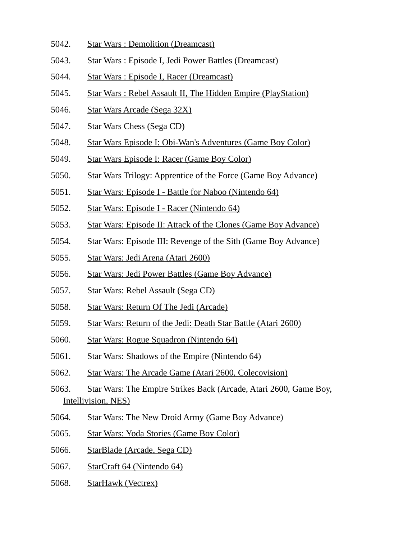- 5042. Star Wars : Demolition (Dreamcast)
- 5043. Star Wars : Episode I, Jedi Power Battles (Dreamcast)
- 5044. Star Wars : Episode I, Racer (Dreamcast)
- 5045. Star Wars : Rebel Assault II, The Hidden Empire (PlayStation)
- 5046. Star Wars Arcade (Sega 32X)
- 5047. Star Wars Chess (Sega CD)
- 5048. Star Wars Episode I: Obi-Wan's Adventures (Game Boy Color)
- 5049. Star Wars Episode I: Racer (Game Boy Color)
- 5050. Star Wars Trilogy: Apprentice of the Force (Game Boy Advance)
- 5051. Star Wars: Episode I Battle for Naboo (Nintendo 64)
- 5052. Star Wars: Episode I Racer (Nintendo 64)
- 5053. Star Wars: Episode II: Attack of the Clones (Game Boy Advance)
- 5054. Star Wars: Episode III: Revenge of the Sith (Game Boy Advance)
- 5055. Star Wars: Jedi Arena (Atari 2600)
- 5056. Star Wars: Jedi Power Battles (Game Boy Advance)
- 5057. Star Wars: Rebel Assault (Sega CD)
- 5058. Star Wars: Return Of The Jedi (Arcade)
- 5059. Star Wars: Return of the Jedi: Death Star Battle (Atari 2600)
- 5060. Star Wars: Rogue Squadron (Nintendo 64)
- 5061. Star Wars: Shadows of the Empire (Nintendo 64)
- 5062. Star Wars: The Arcade Game (Atari 2600, Colecovision)
- 5063. Star Wars: The Empire Strikes Back (Arcade, Atari 2600, Game Boy, Intellivision, NES)
- 5064. Star Wars: The New Droid Army (Game Boy Advance)
- 5065. Star Wars: Yoda Stories (Game Boy Color)
- 5066. StarBlade (Arcade, Sega CD)
- 5067. StarCraft 64 (Nintendo 64)
- 5068. StarHawk (Vectrex)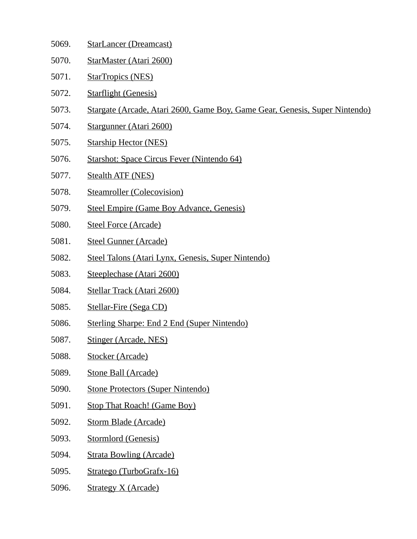- 5069. StarLancer (Dreamcast)
- 5070. StarMaster (Atari 2600)
- 5071. StarTropics (NES)
- 5072. Starflight (Genesis)
- 5073. Stargate (Arcade, Atari 2600, Game Boy, Game Gear, Genesis, Super Nintendo)
- 5074. Stargunner (Atari 2600)
- 5075. Starship Hector (NES)
- 5076. Starshot: Space Circus Fever (Nintendo 64)
- 5077. Stealth ATF (NES)
- 5078. Steamroller (Colecovision)
- 5079. Steel Empire (Game Boy Advance, Genesis)
- 5080. Steel Force (Arcade)
- 5081. Steel Gunner (Arcade)
- 5082. Steel Talons (Atari Lynx, Genesis, Super Nintendo)
- 5083. Steeplechase (Atari 2600)
- 5084. Stellar Track (Atari 2600)
- 5085. Stellar-Fire (Sega CD)
- 5086. Sterling Sharpe: End 2 End (Super Nintendo)
- 5087. Stinger (Arcade, NES)
- 5088. Stocker (Arcade)
- 5089. Stone Ball (Arcade)
- 5090. Stone Protectors (Super Nintendo)
- 5091. Stop That Roach! (Game Boy)
- 5092. Storm Blade (Arcade)
- 5093. Stormlord (Genesis)
- 5094. Strata Bowling (Arcade)
- 5095. Stratego (TurboGrafx-16)
- 5096. Strategy X (Arcade)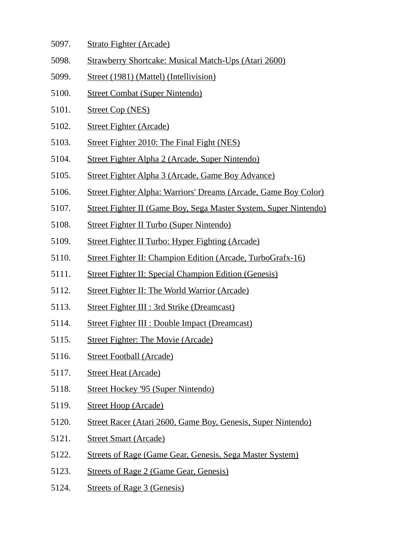- 5097. Strato Fighter (Arcade)
- 5098. Strawberry Shortcake: Musical Match-Ups (Atari 2600)
- 5099. Street (1981) (Mattel) (Intellivision)
- 5100. Street Combat (Super Nintendo)
- 5101. Street Cop (NES)
- 5102. Street Fighter (Arcade)
- 5103. Street Fighter 2010: The Final Fight (NES)
- 5104. Street Fighter Alpha 2 (Arcade, Super Nintendo)
- 5105. Street Fighter Alpha 3 (Arcade, Game Boy Advance)
- 5106. Street Fighter Alpha: Warriors' Dreams (Arcade, Game Boy Color)
- 5107. Street Fighter II (Game Boy, Sega Master System, Super Nintendo)
- 5108. Street Fighter II Turbo (Super Nintendo)
- 5109. Street Fighter II Turbo: Hyper Fighting (Arcade)
- 5110. Street Fighter II: Champion Edition (Arcade, TurboGrafx-16)
- 5111. Street Fighter II: Special Champion Edition (Genesis)
- 5112. Street Fighter II: The World Warrior (Arcade)
- 5113. Street Fighter III : 3rd Strike (Dreamcast)
- 5114. Street Fighter III : Double Impact (Dreamcast)
- 5115. Street Fighter: The Movie (Arcade)
- 5116. Street Football (Arcade)
- 5117. Street Heat (Arcade)
- 5118. Street Hockey '95 (Super Nintendo)
- 5119. Street Hoop (Arcade)
- 5120. Street Racer (Atari 2600, Game Boy, Genesis, Super Nintendo)
- 5121. Street Smart (Arcade)
- 5122. Streets of Rage (Game Gear, Genesis, Sega Master System)
- 5123. Streets of Rage 2 (Game Gear, Genesis)
- 5124. Streets of Rage 3 (Genesis)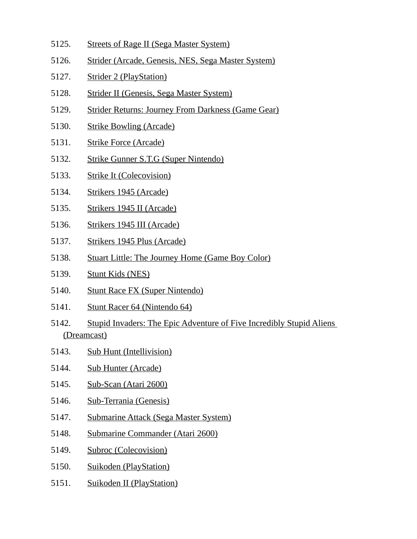- 5125. Streets of Rage II (Sega Master System)
- 5126. Strider (Arcade, Genesis, NES, Sega Master System)
- 5127. Strider 2 (PlayStation)
- 5128. Strider II (Genesis, Sega Master System)
- 5129. Strider Returns: Journey From Darkness (Game Gear)
- 5130. Strike Bowling (Arcade)
- 5131. Strike Force (Arcade)
- 5132. Strike Gunner S.T.G (Super Nintendo)
- 5133. Strike It (Colecovision)
- 5134. Strikers 1945 (Arcade)
- 5135. Strikers 1945 II (Arcade)
- 5136. Strikers 1945 III (Arcade)
- 5137. Strikers 1945 Plus (Arcade)
- 5138. Stuart Little: The Journey Home (Game Boy Color)
- 5139. Stunt Kids (NES)
- 5140. Stunt Race FX (Super Nintendo)
- 5141. Stunt Racer 64 (Nintendo 64)
- 5142. Stupid Invaders: The Epic Adventure of Five Incredibly Stupid Aliens (Dreamcast)
- 5143. Sub Hunt (Intellivision)
- 5144. Sub Hunter (Arcade)
- 5145. Sub-Scan (Atari 2600)
- 5146. Sub-Terrania (Genesis)
- 5147. Submarine Attack (Sega Master System)
- 5148. Submarine Commander (Atari 2600)
- 5149. Subroc (Colecovision)
- 5150. Suikoden (PlayStation)
- 5151. Suikoden II (PlayStation)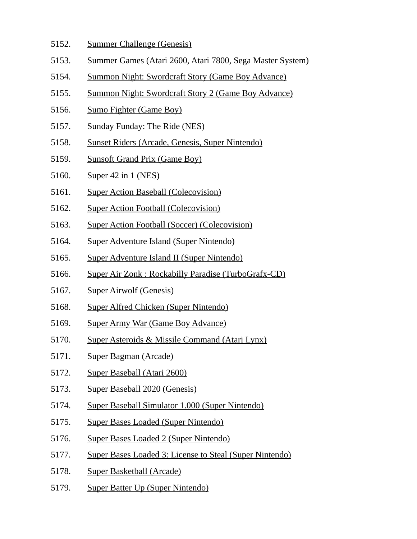- 5152. Summer Challenge (Genesis)
- 5153. Summer Games (Atari 2600, Atari 7800, Sega Master System)
- 5154. Summon Night: Swordcraft Story (Game Boy Advance)
- 5155. Summon Night: Swordcraft Story 2 (Game Boy Advance)
- 5156. Sumo Fighter (Game Boy)
- 5157. Sunday Funday: The Ride (NES)
- 5158. Sunset Riders (Arcade, Genesis, Super Nintendo)
- 5159. Sunsoft Grand Prix (Game Boy)
- 5160. Super 42 in 1 (NES)
- 5161. Super Action Baseball (Colecovision)
- 5162. Super Action Football (Colecovision)
- 5163. Super Action Football (Soccer) (Colecovision)
- 5164. Super Adventure Island (Super Nintendo)
- 5165. Super Adventure Island II (Super Nintendo)
- 5166. Super Air Zonk : Rockabilly Paradise (TurboGrafx-CD)
- 5167. Super Airwolf (Genesis)
- 5168. Super Alfred Chicken (Super Nintendo)
- 5169. Super Army War (Game Boy Advance)
- 5170. Super Asteroids & Missile Command (Atari Lynx)
- 5171. Super Bagman (Arcade)
- 5172. Super Baseball (Atari 2600)
- 5173. Super Baseball 2020 (Genesis)
- 5174. Super Baseball Simulator 1.000 (Super Nintendo)
- 5175. Super Bases Loaded (Super Nintendo)
- 5176. Super Bases Loaded 2 (Super Nintendo)
- 5177. Super Bases Loaded 3: License to Steal (Super Nintendo)
- 5178. Super Basketball (Arcade)
- 5179. Super Batter Up (Super Nintendo)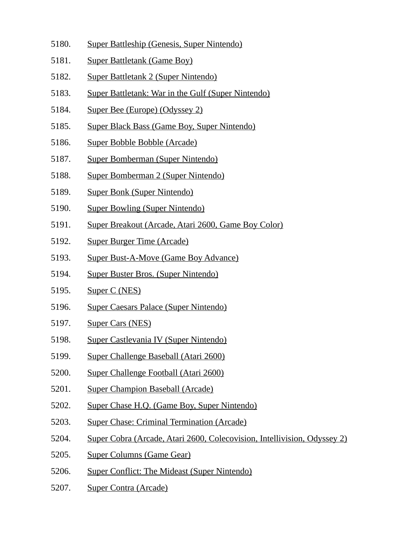- 5180. Super Battleship (Genesis, Super Nintendo)
- 5181. Super Battletank (Game Boy)
- 5182. Super Battletank 2 (Super Nintendo)
- 5183. Super Battletank: War in the Gulf (Super Nintendo)
- 5184. Super Bee (Europe) (Odyssey 2)
- 5185. Super Black Bass (Game Boy, Super Nintendo)
- 5186. Super Bobble Bobble (Arcade)
- 5187. Super Bomberman (Super Nintendo)
- 5188. Super Bomberman 2 (Super Nintendo)
- 5189. Super Bonk (Super Nintendo)
- 5190. Super Bowling (Super Nintendo)
- 5191. Super Breakout (Arcade, Atari 2600, Game Boy Color)
- 5192. Super Burger Time (Arcade)
- 5193. Super Bust-A-Move (Game Boy Advance)
- 5194. Super Buster Bros. (Super Nintendo)
- 5195. Super C (NES)
- 5196. Super Caesars Palace (Super Nintendo)
- 5197. Super Cars (NES)
- 5198. Super Castlevania IV (Super Nintendo)
- 5199. Super Challenge Baseball (Atari 2600)
- 5200. Super Challenge Football (Atari 2600)
- 5201. Super Champion Baseball (Arcade)
- 5202. Super Chase H.Q. (Game Boy, Super Nintendo)
- 5203. Super Chase: Criminal Termination (Arcade)
- 5204. Super Cobra (Arcade, Atari 2600, Colecovision, Intellivision, Odyssey 2)
- 5205. Super Columns (Game Gear)
- 5206. Super Conflict: The Mideast (Super Nintendo)
- 5207. Super Contra (Arcade)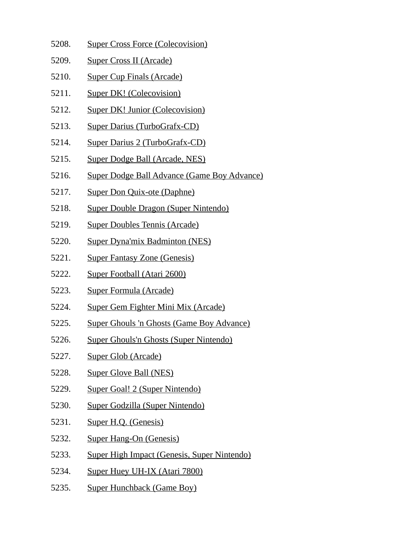- 5208. Super Cross Force (Colecovision)
- 5209. Super Cross II (Arcade)
- 5210. Super Cup Finals (Arcade)
- 5211. Super DK! (Colecovision)
- 5212. Super DK! Junior (Colecovision)
- 5213. Super Darius (TurboGrafx-CD)
- 5214. Super Darius 2 (TurboGrafx-CD)
- 5215. Super Dodge Ball (Arcade, NES)
- 5216. Super Dodge Ball Advance (Game Boy Advance)
- 5217. Super Don Quix-ote (Daphne)
- 5218. Super Double Dragon (Super Nintendo)
- 5219. Super Doubles Tennis (Arcade)
- 5220. Super Dyna'mix Badminton (NES)
- 5221. Super Fantasy Zone (Genesis)
- 5222. Super Football (Atari 2600)
- 5223. Super Formula (Arcade)
- 5224. Super Gem Fighter Mini Mix (Arcade)
- 5225. Super Ghouls 'n Ghosts (Game Boy Advance)
- 5226. Super Ghouls'n Ghosts (Super Nintendo)
- 5227. Super Glob (Arcade)
- 5228. Super Glove Ball (NES)
- 5229. Super Goal! 2 (Super Nintendo)
- 5230. Super Godzilla (Super Nintendo)
- 5231. Super H.Q. (Genesis)
- 5232. Super Hang-On (Genesis)
- 5233. Super High Impact (Genesis, Super Nintendo)
- 5234. Super Huey UH-IX (Atari 7800)
- 5235. Super Hunchback (Game Boy)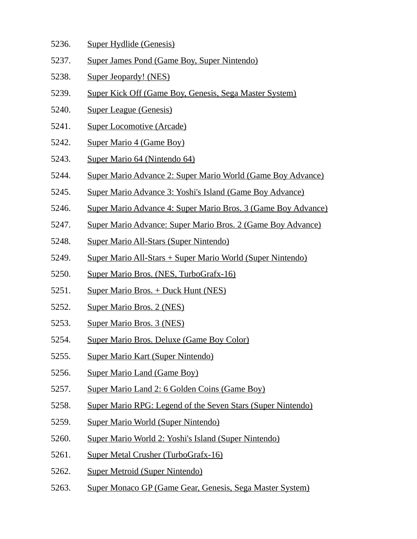- 5236. Super Hydlide (Genesis)
- 5237. Super James Pond (Game Boy, Super Nintendo)
- 5238. Super Jeopardy! (NES)
- 5239. Super Kick Off (Game Boy, Genesis, Sega Master System)
- 5240. Super League (Genesis)
- 5241. Super Locomotive (Arcade)
- 5242. Super Mario 4 (Game Boy)
- 5243. Super Mario 64 (Nintendo 64)
- 5244. Super Mario Advance 2: Super Mario World (Game Boy Advance)
- 5245. Super Mario Advance 3: Yoshi's Island (Game Boy Advance)
- 5246. Super Mario Advance 4: Super Mario Bros. 3 (Game Boy Advance)
- 5247. Super Mario Advance: Super Mario Bros. 2 (Game Boy Advance)
- 5248. Super Mario All-Stars (Super Nintendo)
- 5249. Super Mario All-Stars + Super Mario World (Super Nintendo)
- 5250. Super Mario Bros. (NES, TurboGrafx-16)
- 5251. Super Mario Bros. + Duck Hunt (NES)
- 5252. Super Mario Bros. 2 (NES)
- 5253. Super Mario Bros. 3 (NES)
- 5254. Super Mario Bros. Deluxe (Game Boy Color)
- 5255. Super Mario Kart (Super Nintendo)
- 5256. Super Mario Land (Game Boy)
- 5257. Super Mario Land 2: 6 Golden Coins (Game Boy)
- 5258. Super Mario RPG: Legend of the Seven Stars (Super Nintendo)
- 5259. Super Mario World (Super Nintendo)
- 5260. Super Mario World 2: Yoshi's Island (Super Nintendo)
- 5261. Super Metal Crusher (TurboGrafx-16)
- 5262. Super Metroid (Super Nintendo)
- 5263. Super Monaco GP (Game Gear, Genesis, Sega Master System)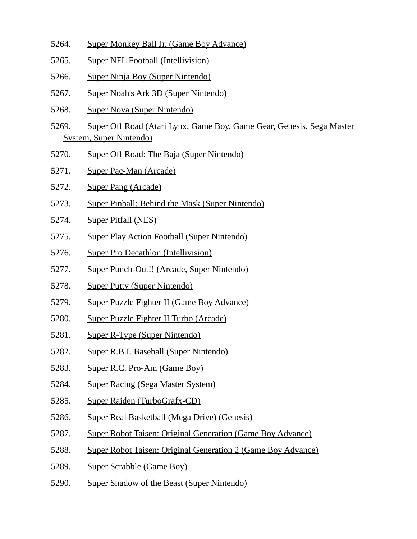- 5264. Super Monkey Ball Jr. (Game Boy Advance)
- 5265. Super NFL Football (Intellivision)
- 5266. Super Ninja Boy (Super Nintendo)
- 5267. Super Noah's Ark 3D (Super Nintendo)
- 5268. Super Nova (Super Nintendo)
- 5269. Super Off Road (Atari Lynx, Game Boy, Game Gear, Genesis, Sega Master System, Super Nintendo)
- 5270. Super Off Road: The Baja (Super Nintendo)
- 5271. Super Pac-Man (Arcade)
- 5272. Super Pang (Arcade)
- 5273. Super Pinball: Behind the Mask (Super Nintendo)
- 5274. Super Pitfall (NES)
- 5275. Super Play Action Football (Super Nintendo)
- 5276. Super Pro Decathlon (Intellivision)
- 5277. Super Punch-Out!! (Arcade, Super Nintendo)
- 5278. Super Putty (Super Nintendo)
- 5279. Super Puzzle Fighter II (Game Boy Advance)
- 5280. Super Puzzle Fighter II Turbo (Arcade)
- 5281. Super R-Type (Super Nintendo)
- 5282. Super R.B.I. Baseball (Super Nintendo)
- 5283. Super R.C. Pro-Am (Game Boy)
- 5284. Super Racing (Sega Master System)
- 5285. Super Raiden (TurboGrafx-CD)
- 5286. Super Real Basketball (Mega Drive) (Genesis)
- 5287. Super Robot Taisen: Original Generation (Game Boy Advance)
- 5288. Super Robot Taisen: Original Generation 2 (Game Boy Advance)
- 5289. Super Scrabble (Game Boy)
- 5290. Super Shadow of the Beast (Super Nintendo)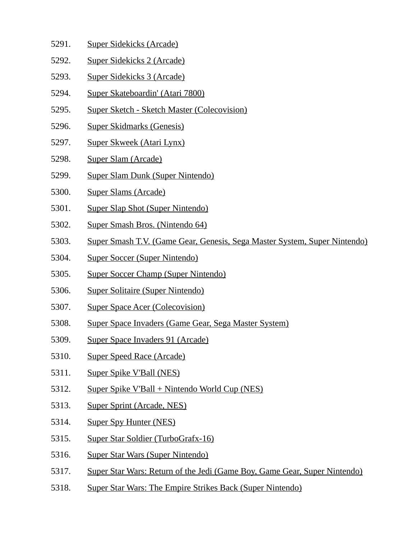- 5291. Super Sidekicks (Arcade)
- 5292. Super Sidekicks 2 (Arcade)
- 5293. Super Sidekicks 3 (Arcade)
- 5294. Super Skateboardin' (Atari 7800)
- 5295. Super Sketch Sketch Master (Colecovision)
- 5296. Super Skidmarks (Genesis)
- 5297. Super Skweek (Atari Lynx)
- 5298. Super Slam (Arcade)
- 5299. Super Slam Dunk (Super Nintendo)
- 5300. Super Slams (Arcade)
- 5301. Super Slap Shot (Super Nintendo)
- 5302. Super Smash Bros. (Nintendo 64)
- 5303. Super Smash T.V. (Game Gear, Genesis, Sega Master System, Super Nintendo)
- 5304. Super Soccer (Super Nintendo)
- 5305. Super Soccer Champ (Super Nintendo)
- 5306. Super Solitaire (Super Nintendo)
- 5307. Super Space Acer (Colecovision)
- 5308. Super Space Invaders (Game Gear, Sega Master System)
- 5309. Super Space Invaders 91 (Arcade)
- 5310. Super Speed Race (Arcade)
- 5311. Super Spike V'Ball (NES)
- 5312. Super Spike V'Ball + Nintendo World Cup (NES)
- 5313. Super Sprint (Arcade, NES)
- 5314. Super Spy Hunter (NES)
- 5315. Super Star Soldier (TurboGrafx-16)
- 5316. Super Star Wars (Super Nintendo)
- 5317. Super Star Wars: Return of the Jedi (Game Boy, Game Gear, Super Nintendo)
- 5318. Super Star Wars: The Empire Strikes Back (Super Nintendo)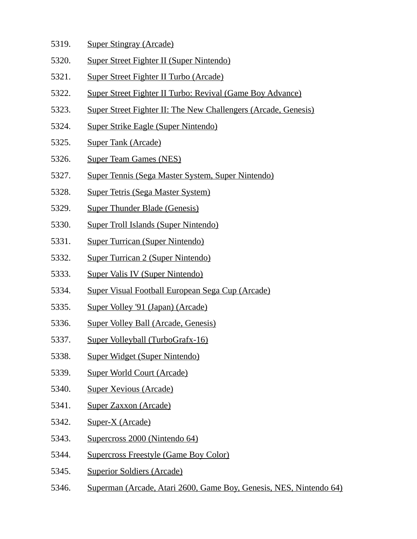- 5319. Super Stingray (Arcade)
- 5320. Super Street Fighter II (Super Nintendo)
- 5321. Super Street Fighter II Turbo (Arcade)
- 5322. Super Street Fighter II Turbo: Revival (Game Boy Advance)
- 5323. Super Street Fighter II: The New Challengers (Arcade, Genesis)
- 5324. Super Strike Eagle (Super Nintendo)
- 5325. Super Tank (Arcade)
- 5326. Super Team Games (NES)
- 5327. Super Tennis (Sega Master System, Super Nintendo)
- 5328. Super Tetris (Sega Master System)
- 5329. Super Thunder Blade (Genesis)
- 5330. Super Troll Islands (Super Nintendo)
- 5331. Super Turrican (Super Nintendo)
- 5332. Super Turrican 2 (Super Nintendo)
- 5333. Super Valis IV (Super Nintendo)
- 5334. Super Visual Football European Sega Cup (Arcade)
- 5335. Super Volley '91 (Japan) (Arcade)
- 5336. Super Volley Ball (Arcade, Genesis)
- 5337. Super Volleyball (TurboGrafx-16)
- 5338. Super Widget (Super Nintendo)
- 5339. Super World Court (Arcade)
- 5340. Super Xevious (Arcade)
- 5341. Super Zaxxon (Arcade)
- 5342. Super-X (Arcade)
- 5343. Supercross 2000 (Nintendo 64)
- 5344. Supercross Freestyle (Game Boy Color)
- 5345. Superior Soldiers (Arcade)
- 5346. Superman (Arcade, Atari 2600, Game Boy, Genesis, NES, Nintendo 64)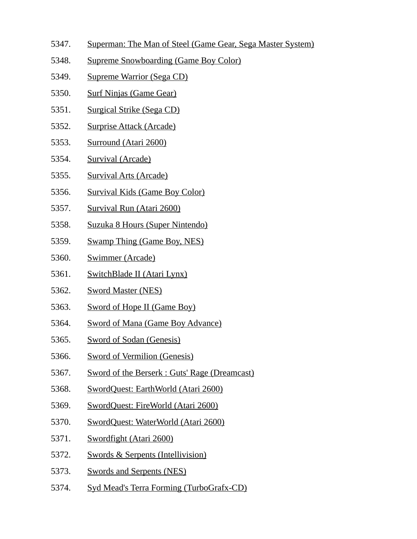- 5347. Superman: The Man of Steel (Game Gear, Sega Master System)
- 5348. Supreme Snowboarding (Game Boy Color)
- 5349. Supreme Warrior (Sega CD)
- 5350. Surf Ninjas (Game Gear)
- 5351. Surgical Strike (Sega CD)
- 5352. Surprise Attack (Arcade)
- 5353. Surround (Atari 2600)
- 5354. Survival (Arcade)
- 5355. Survival Arts (Arcade)
- 5356. Survival Kids (Game Boy Color)
- 5357. Survival Run (Atari 2600)
- 5358. Suzuka 8 Hours (Super Nintendo)
- 5359. Swamp Thing (Game Boy, NES)
- 5360. Swimmer (Arcade)
- 5361. SwitchBlade II (Atari Lynx)
- 5362. Sword Master (NES)
- 5363. Sword of Hope II (Game Boy)
- 5364. Sword of Mana (Game Boy Advance)
- 5365. Sword of Sodan (Genesis)
- 5366. Sword of Vermilion (Genesis)
- 5367. Sword of the Berserk : Guts' Rage (Dreamcast)
- 5368. SwordQuest: EarthWorld (Atari 2600)
- 5369. SwordQuest: FireWorld (Atari 2600)
- 5370. SwordQuest: WaterWorld (Atari 2600)
- 5371. Swordfight (Atari 2600)
- 5372. Swords & Serpents (Intellivision)
- 5373. Swords and Serpents (NES)
- 5374. Syd Mead's Terra Forming (TurboGrafx-CD)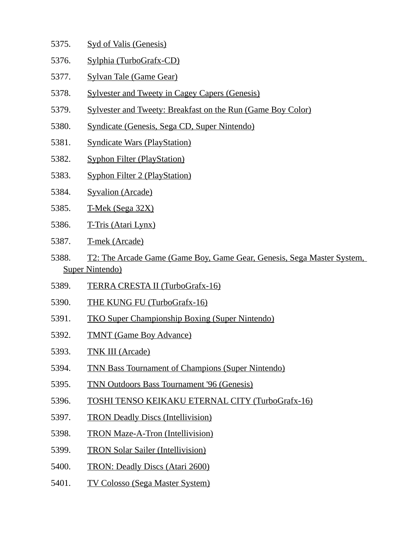- 5375. Syd of Valis (Genesis)
- 5376. Sylphia (TurboGrafx-CD)
- 5377. Sylvan Tale (Game Gear)
- 5378. Sylvester and Tweety in Cagey Capers (Genesis)
- 5379. Sylvester and Tweety: Breakfast on the Run (Game Boy Color)
- 5380. Syndicate (Genesis, Sega CD, Super Nintendo)
- 5381. Syndicate Wars (PlayStation)
- 5382. Syphon Filter (PlayStation)
- 5383. Syphon Filter 2 (PlayStation)
- 5384. Syvalion (Arcade)
- 5385. T-Mek (Sega 32X)
- 5386. T-Tris (Atari Lynx)
- 5387. T-mek (Arcade)
- 5388. T2: The Arcade Game (Game Boy, Game Gear, Genesis, Sega Master System, Super Nintendo)
- 5389. TERRA CRESTA II (TurboGrafx-16)
- 5390. THE KUNG FU (TurboGrafx-16)
- 5391. TKO Super Championship Boxing (Super Nintendo)
- 5392. TMNT (Game Boy Advance)
- 5393. TNK III (Arcade)
- 5394. TNN Bass Tournament of Champions (Super Nintendo)
- 5395. TNN Outdoors Bass Tournament '96 (Genesis)
- 5396. TOSHI TENSO KEIKAKU ETERNAL CITY (TurboGrafx-16)
- 5397. TRON Deadly Discs (Intellivision)
- 5398. TRON Maze-A-Tron (Intellivision)
- 5399. TRON Solar Sailer (Intellivision)
- 5400. TRON: Deadly Discs (Atari 2600)
- 5401. TV Colosso (Sega Master System)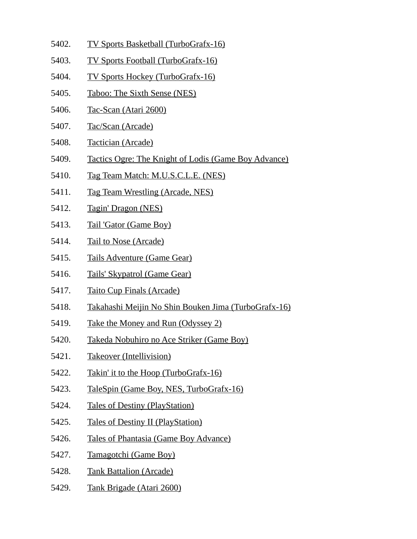- 5402. TV Sports Basketball (TurboGrafx-16)
- 5403. TV Sports Football (TurboGrafx-16)
- 5404. TV Sports Hockey (TurboGrafx-16)
- 5405. Taboo: The Sixth Sense (NES)
- 5406. Tac-Scan (Atari 2600)
- 5407. Tac/Scan (Arcade)
- 5408. Tactician (Arcade)
- 5409. Tactics Ogre: The Knight of Lodis (Game Boy Advance)
- 5410. Tag Team Match: M.U.S.C.L.E. (NES)
- 5411. Tag Team Wrestling (Arcade, NES)
- 5412. Tagin' Dragon (NES)
- 5413. Tail 'Gator (Game Boy)
- 5414. Tail to Nose (Arcade)
- 5415. Tails Adventure (Game Gear)
- 5416. Tails' Skypatrol (Game Gear)
- 5417. Taito Cup Finals (Arcade)
- 5418. Takahashi Meijin No Shin Bouken Jima (TurboGrafx-16)
- 5419. Take the Money and Run (Odyssey 2)
- 5420. Takeda Nobuhiro no Ace Striker (Game Boy)
- 5421. Takeover (Intellivision)
- 5422. Takin' it to the Hoop (TurboGrafx-16)
- 5423. TaleSpin (Game Boy, NES, TurboGrafx-16)
- 5424. Tales of Destiny (PlayStation)
- 5425. Tales of Destiny II (PlayStation)
- 5426. Tales of Phantasia (Game Boy Advance)
- 5427. Tamagotchi (Game Boy)
- 5428. Tank Battalion (Arcade)
- 5429. Tank Brigade (Atari 2600)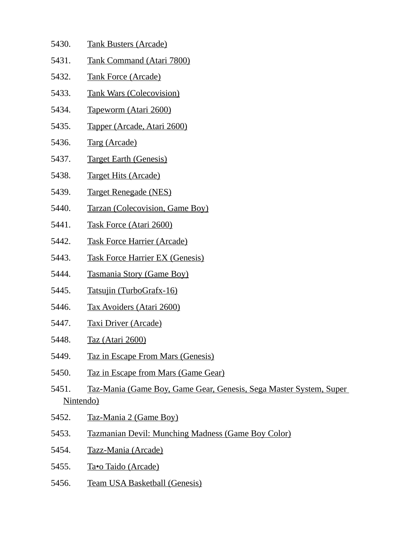- 5430. Tank Busters (Arcade)
- 5431. Tank Command (Atari 7800)
- 5432. Tank Force (Arcade)
- 5433. Tank Wars (Colecovision)
- 5434. Tapeworm (Atari 2600)
- 5435. Tapper (Arcade, Atari 2600)
- 5436. Targ (Arcade)
- 5437. Target Earth (Genesis)
- 5438. Target Hits (Arcade)
- 5439. Target Renegade (NES)
- 5440. Tarzan (Colecovision, Game Boy)
- 5441. Task Force (Atari 2600)
- 5442. Task Force Harrier (Arcade)
- 5443. Task Force Harrier EX (Genesis)
- 5444. Tasmania Story (Game Boy)
- 5445. Tatsujin (TurboGrafx-16)
- 5446. Tax Avoiders (Atari 2600)
- 5447. Taxi Driver (Arcade)
- 5448. Taz (Atari 2600)
- 5449. Taz in Escape From Mars (Genesis)
- 5450. Taz in Escape from Mars (Game Gear)
- 5451. Taz-Mania (Game Boy, Game Gear, Genesis, Sega Master System, Super Nintendo)
- 5452. Taz-Mania 2 (Game Boy)
- 5453. Tazmanian Devil: Munching Madness (Game Boy Color)
- 5454. Tazz-Mania (Arcade)
- 5455. Ta•o Taido (Arcade)
- 5456. Team USA Basketball (Genesis)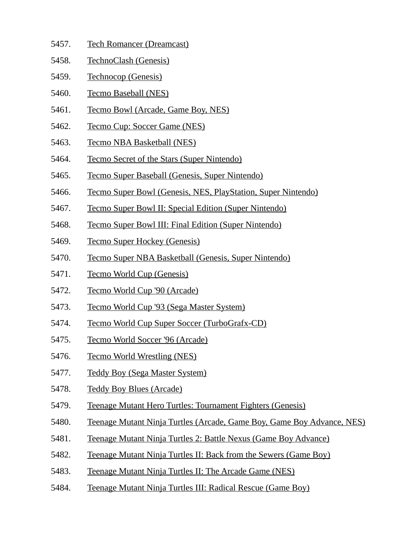- 5457. Tech Romancer (Dreamcast)
- 5458. TechnoClash (Genesis)
- 5459. Technocop (Genesis)
- 5460. Tecmo Baseball (NES)
- 5461. Tecmo Bowl (Arcade, Game Boy, NES)
- 5462. Tecmo Cup: Soccer Game (NES)
- 5463. Tecmo NBA Basketball (NES)
- 5464. Tecmo Secret of the Stars (Super Nintendo)
- 5465. Tecmo Super Baseball (Genesis, Super Nintendo)
- 5466. Tecmo Super Bowl (Genesis, NES, PlayStation, Super Nintendo)
- 5467. Tecmo Super Bowl II: Special Edition (Super Nintendo)
- 5468. Tecmo Super Bowl III: Final Edition (Super Nintendo)
- 5469. Tecmo Super Hockey (Genesis)
- 5470. Tecmo Super NBA Basketball (Genesis, Super Nintendo)
- 5471. Tecmo World Cup (Genesis)
- 5472. Tecmo World Cup '90 (Arcade)
- 5473. Tecmo World Cup '93 (Sega Master System)
- 5474. Tecmo World Cup Super Soccer (TurboGrafx-CD)
- 5475. Tecmo World Soccer '96 (Arcade)
- 5476. Tecmo World Wrestling (NES)
- 5477. Teddy Boy (Sega Master System)
- 5478. Teddy Boy Blues (Arcade)
- 5479. Teenage Mutant Hero Turtles: Tournament Fighters (Genesis)
- 5480. Teenage Mutant Ninja Turtles (Arcade, Game Boy, Game Boy Advance, NES)
- 5481. Teenage Mutant Ninja Turtles 2: Battle Nexus (Game Boy Advance)
- 5482. Teenage Mutant Ninja Turtles II: Back from the Sewers (Game Boy)
- 5483. Teenage Mutant Ninja Turtles II: The Arcade Game (NES)
- 5484. Teenage Mutant Ninja Turtles III: Radical Rescue (Game Boy)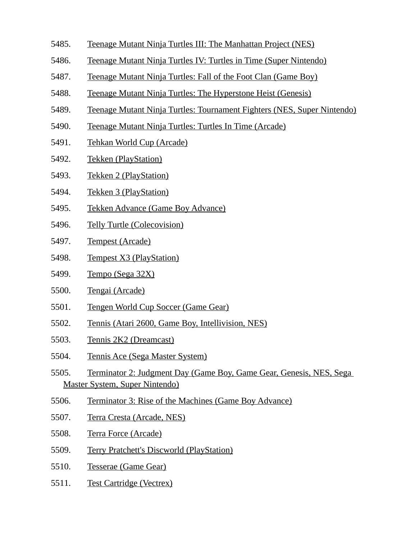- 5485. Teenage Mutant Ninja Turtles III: The Manhattan Project (NES)
- 5486. Teenage Mutant Ninja Turtles IV: Turtles in Time (Super Nintendo)
- 5487. Teenage Mutant Ninja Turtles: Fall of the Foot Clan (Game Boy)
- 5488. Teenage Mutant Ninja Turtles: The Hyperstone Heist (Genesis)
- 5489. Teenage Mutant Ninja Turtles: Tournament Fighters (NES, Super Nintendo)
- 5490. Teenage Mutant Ninja Turtles: Turtles In Time (Arcade)
- 5491. Tehkan World Cup (Arcade)
- 5492. Tekken (PlayStation)
- 5493. Tekken 2 (PlayStation)
- 5494. Tekken 3 (PlayStation)
- 5495. Tekken Advance (Game Boy Advance)
- 5496. Telly Turtle (Colecovision)
- 5497. Tempest (Arcade)
- 5498. Tempest X3 (PlayStation)
- 5499. Tempo (Sega 32X)
- 5500. Tengai (Arcade)
- 5501. Tengen World Cup Soccer (Game Gear)
- 5502. Tennis (Atari 2600, Game Boy, Intellivision, NES)
- 5503. Tennis 2K2 (Dreamcast)
- 5504. Tennis Ace (Sega Master System)
- 5505. Terminator 2: Judgment Day (Game Boy, Game Gear, Genesis, NES, Sega Master System, Super Nintendo)
- 5506. Terminator 3: Rise of the Machines (Game Boy Advance)
- 5507. Terra Cresta (Arcade, NES)
- 5508. Terra Force (Arcade)
- 5509. Terry Pratchett's Discworld (PlayStation)
- 5510. Tesserae (Game Gear)
- 5511. Test Cartridge (Vectrex)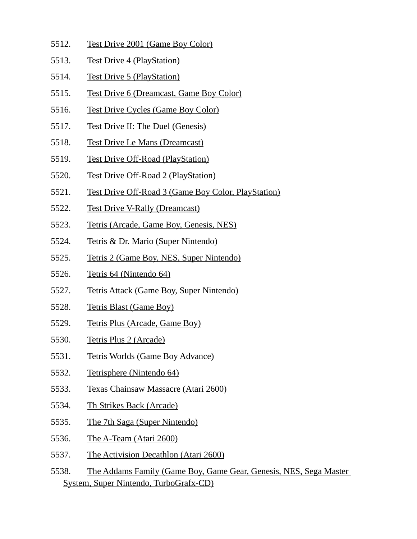- 5512. Test Drive 2001 (Game Boy Color)
- 5513. Test Drive 4 (PlayStation)
- 5514. Test Drive 5 (PlayStation)
- 5515. Test Drive 6 (Dreamcast, Game Boy Color)
- 5516. Test Drive Cycles (Game Boy Color)
- 5517. Test Drive II: The Duel (Genesis)
- 5518. Test Drive Le Mans (Dreamcast)
- 5519. Test Drive Off-Road (PlayStation)
- 5520. Test Drive Off-Road 2 (PlayStation)
- 5521. Test Drive Off-Road 3 (Game Boy Color, PlayStation)
- 5522. Test Drive V-Rally (Dreamcast)
- 5523. Tetris (Arcade, Game Boy, Genesis, NES)
- 5524. Tetris & Dr. Mario (Super Nintendo)
- 5525. Tetris 2 (Game Boy, NES, Super Nintendo)
- 5526. Tetris 64 (Nintendo 64)
- 5527. Tetris Attack (Game Boy, Super Nintendo)
- 5528. Tetris Blast (Game Boy)
- 5529. Tetris Plus (Arcade, Game Boy)
- 5530. Tetris Plus 2 (Arcade)
- 5531. Tetris Worlds (Game Boy Advance)
- 5532. Tetrisphere (Nintendo 64)
- 5533. Texas Chainsaw Massacre (Atari 2600)
- 5534. Th Strikes Back (Arcade)
- 5535. The 7th Saga (Super Nintendo)
- 5536. The A-Team (Atari 2600)
- 5537. The Activision Decathlon (Atari 2600)
- 5538. The Addams Family (Game Boy, Game Gear, Genesis, NES, Sega Master System, Super Nintendo, TurboGrafx-CD)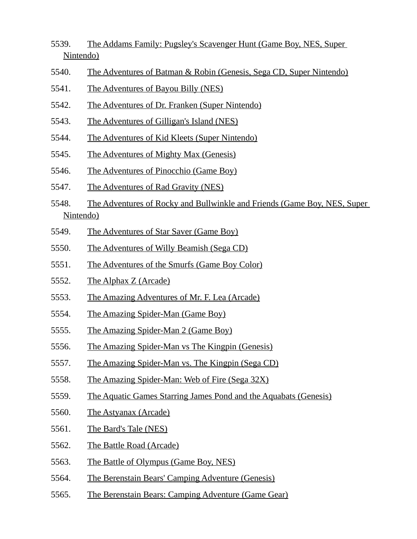- 5539. The Addams Family: Pugsley's Scavenger Hunt (Game Boy, NES, Super Nintendo)
- 5540. The Adventures of Batman & Robin (Genesis, Sega CD, Super Nintendo)
- 5541. The Adventures of Bayou Billy (NES)
- 5542. The Adventures of Dr. Franken (Super Nintendo)
- 5543. The Adventures of Gilligan's Island (NES)
- 5544. The Adventures of Kid Kleets (Super Nintendo)
- 5545. The Adventures of Mighty Max (Genesis)
- 5546. The Adventures of Pinocchio (Game Boy)
- 5547. The Adventures of Rad Gravity (NES)
- 5548. The Adventures of Rocky and Bullwinkle and Friends (Game Boy, NES, Super Nintendo)
- 5549. The Adventures of Star Saver (Game Boy)
- 5550. The Adventures of Willy Beamish (Sega CD)
- 5551. The Adventures of the Smurfs (Game Boy Color)
- 5552. The Alphax Z (Arcade)
- 5553. The Amazing Adventures of Mr. F. Lea (Arcade)
- 5554. The Amazing Spider-Man (Game Boy)
- 5555. The Amazing Spider-Man 2 (Game Boy)
- 5556. The Amazing Spider-Man vs The Kingpin (Genesis)
- 5557. The Amazing Spider-Man vs. The Kingpin (Sega CD)
- 5558. The Amazing Spider-Man: Web of Fire (Sega 32X)
- 5559. The Aquatic Games Starring James Pond and the Aquabats (Genesis)
- 5560. The Astyanax (Arcade)
- 5561. The Bard's Tale (NES)
- 5562. The Battle Road (Arcade)
- 5563. The Battle of Olympus (Game Boy, NES)
- 5564. The Berenstain Bears' Camping Adventure (Genesis)
- 5565. The Berenstain Bears: Camping Adventure (Game Gear)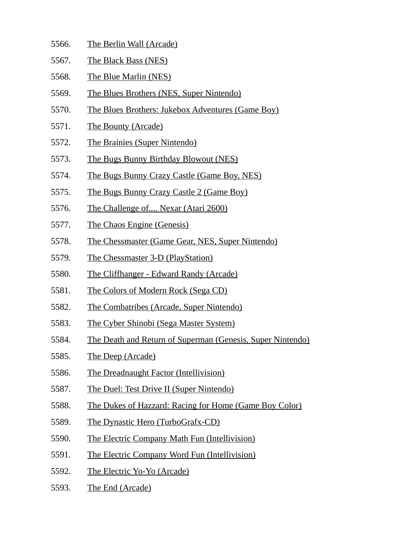- 5566. The Berlin Wall (Arcade)
- 5567. The Black Bass (NES)
- 5568. The Blue Marlin (NES)
- 5569. The Blues Brothers (NES, Super Nintendo)
- 5570. The Blues Brothers: Jukebox Adventures (Game Boy)
- 5571. The Bounty (Arcade)
- 5572. The Brainies (Super Nintendo)
- 5573. The Bugs Bunny Birthday Blowout (NES)
- 5574. The Bugs Bunny Crazy Castle (Game Boy, NES)
- 5575. The Bugs Bunny Crazy Castle 2 (Game Boy)
- 5576. The Challenge of.... Nexar (Atari 2600)
- 5577. The Chaos Engine (Genesis)
- 5578. The Chessmaster (Game Gear, NES, Super Nintendo)
- 5579. The Chessmaster 3-D (PlayStation)
- 5580. The Cliffhanger Edward Randy (Arcade)
- 5581. The Colors of Modern Rock (Sega CD)
- 5582. The Combatribes (Arcade, Super Nintendo)
- 5583. The Cyber Shinobi (Sega Master System)
- 5584. The Death and Return of Superman (Genesis, Super Nintendo)
- 5585. The Deep (Arcade)
- 5586. The Dreadnaught Factor (Intellivision)
- 5587. The Duel: Test Drive II (Super Nintendo)
- 5588. The Dukes of Hazzard: Racing for Home (Game Boy Color)
- 5589. The Dynastic Hero (TurboGrafx-CD)
- 5590. The Electric Company Math Fun (Intellivision)
- 5591. The Electric Company Word Fun (Intellivision)
- 5592. The Electric Yo-Yo (Arcade)
- 5593. The End (Arcade)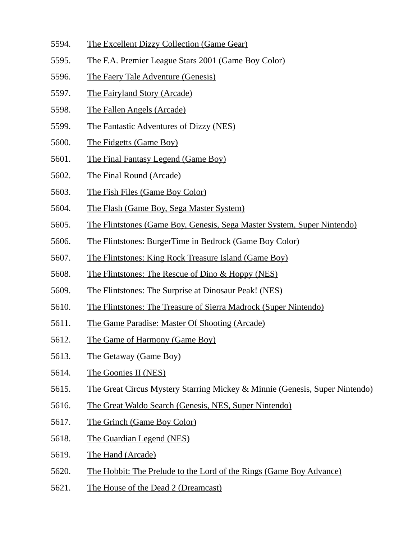- 5594. The Excellent Dizzy Collection (Game Gear)
- 5595. The F.A. Premier League Stars 2001 (Game Boy Color)
- 5596. The Faery Tale Adventure (Genesis)
- 5597. The Fairyland Story (Arcade)
- 5598. The Fallen Angels (Arcade)
- 5599. The Fantastic Adventures of Dizzy (NES)
- 5600. The Fidgetts (Game Boy)
- 5601. The Final Fantasy Legend (Game Boy)
- 5602. The Final Round (Arcade)
- 5603. The Fish Files (Game Boy Color)
- 5604. The Flash (Game Boy, Sega Master System)
- 5605. The Flintstones (Game Boy, Genesis, Sega Master System, Super Nintendo)
- 5606. The Flintstones: BurgerTime in Bedrock (Game Boy Color)
- 5607. The Flintstones: King Rock Treasure Island (Game Boy)
- 5608. The Flintstones: The Rescue of Dino & Hoppy (NES)
- 5609. The Flintstones: The Surprise at Dinosaur Peak! (NES)
- 5610. The Flintstones: The Treasure of Sierra Madrock (Super Nintendo)
- 5611. The Game Paradise: Master Of Shooting (Arcade)
- 5612. The Game of Harmony (Game Boy)
- 5613. The Getaway (Game Boy)
- 5614. The Goonies II (NES)
- 5615. The Great Circus Mystery Starring Mickey & Minnie (Genesis, Super Nintendo)
- 5616. The Great Waldo Search (Genesis, NES, Super Nintendo)
- 5617. The Grinch (Game Boy Color)
- 5618. The Guardian Legend (NES)
- 5619. The Hand (Arcade)
- 5620. The Hobbit: The Prelude to the Lord of the Rings (Game Boy Advance)
- 5621. The House of the Dead 2 (Dreamcast)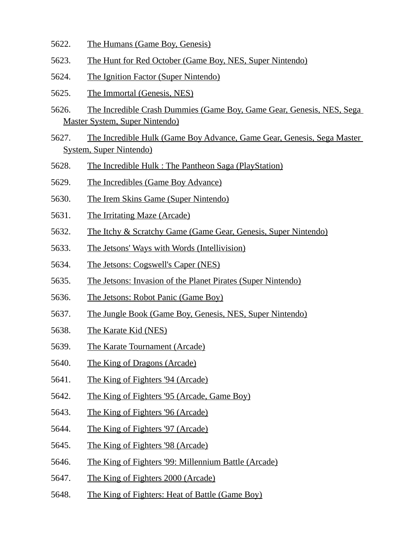- 5622. The Humans (Game Boy, Genesis)
- 5623. The Hunt for Red October (Game Boy, NES, Super Nintendo)
- 5624. The Ignition Factor (Super Nintendo)
- 5625. The Immortal (Genesis, NES)
- 5626. The Incredible Crash Dummies (Game Boy, Game Gear, Genesis, NES, Sega Master System, Super Nintendo)
- 5627. The Incredible Hulk (Game Boy Advance, Game Gear, Genesis, Sega Master System, Super Nintendo)
- 5628. The Incredible Hulk : The Pantheon Saga (PlayStation)
- 5629. The Incredibles (Game Boy Advance)
- 5630. The Irem Skins Game (Super Nintendo)
- 5631. The Irritating Maze (Arcade)
- 5632. The Itchy & Scratchy Game (Game Gear, Genesis, Super Nintendo)
- 5633. The Jetsons' Ways with Words (Intellivision)
- 5634. The Jetsons: Cogswell's Caper (NES)
- 5635. The Jetsons: Invasion of the Planet Pirates (Super Nintendo)
- 5636. The Jetsons: Robot Panic (Game Boy)
- 5637. The Jungle Book (Game Boy, Genesis, NES, Super Nintendo)
- 5638. The Karate Kid (NES)
- 5639. The Karate Tournament (Arcade)
- 5640. The King of Dragons (Arcade)
- 5641. The King of Fighters '94 (Arcade)
- 5642. The King of Fighters '95 (Arcade, Game Boy)
- 5643. The King of Fighters '96 (Arcade)
- 5644. The King of Fighters '97 (Arcade)
- 5645. The King of Fighters '98 (Arcade)
- 5646. The King of Fighters '99: Millennium Battle (Arcade)
- 5647. The King of Fighters 2000 (Arcade)
- 5648. The King of Fighters: Heat of Battle (Game Boy)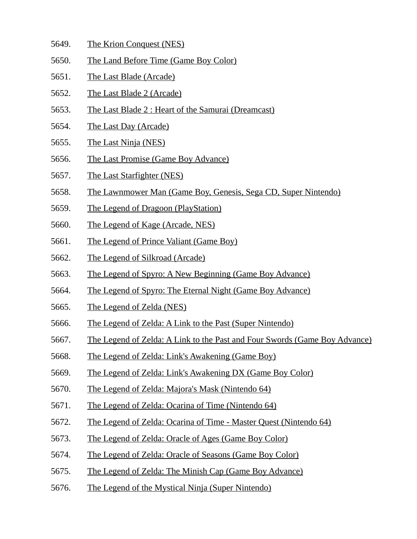- 5649. The Krion Conquest (NES)
- 5650. The Land Before Time (Game Boy Color)
- 5651. The Last Blade (Arcade)
- 5652. The Last Blade 2 (Arcade)
- 5653. The Last Blade 2 : Heart of the Samurai (Dreamcast)
- 5654. The Last Day (Arcade)
- 5655. The Last Ninja (NES)
- 5656. The Last Promise (Game Boy Advance)
- 5657. The Last Starfighter (NES)
- 5658. The Lawnmower Man (Game Boy, Genesis, Sega CD, Super Nintendo)
- 5659. The Legend of Dragoon (PlayStation)
- 5660. The Legend of Kage (Arcade, NES)
- 5661. The Legend of Prince Valiant (Game Boy)
- 5662. The Legend of Silkroad (Arcade)
- 5663. The Legend of Spyro: A New Beginning (Game Boy Advance)
- 5664. The Legend of Spyro: The Eternal Night (Game Boy Advance)
- 5665. The Legend of Zelda (NES)
- 5666. The Legend of Zelda: A Link to the Past (Super Nintendo)
- 5667. The Legend of Zelda: A Link to the Past and Four Swords (Game Boy Advance)
- 5668. The Legend of Zelda: Link's Awakening (Game Boy)
- 5669. The Legend of Zelda: Link's Awakening DX (Game Boy Color)
- 5670. The Legend of Zelda: Majora's Mask (Nintendo 64)
- 5671. The Legend of Zelda: Ocarina of Time (Nintendo 64)
- 5672. The Legend of Zelda: Ocarina of Time Master Quest (Nintendo 64)
- 5673. The Legend of Zelda: Oracle of Ages (Game Boy Color)
- 5674. The Legend of Zelda: Oracle of Seasons (Game Boy Color)
- 5675. The Legend of Zelda: The Minish Cap (Game Boy Advance)
- 5676. The Legend of the Mystical Ninja (Super Nintendo)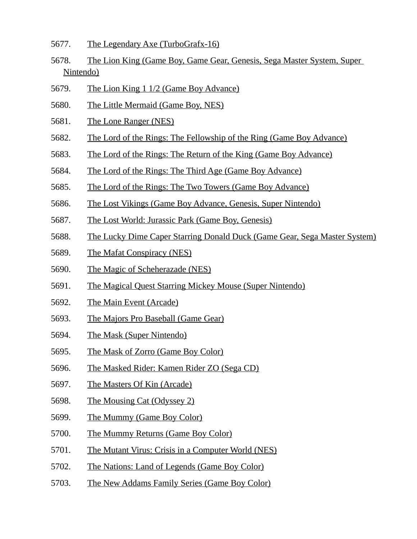- 5677. The Legendary Axe (TurboGrafx-16)
- 5678. The Lion King (Game Boy, Game Gear, Genesis, Sega Master System, Super Nintendo)
- 5679. The Lion King 1 1/2 (Game Boy Advance)
- 5680. The Little Mermaid (Game Boy, NES)
- 5681. The Lone Ranger (NES)
- 5682. The Lord of the Rings: The Fellowship of the Ring (Game Boy Advance)
- 5683. The Lord of the Rings: The Return of the King (Game Boy Advance)
- 5684. The Lord of the Rings: The Third Age (Game Boy Advance)
- 5685. The Lord of the Rings: The Two Towers (Game Boy Advance)
- 5686. The Lost Vikings (Game Boy Advance, Genesis, Super Nintendo)
- 5687. The Lost World: Jurassic Park (Game Boy, Genesis)
- 5688. The Lucky Dime Caper Starring Donald Duck (Game Gear, Sega Master System)
- 5689. The Mafat Conspiracy (NES)
- 5690. The Magic of Scheherazade (NES)
- 5691. The Magical Quest Starring Mickey Mouse (Super Nintendo)
- 5692. The Main Event (Arcade)
- 5693. The Majors Pro Baseball (Game Gear)
- 5694. The Mask (Super Nintendo)
- 5695. The Mask of Zorro (Game Boy Color)
- 5696. The Masked Rider: Kamen Rider ZO (Sega CD)
- 5697. The Masters Of Kin (Arcade)
- 5698. The Mousing Cat (Odyssey 2)
- 5699. The Mummy (Game Boy Color)
- 5700. The Mummy Returns (Game Boy Color)
- 5701. The Mutant Virus: Crisis in a Computer World (NES)
- 5702. The Nations: Land of Legends (Game Boy Color)
- 5703. The New Addams Family Series (Game Boy Color)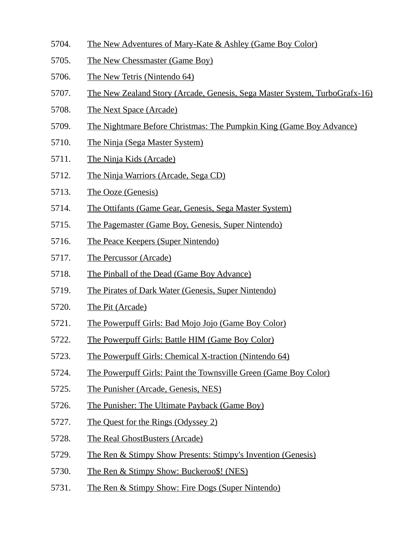- 5704. The New Adventures of Mary-Kate & Ashley (Game Boy Color)
- 5705. The New Chessmaster (Game Boy)
- 5706. The New Tetris (Nintendo 64)
- 5707. The New Zealand Story (Arcade, Genesis, Sega Master System, TurboGrafx-16)
- 5708. The Next Space (Arcade)
- 5709. The Nightmare Before Christmas: The Pumpkin King (Game Boy Advance)
- 5710. The Ninja (Sega Master System)
- 5711. The Ninja Kids (Arcade)
- 5712. The Ninja Warriors (Arcade, Sega CD)
- 5713. The Ooze (Genesis)
- 5714. The Ottifants (Game Gear, Genesis, Sega Master System)
- 5715. The Pagemaster (Game Boy, Genesis, Super Nintendo)
- 5716. The Peace Keepers (Super Nintendo)
- 5717. The Percussor (Arcade)
- 5718. The Pinball of the Dead (Game Boy Advance)
- 5719. The Pirates of Dark Water (Genesis, Super Nintendo)
- 5720. The Pit (Arcade)
- 5721. The Powerpuff Girls: Bad Mojo Jojo (Game Boy Color)
- 5722. The Powerpuff Girls: Battle HIM (Game Boy Color)
- 5723. The Powerpuff Girls: Chemical X-traction (Nintendo 64)
- 5724. The Powerpuff Girls: Paint the Townsville Green (Game Boy Color)
- 5725. The Punisher (Arcade, Genesis, NES)
- 5726. The Punisher: The Ultimate Payback (Game Boy)
- 5727. The Quest for the Rings (Odyssey 2)
- 5728. The Real GhostBusters (Arcade)
- 5729. The Ren & Stimpy Show Presents: Stimpy's Invention (Genesis)
- 5730. The Ren & Stimpy Show: Buckeroo\$! (NES)
- 5731. The Ren & Stimpy Show: Fire Dogs (Super Nintendo)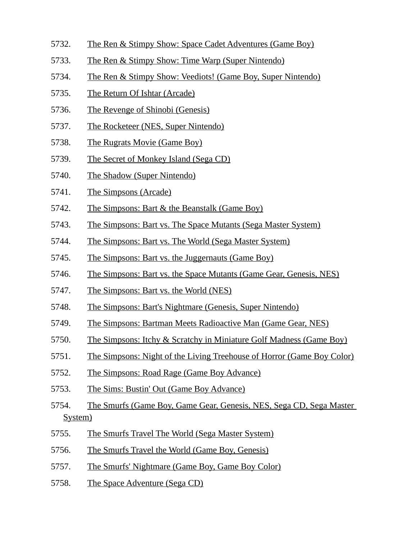- 5732. The Ren & Stimpy Show: Space Cadet Adventures (Game Boy)
- 5733. The Ren & Stimpy Show: Time Warp (Super Nintendo)
- 5734. The Ren & Stimpy Show: Veediots! (Game Boy, Super Nintendo)
- 5735. The Return Of Ishtar (Arcade)
- 5736. The Revenge of Shinobi (Genesis)
- 5737. The Rocketeer (NES, Super Nintendo)
- 5738. The Rugrats Movie (Game Boy)
- 5739. The Secret of Monkey Island (Sega CD)
- 5740. The Shadow (Super Nintendo)
- 5741. The Simpsons (Arcade)
- 5742. The Simpsons: Bart & the Beanstalk (Game Boy)
- 5743. The Simpsons: Bart vs. The Space Mutants (Sega Master System)
- 5744. The Simpsons: Bart vs. The World (Sega Master System)
- 5745. The Simpsons: Bart vs. the Juggernauts (Game Boy)
- 5746. The Simpsons: Bart vs. the Space Mutants (Game Gear, Genesis, NES)
- 5747. The Simpsons: Bart vs. the World (NES)
- 5748. The Simpsons: Bart's Nightmare (Genesis, Super Nintendo)
- 5749. The Simpsons: Bartman Meets Radioactive Man (Game Gear, NES)
- 5750. The Simpsons: Itchy & Scratchy in Miniature Golf Madness (Game Boy)
- 5751. The Simpsons: Night of the Living Treehouse of Horror (Game Boy Color)
- 5752. The Simpsons: Road Rage (Game Boy Advance)
- 5753. The Sims: Bustin' Out (Game Boy Advance)
- 5754. The Smurfs (Game Boy, Game Gear, Genesis, NES, Sega CD, Sega Master System)
- 5755. The Smurfs Travel The World (Sega Master System)
- 5756. The Smurfs Travel the World (Game Boy, Genesis)
- 5757. The Smurfs' Nightmare (Game Boy, Game Boy Color)
- 5758. The Space Adventure (Sega CD)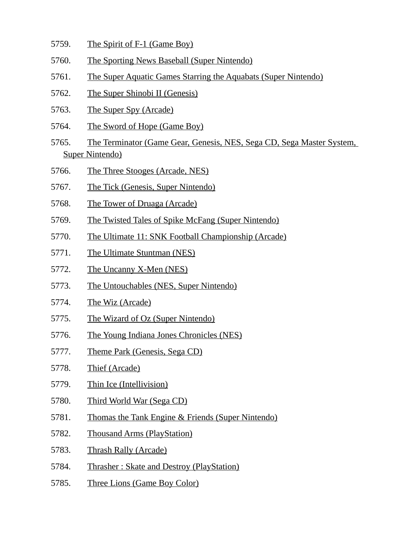- 5759. The Spirit of F-1 (Game Boy)
- 5760. The Sporting News Baseball (Super Nintendo)
- 5761. The Super Aquatic Games Starring the Aquabats (Super Nintendo)
- 5762. The Super Shinobi II (Genesis)
- 5763. The Super Spy (Arcade)
- 5764. The Sword of Hope (Game Boy)
- 5765. The Terminator (Game Gear, Genesis, NES, Sega CD, Sega Master System, Super Nintendo)
- 5766. The Three Stooges (Arcade, NES)
- 5767. The Tick (Genesis, Super Nintendo)
- 5768. The Tower of Druaga (Arcade)
- 5769. The Twisted Tales of Spike McFang (Super Nintendo)
- 5770. The Ultimate 11: SNK Football Championship (Arcade)
- 5771. The Ultimate Stuntman (NES)
- 5772. The Uncanny X-Men (NES)
- 5773. The Untouchables (NES, Super Nintendo)
- 5774. The Wiz (Arcade)
- 5775. The Wizard of Oz (Super Nintendo)
- 5776. The Young Indiana Jones Chronicles (NES)
- 5777. Theme Park (Genesis, Sega CD)
- 5778. Thief (Arcade)
- 5779. Thin Ice (Intellivision)
- 5780. Third World War (Sega CD)
- 5781. Thomas the Tank Engine & Friends (Super Nintendo)
- 5782. Thousand Arms (PlayStation)
- 5783. Thrash Rally (Arcade)
- 5784. Thrasher : Skate and Destroy (PlayStation)
- 5785. Three Lions (Game Boy Color)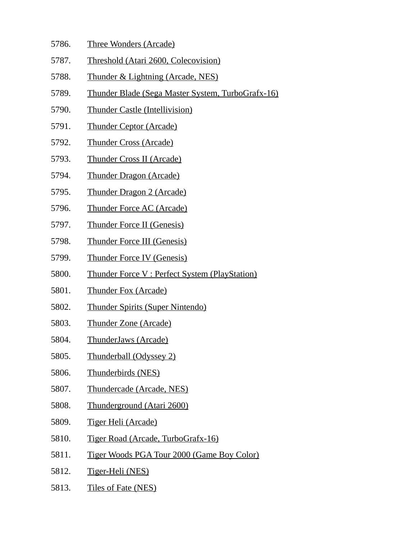- 5786. Three Wonders (Arcade)
- 5787. Threshold (Atari 2600, Colecovision)
- 5788. Thunder & Lightning (Arcade, NES)
- 5789. Thunder Blade (Sega Master System, TurboGrafx-16)
- 5790. Thunder Castle (Intellivision)
- 5791. Thunder Ceptor (Arcade)
- 5792. Thunder Cross (Arcade)
- 5793. Thunder Cross II (Arcade)
- 5794. Thunder Dragon (Arcade)
- 5795. Thunder Dragon 2 (Arcade)
- 5796. Thunder Force AC (Arcade)
- 5797. Thunder Force II (Genesis)
- 5798. Thunder Force III (Genesis)
- 5799. Thunder Force IV (Genesis)
- 5800. Thunder Force V : Perfect System (PlayStation)
- 5801. Thunder Fox (Arcade)
- 5802. Thunder Spirits (Super Nintendo)
- 5803. Thunder Zone (Arcade)
- 5804. ThunderJaws (Arcade)
- 5805. Thunderball (Odyssey 2)
- 5806. Thunderbirds (NES)
- 5807. Thundercade (Arcade, NES)
- 5808. Thunderground (Atari 2600)
- 5809. Tiger Heli (Arcade)
- 5810. Tiger Road (Arcade, TurboGrafx-16)
- 5811. Tiger Woods PGA Tour 2000 (Game Boy Color)
- 5812. Tiger-Heli (NES)
- 5813. Tiles of Fate (NES)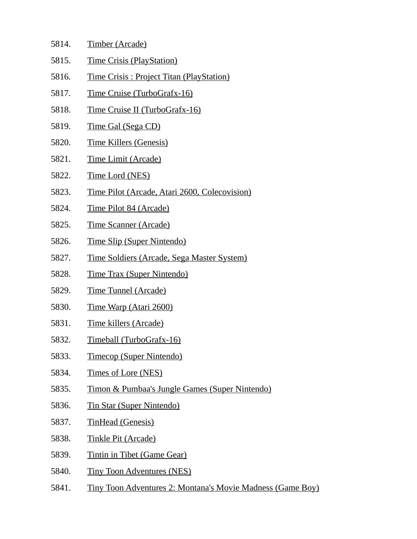| 5814. | <b>Timber (Arcade)</b>                                     |
|-------|------------------------------------------------------------|
| 5815. | <b>Time Crisis (PlayStation)</b>                           |
| 5816. | <b>Time Crisis: Project Titan (PlayStation)</b>            |
| 5817. | <u>Time Cruise (TurboGrafx-16)</u>                         |
| 5818. | Time Cruise II (TurboGrafx-16)                             |
| 5819. | <u>Time Gal (Sega CD)</u>                                  |
| 5820. | <b>Time Killers (Genesis)</b>                              |
| 5821. | <u>Time Limit (Arcade)</u>                                 |
| 5822. | <b>Time Lord (NES)</b>                                     |
| 5823. | Time Pilot (Arcade, Atari 2600, Colecovision)              |
| 5824. | Time Pilot 84 (Arcade)                                     |
| 5825. | <b>Time Scanner (Arcade)</b>                               |
| 5826. | <b>Time Slip (Super Nintendo)</b>                          |
| 5827. | <u>Time Soldiers (Arcade, Sega Master System)</u>          |
| 5828. | <b>Time Trax (Super Nintendo)</b>                          |
| 5829. | <b>Time Tunnel (Arcade)</b>                                |
| 5830. | Time Warp (Atari 2600)                                     |
| 5831. | Time killers (Arcade)                                      |
| 5832. | Timeball (TurboGrafx-16)                                   |
| 5833. | <b>Timecop (Super Nintendo)</b>                            |
| 5834. | <u>Times of Lore (NES)</u>                                 |
| 5835. | Timon & Pumbaa's Jungle Games (Super Nintendo)             |
| 5836. | <b>Tin Star (Super Nintendo)</b>                           |
| 5837. | <b>TinHead (Genesis)</b>                                   |
| 5838. | <b>Tinkle Pit (Arcade)</b>                                 |
| 5839. | <b>Tintin in Tibet (Game Gear)</b>                         |
| 5840. | <b>Tiny Toon Adventures (NES)</b>                          |
| 5841. | Tiny Toon Adventures 2: Montana's Movie Madness (Game Boy) |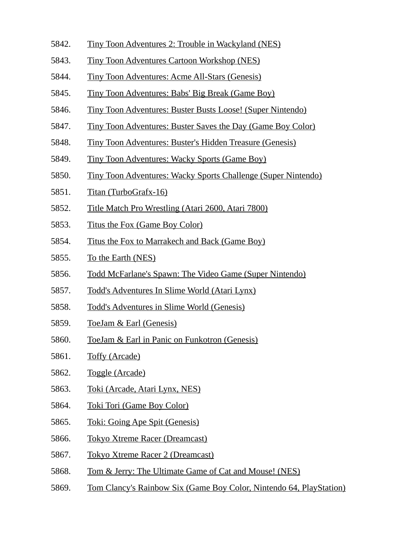- 5842. Tiny Toon Adventures 2: Trouble in Wackyland (NES)
- 5843. Tiny Toon Adventures Cartoon Workshop (NES)
- 5844. Tiny Toon Adventures: Acme All-Stars (Genesis)
- 5845. Tiny Toon Adventures: Babs' Big Break (Game Boy)
- 5846. Tiny Toon Adventures: Buster Busts Loose! (Super Nintendo)
- 5847. Tiny Toon Adventures: Buster Saves the Day (Game Boy Color)
- 5848. Tiny Toon Adventures: Buster's Hidden Treasure (Genesis)
- 5849. Tiny Toon Adventures: Wacky Sports (Game Boy)
- 5850. Tiny Toon Adventures: Wacky Sports Challenge (Super Nintendo)
- 5851. Titan (TurboGrafx-16)
- 5852. Title Match Pro Wrestling (Atari 2600, Atari 7800)
- 5853. Titus the Fox (Game Boy Color)
- 5854. Titus the Fox to Marrakech and Back (Game Boy)
- 5855. To the Earth (NES)
- 5856. Todd McFarlane's Spawn: The Video Game (Super Nintendo)
- 5857. Todd's Adventures In Slime World (Atari Lynx)
- 5858. Todd's Adventures in Slime World (Genesis)
- 5859. ToeJam & Earl (Genesis)
- 5860. ToeJam & Earl in Panic on Funkotron (Genesis)
- 5861. Toffy (Arcade)
- 5862. Toggle (Arcade)
- 5863. Toki (Arcade, Atari Lynx, NES)
- 5864. Toki Tori (Game Boy Color)
- 5865. Toki: Going Ape Spit (Genesis)
- 5866. Tokyo Xtreme Racer (Dreamcast)
- 5867. Tokyo Xtreme Racer 2 (Dreamcast)
- 5868. Tom & Jerry: The Ultimate Game of Cat and Mouse! (NES)
- 5869. Tom Clancy's Rainbow Six (Game Boy Color, Nintendo 64, PlayStation)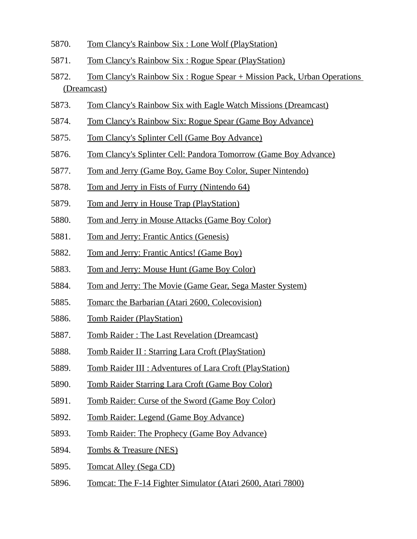- 5870. Tom Clancy's Rainbow Six : Lone Wolf (PlayStation)
- 5871. Tom Clancy's Rainbow Six : Rogue Spear (PlayStation)
- 5872. Tom Clancy's Rainbow Six : Rogue Spear + Mission Pack, Urban Operations (Dreamcast)
- 5873. Tom Clancy's Rainbow Six with Eagle Watch Missions (Dreamcast)
- 5874. Tom Clancy's Rainbow Six: Rogue Spear (Game Boy Advance)
- 5875. Tom Clancy's Splinter Cell (Game Boy Advance)
- 5876. Tom Clancy's Splinter Cell: Pandora Tomorrow (Game Boy Advance)
- 5877. Tom and Jerry (Game Boy, Game Boy Color, Super Nintendo)
- 5878. Tom and Jerry in Fists of Furry (Nintendo 64)
- 5879. Tom and Jerry in House Trap (PlayStation)
- 5880. Tom and Jerry in Mouse Attacks (Game Boy Color)
- 5881. Tom and Jerry: Frantic Antics (Genesis)
- 5882. Tom and Jerry: Frantic Antics! (Game Boy)
- 5883. Tom and Jerry: Mouse Hunt (Game Boy Color)
- 5884. Tom and Jerry: The Movie (Game Gear, Sega Master System)
- 5885. Tomarc the Barbarian (Atari 2600, Colecovision)
- 5886. Tomb Raider (PlayStation)
- 5887. Tomb Raider : The Last Revelation (Dreamcast)
- 5888. Tomb Raider II : Starring Lara Croft (PlayStation)
- 5889. Tomb Raider III : Adventures of Lara Croft (PlayStation)
- 5890. Tomb Raider Starring Lara Croft (Game Boy Color)
- 5891. Tomb Raider: Curse of the Sword (Game Boy Color)
- 5892. Tomb Raider: Legend (Game Boy Advance)
- 5893. Tomb Raider: The Prophecy (Game Boy Advance)
- 5894. Tombs & Treasure (NES)
- 5895. Tomcat Alley (Sega CD)
- 5896. Tomcat: The F-14 Fighter Simulator (Atari 2600, Atari 7800)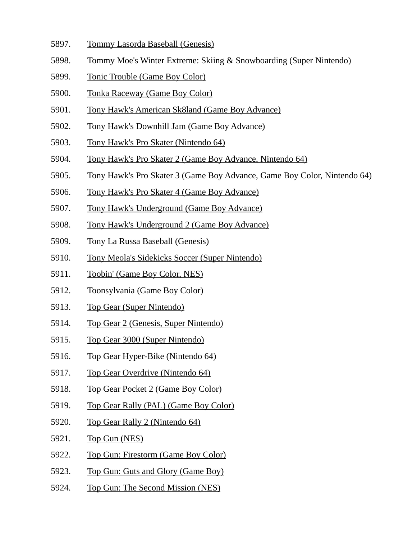- 5897. Tommy Lasorda Baseball (Genesis)
- 5898. Tommy Moe's Winter Extreme: Skiing & Snowboarding (Super Nintendo)
- 5899. Tonic Trouble (Game Boy Color)
- 5900. Tonka Raceway (Game Boy Color)
- 5901. Tony Hawk's American Sk8land (Game Boy Advance)
- 5902. Tony Hawk's Downhill Jam (Game Boy Advance)
- 5903. Tony Hawk's Pro Skater (Nintendo 64)
- 5904. Tony Hawk's Pro Skater 2 (Game Boy Advance, Nintendo 64)
- 5905. Tony Hawk's Pro Skater 3 (Game Boy Advance, Game Boy Color, Nintendo 64)
- 5906. Tony Hawk's Pro Skater 4 (Game Boy Advance)
- 5907. Tony Hawk's Underground (Game Boy Advance)
- 5908. Tony Hawk's Underground 2 (Game Boy Advance)
- 5909. Tony La Russa Baseball (Genesis)
- 5910. Tony Meola's Sidekicks Soccer (Super Nintendo)
- 5911. Toobin' (Game Boy Color, NES)
- 5912. Toonsylvania (Game Boy Color)
- 5913. Top Gear (Super Nintendo)
- 5914. Top Gear 2 (Genesis, Super Nintendo)
- 5915. Top Gear 3000 (Super Nintendo)
- 5916. Top Gear Hyper-Bike (Nintendo 64)
- 5917. Top Gear Overdrive (Nintendo 64)
- 5918. Top Gear Pocket 2 (Game Boy Color)
- 5919. Top Gear Rally (PAL) (Game Boy Color)
- 5920. Top Gear Rally 2 (Nintendo 64)
- 5921. Top Gun (NES)
- 5922. Top Gun: Firestorm (Game Boy Color)
- 5923. Top Gun: Guts and Glory (Game Boy)
- 5924. Top Gun: The Second Mission (NES)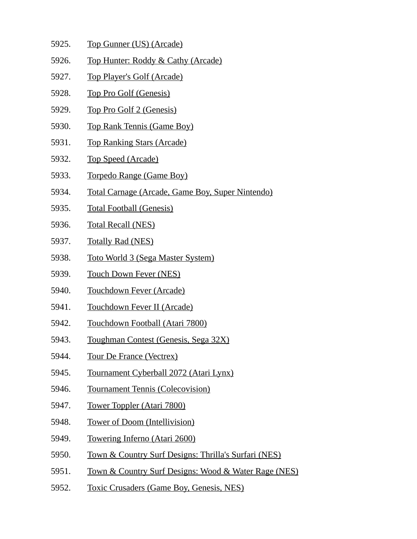- 5925. Top Gunner (US) (Arcade)
- 5926. Top Hunter: Roddy & Cathy (Arcade)
- 5927. Top Player's Golf (Arcade)
- 5928. Top Pro Golf (Genesis)
- 5929. Top Pro Golf 2 (Genesis)
- 5930. Top Rank Tennis (Game Boy)
- 5931. Top Ranking Stars (Arcade)
- 5932. Top Speed (Arcade)
- 5933. Torpedo Range (Game Boy)
- 5934. Total Carnage (Arcade, Game Boy, Super Nintendo)
- 5935. Total Football (Genesis)
- 5936. Total Recall (NES)
- 5937. Totally Rad (NES)
- 5938. Toto World 3 (Sega Master System)
- 5939. Touch Down Fever (NES)
- 5940. Touchdown Fever (Arcade)
- 5941. Touchdown Fever II (Arcade)
- 5942. Touchdown Football (Atari 7800)
- 5943. Toughman Contest (Genesis, Sega 32X)
- 5944. Tour De France (Vectrex)
- 5945. Tournament Cyberball 2072 (Atari Lynx)
- 5946. Tournament Tennis (Colecovision)
- 5947. Tower Toppler (Atari 7800)
- 5948. Tower of Doom (Intellivision)
- 5949. Towering Inferno (Atari 2600)
- 5950. Town & Country Surf Designs: Thrilla's Surfari (NES)
- 5951. Town & Country Surf Designs: Wood & Water Rage (NES)
- 5952. Toxic Crusaders (Game Boy, Genesis, NES)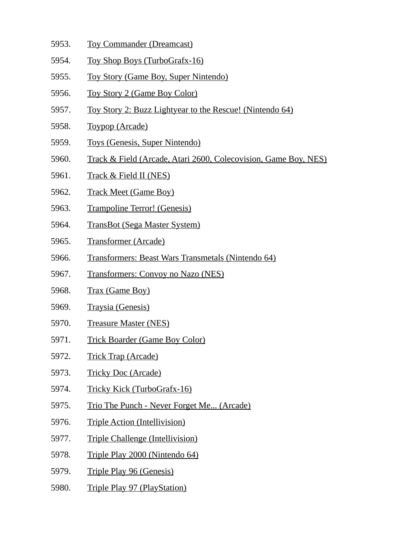- 5953. Toy Commander (Dreamcast)
- 5954. Toy Shop Boys (TurboGrafx-16)
- 5955. Toy Story (Game Boy, Super Nintendo)
- 5956. Toy Story 2 (Game Boy Color)
- 5957. Toy Story 2: Buzz Lightyear to the Rescue! (Nintendo 64)
- 5958. Toypop (Arcade)
- 5959. Toys (Genesis, Super Nintendo)
- 5960. Track & Field (Arcade, Atari 2600, Colecovision, Game Boy, NES)
- 5961. Track & Field II (NES)
- 5962. Track Meet (Game Boy)
- 5963. Trampoline Terror! (Genesis)
- 5964. TransBot (Sega Master System)
- 5965. Transformer (Arcade)
- 5966. Transformers: Beast Wars Transmetals (Nintendo 64)
- 5967. Transformers: Convoy no Nazo (NES)
- 5968. Trax (Game Boy)
- 5969. Traysia (Genesis)
- 5970. Treasure Master (NES)
- 5971. Trick Boarder (Game Boy Color)
- 5972. Trick Trap (Arcade)
- 5973. Tricky Doc (Arcade)
- 5974. Tricky Kick (TurboGrafx-16)
- 5975. Trio The Punch Never Forget Me... (Arcade)
- 5976. Triple Action (Intellivision)
- 5977. Triple Challenge (Intellivision)
- 5978. Triple Play 2000 (Nintendo 64)
- 5979. Triple Play 96 (Genesis)
- 5980. Triple Play 97 (PlayStation)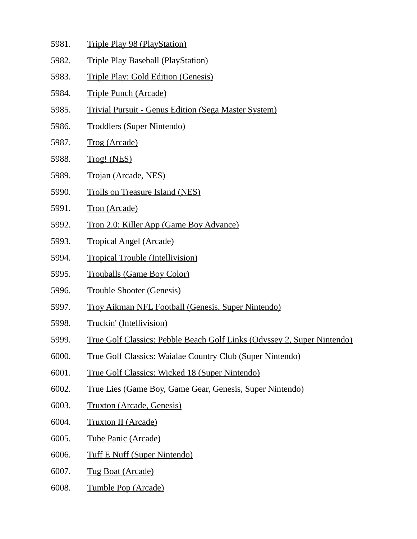- 5981. Triple Play 98 (PlayStation)
- 5982. Triple Play Baseball (PlayStation)
- 5983. Triple Play: Gold Edition (Genesis)
- 5984. Triple Punch (Arcade)
- 5985. Trivial Pursuit Genus Edition (Sega Master System)
- 5986. Troddlers (Super Nintendo)
- 5987. Trog (Arcade)
- 5988. Trog! (NES)
- 5989. Trojan (Arcade, NES)
- 5990. Trolls on Treasure Island (NES)
- 5991. Tron (Arcade)
- 5992. Tron 2.0: Killer App (Game Boy Advance)
- 5993. Tropical Angel (Arcade)
- 5994. Tropical Trouble (Intellivision)
- 5995. Trouballs (Game Boy Color)
- 5996. Trouble Shooter (Genesis)
- 5997. Troy Aikman NFL Football (Genesis, Super Nintendo)
- 5998. Truckin' (Intellivision)
- 5999. True Golf Classics: Pebble Beach Golf Links (Odyssey 2, Super Nintendo)
- 6000. True Golf Classics: Waialae Country Club (Super Nintendo)
- 6001. True Golf Classics: Wicked 18 (Super Nintendo)
- 6002. True Lies (Game Boy, Game Gear, Genesis, Super Nintendo)
- 6003. Truxton (Arcade, Genesis)
- 6004. Truxton II (Arcade)
- 6005. Tube Panic (Arcade)
- 6006. Tuff E Nuff (Super Nintendo)
- 6007. Tug Boat (Arcade)
- 6008. Tumble Pop (Arcade)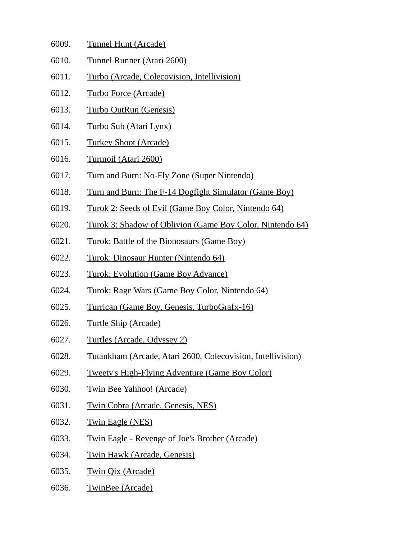| 6009. | Tunnel Hunt (Arcade) |  |
|-------|----------------------|--|
|       |                      |  |

- 6010. Tunnel Runner (Atari 2600)
- 6011. Turbo (Arcade, Colecovision, Intellivision)
- 6012. Turbo Force (Arcade)
- 6013. Turbo OutRun (Genesis)
- 6014. Turbo Sub (Atari Lynx)
- 6015. Turkey Shoot (Arcade)
- 6016. Turmoil (Atari 2600)
- 6017. Turn and Burn: No-Fly Zone (Super Nintendo)
- 6018. Turn and Burn: The F-14 Dogfight Simulator (Game Boy)
- 6019. Turok 2: Seeds of Evil (Game Boy Color, Nintendo 64)
- 6020. Turok 3: Shadow of Oblivion (Game Boy Color, Nintendo 64)
- 6021. Turok: Battle of the Bionosaurs (Game Boy)
- 6022. Turok: Dinosaur Hunter (Nintendo 64)
- 6023. Turok: Evolution (Game Boy Advance)
- 6024. Turok: Rage Wars (Game Boy Color, Nintendo 64)
- 6025. Turrican (Game Boy, Genesis, TurboGrafx-16)
- 6026. Turtle Ship (Arcade)
- 6027. Turtles (Arcade, Odyssey 2)
- 6028. Tutankham (Arcade, Atari 2600, Colecovision, Intellivision)
- 6029. Tweety's High-Flying Adventure (Game Boy Color)
- 6030. Twin Bee Yahhoo! (Arcade)
- 6031. Twin Cobra (Arcade, Genesis, NES)
- 6032. Twin Eagle (NES)
- 6033. Twin Eagle Revenge of Joe's Brother (Arcade)
- 6034. Twin Hawk (Arcade, Genesis)
- 6035. Twin Qix (Arcade)
- 6036. TwinBee (Arcade)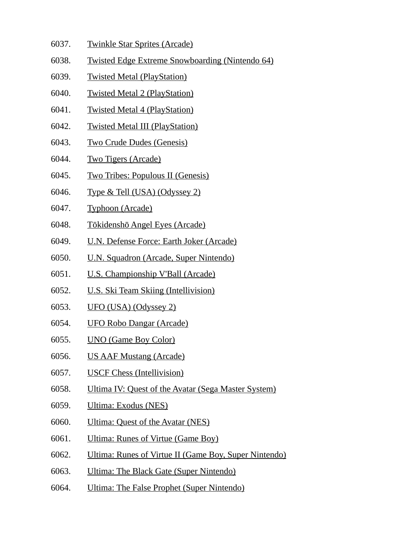- 6037. Twinkle Star Sprites (Arcade)
- 6038. Twisted Edge Extreme Snowboarding (Nintendo 64)
- 6039. Twisted Metal (PlayStation)
- 6040. Twisted Metal 2 (PlayStation)
- 6041. Twisted Metal 4 (PlayStation)
- 6042. Twisted Metal III (PlayStation)
- 6043. Two Crude Dudes (Genesis)
- 6044. Two Tigers (Arcade)
- 6045. Two Tribes: Populous II (Genesis)
- 6046. Type & Tell (USA) (Odyssey 2)
- 6047. Typhoon (Arcade)
- 6048. Tōkidenshō Angel Eyes (Arcade)
- 6049. U.N. Defense Force: Earth Joker (Arcade)
- 6050. U.N. Squadron (Arcade, Super Nintendo)
- 6051. U.S. Championship V'Ball (Arcade)
- 6052. U.S. Ski Team Skiing (Intellivision)
- 6053. UFO (USA) (Odyssey 2)
- 6054. UFO Robo Dangar (Arcade)
- 6055. UNO (Game Boy Color)
- 6056. US AAF Mustang (Arcade)
- 6057. USCF Chess (Intellivision)
- 6058. Ultima IV: Quest of the Avatar (Sega Master System)
- 6059. Ultima: Exodus (NES)
- 6060. Ultima: Quest of the Avatar (NES)
- 6061. Ultima: Runes of Virtue (Game Boy)
- 6062. Ultima: Runes of Virtue II (Game Boy, Super Nintendo)
- 6063. Ultima: The Black Gate (Super Nintendo)
- 6064. Ultima: The False Prophet (Super Nintendo)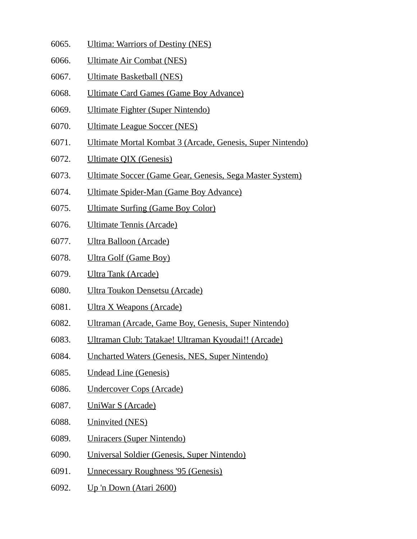- 6065. Ultima: Warriors of Destiny (NES)
- 6066. Ultimate Air Combat (NES)
- 6067. Ultimate Basketball (NES)
- 6068. Ultimate Card Games (Game Boy Advance)
- 6069. Ultimate Fighter (Super Nintendo)
- 6070. Ultimate League Soccer (NES)
- 6071. Ultimate Mortal Kombat 3 (Arcade, Genesis, Super Nintendo)
- 6072. Ultimate QIX (Genesis)
- 6073. Ultimate Soccer (Game Gear, Genesis, Sega Master System)
- 6074. Ultimate Spider-Man (Game Boy Advance)
- 6075. Ultimate Surfing (Game Boy Color)
- 6076. Ultimate Tennis (Arcade)
- 6077. Ultra Balloon (Arcade)
- 6078. Ultra Golf (Game Boy)
- 6079. Ultra Tank (Arcade)
- 6080. Ultra Toukon Densetsu (Arcade)
- 6081. Ultra X Weapons (Arcade)
- 6082. Ultraman (Arcade, Game Boy, Genesis, Super Nintendo)
- 6083. Ultraman Club: Tatakae! Ultraman Kyoudai!! (Arcade)
- 6084. Uncharted Waters (Genesis, NES, Super Nintendo)
- 6085. Undead Line (Genesis)
- 6086. Undercover Cops (Arcade)
- 6087. UniWar S (Arcade)
- 6088. Uninvited (NES)
- 6089. Uniracers (Super Nintendo)
- 6090. Universal Soldier (Genesis, Super Nintendo)
- 6091. Unnecessary Roughness '95 (Genesis)
- 6092. Up 'n Down (Atari 2600)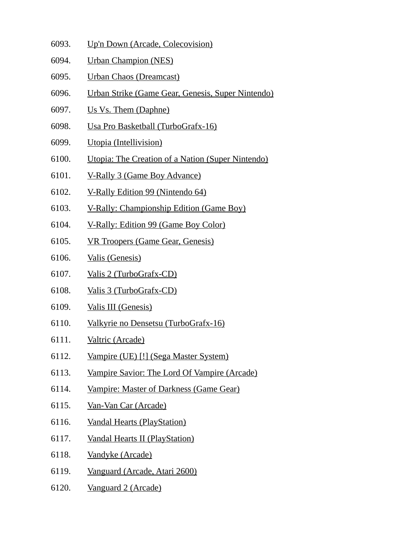- 6093. Up'n Down (Arcade, Colecovision)
- 6094. Urban Champion (NES)
- 6095. Urban Chaos (Dreamcast)
- 6096. Urban Strike (Game Gear, Genesis, Super Nintendo)
- 6097. Us Vs. Them (Daphne)
- 6098. Usa Pro Basketball (TurboGrafx-16)
- 6099. Utopia (Intellivision)
- 6100. Utopia: The Creation of a Nation (Super Nintendo)
- 6101. V-Rally 3 (Game Boy Advance)
- 6102. V-Rally Edition 99 (Nintendo 64)
- 6103. V-Rally: Championship Edition (Game Boy)
- 6104. V-Rally: Edition 99 (Game Boy Color)
- 6105. VR Troopers (Game Gear, Genesis)
- 6106. Valis (Genesis)
- 6107. Valis 2 (TurboGrafx-CD)
- 6108. Valis 3 (TurboGrafx-CD)
- 6109. Valis III (Genesis)
- 6110. Valkyrie no Densetsu (TurboGrafx-16)
- 6111. Valtric (Arcade)
- 6112. Vampire (UE) [!] (Sega Master System)
- 6113. Vampire Savior: The Lord Of Vampire (Arcade)
- 6114. Vampire: Master of Darkness (Game Gear)
- 6115. Van-Van Car (Arcade)
- 6116. Vandal Hearts (PlayStation)
- 6117. Vandal Hearts II (PlayStation)
- 6118. Vandyke (Arcade)
- 6119. Vanguard (Arcade, Atari 2600)
- 6120. Vanguard 2 (Arcade)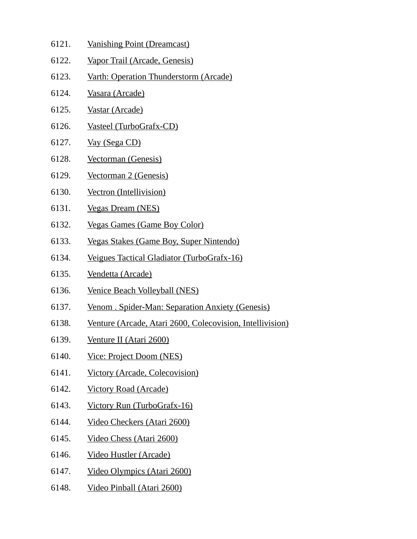- 6121. Vanishing Point (Dreamcast)
- 6122. Vapor Trail (Arcade, Genesis)
- 6123. Varth: Operation Thunderstorm (Arcade)
- 6124. Vasara (Arcade)
- 6125. Vastar (Arcade)
- 6126. Vasteel (TurboGrafx-CD)
- 6127. Vay (Sega CD)
- 6128. Vectorman (Genesis)
- 6129. Vectorman 2 (Genesis)
- 6130. Vectron (Intellivision)
- 6131. Vegas Dream (NES)
- 6132. Vegas Games (Game Boy Color)
- 6133. Vegas Stakes (Game Boy, Super Nintendo)
- 6134. Veigues Tactical Gladiator (TurboGrafx-16)
- 6135. Vendetta (Arcade)
- 6136. Venice Beach Volleyball (NES)
- 6137. Venom . Spider-Man: Separation Anxiety (Genesis)
- 6138. Venture (Arcade, Atari 2600, Colecovision, Intellivision)
- 6139. Venture II (Atari 2600)
- 6140. Vice: Project Doom (NES)
- 6141. Victory (Arcade, Colecovision)
- 6142. Victory Road (Arcade)
- 6143. Victory Run (TurboGrafx-16)
- 6144. Video Checkers (Atari 2600)
- 6145. Video Chess (Atari 2600)
- 6146. Video Hustler (Arcade)
- 6147. Video Olympics (Atari 2600)
- 6148. Video Pinball (Atari 2600)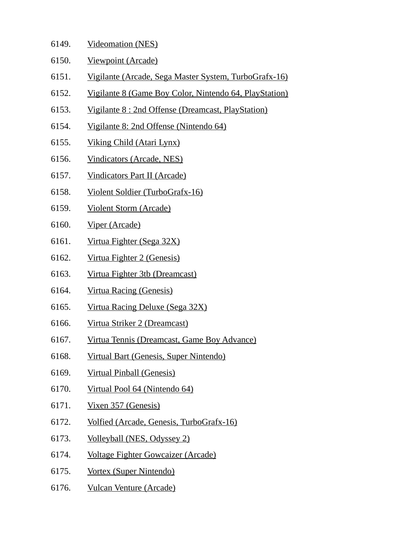- 6149. Videomation (NES)
- 6150. Viewpoint (Arcade)
- 6151. Vigilante (Arcade, Sega Master System, TurboGrafx-16)
- 6152. Vigilante 8 (Game Boy Color, Nintendo 64, PlayStation)
- 6153. Vigilante 8 : 2nd Offense (Dreamcast, PlayStation)
- 6154. Vigilante 8: 2nd Offense (Nintendo 64)
- 6155. Viking Child (Atari Lynx)
- 6156. Vindicators (Arcade, NES)
- 6157. Vindicators Part II (Arcade)
- 6158. Violent Soldier (TurboGrafx-16)
- 6159. Violent Storm (Arcade)
- 6160. Viper (Arcade)
- 6161. Virtua Fighter (Sega 32X)
- 6162. Virtua Fighter 2 (Genesis)
- 6163. Virtua Fighter 3tb (Dreamcast)
- 6164. Virtua Racing (Genesis)
- 6165. Virtua Racing Deluxe (Sega 32X)
- 6166. Virtua Striker 2 (Dreamcast)
- 6167. Virtua Tennis (Dreamcast, Game Boy Advance)
- 6168. Virtual Bart (Genesis, Super Nintendo)
- 6169. Virtual Pinball (Genesis)
- 6170. Virtual Pool 64 (Nintendo 64)
- 6171. Vixen 357 (Genesis)
- 6172. Volfied (Arcade, Genesis, TurboGrafx-16)
- 6173. Volleyball (NES, Odyssey 2)
- 6174. Voltage Fighter Gowcaizer (Arcade)
- 6175. Vortex (Super Nintendo)
- 6176. Vulcan Venture (Arcade)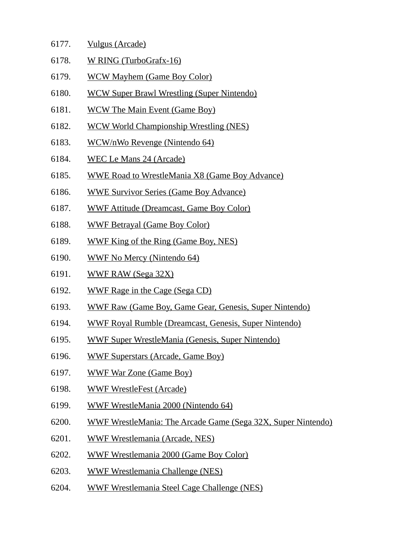- 6177. Vulgus (Arcade)
- 6178. W RING (TurboGrafx-16)
- 6179. WCW Mayhem (Game Boy Color)
- 6180. WCW Super Brawl Wrestling (Super Nintendo)
- 6181. WCW The Main Event (Game Boy)
- 6182. WCW World Championship Wrestling (NES)
- 6183. WCW/nWo Revenge (Nintendo 64)
- 6184. WEC Le Mans 24 (Arcade)
- 6185. WWE Road to WrestleMania X8 (Game Boy Advance)
- 6186. WWE Survivor Series (Game Boy Advance)
- 6187. WWF Attitude (Dreamcast, Game Boy Color)
- 6188. WWF Betrayal (Game Boy Color)
- 6189. WWF King of the Ring (Game Boy, NES)
- 6190. WWF No Mercy (Nintendo 64)
- 6191. WWF RAW (Sega 32X)
- 6192. WWF Rage in the Cage (Sega CD)
- 6193. WWF Raw (Game Boy, Game Gear, Genesis, Super Nintendo)
- 6194. WWF Royal Rumble (Dreamcast, Genesis, Super Nintendo)
- 6195. WWF Super WrestleMania (Genesis, Super Nintendo)
- 6196. WWF Superstars (Arcade, Game Boy)
- 6197. WWF War Zone (Game Boy)
- 6198. WWF WrestleFest (Arcade)
- 6199. WWF WrestleMania 2000 (Nintendo 64)
- 6200. WWF WrestleMania: The Arcade Game (Sega 32X, Super Nintendo)
- 6201. WWF Wrestlemania (Arcade, NES)
- 6202. WWF Wrestlemania 2000 (Game Boy Color)
- 6203. WWF Wrestlemania Challenge (NES)
- 6204. WWF Wrestlemania Steel Cage Challenge (NES)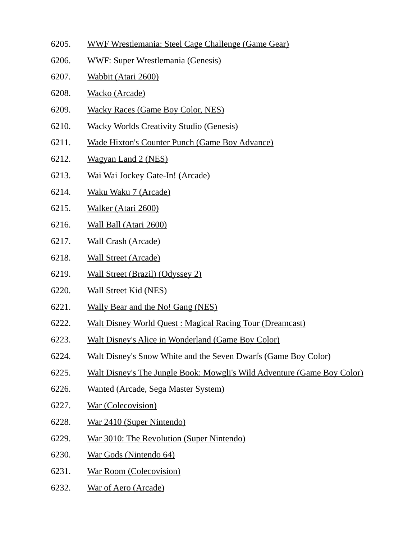- 6205. WWF Wrestlemania: Steel Cage Challenge (Game Gear)
- 6206. WWF: Super Wrestlemania (Genesis)
- 6207. Wabbit (Atari 2600)
- 6208. Wacko (Arcade)
- 6209. Wacky Races (Game Boy Color, NES)
- 6210. Wacky Worlds Creativity Studio (Genesis)
- 6211. Wade Hixton's Counter Punch (Game Boy Advance)
- 6212. Wagyan Land 2 (NES)
- 6213. Wai Wai Jockey Gate-In! (Arcade)
- 6214. Waku Waku 7 (Arcade)
- 6215. Walker (Atari 2600)
- 6216. Wall Ball (Atari 2600)
- 6217. Wall Crash (Arcade)
- 6218. Wall Street (Arcade)
- 6219. Wall Street (Brazil) (Odyssey 2)
- 6220. Wall Street Kid (NES)
- 6221. Wally Bear and the No! Gang (NES)
- 6222. Walt Disney World Quest : Magical Racing Tour (Dreamcast)
- 6223. Walt Disney's Alice in Wonderland (Game Boy Color)
- 6224. Walt Disney's Snow White and the Seven Dwarfs (Game Boy Color)
- 6225. Walt Disney's The Jungle Book: Mowgli's Wild Adventure (Game Boy Color)
- 6226. Wanted (Arcade, Sega Master System)
- 6227. War (Colecovision)
- 6228. War 2410 (Super Nintendo)
- 6229. War 3010: The Revolution (Super Nintendo)
- 6230. War Gods (Nintendo 64)
- 6231. War Room (Colecovision)
- 6232. War of Aero (Arcade)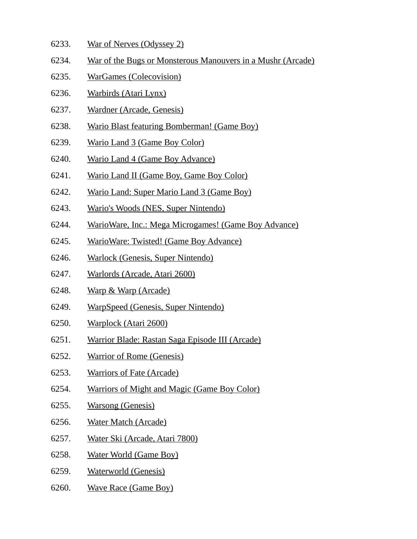- 6233. War of Nerves (Odyssey 2)
- 6234. War of the Bugs or Monsterous Manouvers in a Mushr (Arcade)
- 6235. WarGames (Colecovision)
- 6236. Warbirds (Atari Lynx)
- 6237. Wardner (Arcade, Genesis)
- 6238. Wario Blast featuring Bomberman! (Game Boy)
- 6239. Wario Land 3 (Game Boy Color)
- 6240. Wario Land 4 (Game Boy Advance)
- 6241. Wario Land II (Game Boy, Game Boy Color)
- 6242. Wario Land: Super Mario Land 3 (Game Boy)
- 6243. Wario's Woods (NES, Super Nintendo)
- 6244. WarioWare, Inc.: Mega Microgames! (Game Boy Advance)
- 6245. WarioWare: Twisted! (Game Boy Advance)
- 6246. Warlock (Genesis, Super Nintendo)
- 6247. Warlords (Arcade, Atari 2600)
- 6248. Warp & Warp (Arcade)
- 6249. WarpSpeed (Genesis, Super Nintendo)
- 6250. Warplock (Atari 2600)
- 6251. Warrior Blade: Rastan Saga Episode III (Arcade)
- 6252. Warrior of Rome (Genesis)
- 6253. Warriors of Fate (Arcade)
- 6254. Warriors of Might and Magic (Game Boy Color)
- 6255. Warsong (Genesis)
- 6256. Water Match (Arcade)
- 6257. Water Ski (Arcade, Atari 7800)
- 6258. Water World (Game Boy)
- 6259. Waterworld (Genesis)
- 6260. Wave Race (Game Boy)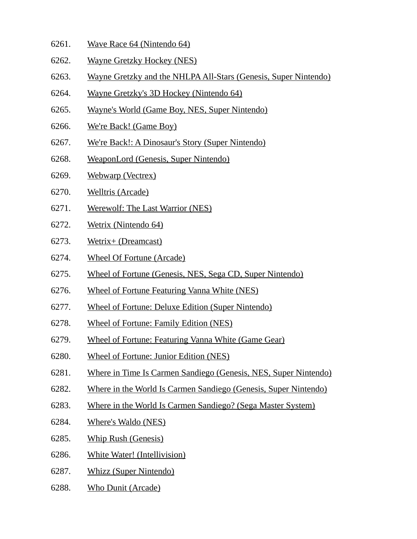- 6261. Wave Race 64 (Nintendo 64)
- 6262. Wayne Gretzky Hockey (NES)
- 6263. Wayne Gretzky and the NHLPA All-Stars (Genesis, Super Nintendo)
- 6264. Wayne Gretzky's 3D Hockey (Nintendo 64)
- 6265. Wayne's World (Game Boy, NES, Super Nintendo)
- 6266. We're Back! (Game Boy)
- 6267. We're Back!: A Dinosaur's Story (Super Nintendo)
- 6268. WeaponLord (Genesis, Super Nintendo)
- 6269. Webwarp (Vectrex)
- 6270. Welltris (Arcade)
- 6271. Werewolf: The Last Warrior (NES)
- 6272. Wetrix (Nintendo 64)
- 6273. Wetrix+ (Dreamcast)
- 6274. Wheel Of Fortune (Arcade)
- 6275. Wheel of Fortune (Genesis, NES, Sega CD, Super Nintendo)
- 6276. Wheel of Fortune Featuring Vanna White (NES)
- 6277. Wheel of Fortune: Deluxe Edition (Super Nintendo)
- 6278. Wheel of Fortune: Family Edition (NES)
- 6279. Wheel of Fortune: Featuring Vanna White (Game Gear)
- 6280. Wheel of Fortune: Junior Edition (NES)
- 6281. Where in Time Is Carmen Sandiego (Genesis, NES, Super Nintendo)
- 6282. Where in the World Is Carmen Sandiego (Genesis, Super Nintendo)
- 6283. Where in the World Is Carmen Sandiego? (Sega Master System)
- 6284. Where's Waldo (NES)
- 6285. Whip Rush (Genesis)
- 6286. White Water! (Intellivision)
- 6287. Whizz (Super Nintendo)
- 6288. Who Dunit (Arcade)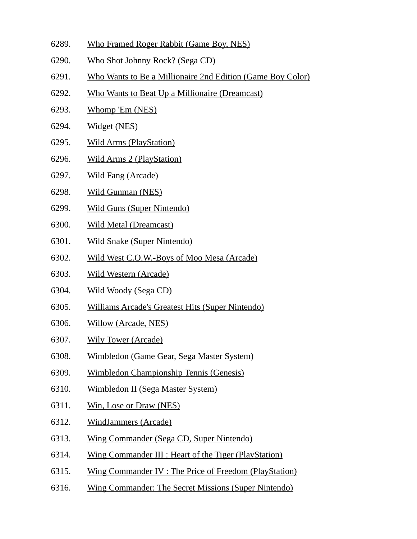- 6289. Who Framed Roger Rabbit (Game Boy, NES)
- 6290. Who Shot Johnny Rock? (Sega CD)
- 6291. Who Wants to Be a Millionaire 2nd Edition (Game Boy Color)
- 6292. Who Wants to Beat Up a Millionaire (Dreamcast)
- 6293. Whomp 'Em (NES)
- 6294. Widget (NES)
- 6295. Wild Arms (PlayStation)
- 6296. Wild Arms 2 (PlayStation)
- 6297. Wild Fang (Arcade)
- 6298. Wild Gunman (NES)
- 6299. Wild Guns (Super Nintendo)
- 6300. Wild Metal (Dreamcast)
- 6301. Wild Snake (Super Nintendo)
- 6302. Wild West C.O.W.-Boys of Moo Mesa (Arcade)
- 6303. Wild Western (Arcade)
- 6304. Wild Woody (Sega CD)
- 6305. Williams Arcade's Greatest Hits (Super Nintendo)
- 6306. Willow (Arcade, NES)
- 6307. Wily Tower (Arcade)
- 6308. Wimbledon (Game Gear, Sega Master System)
- 6309. Wimbledon Championship Tennis (Genesis)
- 6310. Wimbledon II (Sega Master System)
- 6311. Win, Lose or Draw (NES)
- 6312. WindJammers (Arcade)
- 6313. Wing Commander (Sega CD, Super Nintendo)
- 6314. Wing Commander III : Heart of the Tiger (PlayStation)
- 6315. Wing Commander IV : The Price of Freedom (PlayStation)
- 6316. Wing Commander: The Secret Missions (Super Nintendo)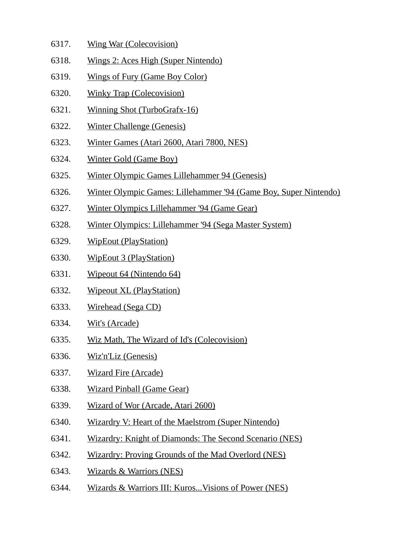- 6317. Wing War (Colecovision)
- 6318. Wings 2: Aces High (Super Nintendo)
- 6319. Wings of Fury (Game Boy Color)
- 6320. Winky Trap (Colecovision)
- 6321. Winning Shot (TurboGrafx-16)
- 6322. Winter Challenge (Genesis)
- 6323. Winter Games (Atari 2600, Atari 7800, NES)
- 6324. Winter Gold (Game Boy)
- 6325. Winter Olympic Games Lillehammer 94 (Genesis)
- 6326. Winter Olympic Games: Lillehammer '94 (Game Boy, Super Nintendo)
- 6327. Winter Olympics Lillehammer '94 (Game Gear)
- 6328. Winter Olympics: Lillehammer '94 (Sega Master System)
- 6329. WipEout (PlayStation)
- 6330. WipEout 3 (PlayStation)
- 6331. Wipeout 64 (Nintendo 64)
- 6332. Wipeout XL (PlayStation)
- 6333. Wirehead (Sega CD)
- 6334. Wit's (Arcade)
- 6335. Wiz Math, The Wizard of Id's (Colecovision)
- 6336. Wiz'n'Liz (Genesis)
- 6337. Wizard Fire (Arcade)
- 6338. Wizard Pinball (Game Gear)
- 6339. Wizard of Wor (Arcade, Atari 2600)
- 6340. Wizardry V: Heart of the Maelstrom (Super Nintendo)
- 6341. Wizardry: Knight of Diamonds: The Second Scenario (NES)
- 6342. Wizardry: Proving Grounds of the Mad Overlord (NES)
- 6343. Wizards & Warriors (NES)
- 6344. Wizards & Warriors III: Kuros...Visions of Power (NES)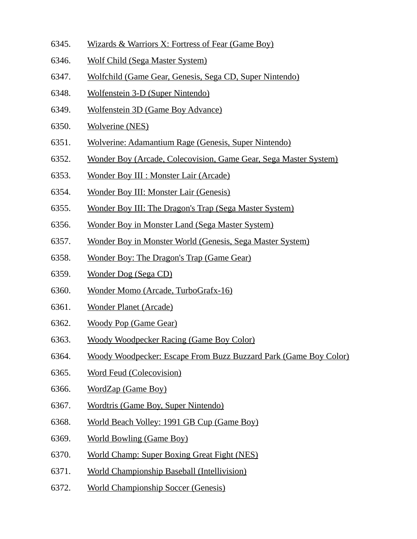- 6345. Wizards & Warriors X: Fortress of Fear (Game Boy)
- 6346. Wolf Child (Sega Master System)
- 6347. Wolfchild (Game Gear, Genesis, Sega CD, Super Nintendo)
- 6348. Wolfenstein 3-D (Super Nintendo)
- 6349. Wolfenstein 3D (Game Boy Advance)
- 6350. Wolverine (NES)
- 6351. Wolverine: Adamantium Rage (Genesis, Super Nintendo)
- 6352. Wonder Boy (Arcade, Colecovision, Game Gear, Sega Master System)
- 6353. Wonder Boy III : Monster Lair (Arcade)
- 6354. Wonder Boy III: Monster Lair (Genesis)
- 6355. Wonder Boy III: The Dragon's Trap (Sega Master System)
- 6356. Wonder Boy in Monster Land (Sega Master System)
- 6357. Wonder Boy in Monster World (Genesis, Sega Master System)
- 6358. Wonder Boy: The Dragon's Trap (Game Gear)
- 6359. Wonder Dog (Sega CD)
- 6360. Wonder Momo (Arcade, TurboGrafx-16)
- 6361. Wonder Planet (Arcade)
- 6362. Woody Pop (Game Gear)
- 6363. Woody Woodpecker Racing (Game Boy Color)
- 6364. Woody Woodpecker: Escape From Buzz Buzzard Park (Game Boy Color)
- 6365. Word Feud (Colecovision)
- 6366. WordZap (Game Boy)
- 6367. Wordtris (Game Boy, Super Nintendo)
- 6368. World Beach Volley: 1991 GB Cup (Game Boy)
- 6369. World Bowling (Game Boy)
- 6370. World Champ: Super Boxing Great Fight (NES)
- 6371. World Championship Baseball (Intellivision)
- 6372. World Championship Soccer (Genesis)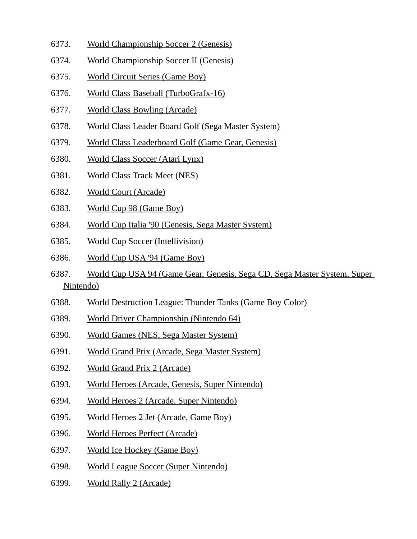- 6373. World Championship Soccer 2 (Genesis)
- 6374. World Championship Soccer II (Genesis)
- 6375. World Circuit Series (Game Boy)
- 6376. World Class Baseball (TurboGrafx-16)
- 6377. World Class Bowling (Arcade)
- 6378. World Class Leader Board Golf (Sega Master System)
- 6379. World Class Leaderboard Golf (Game Gear, Genesis)
- 6380. World Class Soccer (Atari Lynx)
- 6381. World Class Track Meet (NES)
- 6382. World Court (Arcade)
- 6383. World Cup 98 (Game Boy)
- 6384. World Cup Italia '90 (Genesis, Sega Master System)
- 6385. World Cup Soccer (Intellivision)
- 6386. World Cup USA '94 (Game Boy)
- 6387. World Cup USA 94 (Game Gear, Genesis, Sega CD, Sega Master System, Super Nintendo)
- 6388. World Destruction League: Thunder Tanks (Game Boy Color)
- 6389. World Driver Championship (Nintendo 64)
- 6390. World Games (NES, Sega Master System)
- 6391. World Grand Prix (Arcade, Sega Master System)
- 6392. World Grand Prix 2 (Arcade)
- 6393. World Heroes (Arcade, Genesis, Super Nintendo)
- 6394. World Heroes 2 (Arcade, Super Nintendo)
- 6395. World Heroes 2 Jet (Arcade, Game Boy)
- 6396. World Heroes Perfect (Arcade)
- 6397. World Ice Hockey (Game Boy)
- 6398. World League Soccer (Super Nintendo)
- 6399. World Rally 2 (Arcade)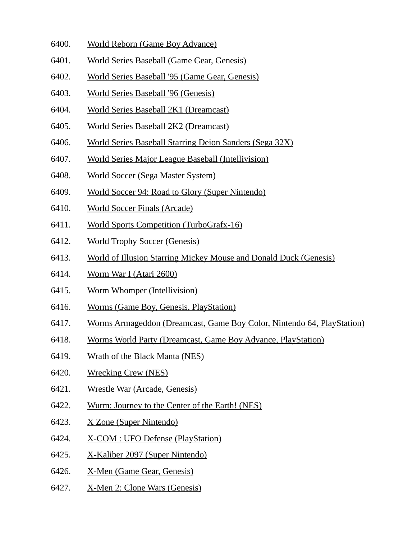- 6400. World Reborn (Game Boy Advance)
- 6401. World Series Baseball (Game Gear, Genesis)
- 6402. World Series Baseball '95 (Game Gear, Genesis)
- 6403. World Series Baseball '96 (Genesis)
- 6404. World Series Baseball 2K1 (Dreamcast)
- 6405. World Series Baseball 2K2 (Dreamcast)
- 6406. World Series Baseball Starring Deion Sanders (Sega 32X)
- 6407. World Series Major League Baseball (Intellivision)
- 6408. World Soccer (Sega Master System)
- 6409. World Soccer 94: Road to Glory (Super Nintendo)
- 6410. World Soccer Finals (Arcade)
- 6411. World Sports Competition (TurboGrafx-16)
- 6412. World Trophy Soccer (Genesis)
- 6413. World of Illusion Starring Mickey Mouse and Donald Duck (Genesis)
- 6414. Worm War I (Atari 2600)
- 6415. Worm Whomper (Intellivision)
- 6416. Worms (Game Boy, Genesis, PlayStation)
- 6417. Worms Armageddon (Dreamcast, Game Boy Color, Nintendo 64, PlayStation)
- 6418. Worms World Party (Dreamcast, Game Boy Advance, PlayStation)
- 6419. Wrath of the Black Manta (NES)
- 6420. Wrecking Crew (NES)
- 6421. Wrestle War (Arcade, Genesis)
- 6422. Wurm: Journey to the Center of the Earth! (NES)
- 6423. X Zone (Super Nintendo)
- 6424. X-COM : UFO Defense (PlayStation)
- 6425. X-Kaliber 2097 (Super Nintendo)
- 6426. X-Men (Game Gear, Genesis)
- 6427. X-Men 2: Clone Wars (Genesis)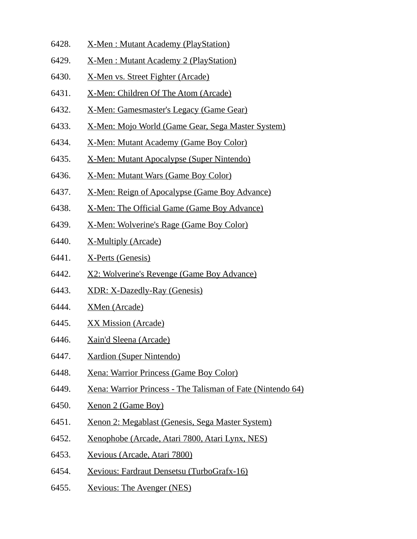- 6428. X-Men : Mutant Academy (PlayStation)
- 6429. X-Men : Mutant Academy 2 (PlayStation)
- 6430. X-Men vs. Street Fighter (Arcade)
- 6431. X-Men: Children Of The Atom (Arcade)
- 6432. X-Men: Gamesmaster's Legacy (Game Gear)
- 6433. X-Men: Mojo World (Game Gear, Sega Master System)
- 6434. X-Men: Mutant Academy (Game Boy Color)
- 6435. X-Men: Mutant Apocalypse (Super Nintendo)
- 6436. X-Men: Mutant Wars (Game Boy Color)
- 6437. X-Men: Reign of Apocalypse (Game Boy Advance)
- 6438. X-Men: The Official Game (Game Boy Advance)
- 6439. X-Men: Wolverine's Rage (Game Boy Color)
- 6440. X-Multiply (Arcade)
- 6441. X-Perts (Genesis)
- 6442. X2: Wolverine's Revenge (Game Boy Advance)
- 6443. XDR: X-Dazedly-Ray (Genesis)
- 6444. XMen (Arcade)
- 6445. XX Mission (Arcade)
- 6446. Xain'd Sleena (Arcade)
- 6447. Xardion (Super Nintendo)
- 6448. Xena: Warrior Princess (Game Boy Color)
- 6449. Xena: Warrior Princess The Talisman of Fate (Nintendo 64)
- 6450. Xenon 2 (Game Boy)
- 6451. Xenon 2: Megablast (Genesis, Sega Master System)
- 6452. Xenophobe (Arcade, Atari 7800, Atari Lynx, NES)
- 6453. Xevious (Arcade, Atari 7800)
- 6454. Xevious: Fardraut Densetsu (TurboGrafx-16)
- 6455. Xevious: The Avenger (NES)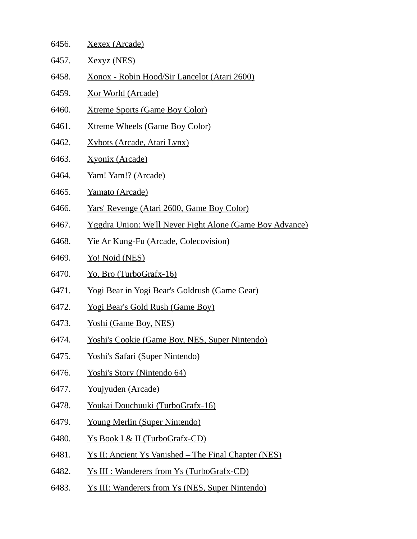| 6456. | Xexex (Arcade)                                                  |
|-------|-----------------------------------------------------------------|
| 6457. | <u>Xexyz (NES)</u>                                              |
| 6458. | Xonox - Robin Hood/Sir Lancelot (Atari 2600)                    |
| 6459. | <u>Xor World (Arcade)</u>                                       |
| 6460. | <b>Xtreme Sports (Game Boy Color)</b>                           |
| 6461. | <b>Xtreme Wheels (Game Boy Color)</b>                           |
| 6462. | Xybots (Arcade, Atari Lynx)                                     |
| 6463. | <b>Xyonix (Arcade)</b>                                          |
| 6464. | <u>Yam! Yam!? (Arcade)</u>                                      |
| 6465. | Yamato (Arcade)                                                 |
| 6466. | <u>Yars' Revenge (Atari 2600, Game Boy Color)</u>               |
| 6467. | <u>Yggdra Union: We'll Never Fight Alone (Game Boy Advance)</u> |
| 6468. | <u>Yie Ar Kung-Fu (Arcade, Colecovision)</u>                    |
| 6469. | Yo! Noid (NES)                                                  |
| 6470. | <u>Yo, Bro (TurboGrafx-16)</u>                                  |
| 6471. | <u>Yogi Bear in Yogi Bear's Goldrush (Game Gear)</u>            |
| 6472. | <u>Yogi Bear's Gold Rush (Game Boy)</u>                         |
| 6473. | <u>Yoshi (Game Boy, NES)</u>                                    |
| 6474. | Yoshi's Cookie (Game Boy, NES, Super Nintendo)                  |
| 6475. | Yoshi's Safari (Super Nintendo)                                 |
| 6476. | Yoshi's Story (Nintendo 64)                                     |
| 6477. | Youjyuden (Arcade)                                              |
| 6478. | Youkai Douchuuki (TurboGrafx-16)                                |
| 6479. | <b>Young Merlin (Super Nintendo)</b>                            |
| 6480. | Ys Book I & II (TurboGrafx-CD)                                  |
| 6481. | <u>Ys II: Ancient Ys Vanished – The Final Chapter (NES)</u>     |
| 6482. | <u>Ys III : Wanderers from Ys (TurboGrafx-CD)</u>               |
| 6483. | <u>Ys III: Wanderers from Ys (NES, Super Nintendo)</u>          |
|       |                                                                 |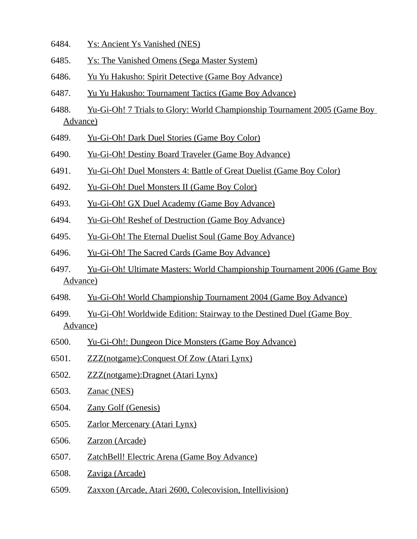- 6484. Ys: Ancient Ys Vanished (NES)
- 6485. Ys: The Vanished Omens (Sega Master System)
- 6486. Yu Yu Hakusho: Spirit Detective (Game Boy Advance)
- 6487. Yu Yu Hakusho: Tournament Tactics (Game Boy Advance)
- 6488. Yu-Gi-Oh! 7 Trials to Glory: World Championship Tournament 2005 (Game Boy Advance)
- 6489. Yu-Gi-Oh! Dark Duel Stories (Game Boy Color)
- 6490. Yu-Gi-Oh! Destiny Board Traveler (Game Boy Advance)
- 6491. Yu-Gi-Oh! Duel Monsters 4: Battle of Great Duelist (Game Boy Color)
- 6492. Yu-Gi-Oh! Duel Monsters II (Game Boy Color)
- 6493. Yu-Gi-Oh! GX Duel Academy (Game Boy Advance)
- 6494. Yu-Gi-Oh! Reshef of Destruction (Game Boy Advance)
- 6495. Yu-Gi-Oh! The Eternal Duelist Soul (Game Boy Advance)
- 6496. Yu-Gi-Oh! The Sacred Cards (Game Boy Advance)
- 6497. Yu-Gi-Oh! Ultimate Masters: World Championship Tournament 2006 (Game Boy Advance)
- 6498. Yu-Gi-Oh! World Championship Tournament 2004 (Game Boy Advance)
- 6499. Yu-Gi-Oh! Worldwide Edition: Stairway to the Destined Duel (Game Boy Advance)
- 6500. Yu-Gi-Oh!: Dungeon Dice Monsters (Game Boy Advance)
- 6501. ZZZ(notgame):Conquest Of Zow (Atari Lynx)
- 6502. ZZZ(notgame):Dragnet (Atari Lynx)
- 6503. Zanac (NES)
- 6504. Zany Golf (Genesis)
- 6505. Zarlor Mercenary (Atari Lynx)
- 6506. Zarzon (Arcade)
- 6507. ZatchBell! Electric Arena (Game Boy Advance)
- 6508. Zaviga (Arcade)
- 6509. Zaxxon (Arcade, Atari 2600, Colecovision, Intellivision)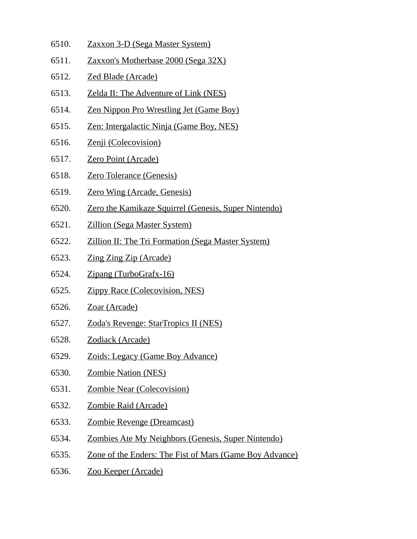- 6510. Zaxxon 3-D (Sega Master System)
- 6511. Zaxxon's Motherbase 2000 (Sega 32X)
- 6512. Zed Blade (Arcade)
- 6513. Zelda II: The Adventure of Link (NES)
- 6514. Zen Nippon Pro Wrestling Jet (Game Boy)
- 6515. Zen: Intergalactic Ninja (Game Boy, NES)
- 6516. Zenji (Colecovision)
- 6517. Zero Point (Arcade)
- 6518. Zero Tolerance (Genesis)
- 6519. Zero Wing (Arcade, Genesis)
- 6520. Zero the Kamikaze Squirrel (Genesis, Super Nintendo)
- 6521. Zillion (Sega Master System)
- 6522. Zillion II: The Tri Formation (Sega Master System)
- 6523. Zing Zing Zip (Arcade)
- 6524. Zipang (TurboGrafx-16)
- 6525. Zippy Race (Colecovision, NES)
- 6526. Zoar (Arcade)
- 6527. Zoda's Revenge: StarTropics II (NES)
- 6528. Zodiack (Arcade)
- 6529. Zoids: Legacy (Game Boy Advance)
- 6530. Zombie Nation (NES)
- 6531. Zombie Near (Colecovision)
- 6532. Zombie Raid (Arcade)
- 6533. Zombie Revenge (Dreamcast)
- 6534. Zombies Ate My Neighbors (Genesis, Super Nintendo)
- 6535. Zone of the Enders: The Fist of Mars (Game Boy Advance)
- 6536. Zoo Keeper (Arcade)